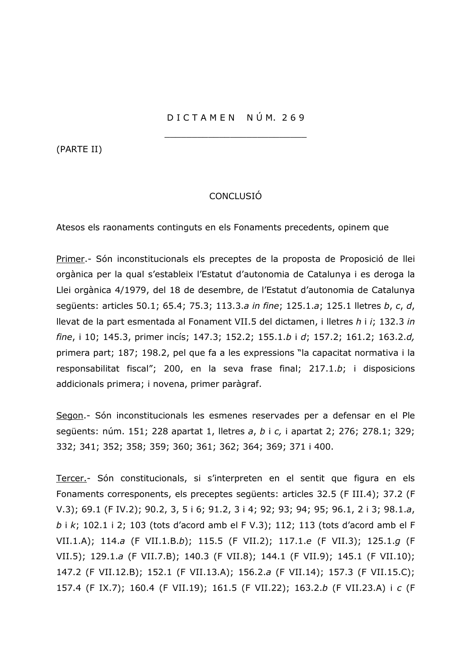(PARTE II)

## **CONCLUSIÓ**

Atesos els raonaments continguts en els Fonaments precedents, opinem que

Primer.- Són inconstitucionals els preceptes de la proposta de Proposició de llei orgànica per la qual s'estableix l'Estatut d'autonomia de Catalunya i es deroga la Llei orgànica 4/1979, del 18 de desembre, de l'Estatut d'autonomia de Catalunya sequents: articles 50.1; 65.4; 75.3; 113.3.a in fine; 125.1.a; 125.1 lletres b, c, d, llevat de la part esmentada al Fonament VII.5 del dictamen, i lletres h i i; 132.3 in fine, i 10; 145.3, primer incís; 147.3; 152.2; 155.1.b i d; 157.2; 161.2; 163.2.d, primera part; 187; 198.2, pel que fa a les expressions "la capacitat normativa i la responsabilitat fiscal"; 200, en la seva frase final; 217.1.b; i disposicions addicionals primera; i novena, primer paràgraf.

Segon .- Són inconstitucionals les esmenes reservades per a defensar en el Ple següents: núm. 151; 228 apartat 1, lletres a, b i c, i apartat 2; 276; 278.1; 329; 332; 341; 352; 358; 359; 360; 361; 362; 364; 369; 371 i 400.

Tercer.- Són constitucionals, si s'interpreten en el sentit que figura en els Fonaments corresponents, els preceptes següents: articles 32.5 (F III.4); 37.2 (F V.3); 69.1 (F IV.2); 90.2, 3, 5 i 6; 91.2, 3 i 4; 92; 93; 94; 95; 96.1, 2 i 3; 98.1.a, b i k; 102.1 i 2; 103 (tots d'acord amb el F V.3); 112; 113 (tots d'acord amb el F VII.1.A); 114.a (F VII.1.B.b); 115.5 (F VII.2); 117.1.e (F VII.3); 125.1.g (F VII.5); 129.1.a (F VII.7.B); 140.3 (F VII.8); 144.1 (F VII.9); 145.1 (F VII.10); 147.2 (F VII.12.B); 152.1 (F VII.13.A); 156.2.a (F VII.14); 157.3 (F VII.15.C); 157.4 (F IX.7); 160.4 (F VII.19); 161.5 (F VII.22); 163.2.b (F VII.23.A) i c (F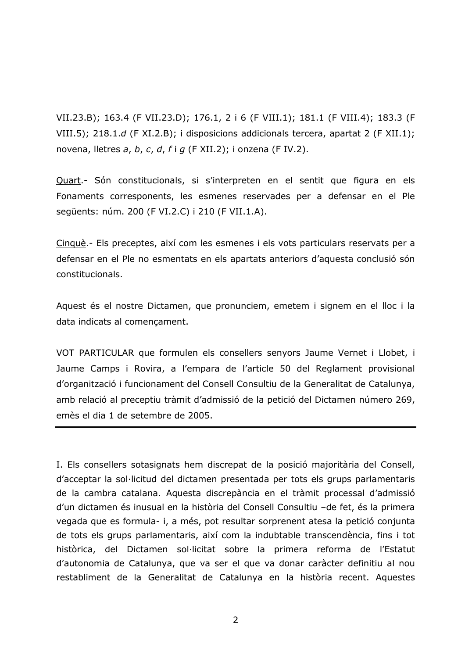VII.23.B): 163.4 (F VII.23.D): 176.1, 2 i 6 (F VIII.1): 181.1 (F VIII.4): 183.3 (F VIII.5); 218.1.d (F XI.2.B); i disposicions addicionals tercera, apartat 2 (F XII.1); novena, lletres a, b, c, d, f i g (F XII.2); i onzena (F IV.2).

Quart.- Són constitucionals, si s'interpreten en el sentit que figura en els Fonaments corresponents, les esmenes reservades per a defensar en el Ple sequents: núm. 200 (F VI.2.C) i 210 (F VII.1.A).

Cinquè .- Els preceptes, així com les esmenes i els vots particulars reservats per a defensar en el Ple no esmentats en els apartats anteriors d'aquesta conclusió són constitucionals.

Aquest és el nostre Dictamen, que pronunciem, emetem i signem en el lloc i la data indicats al començament.

VOT PARTICULAR que formulen els consellers senyors Jaume Vernet i Llobet, i Jaume Camps i Rovira, a l'empara de l'article 50 del Reglament provisional d'organització i funcionament del Consell Consultiu de la Generalitat de Catalunya, amb relació al preceptiu tràmit d'admissió de la petició del Dictamen número 269, emès el dia 1 de setembre de 2005.

I. Els consellers sotasignats hem discrepat de la posició majoritària del Consell, d'acceptar la sol·licitud del dictamen presentada per tots els grups parlamentaris de la cambra catalana. Aquesta discrepància en el tràmit processal d'admissió d'un dictamen és inusual en la història del Consell Consultiu -de fet, és la primera vegada que es formula- i, a més, pot resultar sorprenent atesa la petició conjunta de tots els grups parlamentaris, així com la indubtable transcendència, fins i tot històrica, del Dictamen sol·licitat sobre la primera reforma de l'Estatut d'autonomia de Catalunya, que va ser el que va donar caràcter definitiu al nou restabliment de la Generalitat de Catalunya en la història recent. Aquestes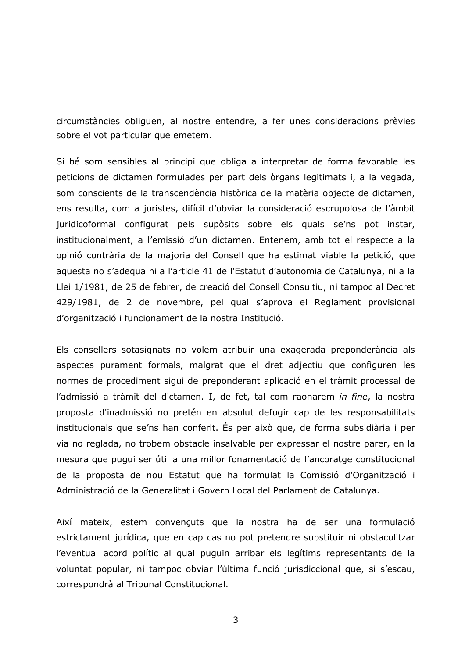circumstàncies obliguen, al nostre entendre, a fer unes consideracions prèvies sobre el vot particular que emetem.

Si bé som sensibles al principi que obliga a interpretar de forma favorable les peticions de dictamen formulades per part dels òrgans legitimats i, a la vegada, som conscients de la transcendència històrica de la matèria objecte de dictamen, ens resulta, com a juristes, difícil d'obviar la consideració escrupolosa de l'àmbit juridicoformal configurat pels supòsits sobre els quals se'ns pot instar, institucionalment, a l'emissió d'un dictamen. Entenem, amb tot el respecte a la opinió contrària de la majoria del Consell que ha estimat viable la petició, que aquesta no s'adegua ni a l'article 41 de l'Estatut d'autonomia de Catalunya, ni a la Llei 1/1981, de 25 de febrer, de creació del Consell Consultiu, ni tampoc al Decret 429/1981, de 2 de novembre, pel qual s'aprova el Reglament provisional d'organització i funcionament de la nostra Institució.

Els consellers sotasignats no volem atribuir una exagerada preponderància als aspectes purament formals, malgrat que el dret adjectiu que configuren les normes de procediment sigui de preponderant aplicació en el tràmit processal de l'admissió a tràmit del dictamen. I, de fet, tal com raonarem in fine, la nostra proposta d'inadmissió no pretén en absolut defugir cap de les responsabilitats institucionals que se'ns han conferit. És per això que, de forma subsidiària i per via no reglada, no trobem obstacle insalvable per expressar el nostre parer, en la mesura que pugui ser útil a una millor fonamentació de l'ancoratge constitucional de la proposta de nou Estatut que ha formulat la Comissió d'Organització i Administració de la Generalitat i Govern Local del Parlament de Catalunya.

Així mateix, estem convençuts que la nostra ha de ser una formulació estrictament jurídica, que en cap cas no pot pretendre substituir ni obstaculitzar l'eventual acord polític al qual puguin arribar els legítims representants de la voluntat popular, ni tampoc obviar l'última funció jurisdiccional que, si s'escau, correspondrà al Tribunal Constitucional.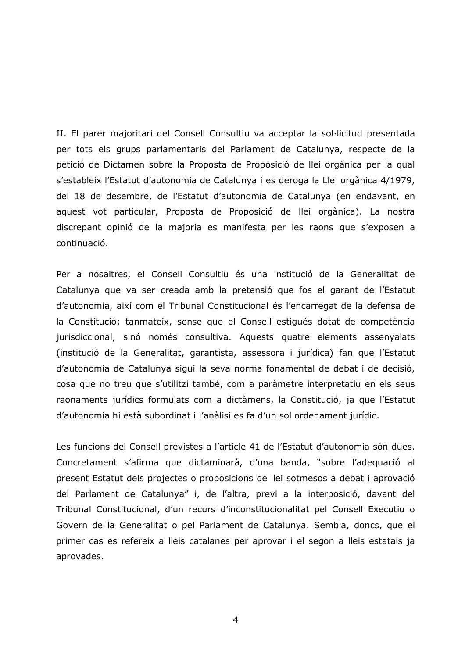II. El parer majoritari del Consell Consultiu va acceptar la sol·licitud presentada per tots els grups parlamentaris del Parlament de Catalunya, respecte de la petició de Dictamen sobre la Proposta de Proposició de llei orgànica per la qual s'estableix l'Estatut d'autonomia de Catalunya i es deroga la Llei orgànica 4/1979, del 18 de desembre, de l'Estatut d'autonomia de Catalunya (en endavant, en aquest vot particular, Proposta de Proposició de llei orgànica). La nostra discrepant opinió de la majoria es manifesta per les raons que s'exposen a continuació.

Per a nosaltres, el Consell Consultiu és una institució de la Generalitat de Catalunya que va ser creada amb la pretensió que fos el garant de l'Estatut d'autonomia, així com el Tribunal Constitucional és l'encarregat de la defensa de la Constitució; tanmateix, sense que el Consell estigués dotat de competència jurisdiccional, sinó només consultiva. Aquests quatre elements assenyalats (institució de la Generalitat, garantista, assessora i jurídica) fan que l'Estatut d'autonomia de Catalunya sigui la seva norma fonamental de debat i de decisió, cosa que no treu que s'utilitzi també, com a paràmetre interpretatiu en els seus raonaments jurídics formulats com a dictàmens, la Constitució, ja que l'Estatut d'autonomia hi està subordinat i l'anàlisi es fa d'un sol ordenament jurídic.

Les funcions del Consell previstes a l'article 41 de l'Estatut d'autonomia són dues. Concretament s'afirma que dictaminarà, d'una banda, "sobre l'adequació al present Estatut dels projectes o proposicions de llei sotmesos a debat i aprovació del Parlament de Catalunya" i, de l'altra, previ a la interposició, davant del Tribunal Constitucional, d'un recurs d'inconstitucionalitat pel Consell Executiu o Govern de la Generalitat o pel Parlament de Catalunya. Sembla, doncs, que el primer cas es refereix a lleis catalanes per aprovar i el segon a lleis estatals ja aprovades.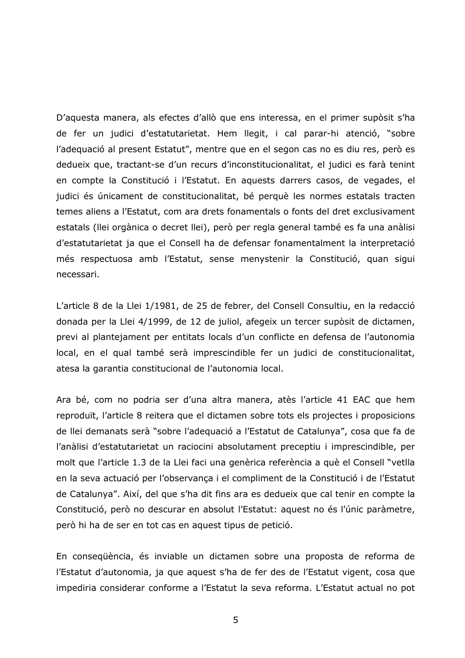D'aquesta manera, als efectes d'allò que ens interessa, en el primer supòsit s'ha de fer un judici d'estatutarietat. Hem llegit, i cal parar-hi atenció, "sobre l'adequació al present Estatut", mentre que en el segon cas no es diu res, però es dedueix que, tractant-se d'un recurs d'inconstitucionalitat, el judici es farà tenint en compte la Constitució i l'Estatut. En aquests darrers casos, de vegades, el judici és únicament de constitucionalitat, bé perquè les normes estatals tracten temes aliens a l'Estatut, com ara drets fonamentals o fonts del dret exclusivament estatals (llei orgànica o decret llei), però per regla general també es fa una anàlisi d'estatutarietat ja que el Consell ha de defensar fonamentalment la interpretació més respectuosa amb l'Estatut, sense menystenir la Constitució, quan sigui necessari.

L'article 8 de la Llei 1/1981, de 25 de febrer, del Consell Consultiu, en la redacció donada per la Llei 4/1999, de 12 de juliol, afegeix un tercer supòsit de dictamen, previ al plantejament per entitats locals d'un conflicte en defensa de l'autonomia local, en el qual també serà imprescindible fer un judici de constitucionalitat, atesa la garantia constitucional de l'autonomia local.

Ara bé, com no podria ser d'una altra manera, atès l'article 41 EAC que hem reproduït, l'article 8 reitera que el dictamen sobre tots els projectes i proposicions de llei demanats serà "sobre l'adequació a l'Estatut de Catalunya", cosa que fa de l'anàlisi d'estatutarietat un raciocini absolutament preceptiu i imprescindible, per molt que l'article 1.3 de la Llei faci una genèrica referència a què el Consell "vetlla" en la seva actuació per l'observança i el compliment de la Constitució i de l'Estatut de Catalunya". Així, del que s'ha dit fins ara es dedueix que cal tenir en compte la Constitució, però no descurar en absolut l'Estatut: aquest no és l'únic paràmetre, però hi ha de ser en tot cas en aquest tipus de petició.

En consequència, és inviable un dictamen sobre una proposta de reforma de l'Estatut d'autonomia, ja que aquest s'ha de fer des de l'Estatut vigent, cosa que impediria considerar conforme a l'Estatut la seva reforma. L'Estatut actual no pot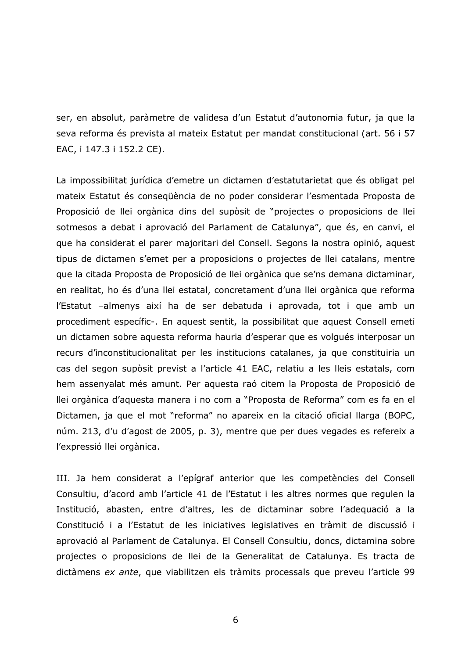ser, en absolut, paràmetre de validesa d'un Estatut d'autonomia futur, ja que la seva reforma és prevista al mateix Estatut per mandat constitucional (art. 56 i 57 EAC, i 147.3 i 152.2 CE).

La impossibilitat jurídica d'emetre un dictamen d'estatutarietat que és obligat pel mateix Estatut és consequència de no poder considerar l'esmentada Proposta de Proposició de llei orgànica dins del supòsit de "projectes o proposicions de llei sotmesos a debat i aprovació del Parlament de Catalunya", que és, en canvi, el que ha considerat el parer majoritari del Consell. Segons la nostra opinió, aquest tipus de dictamen s'emet per a proposicions o projectes de llei catalans, mentre que la citada Proposta de Proposició de llei orgànica que se'ns demana dictaminar, en realitat, ho és d'una llei estatal, concretament d'una llei orgànica que reforma l'Estatut -almenys així ha de ser debatuda i aprovada, tot i que amb un procediment específic-. En aquest sentit, la possibilitat que aquest Consell emeti un dictamen sobre aquesta reforma hauria d'esperar que es volgués interposar un recurs d'inconstitucionalitat per les institucions catalanes, ja que constituiria un cas del segon supòsit previst a l'article 41 EAC, relatiu a les lleis estatals, com hem assenyalat més amunt. Per aquesta raó citem la Proposta de Proposició de llei orgànica d'aquesta manera i no com a "Proposta de Reforma" com es fa en el Dictamen, ja que el mot "reforma" no apareix en la citació oficial llarga (BOPC, núm. 213, d'u d'agost de 2005, p. 3), mentre que per dues vegades es refereix a l'expressió llei orgànica.

III. Ja hem considerat a l'epígraf anterior que les competències del Consell Consultiu, d'acord amb l'article 41 de l'Estatut i les altres normes que regulen la Institució, abasten, entre d'altres, les de dictaminar sobre l'adequació a la Constitució i a l'Estatut de les iniciatives legislatives en tràmit de discussió i aprovació al Parlament de Catalunya. El Consell Consultiu, doncs, dictamina sobre projectes o proposicions de llei de la Generalitat de Catalunya. Es tracta de dictàmens ex ante, que viabilitzen els tràmits processals que preveu l'article 99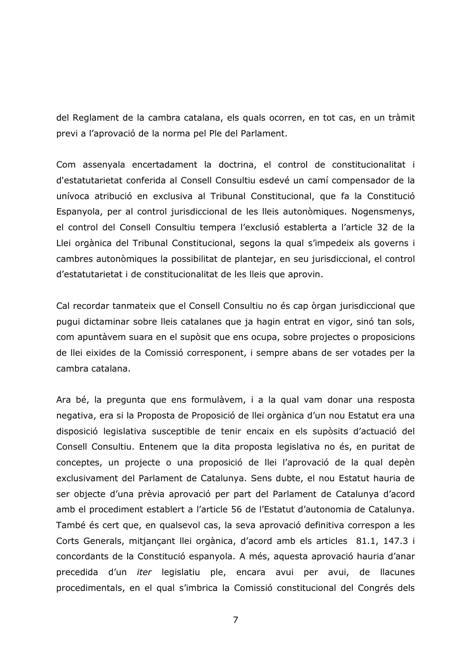del Reglament de la cambra catalana, els quals ocorren, en tot cas, en un tràmit previ a l'aprovació de la norma pel Ple del Parlament.

Com assenyala encertadament la doctrina, el control de constitucionalitat i d'estatutarietat conferida al Consell Consultiu esdevé un camí compensador de la unívoca atribució en exclusiva al Tribunal Constitucional, que fa la Constitució Espanyola, per al control jurisdiccional de les lleis autonòmiques. Nogensmenys, el control del Consell Consultiu tempera l'exclusió establerta a l'article 32 de la Llei orgànica del Tribunal Constitucional, segons la qual s'impedeix als governs i cambres autonòmiques la possibilitat de plantejar, en seu jurisdiccional, el control d'estatutarietat i de constitucionalitat de les lleis que aprovin.

Cal recordar tanmateix que el Consell Consultiu no és cap òrgan jurisdiccional que pugui dictaminar sobre lleis catalanes que ja hagin entrat en vigor, sinó tan sols, com apuntàvem suara en el supòsit que ens ocupa, sobre projectes o proposicions de llei eixides de la Comissió corresponent, i sempre abans de ser votades per la cambra catalana.

Ara bé, la pregunta que ens formulàvem, i a la qual vam donar una resposta negativa, era si la Proposta de Proposició de llei orgànica d'un nou Estatut era una disposició legislativa susceptible de tenir encaix en els supòsits d'actuació del Consell Consultiu. Entenem que la dita proposta legislativa no és, en puritat de conceptes, un projecte o una proposició de llei l'aprovació de la qual depèn exclusivament del Parlament de Catalunya. Sens dubte, el nou Estatut hauria de ser objecte d'una prèvia aprovació per part del Parlament de Catalunya d'acord amb el procediment establert a l'article 56 de l'Estatut d'autonomia de Catalunya. També és cert que, en qualsevol cas, la seva aprovació definitiva correspon a les Corts Generals, mitjançant llei orgànica, d'acord amb els articles 81.1, 147.3 i concordants de la Constitució espanyola. A més, aquesta aprovació hauria d'anar precedida d'un *iter* legislatiu ple, encara avui per avui, de llacunes procedimentals, en el qual s'imbrica la Comissió constitucional del Congrés dels

 $\overline{7}$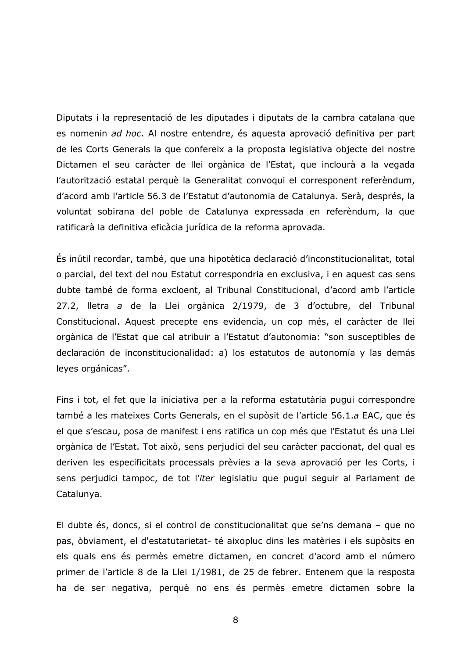Diputats i la representació de les diputades i diputats de la cambra catalana que es nomenin ad hoc. Al nostre entendre, és aquesta aprovació definitiva per part de les Corts Generals la que confereix a la proposta legislativa objecte del nostre Dictamen el seu caràcter de llei orgànica de l'Estat, que inclourà a la vegada l'autorització estatal perquè la Generalitat convoqui el corresponent referèndum, d'acord amb l'article 56.3 de l'Estatut d'autonomia de Catalunya. Serà, després, la voluntat sobirana del poble de Catalunya expressada en referèndum, la que ratificarà la definitiva eficàcia jurídica de la reforma aprovada.

És inútil recordar, també, que una hipotètica declaració d'inconstitucionalitat, total o parcial, del text del nou Estatut correspondria en exclusiva, i en aquest cas sens dubte també de forma excloent, al Tribunal Constitucional, d'acord amb l'article 27.2, lletra a de la Llei orgànica 2/1979, de 3 d'octubre, del Tribunal Constitucional. Aquest precepte ens evidencia, un cop més, el caràcter de llei orgànica de l'Estat que cal atribuir a l'Estatut d'autonomia: "son susceptibles de declaración de inconstitucionalidad: a) los estatutos de autonomía y las demás leyes orgánicas".

Fins i tot, el fet que la iniciativa per a la reforma estatutària pugui correspondre també a les mateixes Corts Generals, en el supòsit de l'article 56.1.a EAC, que és el que s'escau, posa de manifest i ens ratifica un cop més que l'Estatut és una Llei orgànica de l'Estat. Tot això, sens perjudici del seu caràcter paccionat, del qual es deriven les especificitats processals prèvies a la seva aprovació per les Corts, i sens perjudici tampoc, de tot l'iter legislatiu que pugui seguir al Parlament de Catalunya.

El dubte és, doncs, si el control de constitucionalitat que se'ns demana - que no pas, òbviament, el d'estatutarietat- té aixopluc dins les matèries i els supòsits en els quals ens és permès emetre dictamen, en concret d'acord amb el número primer de l'article 8 de la Llei 1/1981, de 25 de febrer. Entenem que la resposta ha de ser negativa, perquè no ens és permès emetre dictamen sobre la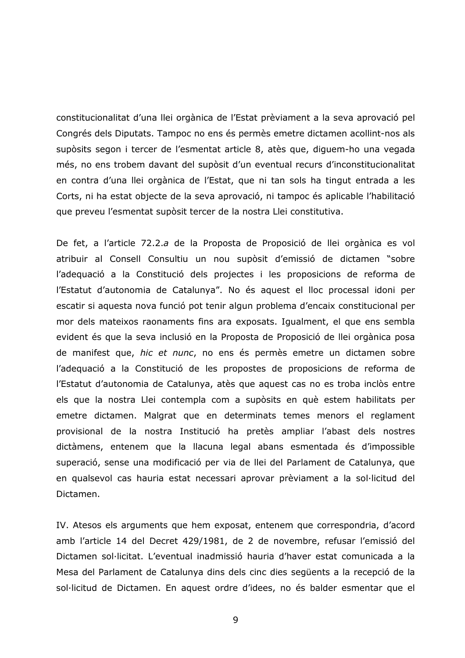constitucionalitat d'una llei orgànica de l'Estat prèviament a la seva aprovació pel Congrés dels Diputats. Tampoc no ens és permès emetre dictamen acollint-nos als supòsits segon i tercer de l'esmentat article 8, atès que, diguem-ho una vegada més, no ens trobem davant del supòsit d'un eventual recurs d'inconstitucionalitat en contra d'una llei orgànica de l'Estat, que ni tan sols ha tingut entrada a les Corts, ni ha estat objecte de la seva aprovació, ni tampoc és aplicable l'habilitació que preveu l'esmentat supòsit tercer de la nostra Llei constitutiva.

De fet, a l'article 72.2.a de la Proposta de Proposició de llei orgànica es vol atribuir al Consell Consultiu un nou supòsit d'emissió de dictamen "sobre l'adequació a la Constitució dels projectes i les proposicions de reforma de l'Estatut d'autonomia de Catalunya". No és aquest el lloc processal idoni per escatir si aquesta nova funció pot tenir algun problema d'encaix constitucional per mor dels mateixos raonaments fins ara exposats. Igualment, el que ens sembla evident és que la seva inclusió en la Proposta de Proposició de llei orgànica posa de manifest que, hic et nunc, no ens és permès emetre un dictamen sobre l'adequació a la Constitució de les propostes de proposicions de reforma de l'Estatut d'autonomia de Catalunya, atès que aquest cas no es troba inclòs entre els que la nostra Llei contempla com a supòsits en què estem habilitats per emetre dictamen. Malgrat que en determinats temes menors el reglament provisional de la nostra Institució ha pretès ampliar l'abast dels nostres dictàmens, entenem que la llacuna legal abans esmentada és d'impossible superació, sense una modificació per via de llei del Parlament de Catalunya, que en qualsevol cas hauria estat necessari aprovar prèviament a la sol·licitud del Dictamen.

IV. Atesos els arguments que hem exposat, entenem que correspondria, d'acord amb l'article 14 del Decret 429/1981, de 2 de novembre, refusar l'emissió del Dictamen sol·licitat. L'eventual inadmissió hauria d'haver estat comunicada a la Mesa del Parlament de Catalunya dins dels cinc dies següents a la recepció de la sol·licitud de Dictamen. En aquest ordre d'idees, no és balder esmentar que el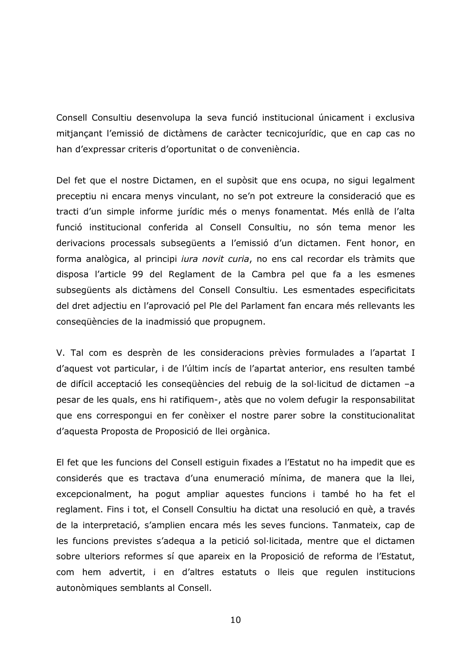Consell Consultiu desenvolupa la seva funció institucional únicament i exclusiva mitjancant l'emissió de dictàmens de caràcter tecnicojurídic, que en cap cas no han d'expressar criteris d'oportunitat o de conveniència.

Del fet que el nostre Dictamen, en el supòsit que ens ocupa, no sigui legalment preceptiu ni encara menys vinculant, no se'n pot extreure la consideració que es tracti d'un simple informe jurídic més o menys fonamentat. Més enllà de l'alta funció institucional conferida al Consell Consultiu, no són tema menor les derivacions processals subsequents a l'emissió d'un dictamen. Fent honor, en forma analògica, al principi *iura novit curia*, no ens cal recordar els tràmits que disposa l'article 99 del Reglament de la Cambra pel que fa a les esmenes subsequents als dictàmens del Consell Consultiu. Les esmentades especificitats del dret adjectiu en l'aprovació pel Ple del Parlament fan encara més rellevants les consequències de la inadmissió que propugnem.

V. Tal com es desprèn de les consideracions prèvies formulades a l'apartat I d'aquest vot particular, i de l'últim incís de l'apartat anterior, ens resulten també de difícil acceptació les consequències del rebuig de la sol·licitud de dictamen -a pesar de les quals, ens hi ratifiquem-, atès que no volem defugir la responsabilitat que ens correspongui en fer conèixer el nostre parer sobre la constitucionalitat d'aquesta Proposta de Proposició de llei orgànica.

El fet que les funcions del Consell estiguin fixades a l'Estatut no ha impedit que es considerés que es tractava d'una enumeració mínima, de manera que la llei, excepcionalment, ha pogut ampliar aquestes funcions i també ho ha fet el reglament. Fins i tot, el Consell Consultiu ha dictat una resolució en què, a través de la interpretació, s'amplien encara més les seves funcions. Tanmateix, cap de les funcions previstes s'adequa a la petició sol·licitada, mentre que el dictamen sobre ulteriors reformes sí que apareix en la Proposició de reforma de l'Estatut, com hem advertit, i en d'altres estatuts o lleis que regulen institucions autonòmiques semblants al Consell.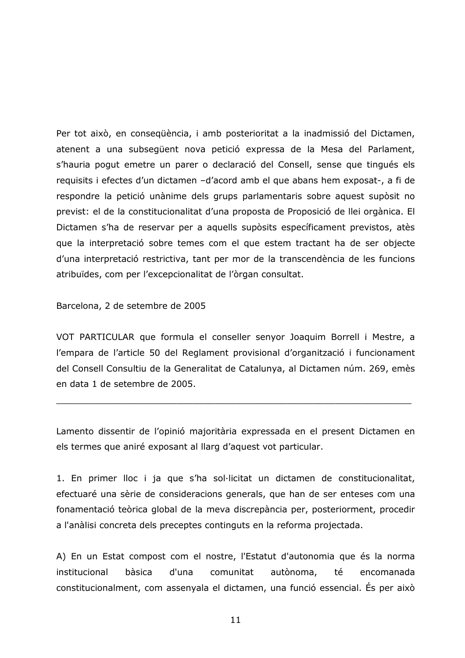Per tot això, en consegüència, i amb posterioritat a la inadmissió del Dictamen, atenent a una subsegüent nova petició expressa de la Mesa del Parlament, s'hauria pogut emetre un parer o declaració del Consell, sense que tingués els requisits i efectes d'un dictamen -d'acord amb el que abans hem exposat-, a fi de respondre la petició unànime dels grups parlamentaris sobre aquest supòsit no previst: el de la constitucionalitat d'una proposta de Proposició de llei orgànica. El Dictamen s'ha de reservar per a aquells supòsits específicament previstos, atès que la interpretació sobre temes com el que estem tractant ha de ser objecte d'una interpretació restrictiva, tant per mor de la transcendència de les funcions atribuïdes, com per l'excepcionalitat de l'òrgan consultat.

## Barcelona, 2 de setembre de 2005

VOT PARTICULAR que formula el conseller senyor Joaquim Borrell i Mestre, a l'empara de l'article 50 del Reglament provisional d'organització i funcionament del Consell Consultiu de la Generalitat de Catalunya, al Dictamen núm. 269, emès en data 1 de setembre de 2005.

Lamento dissentir de l'opinió majoritària expressada en el present Dictamen en els termes que aniré exposant al llarg d'aquest vot particular.

1. En primer lloc i ja que s'ha sol·licitat un dictamen de constitucionalitat, efectuaré una sèrie de consideracions generals, que han de ser enteses com una fonamentació teòrica global de la meva discrepància per, posteriorment, procedir a l'anàlisi concreta dels preceptes continguts en la reforma projectada.

A) En un Estat compost com el nostre, l'Estatut d'autonomia que és la norma té institucional bàsica d'una comunitat autònoma, encomanada constitucionalment, com assenyala el dictamen, una funció essencial. És per això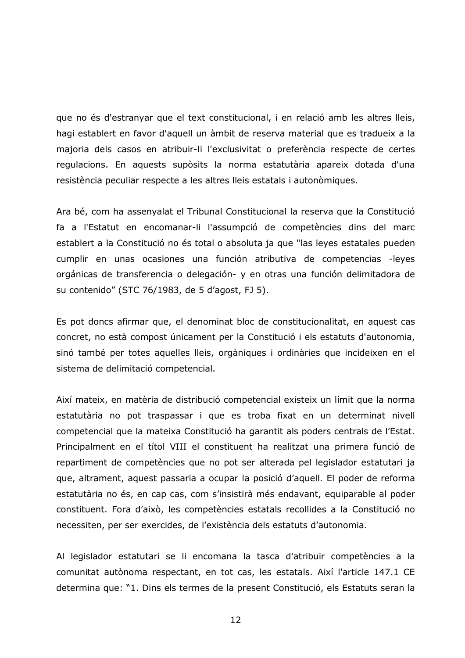que no és d'estranyar que el text constitucional, i en relació amb les altres lleis, hagi establert en favor d'aquell un àmbit de reserva material que es tradueix a la majoria dels casos en atribuir-li l'exclusivitat o preferència respecte de certes regulacions. En aquests supòsits la norma estatutària apareix dotada d'una resistència peculiar respecte a les altres lleis estatals i autonòmiques.

Ara bé, com ha assenyalat el Tribunal Constitucional la reserva que la Constitució fa a l'Estatut en encomanar-li l'assumpció de competències dins del marc establert a la Constitució no és total o absoluta ja que "las leyes estatales pueden cumplir en unas ocasiones una función atributiva de competencias -leyes orgánicas de transferencia o delegación- y en otras una función delimitadora de su contenido" (STC 76/1983, de 5 d'agost, FJ 5).

Es pot doncs afirmar que, el denominat bloc de constitucionalitat, en aquest cas concret, no està compost únicament per la Constitució i els estatuts d'autonomia, sinó també per totes aquelles lleis, orgàniques i ordinàries que incideixen en el sistema de delimitació competencial.

Així mateix, en matèria de distribució competencial existeix un límit que la norma estatutària no pot traspassar i que es troba fixat en un determinat nivell competencial que la mateixa Constitució ha garantit als poders centrals de l'Estat. Principalment en el títol VIII el constituent ha realitzat una primera funció de repartiment de competències que no pot ser alterada pel legislador estatutari ja que, altrament, aquest passaria a ocupar la posició d'aquell. El poder de reforma estatutària no és, en cap cas, com s'insistirà més endavant, equiparable al poder constituent. Fora d'això, les competències estatals recollides a la Constitució no necessiten, per ser exercides, de l'existència dels estatuts d'autonomia.

Al legislador estatutari se li encomana la tasca d'atribuir competències a la comunitat autònoma respectant, en tot cas, les estatals. Així l'article 147.1 CE determina que: "1. Dins els termes de la present Constitució, els Estatuts seran la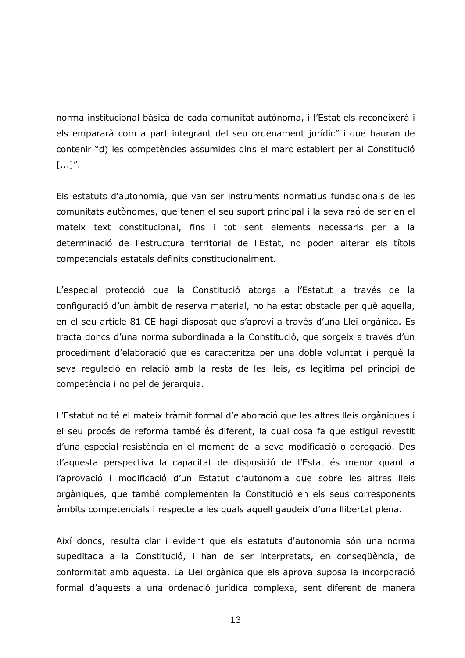norma institucional bàsica de cada comunitat autònoma, i l'Estat els reconeixerà i els empararà com a part integrant del seu ordenament jurídic" i que hauran de contenir "d) les competències assumides dins el marc establert per al Constitució  $[...]'.$ 

Els estatuts d'autonomia, que van ser instruments normatius fundacionals de les comunitats autònomes, que tenen el seu suport principal i la seva raó de ser en el mateix text constitucional, fins i tot sent elements necessaris per a la determinació de l'estructura territorial de l'Estat, no poden alterar els títols competencials estatals definits constitucionalment.

L'especial protecció que la Constitució atorga a l'Estatut a través de la configuració d'un àmbit de reserva material, no ha estat obstacle per què aquella, en el seu article 81 CE hagi disposat que s'aprovi a través d'una Llei orgànica. Es tracta doncs d'una norma subordinada a la Constitució, que sorgeix a través d'un procediment d'elaboració que es caracteritza per una doble voluntat i perquè la seva regulació en relació amb la resta de les lleis, es legitima pel principi de competència i no pel de jerarquia.

L'Estatut no té el mateix tràmit formal d'elaboració que les altres lleis orgàniques i el seu procés de reforma també és diferent, la qual cosa fa que estigui revestit d'una especial resistència en el moment de la seva modificació o derogació. Des d'aquesta perspectiva la capacitat de disposició de l'Estat és menor quant a l'aprovació i modificació d'un Estatut d'autonomia que sobre les altres lleis orgàniques, que també complementen la Constitució en els seus corresponents àmbits competencials i respecte a les quals aquell gaudeix d'una llibertat plena.

Així doncs, resulta clar i evident que els estatuts d'autonomia són una norma supeditada a la Constitució, i han de ser interpretats, en consequència, de conformitat amb aquesta. La Llei orgànica que els aprova suposa la incorporació formal d'aquests a una ordenació jurídica complexa, sent diferent de manera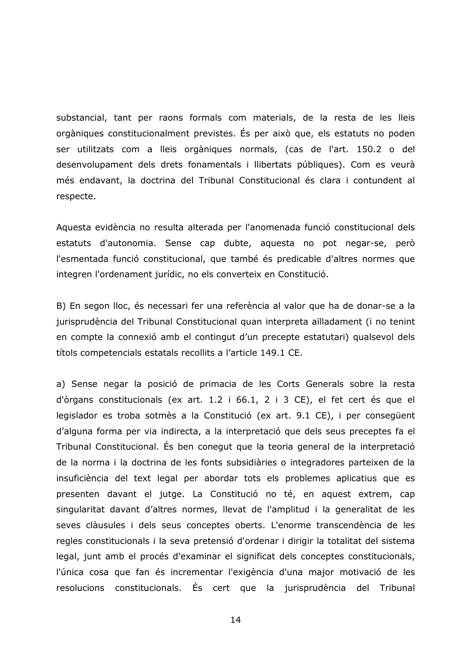substancial, tant per raons formals com materials, de la resta de les lleis orgàniques constitucionalment previstes. És per això que, els estatuts no poden ser utilitzats com a lleis orgàniques normals, (cas de l'art. 150.2 o del desenvolupament dels drets fonamentals i llibertats públiques). Com es veurà més endavant, la doctrina del Tribunal Constitucional és clara i contundent al respecte.

Aquesta evidència no resulta alterada per l'anomenada funció constitucional dels estatuts d'autonomia. Sense cap dubte, aquesta no pot negar-se, però l'esmentada funció constitucional, que també és predicable d'altres normes que integren l'ordenament jurídic, no els converteix en Constitució.

B) En segon lloc, és necessari fer una referència al valor que ha de donar-se a la jurisprudència del Tribunal Constitucional quan interpreta aïlladament (i no tenint en compte la connexió amb el contingut d'un precepte estatutari) qualsevol dels títols competencials estatals recollits a l'article 149.1 CE.

a) Sense negar la posició de primacia de les Corts Generals sobre la resta d'òrgans constitucionals (ex art. 1.2 i 66.1, 2 i 3 CE), el fet cert és que el legislador es troba sotmès a la Constitució (ex art. 9.1 CE), i per consegüent d'alguna forma per via indirecta, a la interpretació que dels seus preceptes fa el Tribunal Constitucional. És ben conegut que la teoria general de la interpretació de la norma i la doctrina de les fonts subsidiàries o integradores parteixen de la insuficiència del text legal per abordar tots els problemes aplicatius que es presenten davant el jutge. La Constitució no té, en aquest extrem, cap singularitat davant d'altres normes, llevat de l'amplitud i la generalitat de les seves clàusules i dels seus conceptes oberts. L'enorme transcendència de les regles constitucionals i la seva pretensió d'ordenar i dirigir la totalitat del sistema legal, junt amb el procés d'examinar el significat dels conceptes constitucionals, l'única cosa que fan és incrementar l'exigència d'una major motivació de les resolucions constitucionals. És cert que la jurisprudència del Tribunal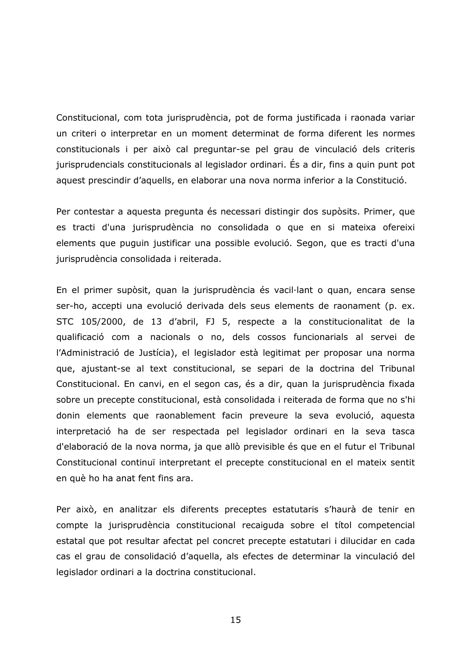Constitucional, com tota jurisprudència, pot de forma justificada i raonada variar un criteri o interpretar en un moment determinat de forma diferent les normes constitucionals i per això cal preguntar-se pel grau de vinculació dels criteris jurisprudencials constitucionals al legislador ordinari. Es a dir, fins a quin punt pot aquest prescindir d'aquells, en elaborar una nova norma inferior a la Constitució.

Per contestar a aquesta pregunta és necessari distingir dos supòsits. Primer, que es tracti d'una jurisprudència no consolidada o que en si mateixa ofereixi elements que puguin justificar una possible evolució. Segon, que es tracti d'una jurisprudència consolidada i reiterada.

En el primer supòsit, quan la jurisprudència és vacil·lant o quan, encara sense ser-ho, accepti una evolució derivada dels seus elements de raonament (p. ex. STC 105/2000, de 13 d'abril, FJ 5, respecte a la constitucionalitat de la qualificació com a nacionals o no, dels cossos funcionarials al servei de l'Administració de Justícia), el legislador està legitimat per proposar una norma que, ajustant-se al text constitucional, se separi de la doctrina del Tribunal Constitucional. En canvi, en el segon cas, és a dir, quan la jurisprudència fixada sobre un precepte constitucional, està consolidada i reiterada de forma que no s'hi donin elements que raonablement facin preveure la seva evolució, aquesta interpretació ha de ser respectada pel legislador ordinari en la seva tasca d'elaboració de la nova norma, ja que allò previsible és que en el futur el Tribunal Constitucional continui interpretant el precepte constitucional en el mateix sentit en què ho ha anat fent fins ara.

Per això, en analitzar els diferents preceptes estatutaris s'haurà de tenir en compte la jurisprudència constitucional recaiguda sobre el títol competencial estatal que pot resultar afectat pel concret precepte estatutari i dilucidar en cada cas el grau de consolidació d'aquella, als efectes de determinar la vinculació del legislador ordinari a la doctrina constitucional.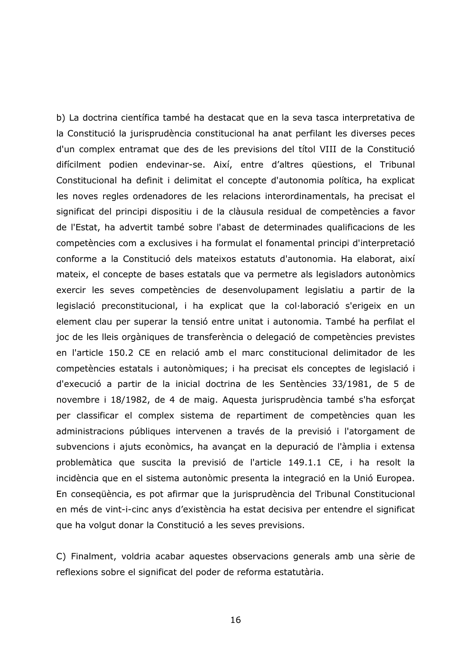b) La doctrina científica també ha destacat que en la seva tasca interpretativa de la Constitució la jurisprudència constitucional ha anat perfilant les diverses peces d'un complex entramat que des de les previsions del títol VIII de la Constitució difícilment podien endevinar-se. Així, entre d'altres qüestions, el Tribunal Constitucional ha definit i delimitat el concepte d'autonomia política, ha explicat les noves regles ordenadores de les relacions interordinamentals, ha precisat el significat del principi dispositiu i de la clàusula residual de competències a favor de l'Estat, ha advertit també sobre l'abast de determinades qualificacions de les competències com a exclusives i ha formulat el fonamental principi d'interpretació conforme a la Constitució dels mateixos estatuts d'autonomia. Ha elaborat, així mateix, el concepte de bases estatals que va permetre als legisladors autonòmics exercir les seves competències de desenvolupament legislatiu a partir de la legislació preconstitucional, i ha explicat que la col·laboració s'erigeix en un element clau per superar la tensió entre unitat i autonomia. També ha perfilat el joc de les lleis orgàniques de transferència o delegació de competències previstes en l'article 150.2 CE en relació amb el marc constitucional delimitador de les competències estatals i autonòmiques; i ha precisat els conceptes de legislació i d'execució a partir de la inicial doctrina de les Sentències 33/1981, de 5 de novembre i 18/1982, de 4 de maig. Aquesta jurisprudència també s'ha esforçat per classificar el complex sistema de repartiment de competències quan les administracions públiques intervenen a través de la previsió i l'atorgament de subvencions i ajuts econòmics, ha avançat en la depuració de l'àmplia i extensa problemàtica que suscita la previsió de l'article 149.1.1 CE, i ha resolt la incidència que en el sistema autonòmic presenta la integració en la Unió Europea. En consegüència, es pot afirmar que la jurisprudència del Tribunal Constitucional en més de vint-i-cinc anys d'existència ha estat decisiva per entendre el significat que ha volgut donar la Constitució a les seves previsions.

C) Finalment, voldria acabar aquestes observacions generals amb una sèrie de reflexions sobre el significat del poder de reforma estatutària.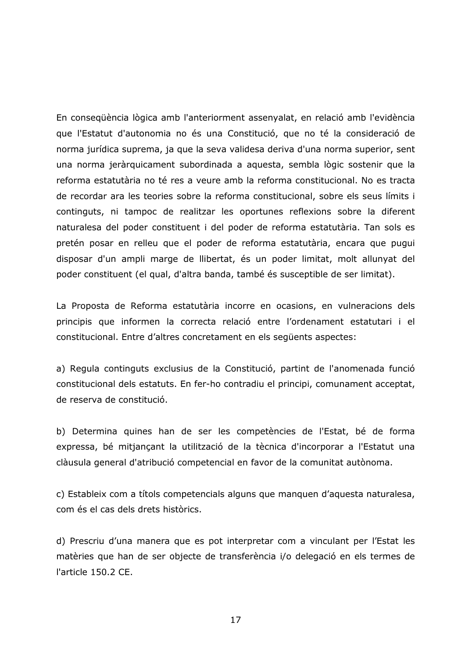En consegüència lògica amb l'anteriorment assenvalat, en relació amb l'evidència que l'Estatut d'autonomia no és una Constitució, que no té la consideració de norma jurídica suprema, ja que la seva validesa deriva d'una norma superior, sent una norma jeràrquicament subordinada a aquesta, sembla lògic sostenir que la reforma estatutària no té res a veure amb la reforma constitucional. No es tracta de recordar ara les teories sobre la reforma constitucional, sobre els seus límits i continguts, ni tampoc de realitzar les oportunes reflexions sobre la diferent naturalesa del poder constituent i del poder de reforma estatutària. Tan sols es pretén posar en relleu que el poder de reforma estatutària, encara que pugui disposar d'un ampli marge de llibertat, és un poder limitat, molt allunyat del poder constituent (el qual, d'altra banda, també és susceptible de ser limitat).

La Proposta de Reforma estatutària incorre en ocasions, en vulneracions dels principis que informen la correcta relació entre l'ordenament estatutari i el constitucional. Entre d'altres concretament en els següents aspectes:

a) Regula continguts exclusius de la Constitució, partint de l'anomenada funció constitucional dels estatuts. En fer-ho contradiu el principi, comunament acceptat, de reserva de constitució.

b) Determina quines han de ser les competències de l'Estat, bé de forma expressa, bé mitjançant la utilització de la tècnica d'incorporar a l'Estatut una clàusula general d'atribució competencial en favor de la comunitat autònoma.

c) Estableix com a títols competencials alguns que manquen d'aquesta naturalesa, com és el cas dels drets històrics.

d) Prescriu d'una manera que es pot interpretar com a vinculant per l'Estat les matèries que han de ser objecte de transferència i/o delegació en els termes de l'article 150.2 CE.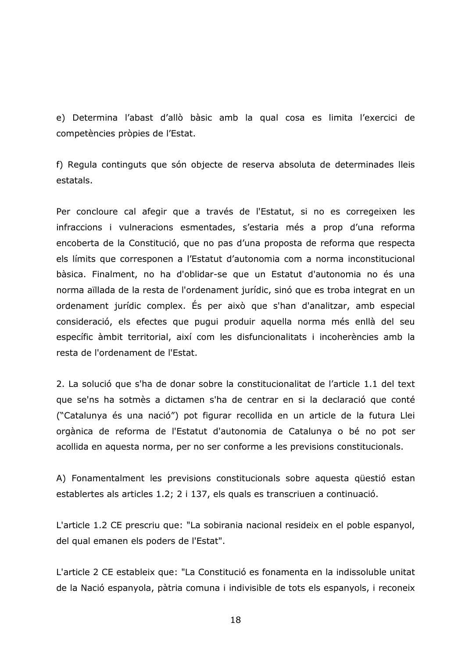e) Determina l'abast d'allò bàsic amb la qual cosa es limita l'exercici de competències pròpies de l'Estat.

f) Regula continguts que són objecte de reserva absoluta de determinades lleis estatals.

Per concloure cal afegir que a través de l'Estatut, si no es corregeixen les infraccions i vulneracions esmentades, s'estaria més a prop d'una reforma encoberta de la Constitució, que no pas d'una proposta de reforma que respecta els límits que corresponen a l'Estatut d'autonomia com a norma inconstitucional bàsica. Finalment, no ha d'oblidar-se que un Estatut d'autonomia no és una norma aïllada de la resta de l'ordenament jurídic, sinó que es troba integrat en un ordenament jurídic complex. És per això que s'han d'analitzar, amb especial consideració, els efectes que pugui produir aquella norma més enllà del seu específic àmbit territorial, així com les disfuncionalitats i incoherències amb la resta de l'ordenament de l'Estat.

2. La solució que s'ha de donar sobre la constitucionalitat de l'article 1.1 del text que se'ns ha sotmès a dictamen s'ha de centrar en si la declaració que conté ("Catalunya és una nació") pot figurar recollida en un article de la futura Llei orgànica de reforma de l'Estatut d'autonomia de Catalunya o bé no pot ser acollida en aquesta norma, per no ser conforme a les previsions constitucionals.

A) Fonamentalment les previsions constitucionals sobre aquesta questió estan establertes als articles 1.2; 2 i 137, els quals es transcriuen a continuació.

L'article 1.2 CE prescriu que: "La sobirania nacional resideix en el poble espanyol, del qual emanen els poders de l'Estat".

L'article 2 CE estableix que: "La Constitució es fonamenta en la indissoluble unitat de la Nació espanyola, pàtria comuna i indivisible de tots els espanyols, i reconeix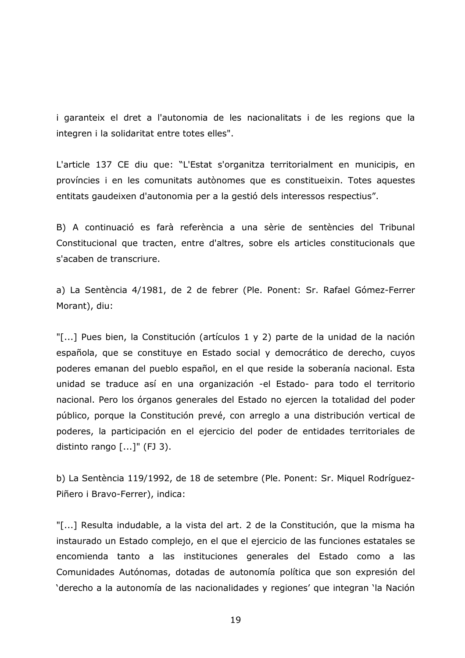i garanteix el dret a l'autonomia de les nacionalitats i de les regions que la integren i la solidaritat entre totes elles".

L'article 137 CE diu que: "L'Estat s'organitza territorialment en municipis, en províncies i en les comunitats autònomes que es constitueixin. Totes aquestes entitats gaudeixen d'autonomia per a la gestió dels interessos respectius".

B) A continuació es farà referència a una sèrie de sentències del Tribunal Constitucional que tracten, entre d'altres, sobre els articles constitucionals que s'acaben de transcriure.

a) La Sentència 4/1981, de 2 de febrer (Ple. Ponent: Sr. Rafael Gómez-Ferrer Morant), diu:

"[...] Pues bien, la Constitución (artículos 1 y 2) parte de la unidad de la nación española, que se constituye en Estado social y democrático de derecho, cuyos poderes emanan del pueblo español, en el que reside la soberanía nacional. Esta unidad se traduce así en una organización -el Estado- para todo el territorio nacional. Pero los órganos generales del Estado no ejercen la totalidad del poder público, porque la Constitución prevé, con arreglo a una distribución vertical de poderes, la participación en el ejercicio del poder de entidades territoriales de distinto rango  $[...]$ " (FJ 3).

b) La Sentència 119/1992, de 18 de setembre (Ple. Ponent: Sr. Miquel Rodríguez-Piñero i Bravo-Ferrer), indica:

"[...] Resulta indudable, a la vista del art. 2 de la Constitución, que la misma ha instaurado un Estado complejo, en el que el ejercicio de las funciones estatales se encomienda tanto a las instituciones generales del Estado como a las Comunidades Autónomas, dotadas de autonomía política que son expresión del 'derecho a la autonomía de las nacionalidades y regiones' que integran 'la Nación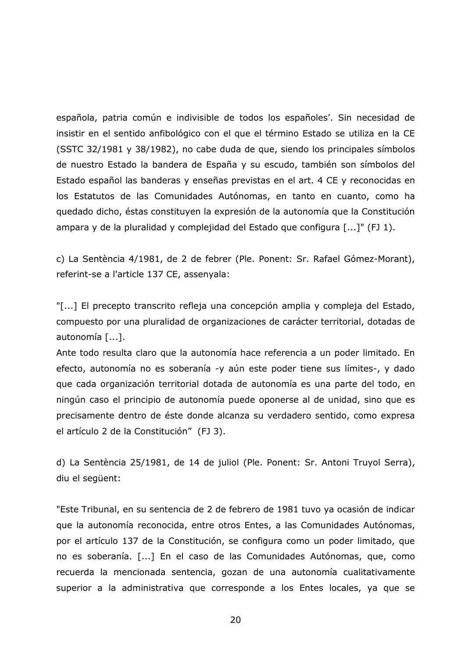española, patria común e indivisible de todos los españoles'. Sin necesidad de insistir en el sentido anfibológico con el que el término Estado se utiliza en la CE (SSTC 32/1981 y 38/1982), no cabe duda de que, siendo los principales símbolos de nuestro Estado la bandera de España y su escudo, también son símbolos del Estado español las banderas y enseñas previstas en el art. 4 CE y reconocidas en los Estatutos de las Comunidades Autónomas, en tanto en cuanto, como ha quedado dicho, éstas constituyen la expresión de la autonomía que la Constitución ampara y de la pluralidad y complejidad del Estado que configura [...]" (FJ 1).

c) La Sentència 4/1981, de 2 de febrer (Ple. Ponent: Sr. Rafael Gómez-Morant), referint-se a l'article 137 CE, assenyala:

"[...] El precepto transcrito refleja una concepción amplia y compleja del Estado, compuesto por una pluralidad de organizaciones de carácter territorial, dotadas de autonomía [...].

Ante todo resulta claro que la autonomía hace referencia a un poder limitado. En efecto, autonomía no es soberanía -y aún este poder tiene sus límites-, y dado que cada organización territorial dotada de autonomía es una parte del todo, en ningún caso el principio de autonomía puede oponerse al de unidad, sino que es precisamente dentro de éste donde alcanza su verdadero sentido, como expresa el artículo 2 de la Constitución" (FJ 3).

d) La Sentència 25/1981, de 14 de juliol (Ple. Ponent: Sr. Antoni Truyol Serra), diu el següent:

"Este Tribunal, en su sentencia de 2 de febrero de 1981 tuvo ya ocasión de indicar que la autonomía reconocida, entre otros Entes, a las Comunidades Autónomas, por el artículo 137 de la Constitución, se configura como un poder limitado, que no es soberanía. [...] En el caso de las Comunidades Autónomas, que, como recuerda la mencionada sentencia, gozan de una autonomía cualitativamente superior a la administrativa que corresponde a los Entes locales, ya que se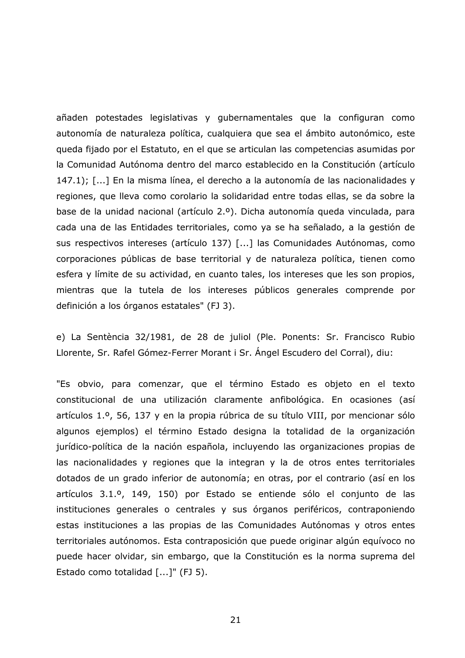añaden potestades legislativas y gubernamentales que la configuran como autonomía de naturaleza política, cualquiera que sea el ámbito autonómico, este queda fijado por el Estatuto, en el que se articulan las competencias asumidas por la Comunidad Autónoma dentro del marco establecido en la Constitución (artículo 147.1); [...] En la misma línea, el derecho a la autonomía de las nacionalidades y regiones, que lleva como corolario la solidaridad entre todas ellas, se da sobre la base de la unidad nacional (artículo 2.º). Dicha autonomía queda vinculada, para cada una de las Entidades territoriales, como ya se ha señalado, a la gestión de sus respectivos intereses (artículo 137) [...] las Comunidades Autónomas, como corporaciones públicas de base territorial y de naturaleza política, tienen como esfera y límite de su actividad, en cuanto tales, los intereses que les son propios, mientras que la tutela de los intereses públicos generales comprende por definición a los órganos estatales" (FJ 3).

e) La Sentència 32/1981, de 28 de juliol (Ple. Ponents: Sr. Francisco Rubio Llorente, Sr. Rafel Gómez-Ferrer Morant i Sr. Ángel Escudero del Corral), diu:

"Es obvio, para comenzar, que el término Estado es objeto en el texto constitucional de una utilización claramente anfibológica. En ocasiones (así artículos 1.º, 56, 137 y en la propia rúbrica de su título VIII, por mencionar sólo algunos ejemplos) el término Estado designa la totalidad de la organización jurídico-política de la nación española, incluyendo las organizaciones propias de las nacionalidades y regiones que la integran y la de otros entes territoriales dotados de un grado inferior de autonomía; en otras, por el contrario (así en los artículos 3.1.º, 149, 150) por Estado se entiende sólo el conjunto de las instituciones generales o centrales y sus órganos periféricos, contraponiendo estas instituciones a las propias de las Comunidades Autónomas y otros entes territoriales autónomos. Esta contraposición que puede originar algún equívoco no puede hacer olvidar, sin embargo, que la Constitución es la norma suprema del Estado como totalidad [...]" (FJ 5).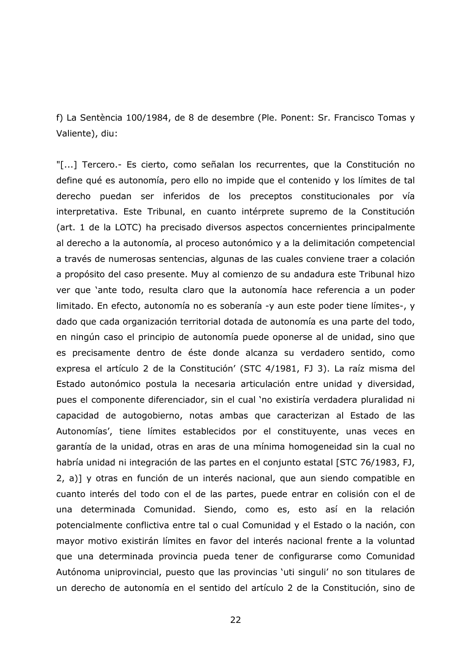f) La Sentència 100/1984, de 8 de desembre (Ple. Ponent: Sr. Francisco Tomas y Valiente), diu:

"[...] Tercero.- Es cierto, como señalan los recurrentes, que la Constitución no define qué es autonomía, pero ello no impide que el contenido y los límites de tal derecho puedan ser inferidos de los preceptos constitucionales por vía interpretativa. Este Tribunal, en cuanto intérprete supremo de la Constitución (art. 1 de la LOTC) ha precisado diversos aspectos concernientes principalmente al derecho a la autonomía, al proceso autonómico y a la delimitación competencial a través de numerosas sentencias, algunas de las cuales conviene traer a colación a propósito del caso presente. Muy al comienzo de su andadura este Tribunal hizo ver que 'ante todo, resulta claro que la autonomía hace referencia a un poder limitado. En efecto, autonomía no es soberanía -y aun este poder tiene límites-, y dado que cada organización territorial dotada de autonomía es una parte del todo, en ningún caso el principio de autonomía puede oponerse al de unidad, sino que es precisamente dentro de éste donde alcanza su verdadero sentido, como expresa el artículo 2 de la Constitución' (STC 4/1981, FJ 3). La raíz misma del Estado autonómico postula la necesaria articulación entre unidad y diversidad, pues el componente diferenciador, sin el cual 'no existiría verdadera pluralidad ni capacidad de autogobierno, notas ambas que caracterizan al Estado de las Autonomías', tiene límites establecidos por el constituyente, unas veces en garantía de la unidad, otras en aras de una mínima homogeneidad sin la cual no habría unidad ni integración de las partes en el conjunto estatal [STC 76/1983, FJ, 2, a)] y otras en función de un interés nacional, que aun siendo compatible en cuanto interés del todo con el de las partes, puede entrar en colisión con el de una determinada Comunidad. Siendo, como es, esto así en la relación potencialmente conflictiva entre tal o cual Comunidad y el Estado o la nación, con mayor motivo existirán límites en favor del interés nacional frente a la voluntad que una determinada provincia pueda tener de configurarse como Comunidad Autónoma uniprovincial, puesto que las provincias 'uti singuli' no son titulares de un derecho de autonomía en el sentido del artículo 2 de la Constitución, sino de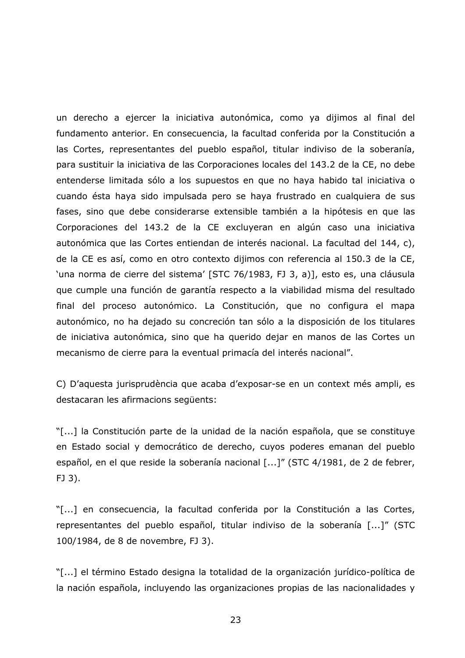un derecho a ejercer la iniciativa autonómica, como ya dijimos al final del fundamento anterior. En consecuencia, la facultad conferida por la Constitución a las Cortes, representantes del pueblo español, titular indiviso de la soberanía, para sustituir la iniciativa de las Corporaciones locales del 143.2 de la CE, no debe entenderse limitada sólo a los supuestos en que no haya habido tal iniciativa o cuando ésta haya sido impulsada pero se haya frustrado en cualquiera de sus fases, sino que debe considerarse extensible también a la hipótesis en que las Corporaciones del 143.2 de la CE excluyeran en algún caso una iniciativa autonómica que las Cortes entiendan de interés nacional. La facultad del 144, c), de la CE es así, como en otro contexto dijimos con referencia al 150.3 de la CE, 'una norma de cierre del sistema' [STC 76/1983, FJ 3, a)], esto es, una cláusula que cumple una función de garantía respecto a la viabilidad misma del resultado final del proceso autonómico. La Constitución, que no configura el mapa autonómico, no ha dejado su concreción tan sólo a la disposición de los titulares de iniciativa autonómica, sino que ha querido dejar en manos de las Cortes un mecanismo de cierre para la eventual primacía del interés nacional".

C) D'aquesta jurisprudència que acaba d'exposar-se en un context més ampli, es destacaran les afirmacions següents:

"[...] la Constitución parte de la unidad de la nación española, que se constituye en Estado social y democrático de derecho, cuyos poderes emanan del pueblo español, en el que reside la soberanía nacional [...]" (STC 4/1981, de 2 de febrer,  $FJ$  3).

"[...] en consecuencia, la facultad conferida por la Constitución a las Cortes, representantes del pueblo español, titular indiviso de la soberanía [...]" (STC 100/1984, de 8 de novembre, FJ 3).

"[...] el término Estado designa la totalidad de la organización jurídico-política de la nación española, incluyendo las organizaciones propias de las nacionalidades y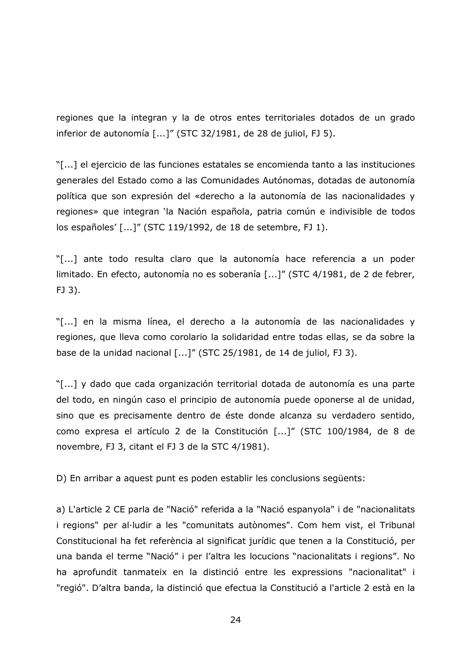regiones que la integran y la de otros entes territoriales dotados de un grado inferior de autonomía [...]" (STC 32/1981, de 28 de juliol, FJ 5).

"[...] el ejercicio de las funciones estatales se encomienda tanto a las instituciones generales del Estado como a las Comunidades Autónomas, dotadas de autonomía política que son expresión del «derecho a la autonomía de las nacionalidades y regiones» que integran 'la Nación española, patria común e indivisible de todos los españoles' [...]" (STC 119/1992, de 18 de setembre, FJ 1).

"[...] ante todo resulta claro que la autonomía hace referencia a un poder limitado. En efecto, autonomía no es soberanía [...]" (STC 4/1981, de 2 de febrer, FJ 3).

"[...] en la misma línea, el derecho a la autonomía de las nacionalidades y regiones, que lleva como corolario la solidaridad entre todas ellas, se da sobre la base de la unidad nacional [...]" (STC 25/1981, de 14 de juliol, FJ 3).

"[...] y dado que cada organización territorial dotada de autonomía es una parte del todo, en ningún caso el principio de autonomía puede oponerse al de unidad, sino que es precisamente dentro de éste donde alcanza su verdadero sentido, como expresa el artículo 2 de la Constitución [...]" (STC 100/1984, de 8 de novembre, FJ 3, citant el FJ 3 de la STC 4/1981).

D) En arribar a aquest punt es poden establir les conclusions següents:

a) L'article 2 CE parla de "Nació" referida a la "Nació espanyola" i de "nacionalitats i regions" per al·ludir a les "comunitats autònomes". Com hem vist, el Tribunal Constitucional ha fet referència al significat jurídic que tenen a la Constitució, per una banda el terme "Nació" i per l'altra les locucions "nacionalitats i regions". No ha aprofundit tanmateix en la distinció entre les expressions "nacionalitat" i "regió". D'altra banda, la distinció que efectua la Constitució a l'article 2 està en la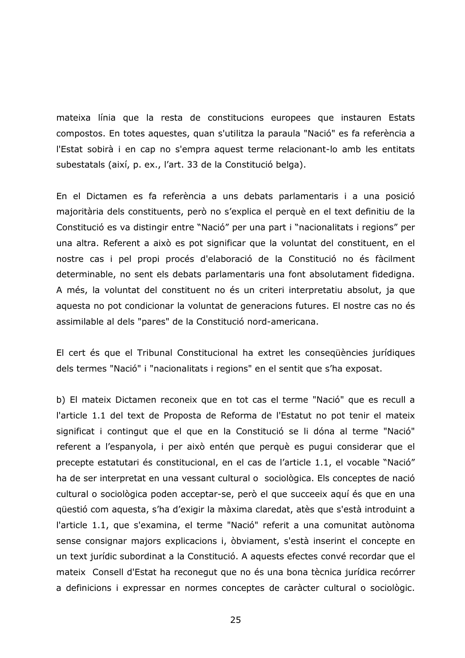mateixa línia que la resta de constitucions europees que instauren Estats compostos. En totes aquestes, quan s'utilitza la paraula "Nació" es fa referència a l'Estat sobirà i en cap no s'empra aquest terme relacionant-lo amb les entitats subestatals (així, p. ex., l'art. 33 de la Constitució belga).

En el Dictamen es fa referència a uns debats parlamentaris i a una posició majoritària dels constituents, però no s'explica el perquè en el text definitiu de la Constitució es va distingir entre "Nació" per una part i "nacionalitats i regions" per una altra. Referent a això es pot significar que la voluntat del constituent, en el nostre cas i pel propi procés d'elaboració de la Constitució no és fàcilment determinable, no sent els debats parlamentaris una font absolutament fidedigna. A més, la voluntat del constituent no és un criteri interpretatiu absolut, ja que aquesta no pot condicionar la voluntat de generacions futures. El nostre cas no és assimilable al dels "pares" de la Constitució nord-americana.

El cert és que el Tribunal Constitucional ha extret les consequències jurídiques dels termes "Nació" i "nacionalitats i regions" en el sentit que s'ha exposat.

b) El mateix Dictamen reconeix que en tot cas el terme "Nació" que es recull a l'article 1.1 del text de Proposta de Reforma de l'Estatut no pot tenir el mateix significat i contingut que el que en la Constitució se li dóna al terme "Nació" referent a l'espanyola, i per això entén que perquè es pugui considerar que el precepte estatutari és constitucional, en el cas de l'article 1.1, el vocable "Nació" ha de ser interpretat en una vessant cultural o sociològica. Els conceptes de nació cultural o sociològica poden acceptar-se, però el que succeeix aquí és que en una güestió com aquesta, s'ha d'exigir la màxima claredat, atès que s'està introduint a l'article 1.1, que s'examina, el terme "Nació" referit a una comunitat autònoma sense consignar majors explicacions i, òbviament, s'està inserint el concepte en un text jurídic subordinat a la Constitució. A aquests efectes convé recordar que el mateix Consell d'Estat ha reconegut que no és una bona tècnica jurídica recórrer a definicions i expressar en normes conceptes de caràcter cultural o sociològic.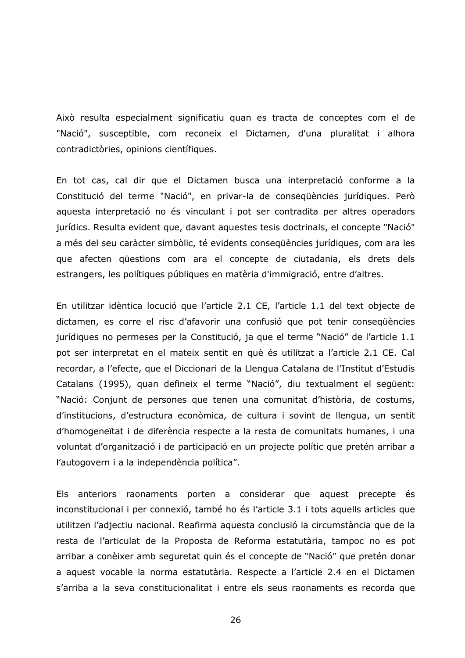Això resulta especialment significatiu quan es tracta de conceptes com el de "Nació", susceptible, com reconeix el Dictamen, d'una pluralitat i alhora contradictòries, opinions científiques.

En tot cas, cal dir que el Dictamen busca una interpretació conforme a la Constitució del terme "Nació", en privar-la de consequències jurídiques. Però aquesta interpretació no és vinculant i pot ser contradita per altres operadors jurídics. Resulta evident que, davant aquestes tesis doctrinals, el concepte "Nació" a més del seu caràcter simbòlic, té evidents consequències jurídiques, com ara les que afecten qüestions com ara el concepte de ciutadania, els drets dels estrangers, les polítiques públiques en matèria d'immigració, entre d'altres.

En utilitzar idèntica locució que l'article 2.1 CE, l'article 1.1 del text objecte de dictamen, es corre el risc d'afavorir una confusió que pot tenir consequències jurídiques no permeses per la Constitució, ja que el terme "Nació" de l'article 1.1 pot ser interpretat en el mateix sentit en què és utilitzat a l'article 2.1 CE. Cal recordar, a l'efecte, que el Diccionari de la Llengua Catalana de l'Institut d'Estudis Catalans (1995), quan defineix el terme "Nació", diu textualment el següent: "Nació: Conjunt de persones que tenen una comunitat d'història, de costums, d'institucions, d'estructura econòmica, de cultura i sovint de llengua, un sentit d'homogeneïtat i de diferència respecte a la resta de comunitats humanes, i una voluntat d'organització i de participació en un projecte polític que pretén arribar a l'autogovern i a la independència política".

Els anteriors raonaments porten a considerar que aquest precepte és inconstitucional i per connexió, també ho és l'article 3.1 i tots aquells articles que utilitzen l'adjectiu nacional. Reafirma aquesta conclusió la circumstància que de la resta de l'articulat de la Proposta de Reforma estatutària, tampoc no es pot arribar a conèixer amb seguretat quin és el concepte de "Nació" que pretén donar a aquest vocable la norma estatutària. Respecte a l'article 2.4 en el Dictamen s'arriba a la seva constitucionalitat i entre els seus raonaments es recorda que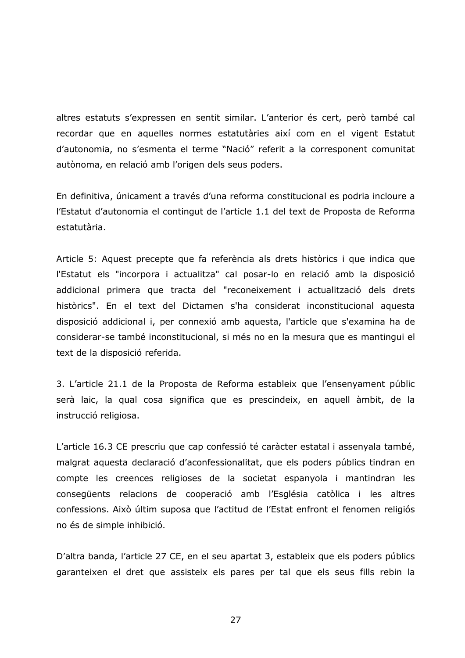altres estatuts s'expressen en sentit similar. L'anterior és cert, però també cal recordar que en aquelles normes estatutàries així com en el vigent Estatut d'autonomia, no s'esmenta el terme "Nació" referit a la corresponent comunitat autònoma, en relació amb l'origen dels seus poders.

En definitiva, únicament a través d'una reforma constitucional es podria incloure a l'Estatut d'autonomia el contingut de l'article 1.1 del text de Proposta de Reforma estatutària.

Article 5: Aquest precepte que fa referència als drets històrics i que indica que l'Estatut els "incorpora i actualitza" cal posar-lo en relació amb la disposició addicional primera que tracta del "reconeixement i actualització dels drets històrics". En el text del Dictamen s'ha considerat inconstitucional aquesta disposició addicional i, per connexió amb aquesta, l'article que s'examina ha de considerar-se també inconstitucional, si més no en la mesura que es mantingui el text de la disposició referida.

3. L'article 21.1 de la Proposta de Reforma estableix que l'ensenyament públic serà laic, la qual cosa significa que es prescindeix, en aquell àmbit, de la instrucció religiosa.

L'article 16.3 CE prescriu que cap confessió té caràcter estatal i assenyala també, malgrat aquesta declaració d'aconfessionalitat, que els poders públics tindran en compte les creences religioses de la societat espanyola i mantindran les consegüents relacions de cooperació amb l'Església catòlica i les altres confessions. Això últim suposa que l'actitud de l'Estat enfront el fenomen religiós no és de simple inhibició.

D'altra banda, l'article 27 CE, en el seu apartat 3, estableix que els poders públics garanteixen el dret que assisteix els pares per tal que els seus fills rebin la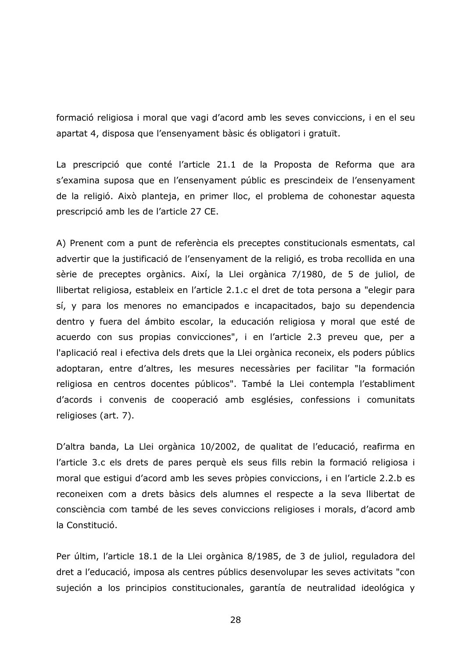formació religiosa i moral que vagi d'acord amb les seves conviccions, i en el seu apartat 4, disposa que l'ensenyament bàsic és obligatori i gratuït.

La prescripció que conté l'article 21.1 de la Proposta de Reforma que ara s'examina suposa que en l'ensenyament públic es prescindeix de l'ensenyament de la religió. Això planteja, en primer lloc, el problema de cohonestar aquesta prescripció amb les de l'article 27 CE.

A) Prenent com a punt de referència els preceptes constitucionals esmentats, cal advertir que la justificació de l'ensenyament de la religió, es troba recollida en una sèrie de preceptes orgànics. Així, la Llei orgànica 7/1980, de 5 de juliol, de llibertat religiosa, estableix en l'article 2.1.c el dret de tota persona a "elegir para sí, y para los menores no emancipados e incapacitados, bajo su dependencia dentro y fuera del ámbito escolar, la educación religiosa y moral que esté de acuerdo con sus propias convicciones", i en l'article 2.3 preveu que, per a l'aplicació real i efectiva dels drets que la Llei orgànica reconeix, els poders públics adoptaran, entre d'altres, les mesures necessàries per facilitar "la formación religiosa en centros docentes públicos". També la Llei contempla l'establiment d'acords i convenis de cooperació amb esglésies, confessions i comunitats religioses (art. 7).

D'altra banda, La Llei orgànica 10/2002, de qualitat de l'educació, reafirma en l'article 3.c els drets de pares perquè els seus fills rebin la formació religiosa i moral que estigui d'acord amb les seves pròpies conviccions, i en l'article 2.2 b es reconeixen com a drets bàsics dels alumnes el respecte a la seva llibertat de consciència com també de les seves conviccions religioses i morals, d'acord amb la Constitució.

Per últim, l'article 18.1 de la Llei orgànica 8/1985, de 3 de juliol, reguladora del dret a l'educació, imposa als centres públics desenvolupar les seves activitats "con sujeción a los principios constitucionales, garantía de neutralidad ideológica y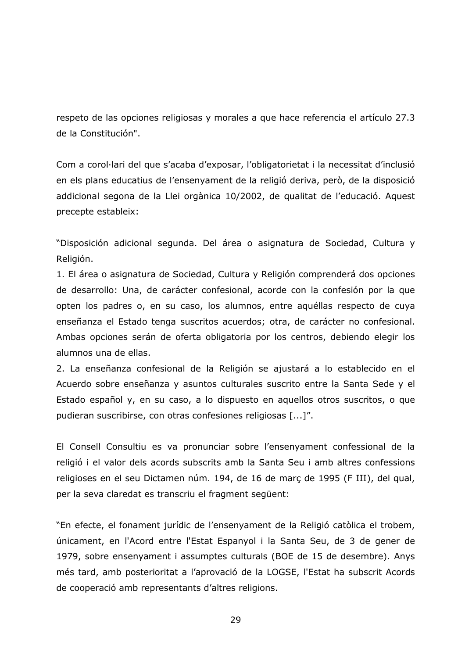respeto de las opciones religiosas y morales a que hace referencia el artículo 27.3 de la Constitución".

Com a corol·lari del que s'acaba d'exposar, l'obligatorietat i la necessitat d'inclusió en els plans educatius de l'ensenyament de la religió deriva, però, de la disposició addicional segona de la Llei orgànica 10/2002, de qualitat de l'educació. Aquest precepte estableix:

"Disposición adicional segunda. Del área o asignatura de Sociedad, Cultura y Religión.

1. El área o asignatura de Sociedad, Cultura y Religión comprenderá dos opciones de desarrollo: Una, de carácter confesional, acorde con la confesión por la que opten los padres o, en su caso, los alumnos, entre aquéllas respecto de cuya enseñanza el Estado tenga suscritos acuerdos; otra, de carácter no confesional. Ambas opciones serán de oferta obligatoria por los centros, debiendo elegir los alumnos una de ellas.

2. La enseñanza confesional de la Religión se ajustará a lo establecido en el Acuerdo sobre enseñanza y asuntos culturales suscrito entre la Santa Sede y el Estado español y, en su caso, a lo dispuesto en aquellos otros suscritos, o que pudieran suscribirse, con otras confesiones religiosas [...]".

El Consell Consultiu es va pronunciar sobre l'ensenyament confessional de la religió i el valor dels acords subscrits amb la Santa Seu i amb altres confessions religioses en el seu Dictamen núm. 194, de 16 de març de 1995 (F III), del qual, per la seva claredat es transcriu el fragment següent:

"En efecte, el fonament jurídic de l'ensenyament de la Religió catòlica el trobem, únicament, en l'Acord entre l'Estat Espanyol i la Santa Seu, de 3 de gener de 1979, sobre ensenyament i assumptes culturals (BOE de 15 de desembre). Anys més tard, amb posterioritat a l'aprovació de la LOGSE, l'Estat ha subscrit Acords de cooperació amb representants d'altres religions.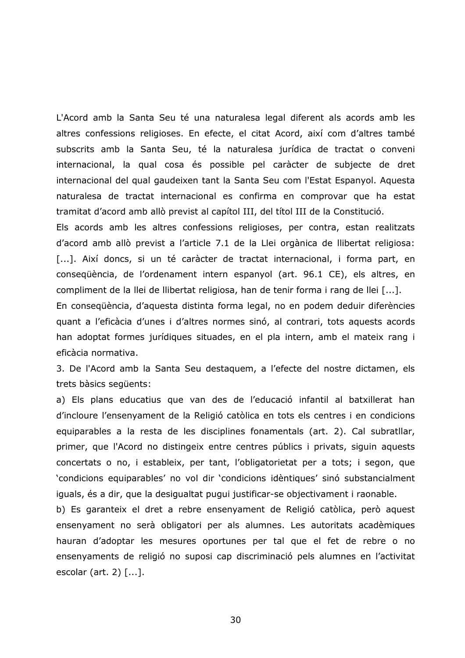L'Acord amb la Santa Seu té una naturalesa legal diferent als acords amb les altres confessions religioses. En efecte, el citat Acord, així com d'altres també subscrits amb la Santa Seu, té la naturalesa jurídica de tractat o conveni internacional, la qual cosa és possible pel caràcter de subjecte de dret internacional del qual gaudeixen tant la Santa Seu com l'Estat Espanyol. Aquesta naturalesa de tractat internacional es confirma en comprovar que ha estat tramitat d'acord amb allò previst al capítol III, del títol III de la Constitució.

Els acords amb les altres confessions religioses, per contra, estan realitzats d'acord amb allò previst a l'article 7.1 de la Llei orgànica de llibertat religiosa: [...]. Així doncs, si un té caràcter de tractat internacional, i forma part, en consequència, de l'ordenament intern espanyol (art. 96.1 CE), els altres, en compliment de la llei de llibertat religiosa, han de tenir forma i rang de llei [...].

En consegüència, d'aguesta distinta forma legal, no en podem deduir diferències quant a l'eficàcia d'unes i d'altres normes sinó, al contrari, tots aquests acords han adoptat formes jurídiques situades, en el pla intern, amb el mateix rang i eficàcia normativa.

3. De l'Acord amb la Santa Seu destaguem, a l'efecte del nostre dictamen, els trets bàsics sequents:

a) Els plans educatius que van des de l'educació infantil al batxillerat han d'incloure l'ensenyament de la Religió catòlica en tots els centres i en condicions equiparables a la resta de les disciplines fonamentals (art. 2). Cal subratllar, primer, que l'Acord no distingeix entre centres públics i privats, siguin aquests concertats o no, i estableix, per tant, l'obligatorietat per a tots; i segon, que 'condicions equiparables' no vol dir 'condicions idèntiques' sinó substancialment iquals, és a dir, que la desigualtat pugui justificar-se objectivament i raonable.

b) Es garanteix el dret a rebre ensenyament de Religió catòlica, però aquest ensenyament no serà obligatori per als alumnes. Les autoritats acadèmiques hauran d'adoptar les mesures oportunes per tal que el fet de rebre o no ensenyaments de religió no suposi cap discriminació pels alumnes en l'activitat escolar (art. 2)  $[...]$ .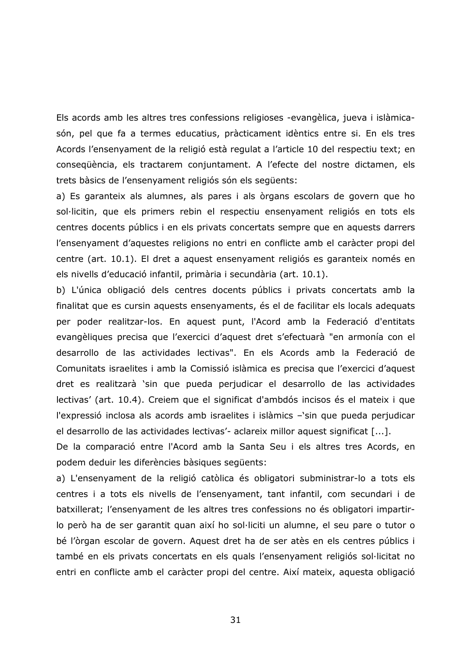Els acords amb les altres tres confessions religioses -evangèlica, jueva i islàmicasón, pel que fa a termes educatius, pràcticament idèntics entre si. En els tres Acords l'ensenyament de la religió està regulat a l'article 10 del respectiu text; en consequència, els tractarem conjuntament. A l'efecte del nostre dictamen, els trets bàsics de l'ensenyament religiós són els següents:

a) Es garanteix als alumnes, als pares i als òrgans escolars de govern que ho sol·licitin, que els primers rebin el respectiu ensenyament religiós en tots els centres docents públics i en els privats concertats sempre que en aquests darrers l'ensenyament d'aquestes religions no entri en conflicte amb el caràcter propi del centre (art. 10.1). El dret a aquest ensenyament religiós es garanteix només en els nivells d'educació infantil, primària i secundària (art. 10.1).

b) L'única obligació dels centres docents públics i privats concertats amb la finalitat que es cursin aquests ensenyaments, és el de facilitar els locals adequats per poder realitzar-los. En aquest punt, l'Acord amb la Federació d'entitats evangèliques precisa que l'exercici d'aquest dret s'efectuarà "en armonía con el desarrollo de las actividades lectivas". En els Acords amb la Federació de Comunitats israelites i amb la Comissió islàmica es precisa que l'exercici d'aquest dret es realitzarà 'sin que pueda perjudicar el desarrollo de las actividades lectivas' (art. 10.4). Creiem que el significat d'ambdós incisos és el mateix i que l'expressió inclosa als acords amb israelites i islàmics -'sin que pueda perjudicar el desarrollo de las actividades lectivas'- aclareix millor aquest significat [...].

De la comparació entre l'Acord amb la Santa Seu i els altres tres Acords, en podem deduir les diferències bàsiques sequents:

a) L'ensenyament de la religió catòlica és obligatori subministrar-lo a tots els centres i a tots els nivells de l'ensenyament, tant infantil, com secundari i de batxillerat; l'ensenyament de les altres tres confessions no és obligatori impartirlo però ha de ser garantit quan així ho sol·liciti un alumne, el seu pare o tutor o bé l'òrgan escolar de govern. Aquest dret ha de ser atès en els centres públics i també en els privats concertats en els quals l'ensenyament religiós sol·licitat no entri en conflicte amb el caràcter propi del centre. Així mateix, aquesta obligació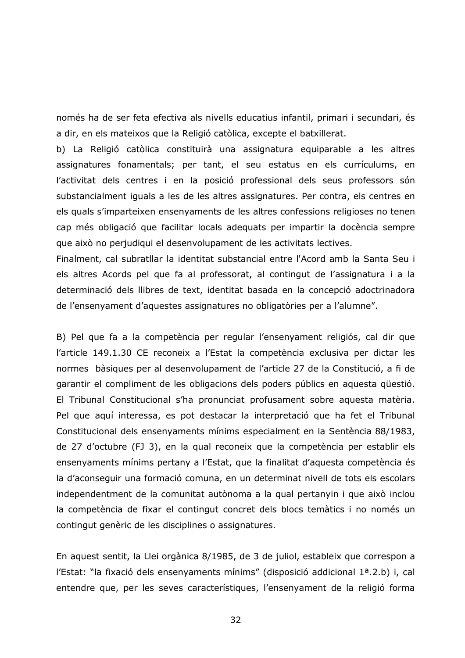només ha de ser feta efectiva als nivells educatius infantil, primari i secundari, és a dir, en els mateixos que la Religió catòlica, excepte el batxillerat.

b) La Religió catòlica constituirà una assignatura equiparable a les altres assignatures fonamentals; per tant, el seu estatus en els currículums, en l'activitat dels centres i en la posició professional dels seus professors són substancialment iguals a les de les altres assignatures. Per contra, els centres en els quals s'imparteixen ensenyaments de les altres confessions religioses no tenen cap més obligació que facilitar locals adequats per impartir la docència sempre que això no perjudiqui el desenvolupament de les activitats lectives.

Finalment, cal subratllar la identitat substancial entre l'Acord amb la Santa Seu i els altres Acords pel que fa al professorat, al contingut de l'assignatura i a la determinació dels llibres de text, identitat basada en la concepció adoctrinadora de l'ensenyament d'aquestes assignatures no obligatòries per a l'alumne".

B) Pel que fa a la competència per regular l'ensenyament religiós, cal dir que l'article 149.1.30 CE reconeix a l'Estat la competència exclusiva per dictar les normes bàsiques per al desenvolupament de l'article 27 de la Constitució, a fi de garantir el compliment de les obligacions dels poders públics en aquesta questió. El Tribunal Constitucional s'ha pronunciat profusament sobre aquesta matèria. Pel que aquí interessa, es pot destacar la interpretació que ha fet el Tribunal Constitucional dels ensenyaments mínims especialment en la Sentència 88/1983, de 27 d'octubre (FJ 3), en la qual reconeix que la competència per establir els ensenyaments mínims pertany a l'Estat, que la finalitat d'aquesta competència és la d'aconseguir una formació comuna, en un determinat nivell de tots els escolars independentment de la comunitat autònoma a la qual pertanyin i que això inclou la competència de fixar el contingut concret dels blocs temàtics i no només un contingut genèric de les disciplines o assignatures.

En aquest sentit, la Llei orgànica 8/1985, de 3 de juliol, estableix que correspon a l'Estat: "la fixació dels ensenyaments mínims" (disposició addicional 1ª.2.b) i, cal entendre que, per les seves característiques, l'ensenyament de la religió forma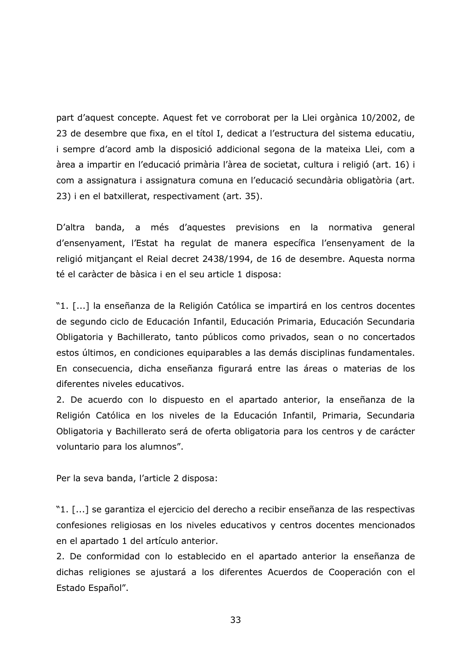part d'aquest concepte. Aquest fet ve corroborat per la Llei orgànica 10/2002, de 23 de desembre que fixa, en el títol I, dedicat a l'estructura del sistema educatiu, i sempre d'acord amb la disposició addicional segona de la mateixa Llei, com a àrea a impartir en l'educació primària l'àrea de societat, cultura i religió (art. 16) i com a assignatura i assignatura comuna en l'educació secundària obligatòria (art. 23) i en el batxillerat, respectivament (art. 35).

D'altra banda, a més d'aquestes previsions en la normativa general d'ensenyament, l'Estat ha regulat de manera específica l'ensenyament de la religió mitjançant el Reial decret 2438/1994, de 16 de desembre. Aquesta norma té el caràcter de bàsica i en el seu article 1 disposa:

"1. [...] la enseñanza de la Religión Católica se impartirá en los centros docentes de segundo ciclo de Educación Infantil, Educación Primaria, Educación Secundaria Obligatoria y Bachillerato, tanto públicos como privados, sean o no concertados estos últimos, en condiciones equiparables a las demás disciplinas fundamentales. En consecuencia, dicha enseñanza figurará entre las áreas o materias de los diferentes niveles educativos.

2. De acuerdo con lo dispuesto en el apartado anterior, la enseñanza de la Religión Católica en los niveles de la Educación Infantil, Primaria, Secundaria Obligatoria y Bachillerato será de oferta obligatoria para los centros y de carácter voluntario para los alumnos".

Per la seva banda, l'article 2 disposa:

"1. [...] se garantiza el ejercicio del derecho a recibir enseñanza de las respectivas confesiones religiosas en los niveles educativos y centros docentes mencionados en el apartado 1 del artículo anterior.

2. De conformidad con lo establecido en el apartado anterior la enseñanza de dichas religiones se ajustará a los diferentes Acuerdos de Cooperación con el Estado Español".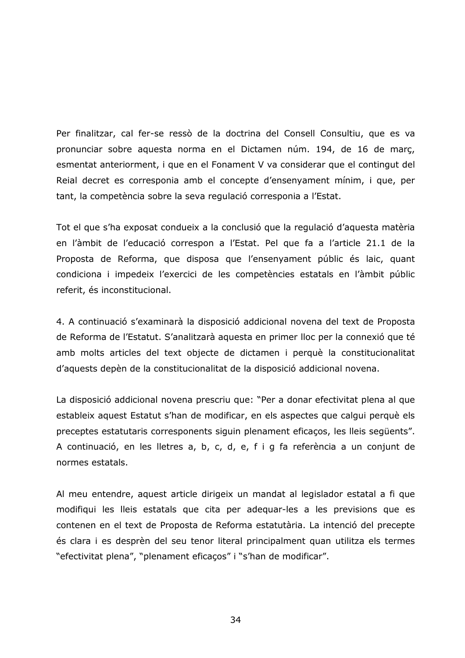Per finalitzar, cal fer-se ressò de la doctrina del Consell Consultiu, que es va pronunciar sobre aquesta norma en el Dictamen núm. 194, de 16 de març, esmentat anteriorment, i que en el Fonament V va considerar que el contingut del Reial decret es corresponia amb el concepte d'ensenyament mínim, i que, per tant, la competència sobre la seva regulació corresponia a l'Estat.

Tot el que s'ha exposat condueix a la conclusió que la regulació d'aguesta matèria en l'àmbit de l'educació correspon a l'Estat. Pel que fa a l'article 21.1 de la Proposta de Reforma, que disposa que l'ensenyament públic és laic, quant condiciona i impedeix l'exercici de les competències estatals en l'àmbit públic referit, és inconstitucional.

4. A continuació s'examinarà la disposició addicional novena del text de Proposta de Reforma de l'Estatut. S'analitzarà aquesta en primer lloc per la connexió que té amb molts articles del text objecte de dictamen i perquè la constitucionalitat d'aquests depèn de la constitucionalitat de la disposició addicional novena.

La disposició addicional novena prescriu que: "Per a donar efectivitat plena al que estableix aquest Estatut s'han de modificar, en els aspectes que calqui perquè els preceptes estatutaris corresponents siguin plenament eficaços, les lleis següents". A continuació, en les lletres a, b, c, d, e, f i g fa referència a un conjunt de normes estatals.

Al meu entendre, aquest article dirigeix un mandat al legislador estatal a fi que modifiqui les lleis estatals que cita per adequar-les a les previsions que es contenen en el text de Proposta de Reforma estatutària. La intenció del precepte és clara i es desprèn del seu tenor literal principalment quan utilitza els termes "efectivitat plena", "plenament eficaços" i "s'han de modificar".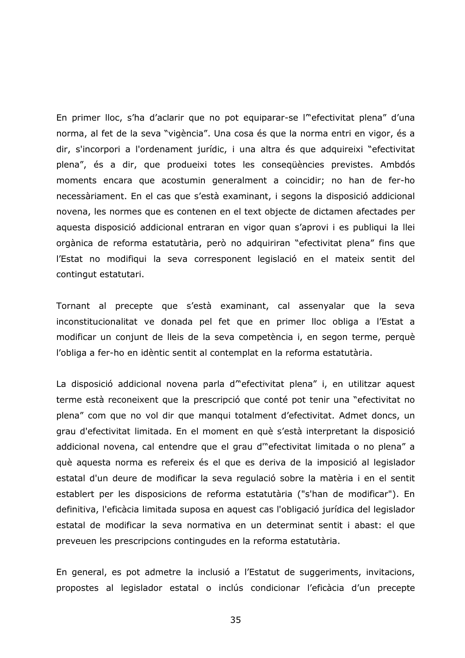En primer lloc, s'ha d'aclarir que no pot equiparar-se l'efectivitat plena" d'una norma, al fet de la seva "vigència". Una cosa és que la norma entri en vigor, és a dir, s'incorpori a l'ordenament jurídic, i una altra és que adquireixi "efectivitat plena", és a dir, que produeixi totes les consequències previstes. Ambdós moments encara que acostumin generalment a coincidir; no han de fer-ho necessàriament. En el cas que s'està examinant, i segons la disposició addicional novena, les normes que es contenen en el text objecte de dictamen afectades per aquesta disposició addicional entraran en vigor quan s'aprovi i es publiqui la llei orgànica de reforma estatutària, però no adquiriran "efectivitat plena" fins que l'Estat no modifiqui la seva corresponent legislació en el mateix sentit del contingut estatutari.

Tornant al precepte que s'està examinant, cal assenyalar que la seva inconstitucionalitat ve donada pel fet que en primer lloc obliga a l'Estat a modificar un conjunt de lleis de la seva competència i, en segon terme, perquè l'obliga a fer-ho en idèntic sentit al contemplat en la reforma estatutària.

La disposició addicional novena parla d"efectivitat plena" i, en utilitzar aquest terme està reconeixent que la prescripció que conté pot tenir una "efectivitat no plena" com que no vol dir que manqui totalment d'efectivitat. Admet doncs, un grau d'efectivitat limitada. En el moment en què s'està interpretant la disposició addicional novena, cal entendre que el grau d'"efectivitat limitada o no plena" a què aquesta norma es refereix és el que es deriva de la imposició al legislador estatal d'un deure de modificar la seva regulació sobre la matèria i en el sentit establert per les disposicions de reforma estatutària ("s'han de modificar"). En definitiva, l'eficàcia limitada suposa en aquest cas l'obligació jurídica del legislador estatal de modificar la seva normativa en un determinat sentit i abast: el que preveuen les prescripcions contingudes en la reforma estatutària.

En general, es pot admetre la inclusió a l'Estatut de suggeriments, invitacions, propostes al legislador estatal o inclús condicionar l'eficàcia d'un precepte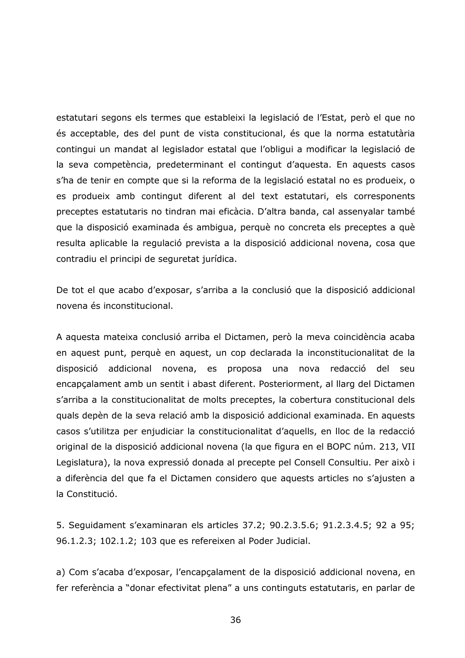estatutari segons els termes que estableixi la legislació de l'Estat, però el que no és acceptable, des del punt de vista constitucional, és que la norma estatutària contingui un mandat al legislador estatal que l'obligui a modificar la legislació de la seva competència, predeterminant el contingut d'aquesta. En aquests casos s'ha de tenir en compte que si la reforma de la legislació estatal no es produeix, o es produeix amb contingut diferent al del text estatutari, els corresponents preceptes estatutaris no tindran mai eficàcia. D'altra banda, cal assenyalar també que la disposició examinada és ambigua, perquè no concreta els preceptes a què resulta aplicable la regulació prevista a la disposició addicional novena, cosa que contradiu el principi de seguretat jurídica.

De tot el que acabo d'exposar, s'arriba a la conclusió que la disposició addicional novena és inconstitucional.

A aquesta mateixa conclusió arriba el Dictamen, però la meva coincidència acaba en aquest punt, perquè en aquest, un cop declarada la inconstitucionalitat de la disposició addicional novena, es proposa una nova redacció del seu encapçalament amb un sentit i abast diferent. Posteriorment, al llarg del Dictamen s'arriba a la constitucionalitat de molts preceptes, la cobertura constitucional dels quals depèn de la seva relació amb la disposició addicional examinada. En aquests casos s'utilitza per enjudiciar la constitucionalitat d'aquells, en lloc de la redacció original de la disposició addicional novena (la que figura en el BOPC núm. 213, VII Legislatura), la nova expressió donada al precepte pel Consell Consultiu. Per això i a diferència del que fa el Dictamen considero que aquests articles no s'ajusten a la Constitució.

5. Seguidament s'examinaran els articles 37.2; 90.2.3.5.6; 91.2.3.4.5; 92 a 95; 96.1.2.3; 102.1.2; 103 que es refereixen al Poder Judicial.

a) Com s'acaba d'exposar, l'encapçalament de la disposició addicional novena, en fer referència a "donar efectivitat plena" a uns continguts estatutaris, en parlar de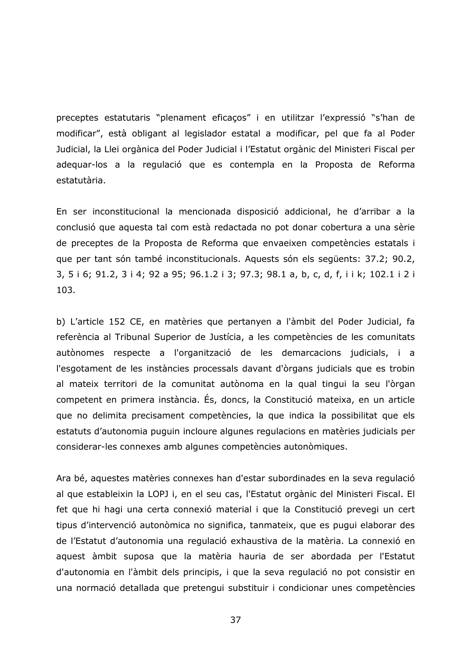preceptes estatutaris "plenament eficaços" i en utilitzar l'expressió "s'han de modificar", està obligant al legislador estatal a modificar, pel que fa al Poder Judicial, la Llei orgànica del Poder Judicial i l'Estatut orgànic del Ministeri Fiscal per adequar-los a la regulació que es contempla en la Proposta de Reforma estatutària.

En ser inconstitucional la mencionada disposició addicional, he d'arribar a la conclusió que aquesta tal com està redactada no pot donar cobertura a una sèrie de preceptes de la Proposta de Reforma que envaeixen competències estatals i que per tant són també inconstitucionals. Aquests són els següents: 37.2; 90.2, 3, 5 i 6; 91.2, 3 i 4; 92 a 95; 96.1.2 i 3; 97.3; 98.1 a, b, c, d, f, i i k; 102.1 i 2 i 103.

b) L'article 152 CE, en matèries que pertanyen a l'àmbit del Poder Judicial, fa referència al Tribunal Superior de Justícia, a les competències de les comunitats autònomes respecte a l'organització de les demarcacions judicials, i a l'esgotament de les instàncies processals davant d'òrgans judicials que es trobin al mateix territori de la comunitat autònoma en la qual tingui la seu l'òrgan competent en primera instància. És, doncs, la Constitució mateixa, en un article que no delimita precisament competències, la que indica la possibilitat que els estatuts d'autonomia puguin incloure algunes regulacions en matèries judicials per considerar-les connexes amb algunes competències autonòmiques.

Ara bé, aquestes matèries connexes han d'estar subordinades en la seva regulació al que estableixin la LOPJ i, en el seu cas, l'Estatut orgànic del Ministeri Fiscal. El fet que hi hagi una certa connexió material i que la Constitució prevegi un cert tipus d'intervenció autonòmica no significa, tanmateix, que es pugui elaborar des de l'Estatut d'autonomia una regulació exhaustiva de la matèria. La connexió en aquest àmbit suposa que la matèria hauria de ser abordada per l'Estatut d'autonomia en l'àmbit dels principis, i que la seva regulació no pot consistir en una normació detallada que pretengui substituir i condicionar unes competències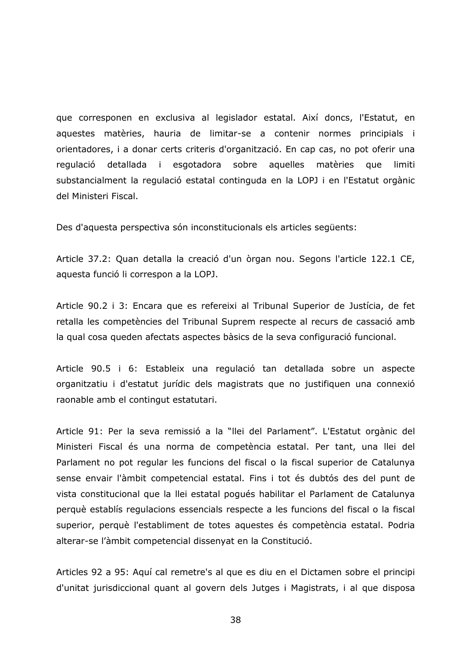que corresponen en exclusiva al legislador estatal. Així doncs, l'Estatut, en aquestes matèries, hauria de limitar-se a contenir normes principials i orientadores, i a donar certs criteris d'organització. En cap cas, no pot oferir una aquelles matèries regulació detallada i esgotadora sobre que limiti substancialment la regulació estatal continguda en la LOPJ i en l'Estatut orgànic del Ministeri Fiscal.

Des d'aquesta perspectiva són inconstitucionals els articles següents:

Article 37.2: Quan detalla la creació d'un òrgan nou. Segons l'article 122.1 CE, aquesta funció li correspon a la LOPJ.

Article 90.2 i 3: Encara que es refereixi al Tribunal Superior de Justícia, de fet retalla les competències del Tribunal Suprem respecte al recurs de cassació amb la qual cosa queden afectats aspectes bàsics de la seva configuració funcional.

Article 90.5 i 6: Estableix una regulació tan detallada sobre un aspecte organitzatiu i d'estatut jurídic dels magistrats que no justifiquen una connexió raonable amb el contingut estatutari.

Article 91: Per la seva remissió a la "llei del Parlament". L'Estatut orgànic del Ministeri Fiscal és una norma de competència estatal. Per tant, una llei del Parlament no pot regular les funcions del fiscal o la fiscal superior de Catalunya sense envair l'àmbit competencial estatal. Fins i tot és dubtós des del punt de vista constitucional que la llei estatal poqués habilitar el Parlament de Catalunya perquè establís regulacions essencials respecte a les funcions del fiscal o la fiscal superior, perquè l'establiment de totes aquestes és competència estatal. Podria alterar-se l'àmbit competencial dissenyat en la Constitució.

Articles 92 a 95: Aquí cal remetre's al que es diu en el Dictamen sobre el principi d'unitat jurisdiccional quant al govern dels Jutges i Magistrats, i al que disposa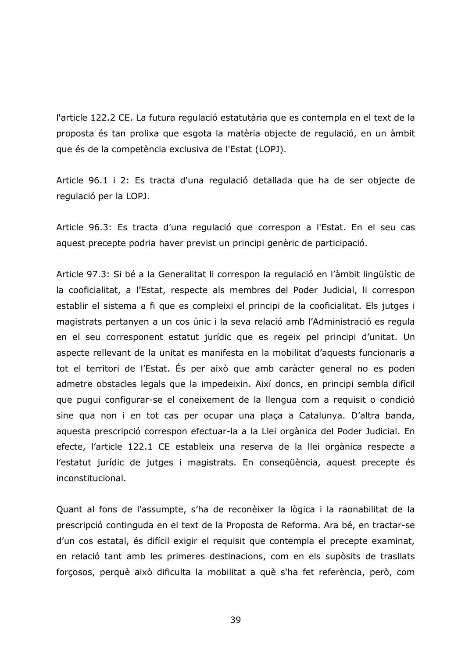l'article 122.2 CE. La futura regulació estatutària que es contempla en el text de la proposta és tan prolixa que esgota la matèria objecte de regulació, en un àmbit que és de la competència exclusiva de l'Estat (LOPJ).

Article 96.1 i 2: Es tracta d'una regulació detallada que ha de ser objecte de regulació per la LOPJ.

Article 96.3: Es tracta d'una regulació que correspon a l'Estat. En el seu cas aquest precepte podria haver previst un principi genèric de participació.

Article 97.3: Si bé a la Generalitat li correspon la regulació en l'àmbit lingüístic de la cooficialitat, a l'Estat, respecte als membres del Poder Judicial, li correspon establir el sistema a fi que es compleixi el principi de la cooficialitat. Els jutges i magistrats pertanyen a un cos únic i la seva relació amb l'Administració es regula en el seu corresponent estatut jurídic que es regeix pel principi d'unitat. Un aspecte rellevant de la unitat es manifesta en la mobilitat d'aquests funcionaris a tot el territori de l'Estat. És per això que amb caràcter general no es poden admetre obstacles legals que la impedeixin. Així doncs, en principi sembla difícil que pugui configurar-se el coneixement de la llengua com a reguisit o condició sine qua non i en tot cas per ocupar una plaça a Catalunya. D'altra banda, aquesta prescripció correspon efectuar-la a la Llei orgànica del Poder Judicial. En efecte, l'article 122.1 CE estableix una reserva de la llei orgànica respecte a l'estatut jurídic de jutges i magistrats. En consequència, aquest precepte és inconstitucional.

Quant al fons de l'assumpte, s'ha de reconèixer la lògica i la raonabilitat de la prescripció continguda en el text de la Proposta de Reforma. Ara bé, en tractar-se d'un cos estatal, és difícil exigir el requisit que contempla el precepte examinat, en relació tant amb les primeres destinacions, com en els supòsits de trasllats forcosos, perquè això dificulta la mobilitat a què s'ha fet referència, però, com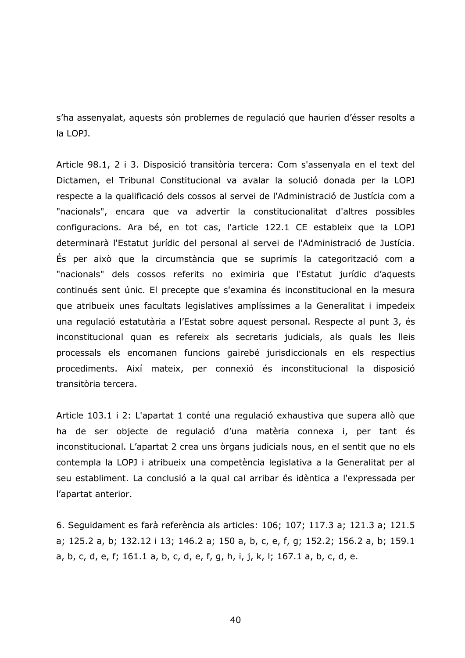s'ha assenvalat, aquests són problemes de regulació que haurien d'ésser resolts a la LOPJ.

Article 98.1, 2 i 3. Disposició transitòria tercera: Com s'assenyala en el text del Dictamen, el Tribunal Constitucional va avalar la solució donada per la LOPJ respecte a la qualificació dels cossos al servei de l'Administració de Justícia com a "nacionals", encara que va advertir la constitucionalitat d'altres possibles configuracions. Ara bé, en tot cas, l'article 122.1 CE estableix que la LOPJ determinarà l'Estatut jurídic del personal al servei de l'Administració de Justícia. És per això que la circumstància que se suprimís la categorització com a "nacionals" dels cossos referits no eximiria que l'Estatut jurídic d'aquests continués sent únic. El precepte que s'examina és inconstitucional en la mesura que atribueix unes facultats legislatives amplíssimes a la Generalitat i impedeix una regulació estatutària a l'Estat sobre aquest personal. Respecte al punt 3, és inconstitucional quan es refereix als secretaris judicials, als quals les lleis processals els encomanen funcions gairebé jurisdiccionals en els respectius procediments. Així mateix, per connexió és inconstitucional la disposició transitòria tercera.

Article 103.1 i 2: L'apartat 1 conté una regulació exhaustiva que supera allò que ha de ser objecte de regulació d'una matèria connexa i, per tant és inconstitucional. L'apartat 2 crea uns òrgans judicials nous, en el sentit que no els contempla la LOPJ i atribueix una competència legislativa a la Generalitat per al seu establiment. La conclusió a la qual cal arribar és idèntica a l'expressada per l'apartat anterior.

6. Seguidament es farà referència als articles: 106; 107; 117.3 a; 121.3 a; 121.5 a; 125.2 a, b; 132.12 i 13; 146.2 a; 150 a, b, c, e, f, g; 152.2; 156.2 a, b; 159.1 a, b, c, d, e, f; 161.1 a, b, c, d, e, f, g, h, i, j, k, l; 167.1 a, b, c, d, e.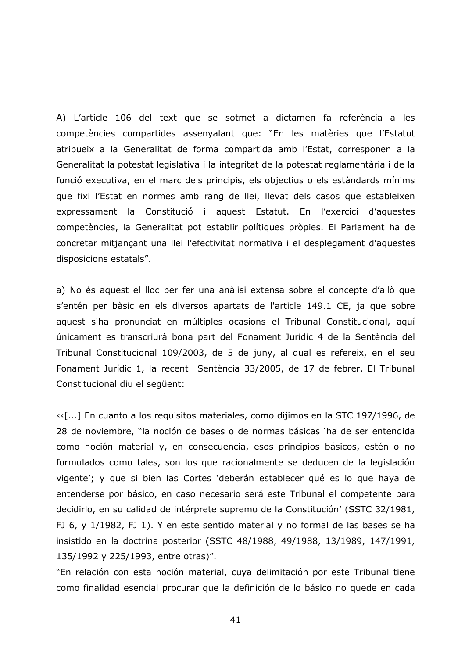A) L'article 106 del text que se sotmet a dictamen fa referència a les competències compartides assenyalant que: "En les matèries que l'Estatut atribueix a la Generalitat de forma compartida amb l'Estat, corresponen a la Generalitat la potestat legislativa i la integritat de la potestat reglamentària i de la funció executiva, en el marc dels principis, els objectius o els estàndards mínims que fixi l'Estat en normes amb rang de llei, llevat dels casos que estableixen expressament la Constitució i aquest Estatut. En l'exercici d'aquestes competències, la Generalitat pot establir polítiques pròpies. El Parlament ha de concretar mitjançant una llei l'efectivitat normativa i el desplegament d'aquestes disposicions estatals".

a) No és aquest el lloc per fer una anàlisi extensa sobre el concepte d'allò que s'entén per bàsic en els diversos apartats de l'article 149.1 CE, ja que sobre aquest s'ha pronunciat en múltiples ocasions el Tribunal Constitucional, aquí únicament es transcriurà bona part del Fonament Jurídic 4 de la Sentència del Tribunal Constitucional 109/2003, de 5 de juny, al qual es refereix, en el seu Fonament Jurídic 1, la recent Sentència 33/2005, de 17 de febrer. El Tribunal Constitucional diu el següent:

<< [...] En cuanto a los requisitos materiales, como dijimos en la STC 197/1996, de 28 de noviembre, "la noción de bases o de normas básicas 'ha de ser entendida como noción material y, en consecuencia, esos principios básicos, estén o no formulados como tales, son los que racionalmente se deducen de la legislación vigente'; y que si bien las Cortes 'deberán establecer qué es lo que haya de entenderse por básico, en caso necesario será este Tribunal el competente para decidirlo, en su calidad de intérprete supremo de la Constitución' (SSTC 32/1981, FJ 6, y 1/1982, FJ 1). Y en este sentido material y no formal de las bases se ha insistido en la doctrina posterior (SSTC 48/1988, 49/1988, 13/1989, 147/1991, 135/1992 y 225/1993, entre otras)".

"En relación con esta noción material, cuya delimitación por este Tribunal tiene como finalidad esencial procurar que la definición de lo básico no quede en cada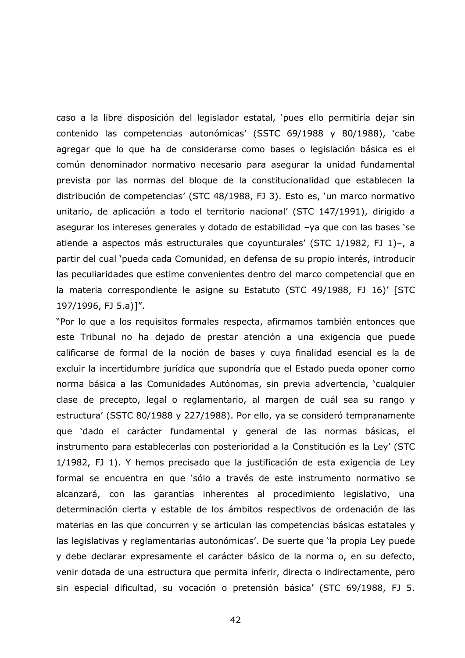caso a la libre disposición del legislador estatal, 'pues ello permitiría dejar sin contenido las competencias autonómicas' (SSTC 69/1988 y 80/1988), 'cabe agregar que lo que ha de considerarse como bases o legislación básica es el común denominador normativo necesario para asegurar la unidad fundamental prevista por las normas del bloque de la constitucionalidad que establecen la distribución de competencias' (STC 48/1988, FJ 3). Esto es, 'un marco normativo unitario, de aplicación a todo el territorio nacional' (STC 147/1991), dirigido a asegurar los intereses generales y dotado de estabilidad -ya que con las bases 'se atiende a aspectos más estructurales que coyunturales' (STC 1/1982, FJ 1)-, a partir del cual 'pueda cada Comunidad, en defensa de su propio interés, introducir las peculiaridades que estime convenientes dentro del marco competencial que en la materia correspondiente le asigne su Estatuto (STC 49/1988, FJ 16)' [STC 197/1996, FJ 5.a)]".

"Por lo que a los requisitos formales respecta, afirmamos también entonces que este Tribunal no ha dejado de prestar atención a una exigencia que puede calificarse de formal de la noción de bases y cuya finalidad esencial es la de excluir la incertidumbre jurídica que supondría que el Estado pueda oponer como norma básica a las Comunidades Autónomas, sin previa advertencia, 'cualquier clase de precepto, legal o reglamentario, al margen de cuál sea su rango y estructura' (SSTC 80/1988 y 227/1988). Por ello, ya se consideró tempranamente que 'dado el carácter fundamental y general de las normas básicas, el instrumento para establecerlas con posterioridad a la Constitución es la Ley' (STC 1/1982, FJ 1). Y hemos precisado que la justificación de esta exigencia de Ley formal se encuentra en que 'sólo a través de este instrumento normativo se alcanzará, con las garantías inherentes al procedimiento legislativo, una determinación cierta y estable de los ámbitos respectivos de ordenación de las materias en las que concurren y se articulan las competencias básicas estatales y las legislativas y reglamentarias autonómicas'. De suerte que 'la propia Ley puede y debe declarar expresamente el carácter básico de la norma o, en su defecto, venir dotada de una estructura que permita inferir, directa o indirectamente, pero sin especial dificultad, su vocación o pretensión básica' (STC 69/1988, FJ 5.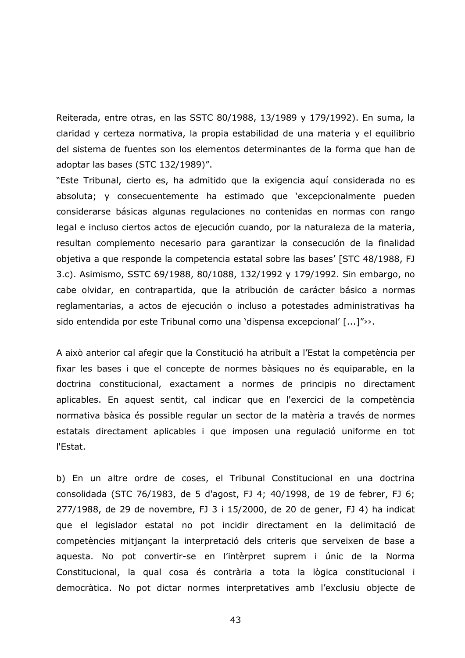Reiterada, entre otras, en las SSTC 80/1988, 13/1989 y 179/1992). En suma, la claridad y certeza normativa, la propia estabilidad de una materia y el equilibrio del sistema de fuentes son los elementos determinantes de la forma que han de adoptar las bases (STC 132/1989)".

"Este Tribunal, cierto es, ha admitido que la exigencia aquí considerada no es absoluta; y consecuentemente ha estimado que 'excepcionalmente pueden considerarse básicas algunas regulaciones no contenidas en normas con rango legal e incluso ciertos actos de ejecución cuando, por la naturaleza de la materia, resultan complemento necesario para garantizar la consecución de la finalidad objetiva a que responde la competencia estatal sobre las bases' [STC 48/1988, FJ 3.c). Asimismo, SSTC 69/1988, 80/1088, 132/1992 y 179/1992. Sin embargo, no cabe olvidar, en contrapartida, que la atribución de carácter básico a normas reglamentarias, a actos de ejecución o incluso a potestades administrativas ha sido entendida por este Tribunal como una 'dispensa excepcional' [...]">>.

A això anterior cal afegir que la Constitució ha atribuït a l'Estat la competència per fixar les bases i que el concepte de normes bàsiques no és equiparable, en la doctrina constitucional, exactament a normes de principis no directament aplicables. En aquest sentit, cal indicar que en l'exercici de la competència normativa bàsica és possible regular un sector de la matèria a través de normes estatals directament aplicables i que imposen una regulació uniforme en tot l'Estat.

b) En un altre ordre de coses, el Tribunal Constitucional en una doctrina consolidada (STC 76/1983, de 5 d'agost, FJ 4; 40/1998, de 19 de febrer, FJ 6; 277/1988, de 29 de novembre, FJ 3 i 15/2000, de 20 de gener, FJ 4) ha indicat que el legislador estatal no pot incidir directament en la delimitació de competències mitjançant la interpretació dels criteris que serveixen de base a aquesta. No pot convertir-se en l'intèrpret suprem i únic de la Norma Constitucional, la qual cosa és contrària a tota la lògica constitucional i democràtica. No pot dictar normes interpretatives amb l'exclusiu objecte de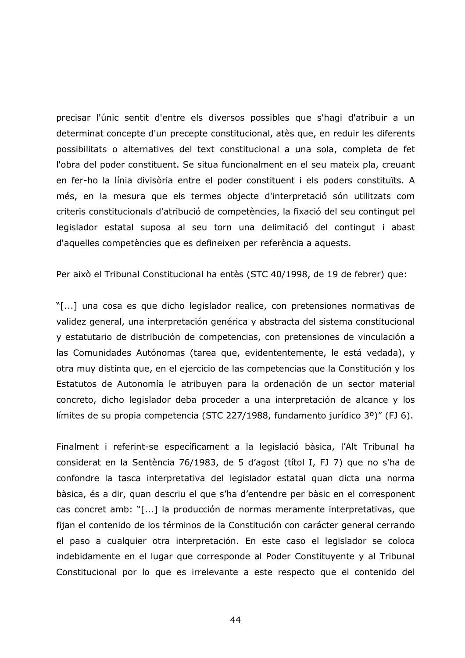precisar l'únic sentit d'entre els diversos possibles que s'haqi d'atribuir a un determinat concepte d'un precepte constitucional, atès que, en reduir les diferents possibilitats o alternatives del text constitucional a una sola, completa de fet l'obra del poder constituent. Se situa funcionalment en el seu mateix pla, creuant en fer-ho la línia divisòria entre el poder constituent i els poders constituïts. A més, en la mesura que els termes objecte d'interpretació són utilitzats com criteris constitucionals d'atribució de competències, la fixació del seu contingut pel legislador estatal suposa al seu torn una delimitació del contingut i abast d'aquelles competències que es defineixen per referència a aquests.

Per això el Tribunal Constitucional ha entès (STC 40/1998, de 19 de febrer) que:

"[...] una cosa es que dicho legislador realice, con pretensiones normativas de validez general, una interpretación genérica y abstracta del sistema constitucional y estatutario de distribución de competencias, con pretensiones de vinculación a las Comunidades Autónomas (tarea que, evidententemente, le está vedada), y otra muy distinta que, en el ejercicio de las competencias que la Constitución y los Estatutos de Autonomía le atribuyen para la ordenación de un sector material concreto, dicho legislador deba proceder a una interpretación de alcance y los límites de su propia competencia (STC 227/1988, fundamento jurídico 3º)" (FJ 6).

Finalment i referint-se específicament a la legislació bàsica, l'Alt Tribunal ha considerat en la Sentència 76/1983, de 5 d'agost (títol I, FJ 7) que no s'ha de confondre la tasca interpretativa del legislador estatal quan dicta una norma bàsica, és a dir, quan descriu el que s'ha d'entendre per bàsic en el corresponent cas concret amb: "[...] la producción de normas meramente interpretativas, que fijan el contenido de los términos de la Constitución con carácter general cerrando el paso a cualquier otra interpretación. En este caso el legislador se coloca indebidamente en el lugar que corresponde al Poder Constituyente y al Tribunal Constitucional por lo que es irrelevante a este respecto que el contenido del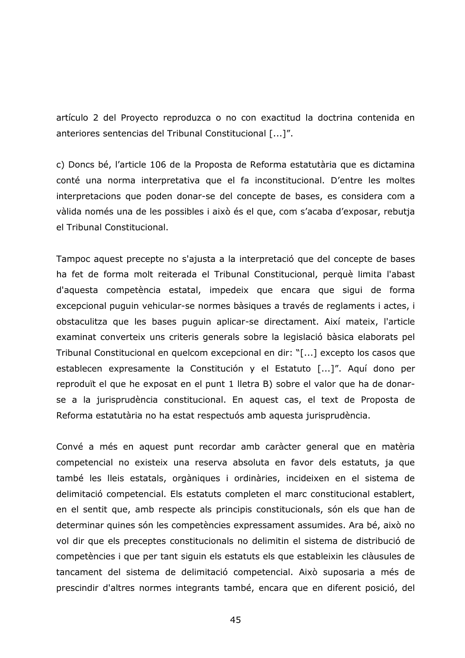artículo 2 del Provecto reproduzca o no con exactitud la doctrina contenida en anteriores sentencias del Tribunal Constitucional [...]".

c) Doncs bé, l'article 106 de la Proposta de Reforma estatutària que es dictamina conté una norma interpretativa que el fa inconstitucional. D'entre les moltes interpretacions que poden donar-se del concepte de bases, es considera com a vàlida només una de les possibles i això és el que, com s'acaba d'exposar, rebutja el Tribunal Constitucional.

Tampoc aquest precepte no s'ajusta a la interpretació que del concepte de bases ha fet de forma molt reiterada el Tribunal Constitucional, perquè limita l'abast d'aquesta competència estatal, impedeix que encara que sigui de forma excepcional puguin vehicular-se normes bàsiques a través de reglaments i actes, i obstaculitza que les bases puguin aplicar-se directament. Així mateix, l'article examinat converteix uns criteris generals sobre la legislació bàsica elaborats pel Tribunal Constitucional en quelcom excepcional en dir: "[...] excepto los casos que establecen expresamente la Constitución y el Estatuto [...]". Aquí dono per reproduït el que he exposat en el punt 1 lletra B) sobre el valor que ha de donarse a la jurisprudència constitucional. En aquest cas, el text de Proposta de Reforma estatutària no ha estat respectuós amb aquesta jurisprudència.

Convé a més en aquest punt recordar amb caràcter general que en matèria competencial no existeix una reserva absoluta en favor dels estatuts, ja que també les lleis estatals, orgàniques i ordinàries, incideixen en el sistema de delimitació competencial. Els estatuts completen el marc constitucional establert, en el sentit que, amb respecte als principis constitucionals, són els que han de determinar quines són les competències expressament assumides. Ara bé, això no vol dir que els preceptes constitucionals no delimitin el sistema de distribució de competències i que per tant siguin els estatuts els que estableixin les clàusules de tancament del sistema de delimitació competencial. Això suposaria a més de prescindir d'altres normes integrants també, encara que en diferent posició, del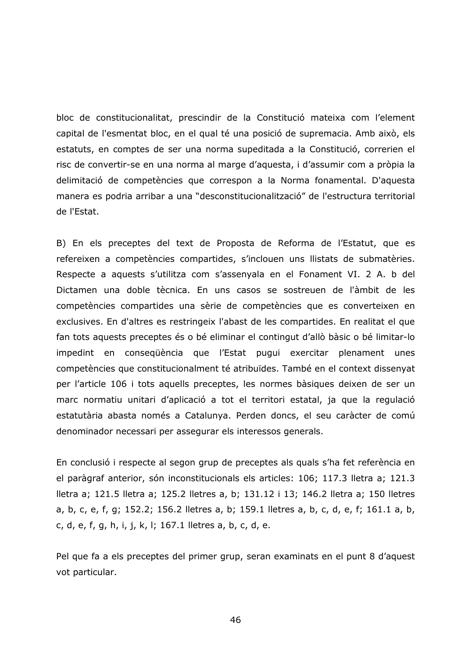bloc de constitucionalitat, prescindir de la Constitució mateixa com l'element capital de l'esmentat bloc, en el qual té una posició de supremacia. Amb això, els estatuts, en comptes de ser una norma supeditada a la Constitució, correrien el risc de convertir-se en una norma al marge d'aquesta, i d'assumir com a pròpia la delimitació de competències que correspon a la Norma fonamental. D'aquesta manera es podria arribar a una "desconstitucionalització" de l'estructura territorial de l'Estat.

B) En els preceptes del text de Proposta de Reforma de l'Estatut, que es refereixen a competències compartides, s'inclouen uns llistats de submatèries. Respecte a aquests s'utilitza com s'assenyala en el Fonament VI. 2 A. b del Dictamen una doble tècnica. En uns casos se sostreuen de l'àmbit de les competències compartides una sèrie de competències que es converteixen en exclusives. En d'altres es restringeix l'abast de les compartides. En realitat el que fan tots aquests preceptes és o bé eliminar el contingut d'allò bàsic o bé limitar-lo impedint en consequència que l'Estat pugui exercitar plenament unes competències que constitucionalment té atribuïdes. També en el context dissenyat per l'article 106 i tots aquells preceptes, les normes bàsiques deixen de ser un marc normatiu unitari d'aplicació a tot el territori estatal, ja que la regulació estatutària abasta només a Catalunya. Perden doncs, el seu caràcter de comú denominador necessari per assegurar els interessos generals.

En conclusió i respecte al segon grup de preceptes als quals s'ha fet referència en el paràgraf anterior, són inconstitucionals els articles: 106; 117.3 lletra a; 121.3 Iletra a; 121.5 lletra a; 125.2 lletres a, b; 131.12 i 13; 146.2 lletra a; 150 lletres a, b, c, e, f, g; 152.2; 156.2 lletres a, b; 159.1 lletres a, b, c, d, e, f; 161.1 a, b, c, d, e, f, g, h, i, j, k, l; 167.1 lletres a, b, c, d, e.

Pel que fa a els preceptes del primer grup, seran examinats en el punt 8 d'aquest vot particular.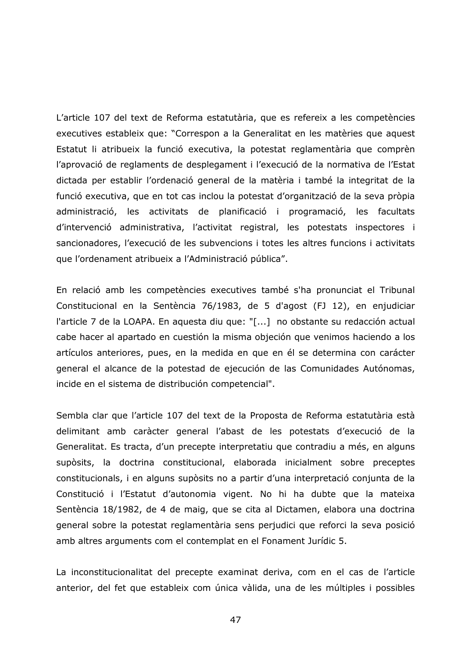L'article 107 del text de Reforma estatutària, que es refereix a les competències executives estableix que: "Correspon a la Generalitat en les matèries que aquest Estatut li atribueix la funció executiva, la potestat reglamentària que comprèn l'aprovació de reglaments de desplegament i l'execució de la normativa de l'Estat dictada per establir l'ordenació general de la matèria i també la integritat de la funció executiva, que en tot cas inclou la potestat d'organització de la seva pròpia administració, les activitats de planificació i programació, les facultats d'intervenció administrativa, l'activitat registral, les potestats inspectores i sancionadores, l'execució de les subvencions i totes les altres funcions i activitats que l'ordenament atribueix a l'Administració pública".

En relació amb les competències executives també s'ha pronunciat el Tribunal Constitucional en la Sentència 76/1983, de 5 d'agost (FJ 12), en enjudiciar l'article 7 de la LOAPA. En aquesta diu que: "[...] no obstante su redacción actual cabe hacer al apartado en cuestión la misma objeción que venimos haciendo a los artículos anteriores, pues, en la medida en que en él se determina con carácter general el alcance de la potestad de ejecución de las Comunidades Autónomas, incide en el sistema de distribución competencial".

Sembla clar que l'article 107 del text de la Proposta de Reforma estatutària està delimitant amb caràcter general l'abast de les potestats d'execució de la Generalitat. Es tracta, d'un precepte interpretatiu que contradiu a més, en alguns supòsits, la doctrina constitucional, elaborada inicialment sobre preceptes constitucionals, i en alguns supòsits no a partir d'una interpretació conjunta de la Constitució i l'Estatut d'autonomia vigent. No hi ha dubte que la mateixa Sentència 18/1982, de 4 de maig, que se cita al Dictamen, elabora una doctrina general sobre la potestat reglamentària sens perjudici que reforci la seva posició amb altres arguments com el contemplat en el Fonament Jurídic 5.

La inconstitucionalitat del precepte examinat deriva, com en el cas de l'article anterior, del fet que estableix com única vàlida, una de les múltiples i possibles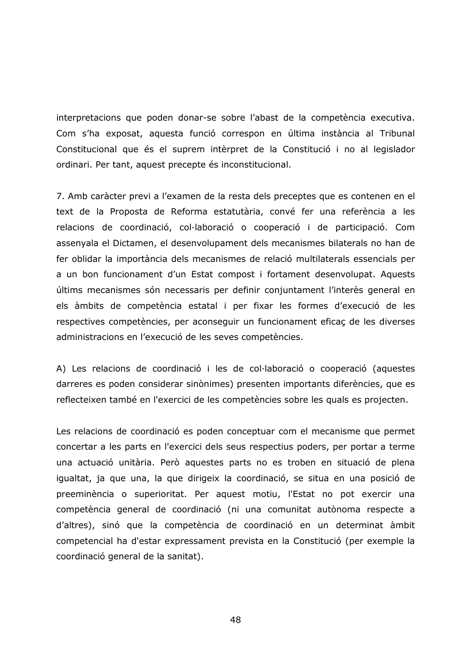interpretacions que poden donar-se sobre l'abast de la competència executiva. Com s'ha exposat, aquesta funció correspon en última instància al Tribunal Constitucional que és el suprem intèrpret de la Constitució i no al legislador ordinari. Per tant, aquest precepte és inconstitucional.

7. Amb caràcter previ a l'examen de la resta dels preceptes que es contenen en el text de la Proposta de Reforma estatutària, convé fer una referència a les relacions de coordinació, col·laboració o cooperació i de participació. Com assenyala el Dictamen, el desenvolupament dels mecanismes bilaterals no han de fer oblidar la importància dels mecanismes de relació multilaterals essencials per a un bon funcionament d'un Estat compost i fortament desenvolupat. Aquests últims mecanismes són necessaris per definir conjuntament l'interès general en els àmbits de competència estatal i per fixar les formes d'execució de les respectives competències, per aconseguir un funcionament eficaç de les diverses administracions en l'execució de les seves competències.

A) Les relacions de coordinació i les de col·laboració o cooperació (aquestes darreres es poden considerar sinònimes) presenten importants diferències, que es reflecteixen també en l'exercici de les competències sobre les quals es projecten.

Les relacions de coordinació es poden conceptuar com el mecanisme que permet concertar a les parts en l'exercici dels seus respectius poders, per portar a terme una actuació unitària. Però aguestes parts no es troben en situació de plena igualtat, ja que una, la que dirigeix la coordinació, se situa en una posició de preeminència o superioritat. Per aquest motiu, l'Estat no pot exercir una competència general de coordinació (ni una comunitat autònoma respecte a d'altres), sinó que la competència de coordinació en un determinat àmbit competencial ha d'estar expressament prevista en la Constitució (per exemple la coordinació general de la sanitat).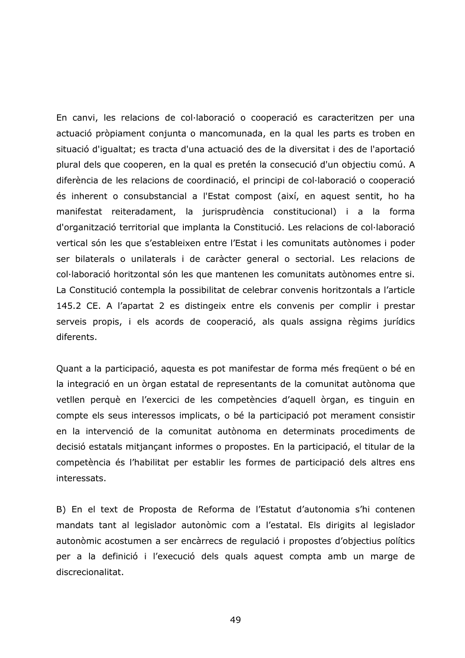En canvi, les relacions de col·laboració o cooperació es caracteritzen per una actuació pròpiament conjunta o mancomunada, en la qual les parts es troben en situació d'igualtat; es tracta d'una actuació des de la diversitat i des de l'aportació plural dels que cooperen, en la qual es pretén la consecució d'un objectiu comú. A diferència de les relacions de coordinació, el principi de col·laboració o cooperació és inherent o consubstancial a l'Estat compost (així, en aquest sentit, ho ha manifestat reiteradament, la jurisprudència constitucional) i a la forma d'organització territorial que implanta la Constitució. Les relacions de col·laboració vertical són les que s'estableixen entre l'Estat i les comunitats autònomes i poder ser bilaterals o unilaterals i de caràcter general o sectorial. Les relacions de col·laboració horitzontal són les que mantenen les comunitats autònomes entre si. La Constitució contempla la possibilitat de celebrar convenis horitzontals a l'article 145.2 CE. A l'apartat 2 es distingeix entre els convenis per complir i prestar serveis propis, i els acords de cooperació, als quals assigna règims jurídics diferents.

Quant a la participació, aquesta es pot manifestar de forma més frequent o bé en la integració en un òrgan estatal de representants de la comunitat autònoma que vetllen perquè en l'exercici de les competències d'aquell òrgan, es tinguin en compte els seus interessos implicats, o bé la participació pot merament consistir en la intervenció de la comunitat autònoma en determinats procediments de decisió estatals mitjançant informes o propostes. En la participació, el titular de la competència és l'habilitat per establir les formes de participació dels altres ens interessats.

B) En el text de Proposta de Reforma de l'Estatut d'autonomia s'hi contenen mandats tant al legislador autonòmic com a l'estatal. Els dirigits al legislador autonòmic acostumen a ser encàrrecs de regulació i propostes d'objectius polítics per a la definició i l'execució dels quals aquest compta amb un marge de discrecionalitat.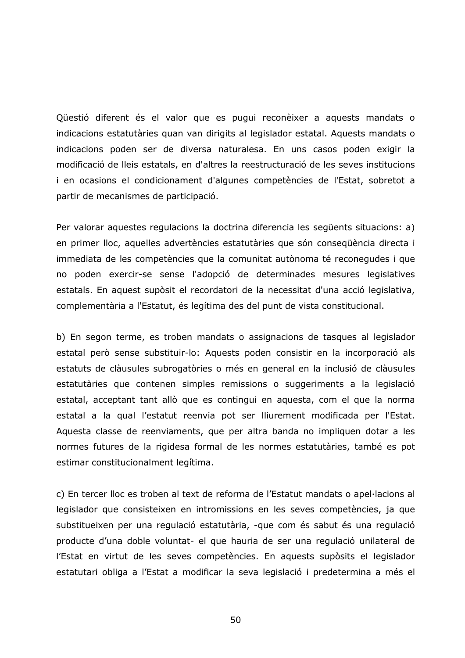Qüestió diferent és el valor que es pugui reconèixer a aquests mandats o indicacions estatutàries quan van dirigits al legislador estatal. Aquests mandats o indicacions poden ser de diversa naturalesa. En uns casos poden exigir la modificació de lleis estatals, en d'altres la reestructuració de les seves institucions i en ocasions el condicionament d'algunes competències de l'Estat, sobretot a partir de mecanismes de participació.

Per valorar aquestes regulacions la doctrina diferencia les següents situacions: a) en primer lloc, aquelles advertències estatutàries que són consequència directa i immediata de les competències que la comunitat autònoma té reconegudes i que no poden exercir-se sense l'adopció de determinades mesures legislatives estatals. En aquest supòsit el recordatori de la necessitat d'una acció legislativa, complementària a l'Estatut, és legítima des del punt de vista constitucional.

b) En segon terme, es troben mandats o assignacions de tasques al legislador estatal però sense substituir-lo: Aquests poden consistir en la incorporació als estatuts de clàusules subrogatòries o més en general en la inclusió de clàusules estatutàries que contenen simples remissions o suggeriments a la legislació estatal, acceptant tant allò que es contingui en aquesta, com el que la norma estatal a la qual l'estatut reenvia pot ser lliurement modificada per l'Estat. Aquesta classe de reenviaments, que per altra banda no impliquen dotar a les normes futures de la rigidesa formal de les normes estatutàries, també es pot estimar constitucionalment legítima.

c) En tercer lloc es troben al text de reforma de l'Estatut mandats o apel·lacions al legislador que consisteixen en intromissions en les seves competències, ja que substitueixen per una regulació estatutària, -que com és sabut és una regulació producte d'una doble voluntat- el que hauria de ser una regulació unilateral de l'Estat en virtut de les seves competències. En aquests supòsits el legislador estatutari obliga a l'Estat a modificar la seva legislació i predetermina a més el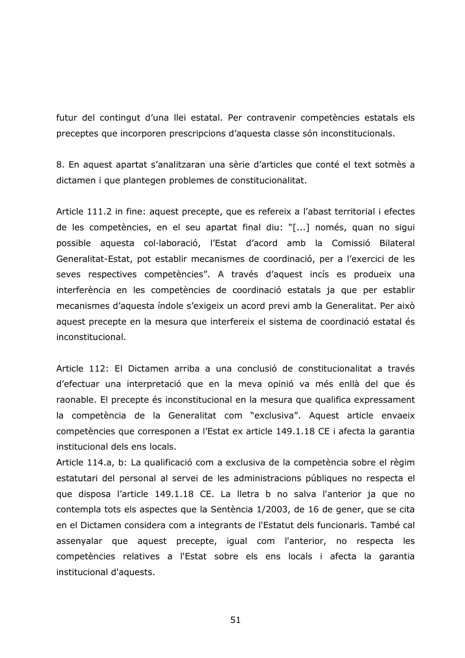futur del contingut d'una llei estatal. Per contravenir competències estatals els preceptes que incorporen prescripcions d'aquesta classe són inconstitucionals.

8. En aquest apartat s'analitzaran una sèrie d'articles que conté el text sotmès a dictamen i que plantegen problemes de constitucionalitat.

Article 111.2 in fine: aquest precepte, que es refereix a l'abast territorial i efectes de les competències, en el seu apartat final diu: "[...] només, quan no sigui possible aquesta col·laboració, l'Estat d'acord amb la Comissió Bilateral Generalitat-Estat, pot establir mecanismes de coordinació, per a l'exercici de les seves respectives competències". A través d'aquest incís es produeix una interferència en les competències de coordinació estatals ja que per establir mecanismes d'aquesta índole s'exigeix un acord previ amb la Generalitat. Per això aquest precepte en la mesura que interfereix el sistema de coordinació estatal és inconstitucional.

Article 112: El Dictamen arriba a una conclusió de constitucionalitat a través d'efectuar una interpretació que en la meva opinió va més enllà del que és raonable. El precepte és inconstitucional en la mesura que qualifica expressament la competència de la Generalitat com "exclusiva". Aquest article envaeix competències que corresponen a l'Estat ex article 149.1.18 CE i afecta la garantia institucional dels ens locals.

Article 114.a, b: La qualificació com a exclusiva de la competència sobre el règim estatutari del personal al servei de les administracions públiques no respecta el que disposa l'article 149.1.18 CE. La lletra b no salva l'anterior ja que no contempla tots els aspectes que la Sentència 1/2003, de 16 de gener, que se cita en el Dictamen considera com a integrants de l'Estatut dels funcionaris. També cal assenyalar que aquest precepte, igual com l'anterior, no respecta les competències relatives a l'Estat sobre els ens locals i afecta la garantia institucional d'aquests.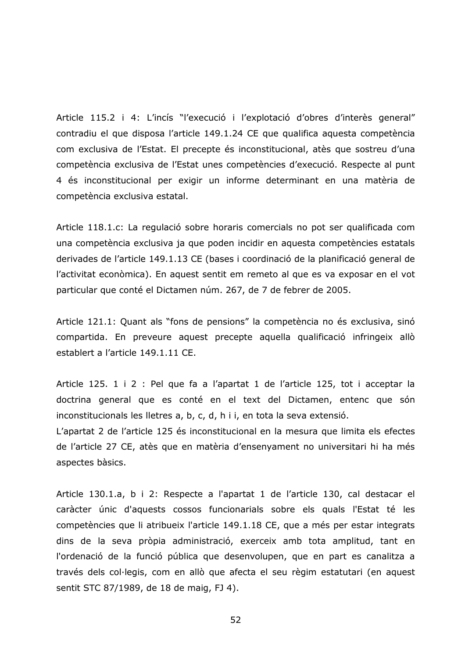Article 115.2 i 4: L'incís "l'execució i l'explotació d'obres d'interès general" contradiu el que disposa l'article 149.1.24 CE que qualifica aquesta competència com exclusiva de l'Estat. El precepte és inconstitucional, atès que sostreu d'una competència exclusiva de l'Estat unes competències d'execució. Respecte al punt 4 és inconstitucional per exigir un informe determinant en una matèria de competència exclusiva estatal.

Article 118.1.c: La regulació sobre horaris comercials no pot ser qualificada com una competència exclusiva ja que poden incidir en aquesta competències estatals derivades de l'article 149.1.13 CE (bases i coordinació de la planificació general de l'activitat econòmica). En aquest sentit em remeto al que es va exposar en el vot particular que conté el Dictamen núm. 267, de 7 de febrer de 2005.

Article 121.1: Quant als "fons de pensions" la competència no és exclusiva, sinó compartida. En preveure aquest precepte aquella qualificació infringeix allò establert a l'article 149.1.11 CE.

Article 125. 1 i 2 : Pel que fa a l'apartat 1 de l'article 125, tot i acceptar la doctrina general que es conté en el text del Dictamen, entenc que són inconstitucionals les lletres a, b, c, d, h i i, en tota la seva extensió.

L'apartat 2 de l'article 125 és inconstitucional en la mesura que limita els efectes de l'article 27 CE, atès que en matèria d'ensenyament no universitari hi ha més aspectes bàsics.

Article 130.1.a, b i 2: Respecte a l'apartat 1 de l'article 130, cal destacar el caràcter únic d'aquests cossos funcionarials sobre els quals l'Estat té les competències que li atribueix l'article 149.1.18 CE, que a més per estar integrats dins de la seva pròpia administració, exerceix amb tota amplitud, tant en l'ordenació de la funció pública que desenvolupen, que en part es canalitza a través dels col·legis, com en allò que afecta el seu règim estatutari (en aquest sentit STC 87/1989, de 18 de maig, FJ 4).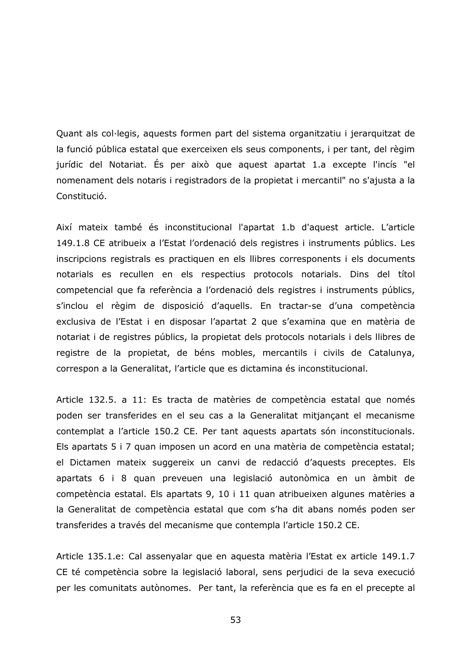Quant als col·legis, aguests formen part del sistema organitzatiu i jerarguitzat de la funció pública estatal que exerceixen els seus components, i per tant, del règim jurídic del Notariat. És per això que aquest apartat 1.a excepte l'incís "el nomenament dels notaris i registradors de la propietat i mercantil" no s'ajusta a la Constitució.

Així mateix també és inconstitucional l'apartat 1.b d'aquest article. L'article 149.1.8 CE atribueix a l'Estat l'ordenació dels registres i instruments públics. Les inscripcions registrals es practiquen en els llibres corresponents i els documents notarials es recullen en els respectius protocols notarials. Dins del títol competencial que fa referència a l'ordenació dels registres i instruments públics, s'inclou el règim de disposició d'aquells. En tractar-se d'una competència exclusiva de l'Estat i en disposar l'apartat 2 que s'examina que en matèria de notariat i de registres públics, la propietat dels protocols notarials i dels llibres de registre de la propietat, de béns mobles, mercantils i civils de Catalunya, correspon a la Generalitat, l'article que es dictamina és inconstitucional.

Article 132.5. a 11: Es tracta de matèries de competència estatal que només poden ser transferides en el seu cas a la Generalitat mitjançant el mecanisme contemplat a l'article 150.2 CE. Per tant aquests apartats són inconstitucionals. Els apartats 5 i 7 quan imposen un acord en una matèria de competència estatal; el Dictamen mateix suggereix un canvi de redacció d'aquests preceptes. Els apartats 6 i 8 quan preveuen una legislació autonòmica en un àmbit de competència estatal. Els apartats 9, 10 i 11 quan atribueixen algunes matèries a la Generalitat de competència estatal que com s'ha dit abans només poden ser transferides a través del mecanisme que contempla l'article 150.2 CE.

Article 135.1.e: Cal assenyalar que en aquesta matèria l'Estat ex article 149.1.7 CE té competència sobre la legislació laboral, sens perjudici de la seva execució per les comunitats autònomes. Per tant, la referència que es fa en el precepte al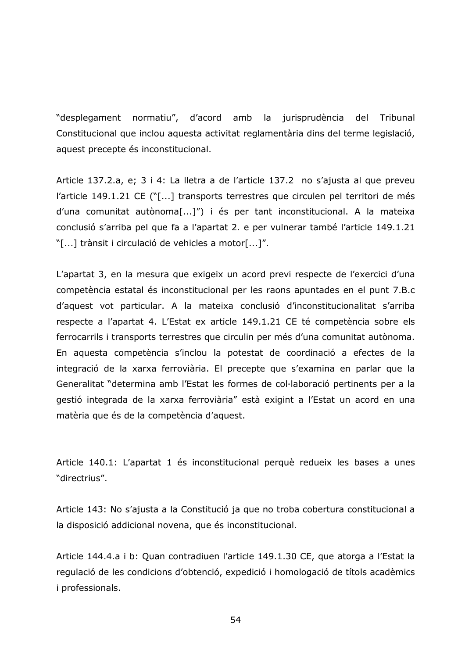"desplegament normatiu", d'acord amb la jurisprudència del Tribunal Constitucional que inclou aquesta activitat reglamentària dins del terme legislació, aquest precepte és inconstitucional.

Article 137.2.a, e; 3 i 4: La lletra a de l'article 137.2 no s'ajusta al que preveu l'article 149.1.21 CE ("[...] transports terrestres que circulen pel territori de més d'una comunitat autònoma[...]") i és per tant inconstitucional. A la mateixa conclusió s'arriba pel que fa a l'apartat 2. e per vulnerar també l'article 149.1.21 "[...] trànsit i circulació de vehicles a motor[...]".

L'apartat 3, en la mesura que exigeix un acord previ respecte de l'exercici d'una competència estatal és inconstitucional per les raons apuntades en el punt 7.B.c d'aquest vot particular. A la mateixa conclusió d'inconstitucionalitat s'arriba respecte a l'apartat 4. L'Estat ex article 149.1.21 CE té competència sobre els ferrocarrils i transports terrestres que circulin per més d'una comunitat autònoma. En aquesta competència s'inclou la potestat de coordinació a efectes de la integració de la xarxa ferroviària. El precepte que s'examina en parlar que la Generalitat "determina amb l'Estat les formes de col·laboració pertinents per a la gestió integrada de la xarxa ferroviària" està exigint a l'Estat un acord en una matèria que és de la competència d'aquest.

Article 140.1: L'apartat 1 és inconstitucional perquè redueix les bases a unes "directrius".

Article 143: No s'ajusta a la Constitució ja que no troba cobertura constitucional a la disposició addicional novena, que és inconstitucional.

Article 144.4.a i b: Quan contradiuen l'article 149.1.30 CE, que atorga a l'Estat la regulació de les condicions d'obtenció, expedició i homologació de títols acadèmics *i* professionals.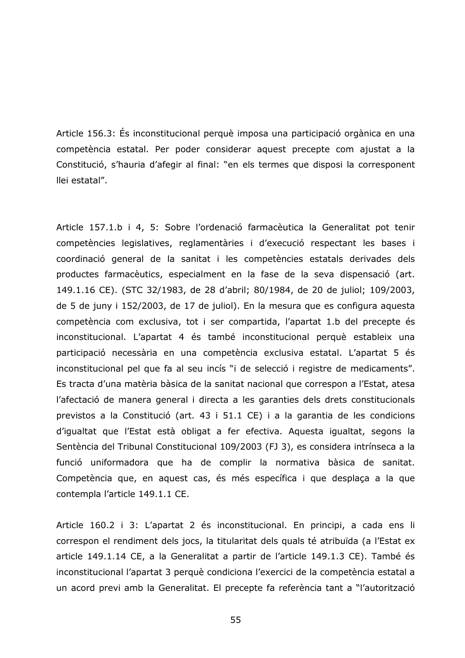Article 156.3: És inconstitucional perquè imposa una participació orgànica en una competència estatal. Per poder considerar aquest precepte com ajustat a la Constitució, s'hauria d'afegir al final: "en els termes que disposi la corresponent llei estatal".

Article 157.1.b i 4, 5: Sobre l'ordenació farmacèutica la Generalitat pot tenir competències legislatives, reglamentàries i d'execució respectant les bases i coordinació general de la sanitat i les competències estatals derivades dels productes farmacèutics, especialment en la fase de la seva dispensació (art. 149.1.16 CE). (STC 32/1983, de 28 d'abril; 80/1984, de 20 de juliol; 109/2003, de 5 de juny i 152/2003, de 17 de juliol). En la mesura que es configura aquesta competència com exclusiva, tot i ser compartida, l'apartat 1.b del precepte és inconstitucional. L'apartat 4 és també inconstitucional perquè estableix una participació necessària en una competència exclusiva estatal. L'apartat 5 és inconstitucional pel que fa al seu incís "i de selecció i registre de medicaments". Es tracta d'una matèria bàsica de la sanitat nacional que correspon a l'Estat, atesa l'afectació de manera general i directa a les garanties dels drets constitucionals previstos a la Constitució (art. 43 i 51.1 CE) i a la garantia de les condicions d'iqualtat que l'Estat està obligat a fer efectiva. Aquesta igualtat, segons la Sentència del Tribunal Constitucional 109/2003 (FJ 3), es considera intrínseca a la funció uniformadora que ha de complir la normativa bàsica de sanitat. Competència que, en aquest cas, és més específica i que desplaça a la que contempla l'article 149.1.1 CE.

Article 160.2 i 3: L'apartat 2 és inconstitucional. En principi, a cada ens li correspon el rendiment dels jocs, la titularitat dels quals té atribuïda (a l'Estat ex article 149.1.14 CE, a la Generalitat a partir de l'article 149.1.3 CE). També és inconstitucional l'apartat 3 perquè condiciona l'exercici de la competència estatal a un acord previ amb la Generalitat. El precepte fa referència tant a "l'autorització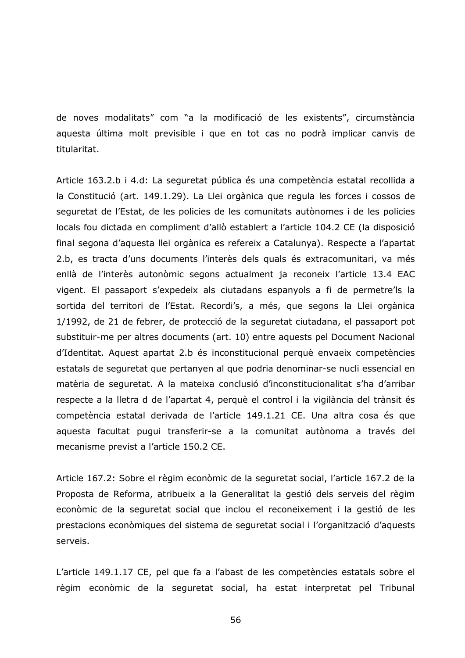de noves modalitats" com "a la modificació de les existents", circumstància aquesta última molt previsible i que en tot cas no podrà implicar canvis de titularitat.

Article 163.2.b i 4.d: La seguretat pública és una competència estatal recollida a la Constitució (art. 149.1.29). La Llei orgànica que regula les forces i cossos de sequretat de l'Estat, de les policies de les comunitats autònomes i de les policies locals fou dictada en compliment d'allò establert a l'article 104.2 CE (la disposició final segona d'aquesta llei orgànica es refereix a Catalunya). Respecte a l'apartat 2.b, es tracta d'uns documents l'interès dels quals és extracomunitari, va més enllà de l'interès autonòmic segons actualment ja reconeix l'article 13.4 EAC vigent. El passaport s'expedeix als ciutadans espanyols a fi de permetre'ls la sortida del territori de l'Estat. Recordi's, a més, que segons la Llei orgànica 1/1992, de 21 de febrer, de protecció de la seguretat ciutadana, el passaport pot substituir-me per altres documents (art. 10) entre aquests pel Document Nacional d'Identitat. Aquest apartat 2.b és inconstitucional perquè envaeix competències estatals de seguretat que pertanyen al que podria denominar-se nucli essencial en matèria de seguretat. A la mateixa conclusió d'inconstitucionalitat s'ha d'arribar respecte a la lletra d de l'apartat 4, perquè el control i la vigilància del trànsit és competència estatal derivada de l'article 149.1.21 CE. Una altra cosa és que aquesta facultat pugui transferir-se a la comunitat autònoma a través del mecanisme previst a l'article 150.2 CE.

Article 167.2: Sobre el règim econòmic de la seguretat social, l'article 167.2 de la Proposta de Reforma, atribueix a la Generalitat la gestió dels serveis del règim econòmic de la seguretat social que inclou el reconeixement i la gestió de les prestacions econòmiques del sistema de seguretat social i l'organització d'aquests serveis.

L'article 149.1.17 CE, pel que fa a l'abast de les competències estatals sobre el règim econòmic de la seguretat social, ha estat interpretat pel Tribunal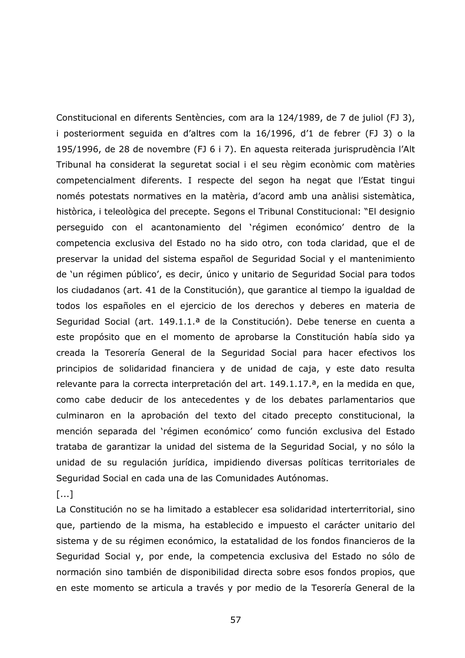Constitucional en diferents Sentències, com ara la 124/1989, de 7 de juliol (FJ 3), i posteriorment sequida en d'altres com la 16/1996, d'1 de febrer (FJ 3) o la 195/1996, de 28 de novembre (FJ 6 i 7). En aquesta reiterada jurisprudència l'Alt Tribunal ha considerat la seguretat social i el seu règim econòmic com matèries competencialment diferents. I respecte del segon ha negat que l'Estat tingui només potestats normatives en la matèria, d'acord amb una anàlisi sistemàtica, històrica, i teleològica del precepte. Segons el Tribunal Constitucional: "El designio perseguido con el acantonamiento del 'régimen económico' dentro de la competencia exclusiva del Estado no ha sido otro, con toda claridad, que el de preservar la unidad del sistema español de Seguridad Social y el mantenimiento de 'un régimen público', es decir, único y unitario de Seguridad Social para todos los ciudadanos (art. 41 de la Constitución), que garantice al tiempo la igualdad de todos los españoles en el ejercicio de los derechos y deberes en materia de Seguridad Social (art. 149.1.1.<sup>a</sup> de la Constitución). Debe tenerse en cuenta a este propósito que en el momento de aprobarse la Constitución había sido ya creada la Tesorería General de la Seguridad Social para hacer efectivos los principios de solidaridad financiera y de unidad de caja, y este dato resulta relevante para la correcta interpretación del art. 149.1.17.<sup>a</sup>, en la medida en que, como cabe deducir de los antecedentes y de los debates parlamentarios que culminaron en la aprobación del texto del citado precepto constitucional, la mención separada del 'régimen económico' como función exclusiva del Estado trataba de garantizar la unidad del sistema de la Seguridad Social, y no sólo la unidad de su regulación jurídica, impidiendo diversas políticas territoriales de Seguridad Social en cada una de las Comunidades Autónomas.

## $\lceil ... \rceil$

La Constitución no se ha limitado a establecer esa solidaridad interterritorial, sino que, partiendo de la misma, ha establecido e impuesto el carácter unitario del sistema y de su régimen económico, la estatalidad de los fondos financieros de la Seguridad Social y, por ende, la competencia exclusiva del Estado no sólo de normación sino también de disponibilidad directa sobre esos fondos propios, que en este momento se articula a través y por medio de la Tesorería General de la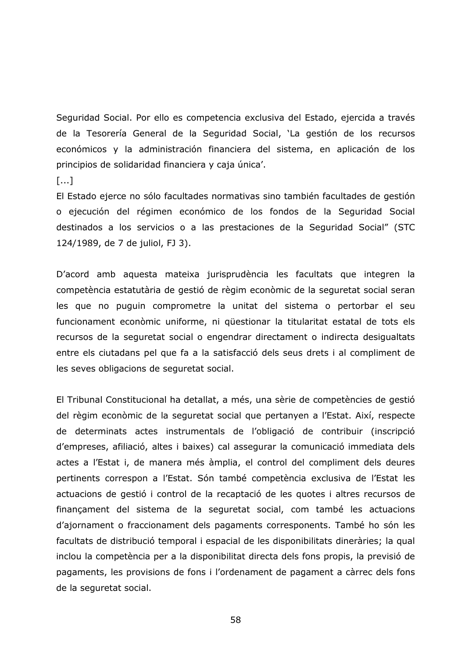Seguridad Social, Por ello es competencia exclusiva del Estado, ejercida a través de la Tesorería General de la Seguridad Social, 'La gestión de los recursos económicos y la administración financiera del sistema, en aplicación de los principios de solidaridad financiera y caja única'.

 $[...]$ 

El Estado ejerce no sólo facultades normativas sino también facultades de gestión o ejecución del régimen económico de los fondos de la Seguridad Social destinados a los servicios o a las prestaciones de la Seguridad Social" (STC 124/1989, de 7 de juliol, FJ 3).

D'acord amb aquesta mateixa jurisprudència les facultats que integren la competència estatutària de gestió de règim econòmic de la seguretat social seran les que no puguin comprometre la unitat del sistema o pertorbar el seu funcionament econòmic uniforme, ni qüestionar la titularitat estatal de tots els recursos de la seguretat social o engendrar directament o indirecta desigualtats entre els ciutadans pel que fa a la satisfacció dels seus drets i al compliment de les seves obligacions de seguretat social.

El Tribunal Constitucional ha detallat, a més, una sèrie de competències de gestió del règim econòmic de la seguretat social que pertanyen a l'Estat. Així, respecte de determinats actes instrumentals de l'obligació de contribuir (inscripció d'empreses, afiliació, altes i baixes) cal assegurar la comunicació immediata dels actes a l'Estat i, de manera més àmplia, el control del compliment dels deures pertinents correspon a l'Estat. Són també competència exclusiva de l'Estat les actuacions de gestió i control de la recaptació de les quotes i altres recursos de finançament del sistema de la seguretat social, com també les actuacions d'ajornament o fraccionament dels pagaments corresponents. També ho són les facultats de distribució temporal i espacial de les disponibilitats dineràries; la qual inclou la competència per a la disponibilitat directa dels fons propis, la previsió de pagaments, les provisions de fons i l'ordenament de pagament a càrrec dels fons de la seguretat social.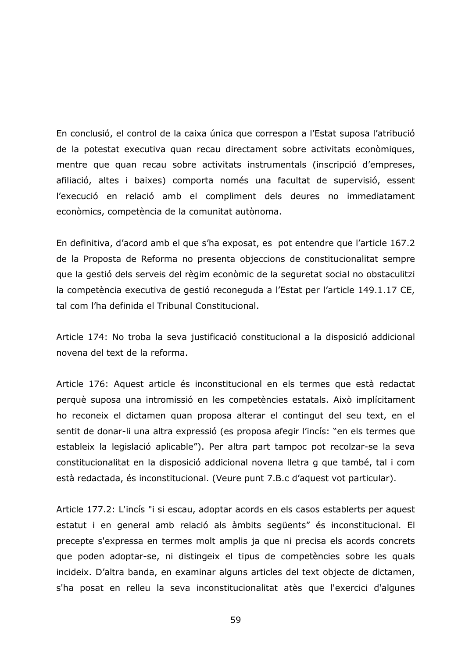En conclusió, el control de la caixa única que correspon a l'Estat suposa l'atribució de la potestat executiva quan recau directament sobre activitats econòmiques, mentre que quan recau sobre activitats instrumentals (inscripció d'empreses, afiliació, altes i baixes) comporta només una facultat de supervisió, essent l'execució en relació amb el compliment dels deures no immediatament econòmics, competència de la comunitat autònoma.

En definitiva, d'acord amb el que s'ha exposat, es pot entendre que l'article 167.2 de la Proposta de Reforma no presenta objeccions de constitucionalitat sempre que la gestió dels serveis del règim econòmic de la seguretat social no obstaculitzi la competència executiva de gestió reconeguda a l'Estat per l'article 149.1.17 CE, tal com l'ha definida el Tribunal Constitucional.

Article 174: No troba la seva justificació constitucional a la disposició addicional novena del text de la reforma.

Article 176: Aquest article és inconstitucional en els termes que està redactat perquè suposa una intromissió en les competències estatals. Això implícitament ho reconeix el dictamen quan proposa alterar el contingut del seu text, en el sentit de donar-li una altra expressió (es proposa afegir l'incís: "en els termes que estableix la legislació aplicable"). Per altra part tampoc pot recolzar-se la seva constitucionalitat en la disposició addicional novena lletra g que també, tal i com està redactada, és inconstitucional. (Veure punt 7.B.c d'aquest vot particular).

Article 177.2: L'incís "i si escau, adoptar acords en els casos establerts per aquest estatut i en general amb relació als àmbits següents" és inconstitucional. El precepte s'expressa en termes molt amplis ja que ni precisa els acords concrets que poden adoptar-se, ni distingeix el tipus de competències sobre les quals incideix. D'altra banda, en examinar alguns articles del text objecte de dictamen, s'ha posat en relleu la seva inconstitucionalitat atès que l'exercici d'algunes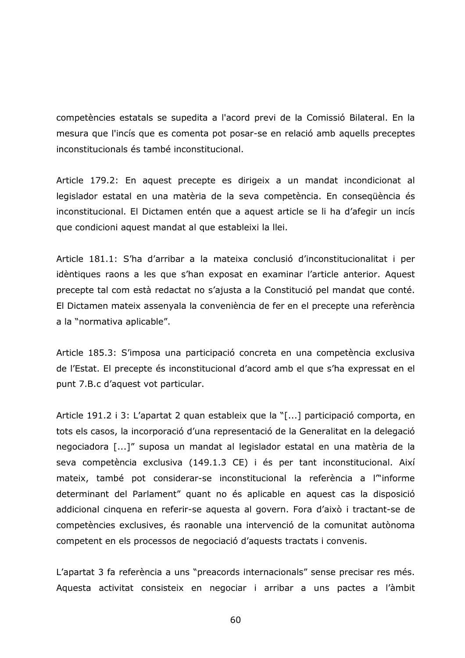competències estatals se supedita a l'acord previ de la Comissió Bilateral. En la mesura que l'incís que es comenta pot posar-se en relació amb aquells preceptes inconstitucionals és també inconstitucional.

Article 179.2: En aquest precepte es dirigeix a un mandat incondicionat al legislador estatal en una matèria de la seva competència. En consequència és inconstitucional. El Dictamen entén que a aquest article se li ha d'afegir un incís que condicioni aquest mandat al que estableixi la llei.

Article 181.1: S'ha d'arribar a la mateixa conclusió d'inconstitucionalitat i per idèntiques raons a les que s'han exposat en examinar l'article anterior. Aquest precepte tal com està redactat no s'ajusta a la Constitució pel mandat que conté. El Dictamen mateix assenyala la conveniència de fer en el precepte una referència a la "normativa aplicable".

Article 185.3: S'imposa una participació concreta en una competència exclusiva de l'Estat. El precepte és inconstitucional d'acord amb el que s'ha expressat en el punt 7.B.c d'aquest vot particular.

Article 191.2 i 3: L'apartat 2 quan estableix que la "[...] participació comporta, en tots els casos, la incorporació d'una representació de la Generalitat en la delegació negociadora [...]" suposa un mandat al legislador estatal en una matèria de la seva competència exclusiva (149.1.3 CE) i és per tant inconstitucional. Així mateix, també pot considerar-se inconstitucional la referència a l<sup>on</sup>informe determinant del Parlament" quant no és aplicable en aquest cas la disposició addicional cinquena en referir-se aquesta al govern. Fora d'això i tractant-se de competències exclusives, és raonable una intervenció de la comunitat autònoma competent en els processos de negociació d'aquests tractats i convenis.

L'apartat 3 fa referència a uns "preacords internacionals" sense precisar res més. Aquesta activitat consisteix en negociar i arribar a uns pactes a l'àmbit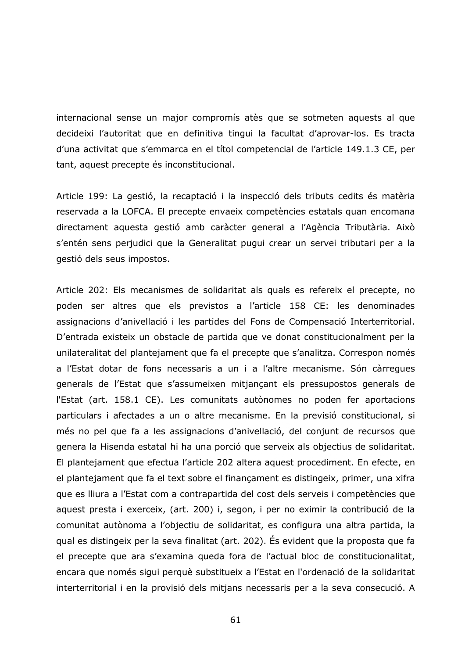internacional sense un major compromís atès que se sotmeten aquests al que decideixi l'autoritat que en definitiva tinqui la facultat d'aprovar-los. Es tracta d'una activitat que s'emmarca en el títol competencial de l'article 149.1.3 CE, per tant, aquest precepte és inconstitucional.

Article 199: La gestió, la recaptació i la inspecció dels tributs cedits és matèria reservada a la LOFCA. El precepte envaeix competències estatals quan encomana directament aquesta gestió amb caràcter general a l'Agència Tributària. Això s'entén sens perjudici que la Generalitat pugui crear un servei tributari per a la gestió dels seus impostos.

Article 202: Els mecanismes de solidaritat als quals es refereix el precepte, no poden ser altres que els previstos a l'article 158 CE: les denominades assignacions d'anivellació i les partides del Fons de Compensació Interterritorial. D'entrada existeix un obstacle de partida que ve donat constitucionalment per la unilateralitat del plantejament que fa el precepte que s'analitza. Correspon només a l'Estat dotar de fons necessaris a un i a l'altre mecanisme. Són càrregues generals de l'Estat que s'assumeixen mitjançant els pressupostos generals de l'Estat (art. 158.1 CE). Les comunitats autònomes no poden fer aportacions particulars i afectades a un o altre mecanisme. En la previsió constitucional, si més no pel que fa a les assignacions d'anivellació, del conjunt de recursos que genera la Hisenda estatal hi ha una porció que serveix als objectius de solidaritat. El plantejament que efectua l'article 202 altera aquest procediment. En efecte, en el plantejament que fa el text sobre el finançament es distingeix, primer, una xifra que es lliura a l'Estat com a contrapartida del cost dels serveis i competències que aquest presta i exerceix, (art. 200) i, segon, i per no eximir la contribució de la comunitat autònoma a l'objectiu de solidaritat, es configura una altra partida, la qual es distingeix per la seva finalitat (art. 202). És evident que la proposta que fa el precepte que ara s'examina queda fora de l'actual bloc de constitucionalitat, encara que només sigui perquè substitueix a l'Estat en l'ordenació de la solidaritat interterritorial i en la provisió dels mitjans necessaris per a la seva consecució. A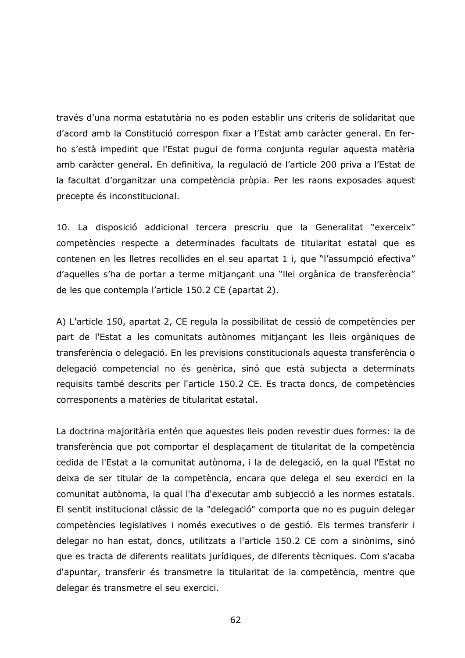través d'una norma estatutària no es poden establir uns criteris de solidaritat que d'acord amb la Constitució correspon fixar a l'Estat amb caràcter general. En ferho s'està impedint que l'Estat pugui de forma conjunta regular aquesta matèria amb caràcter general. En definitiva, la regulació de l'article 200 priva a l'Estat de la facultat d'organitzar una competència pròpia. Per les raons exposades aquest precepte és inconstitucional.

10. La disposició addicional tercera prescriu que la Generalitat "exerceix" competències respecte a determinades facultats de titularitat estatal que es contenen en les lletres recollides en el seu apartat 1 i, que "l'assumpció efectiva" d'aquelles s'ha de portar a terme mitjançant una "llei orgànica de transferència" de les que contempla l'article 150.2 CE (apartat 2).

A) L'article 150, apartat 2, CE regula la possibilitat de cessió de competències per part de l'Estat a les comunitats autònomes mitjançant les lleis orgàniques de transferència o delegació. En les previsions constitucionals aquesta transferència o delegació competencial no és genèrica, sinó que està subjecta a determinats requisits també descrits per l'article 150.2 CE. Es tracta doncs, de competències corresponents a matèries de titularitat estatal.

La doctrina majoritària entén que aquestes lleis poden revestir dues formes: la de transferència que pot comportar el desplaçament de titularitat de la competència cedida de l'Estat a la comunitat autònoma, i la de delegació, en la qual l'Estat no deixa de ser titular de la competència, encara que delega el seu exercici en la comunitat autònoma, la qual l'ha d'executar amb subjecció a les normes estatals. El sentit institucional clàssic de la "delegació" comporta que no es puguin delegar competències legislatives i només executives o de gestió. Els termes transferir i delegar no han estat, doncs, utilitzats a l'article 150.2 CE com a sinònims, sinó que es tracta de diferents realitats jurídiques, de diferents tècniques. Com s'acaba d'apuntar, transferir és transmetre la titularitat de la competència, mentre que delegar és transmetre el seu exercici.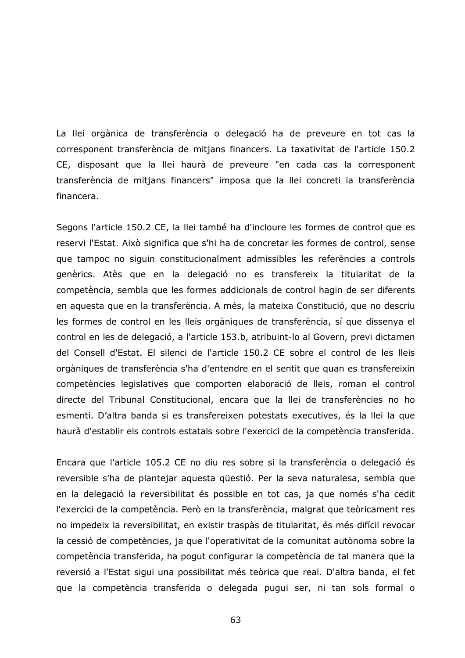La llei orgànica de transferència o delegació ha de preveure en tot cas la corresponent transferència de mitjans financers. La taxativitat de l'article 150.2 CE, disposant que la llei haurà de preveure "en cada cas la corresponent transferència de mitjans financers" imposa que la llei concreti la transferència financera.

Segons l'article 150.2 CE, la llei també ha d'incloure les formes de control que es reservi l'Estat. Això significa que s'hi ha de concretar les formes de control, sense que tampoc no siguin constitucionalment admissibles les referències a controls genèrics. Atès que en la delegació no es transfereix la titularitat de la competència, sembla que les formes addicionals de control hagin de ser diferents en aquesta que en la transferència. A més, la mateixa Constitució, que no descriu les formes de control en les lleis orgàniques de transferència, sí que dissenya el control en les de delegació, a l'article 153.b, atribuint-lo al Govern, previ dictamen del Consell d'Estat. El silenci de l'article 150.2 CE sobre el control de les lleis orgàniques de transferència s'ha d'entendre en el sentit que quan es transfereixin competències legislatives que comporten elaboració de lleis, roman el control directe del Tribunal Constitucional, encara que la llei de transferències no ho esmenti. D'altra banda si es transfereixen potestats executives, és la llei la que haurà d'establir els controls estatals sobre l'exercici de la competència transferida.

Encara que l'article 105.2 CE no diu res sobre si la transferència o delegació és reversible s'ha de plantejar aquesta questió. Per la seva naturalesa, sembla que en la delegació la reversibilitat és possible en tot cas, ja que només s'ha cedit l'exercici de la competència. Però en la transferència, malgrat que teòricament res no impedeix la reversibilitat, en existir traspàs de titularitat, és més difícil revocar la cessió de competències, ja que l'operativitat de la comunitat autònoma sobre la competència transferida, ha pogut configurar la competència de tal manera que la reversió a l'Estat sigui una possibilitat més teòrica que real. D'altra banda, el fet que la competència transferida o delegada pugui ser, ni tan sols formal o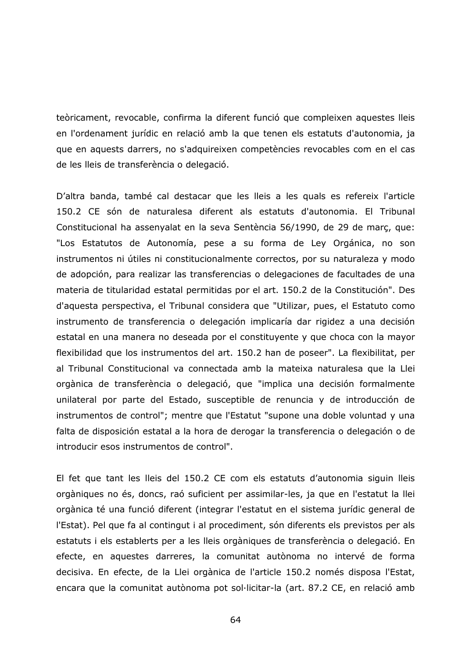teòricament, revocable, confirma la diferent funció que compleixen aquestes lleis en l'ordenament jurídic en relació amb la que tenen els estatuts d'autonomia, ja que en aquests darrers, no s'adquireixen competències revocables com en el cas de les lleis de transferència o delegació.

D'altra banda, també cal destacar que les lleis a les quals es refereix l'article 150.2 CE són de naturalesa diferent als estatuts d'autonomia. El Tribunal Constitucional ha assenyalat en la seva Sentència 56/1990, de 29 de març, que: "Los Estatutos de Autonomía, pese a su forma de Ley Orgánica, no son instrumentos ni útiles ni constitucionalmente correctos, por su naturaleza y modo de adopción, para realizar las transferencias o delegaciones de facultades de una materia de titularidad estatal permitidas por el art. 150.2 de la Constitución". Des d'aquesta perspectiva, el Tribunal considera que "Utilizar, pues, el Estatuto como instrumento de transferencia o delegación implicaría dar rigidez a una decisión estatal en una manera no deseada por el constituyente y que choca con la mayor flexibilidad que los instrumentos del art. 150.2 han de poseer". La flexibilitat, per al Tribunal Constitucional va connectada amb la mateixa naturalesa que la Llei orgànica de transferència o delegació, que "implica una decisión formalmente unilateral por parte del Estado, susceptible de renuncia y de introducción de instrumentos de control"; mentre que l'Estatut "supone una doble voluntad y una falta de disposición estatal a la hora de derogar la transferencia o delegación o de introducir esos instrumentos de control".

El fet que tant les lleis del 150.2 CE com els estatuts d'autonomia siguin lleis orgàniques no és, doncs, raó suficient per assimilar-les, ja que en l'estatut la llei orgànica té una funció diferent (integrar l'estatut en el sistema jurídic general de l'Estat). Pel que fa al contingut i al procediment, són diferents els previstos per als estatuts i els establerts per a les lleis orgàniques de transferència o delegació. En efecte, en aquestes darreres, la comunitat autònoma no intervé de forma decisiva. En efecte, de la Llei orgànica de l'article 150.2 només disposa l'Estat, encara que la comunitat autònoma pot sol·licitar-la (art. 87.2 CE, en relació amb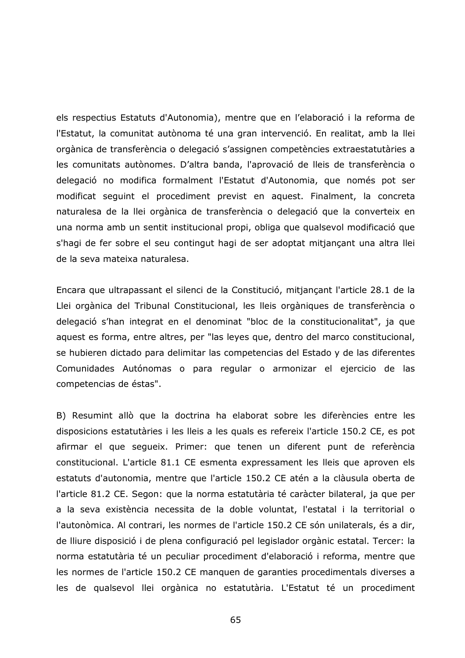els respectius Estatuts d'Autonomia), mentre que en l'elaboració i la reforma de l'Estatut, la comunitat autònoma té una gran intervenció. En realitat, amb la llei orgànica de transferència o delegació s'assignen competències extraestatutàries a les comunitats autònomes. D'altra banda, l'aprovació de lleis de transferència o delegació no modifica formalment l'Estatut d'Autonomia, que només pot ser modificat seguint el procediment previst en aquest. Finalment, la concreta naturalesa de la llei orgànica de transferència o delegació que la converteix en una norma amb un sentit institucional propi, obliga que qualsevol modificació que s'hagi de fer sobre el seu contingut hagi de ser adoptat mitjançant una altra llei de la seva mateixa naturalesa.

Encara que ultrapassant el silenci de la Constitució, mitjançant l'article 28.1 de la Llei orgànica del Tribunal Constitucional, les lleis orgàniques de transferència o delegació s'han integrat en el denominat "bloc de la constitucionalitat", ja que aquest es forma, entre altres, per "las leyes que, dentro del marco constitucional, se hubieren dictado para delimitar las competencias del Estado y de las diferentes Comunidades Autónomas o para regular o armonizar el ejercicio de las competencias de éstas".

B) Resumint allò que la doctrina ha elaborat sobre les diferències entre les disposicions estatutàries i les lleis a les quals es refereix l'article 150.2 CE, es pot afirmar el que segueix. Primer: que tenen un diferent punt de referència constitucional. L'article 81.1 CE esmenta expressament les lleis que aproven els estatuts d'autonomia, mentre que l'article 150.2 CE atén a la clàusula oberta de l'article 81.2 CE. Segon: que la norma estatutària té caràcter bilateral, ja que per a la seva existència necessita de la doble voluntat, l'estatal i la territorial o l'autonòmica. Al contrari, les normes de l'article 150.2 CE són unilaterals, és a dir, de lliure disposició i de plena configuració pel legislador orgànic estatal. Tercer: la norma estatutària té un peculiar procediment d'elaboració i reforma, mentre que les normes de l'article 150.2 CE manquen de garanties procedimentals diverses a les de qualsevol llei orgànica no estatutària. L'Estatut té un procediment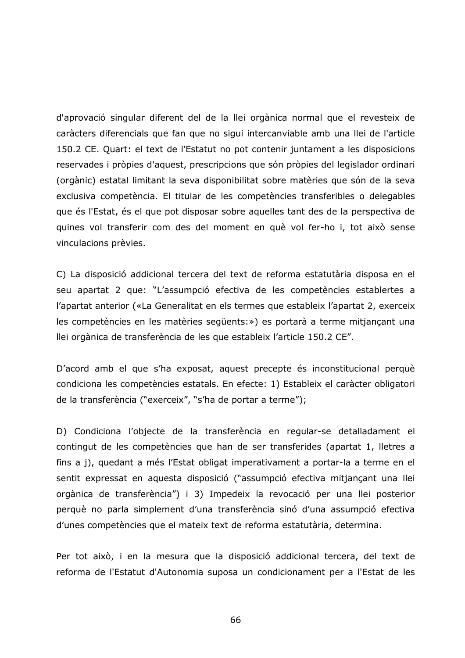d'aprovació singular diferent del de la llei orgànica normal que el revesteix de caràcters diferencials que fan que no sigui intercanviable amb una llei de l'article 150.2 CE. Quart: el text de l'Estatut no pot contenir juntament a les disposicions reservades i pròpies d'aquest, prescripcions que són pròpies del legislador ordinari (orgànic) estatal limitant la seva disponibilitat sobre matèries que són de la seva exclusiva competència. El titular de les competències transferibles o delegables que és l'Estat, és el que pot disposar sobre aquelles tant des de la perspectiva de quines vol transferir com des del moment en què vol fer-ho i, tot això sense vinculacions prèvies.

C) La disposició addicional tercera del text de reforma estatutària disposa en el seu apartat 2 que: "L'assumpció efectiva de les competències establertes a l'apartat anterior («La Generalitat en els termes que estableix l'apartat 2, exerceix les competències en les matèries següents:») es portarà a terme mitjançant una llei orgànica de transferència de les que estableix l'article 150.2 CE".

D'acord amb el que s'ha exposat, aquest precepte és inconstitucional perquè condiciona les competències estatals. En efecte: 1) Estableix el caràcter obligatori de la transferència ("exerceix", "s'ha de portar a terme");

D) Condiciona l'objecte de la transferència en regular-se detalladament el contingut de les competències que han de ser transferides (apartat 1, lletres a fins a j), quedant a més l'Estat obligat imperativament a portar-la a terme en el sentit expressat en aquesta disposició ("assumpció efectiva mitjançant una llei orgànica de transferència") i 3) Impedeix la revocació per una llei posterior perquè no parla simplement d'una transferència sinó d'una assumpció efectiva d'unes competències que el mateix text de reforma estatutària, determina.

Per tot això, i en la mesura que la disposició addicional tercera, del text de reforma de l'Estatut d'Autonomia suposa un condicionament per a l'Estat de les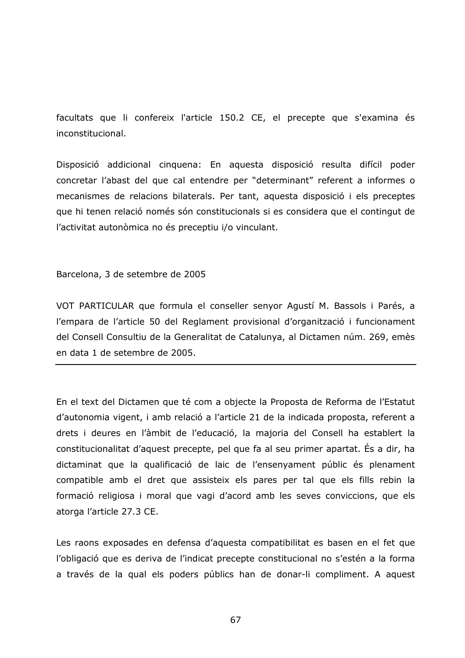facultats que li confereix l'article 150.2 CE, el precepte que s'examina és inconstitucional.

Disposició addicional cinquena: En aquesta disposició resulta difícil poder concretar l'abast del que cal entendre per "determinant" referent a informes o mecanismes de relacions bilaterals. Per tant, aquesta disposició i els preceptes que hi tenen relació només són constitucionals si es considera que el contingut de l'activitat autonòmica no és preceptiu i/o vinculant.

Barcelona, 3 de setembre de 2005

VOT PARTICULAR que formula el conseller senyor Agustí M. Bassols i Parés, a l'empara de l'article 50 del Reglament provisional d'organització i funcionament del Consell Consultiu de la Generalitat de Catalunya, al Dictamen núm. 269, emès en data 1 de setembre de 2005.

En el text del Dictamen que té com a objecte la Proposta de Reforma de l'Estatut d'autonomia vigent, i amb relació a l'article 21 de la indicada proposta, referent a drets i deures en l'àmbit de l'educació, la majoria del Consell ha establert la constitucionalitat d'aquest precepte, pel que fa al seu primer apartat. És a dir, ha dictaminat que la qualificació de laic de l'ensenyament públic és plenament compatible amb el dret que assisteix els pares per tal que els fills rebin la formació religiosa i moral que vagi d'acord amb les seves conviccions, que els atorga l'article 27.3 CE.

Les raons exposades en defensa d'aquesta compatibilitat es basen en el fet que l'obligació que es deriva de l'indicat precepte constitucional no s'estén a la forma a través de la qual els poders públics han de donar-li compliment. A aquest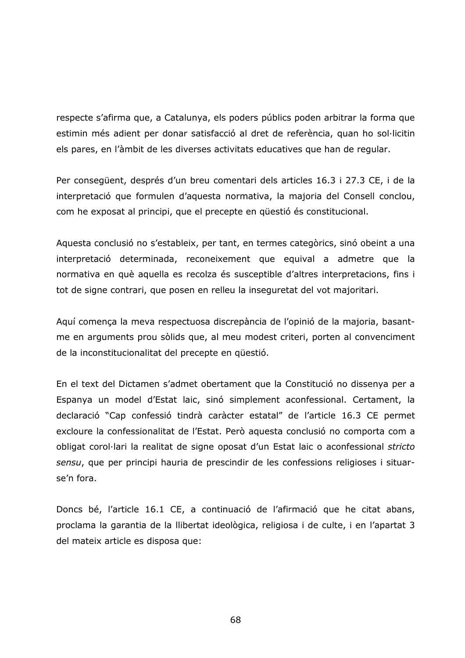respecte s'afirma que, a Catalunya, els poders públics poden arbitrar la forma que estimin més adient per donar satisfacció al dret de referència, quan ho sol·licitin els pares, en l'àmbit de les diverses activitats educatives que han de regular.

Per consequent, després d'un breu comentari dels articles 16.3 i 27.3 CE, i de la interpretació que formulen d'aquesta normativa, la majoria del Consell conclou, com he exposat al principi, que el precepte en questió és constitucional.

Aquesta conclusió no s'estableix, per tant, en termes categòrics, sinó obeint a una interpretació determinada, reconeixement que equival a admetre que la normativa en què aquella es recolza és susceptible d'altres interpretacions, fins i tot de signe contrari, que posen en relleu la inseguretat del vot majoritari.

Aquí comença la meva respectuosa discrepància de l'opinió de la majoria, basantme en arguments prou sòlids que, al meu modest criteri, porten al convenciment de la inconstitucionalitat del precepte en questió.

En el text del Dictamen s'admet obertament que la Constitució no dissenya per a Espanya un model d'Estat laic, sinó simplement aconfessional. Certament, la declaració "Cap confessió tindrà caràcter estatal" de l'article 16.3 CE permet excloure la confessionalitat de l'Estat. Però aquesta conclusió no comporta com a obligat corol·lari la realitat de signe oposat d'un Estat laic o aconfessional stricto sensu, que per principi hauria de prescindir de les confessions religioses i situarse'n fora.

Doncs bé, l'article 16.1 CE, a continuació de l'afirmació que he citat abans, proclama la garantia de la llibertat ideològica, religiosa i de culte, i en l'apartat 3 del mateix article es disposa que: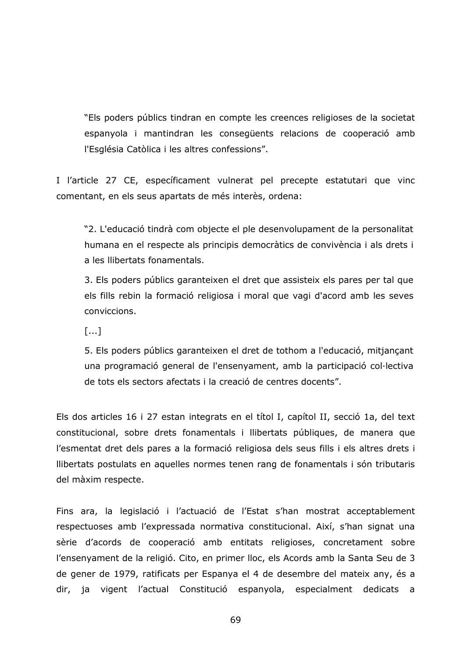"Els poders públics tindran en compte les creences religioses de la societat espanyola i mantindran les consegüents relacions de cooperació amb l'Església Catòlica i les altres confessions".

I l'article 27 CE, específicament vulnerat pel precepte estatutari que vinc comentant, en els seus apartats de més interès, ordena:

"2. L'educació tindrà com objecte el ple desenvolupament de la personalitat humana en el respecte als principis democràtics de convivència i als drets i a les llibertats fonamentals.

3. Els poders públics garanteixen el dret que assisteix els pares per tal que els fills rebin la formació religiosa i moral que vagi d'acord amb les seves conviccions.

 $[...]$ 

5. Els poders públics garanteixen el dret de tothom a l'educació, mitjançant una programació general de l'ensenyament, amb la participació col·lectiva de tots els sectors afectats i la creació de centres docents".

Els dos articles 16 i 27 estan integrats en el títol I, capítol II, secció 1a, del text constitucional, sobre drets fonamentals i llibertats públiques, de manera que l'esmentat dret dels pares a la formació religiosa dels seus fills i els altres drets i Ilibertats postulats en aquelles normes tenen rang de fonamentals i són tributaris del màxim respecte.

Fins ara, la legislació i l'actuació de l'Estat s'han mostrat acceptablement respectuoses amb l'expressada normativa constitucional. Així, s'han signat una sèrie d'acords de cooperació amb entitats religioses, concretament sobre l'ensenyament de la religió. Cito, en primer lloc, els Acords amb la Santa Seu de 3 de gener de 1979, ratificats per Espanya el 4 de desembre del mateix any, és a dir, ja vigent l'actual Constitució espanyola, especialment dedicats a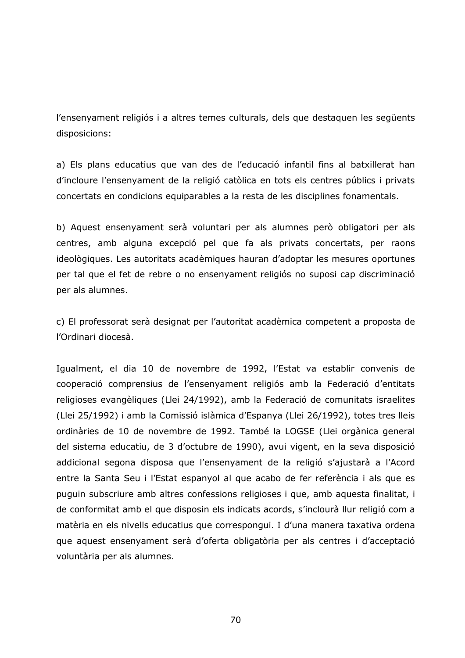l'ensenvament religiós i a altres temes culturals, dels que destaguen les següents disposicions:

a) Els plans educatius que van des de l'educació infantil fins al batxillerat han d'incloure l'ensenyament de la religió catòlica en tots els centres públics i privats concertats en condicions equiparables a la resta de les disciplines fonamentals.

b) Aquest ensenyament serà voluntari per als alumnes però obligatori per als centres, amb alguna excepció pel que fa als privats concertats, per raons ideològiques. Les autoritats acadèmiques hauran d'adoptar les mesures oportunes per tal que el fet de rebre o no ensenyament religiós no suposi cap discriminació per als alumnes.

c) El professorat serà designat per l'autoritat acadèmica competent a proposta de l'Ordinari diocesà.

Igualment, el dia 10 de novembre de 1992, l'Estat va establir convenis de cooperació comprensius de l'ensenyament religiós amb la Federació d'entitats religioses evangèliques (Llei 24/1992), amb la Federació de comunitats israelites (Llei 25/1992) i amb la Comissió islàmica d'Espanya (Llei 26/1992), totes tres lleis ordinàries de 10 de novembre de 1992. També la LOGSE (Llei orgànica general del sistema educatiu, de 3 d'octubre de 1990), avui vigent, en la seva disposició addicional segona disposa que l'ensenyament de la religió s'ajustarà a l'Acord entre la Santa Seu i l'Estat espanyol al que acabo de fer referència i als que es puguin subscriure amb altres confessions religioses i que, amb aquesta finalitat, i de conformitat amb el que disposin els indicats acords, s'inclourà llur religió com a matèria en els nivells educatius que correspongui. I d'una manera taxativa ordena que aquest ensenyament serà d'oferta obligatòria per als centres i d'acceptació voluntària per als alumnes.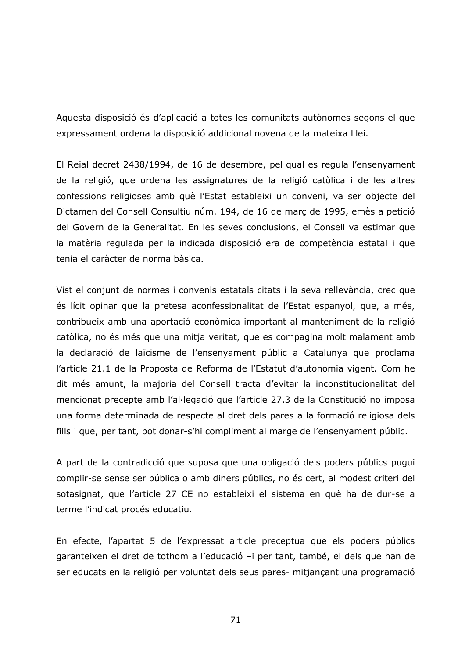Aquesta disposició és d'aplicació a totes les comunitats autònomes segons el que expressament ordena la disposició addicional novena de la mateixa Llei.

El Reial decret 2438/1994, de 16 de desembre, pel qual es regula l'ensenyament de la religió, que ordena les assignatures de la religió catòlica i de les altres confessions religioses amb què l'Estat estableixi un conveni, va ser objecte del Dictamen del Consell Consultiu núm. 194, de 16 de marc de 1995, emès a petició del Govern de la Generalitat. En les seves conclusions, el Consell va estimar que la matèria regulada per la indicada disposició era de competència estatal i que tenia el caràcter de norma bàsica.

Vist el conjunt de normes i convenis estatals citats i la seva rellevància, crec que és lícit opinar que la pretesa aconfessionalitat de l'Estat espanyol, que, a més, contribueix amb una aportació econòmica important al manteniment de la religió catòlica, no és més que una mitja veritat, que es compagina molt malament amb la declaració de laïcisme de l'ensenyament públic a Catalunya que proclama l'article 21.1 de la Proposta de Reforma de l'Estatut d'autonomia vigent. Com he dit més amunt, la majoria del Consell tracta d'evitar la inconstitucionalitat del mencionat precepte amb l'al·legació que l'article 27.3 de la Constitució no imposa una forma determinada de respecte al dret dels pares a la formació religiosa dels fills i que, per tant, pot donar-s'hi compliment al marge de l'ensenyament públic.

A part de la contradicció que suposa que una obligació dels poders públics pugui complir-se sense ser pública o amb diners públics, no és cert, al modest criteri del sotasignat, que l'article 27 CE no estableixi el sistema en què ha de dur-se a terme l'indicat procés educatiu.

En efecte, l'apartat 5 de l'expressat article preceptua que els poders públics garanteixen el dret de tothom a l'educació -i per tant, també, el dels que han de ser educats en la religió per voluntat dels seus pares- mitjançant una programació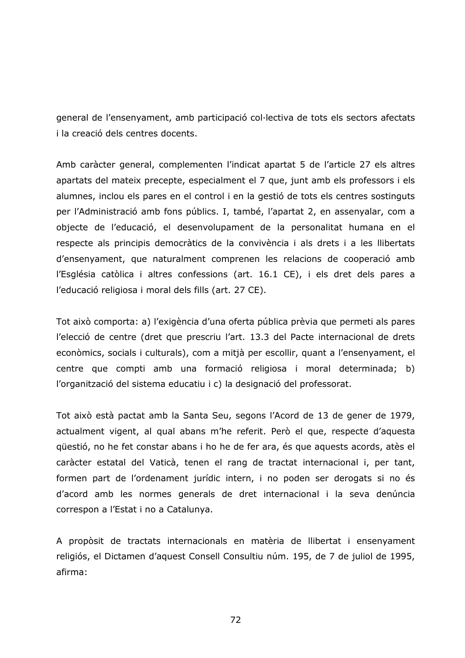general de l'ensenvament, amb participació col·lectiva de tots els sectors afectats i la creació dels centres docents.

Amb caràcter general, complementen l'indicat apartat 5 de l'article 27 els altres apartats del mateix precepte, especialment el 7 que, junt amb els professors i els alumnes, inclou els pares en el control i en la gestió de tots els centres sostinguts per l'Administració amb fons públics. I, també, l'apartat 2, en assenyalar, com a objecte de l'educació, el desenvolupament de la personalitat humana en el respecte als principis democràtics de la convivència i als drets i a les llibertats d'ensenyament, que naturalment comprenen les relacions de cooperació amb l'Església catòlica i altres confessions (art. 16.1 CE), i els dret dels pares a l'educació religiosa i moral dels fills (art. 27 CE).

Tot això comporta: a) l'exigència d'una oferta pública prèvia que permeti als pares l'elecció de centre (dret que prescriu l'art. 13.3 del Pacte internacional de drets econòmics, socials i culturals), com a mitjà per escollir, quant a l'ensenyament, el centre que compti amb una formació religiosa i moral determinada; b) l'organització del sistema educatiu i c) la designació del professorat.

Tot això està pactat amb la Santa Seu, segons l'Acord de 13 de gener de 1979, actualment vigent, al qual abans m'he referit. Però el que, respecte d'aquesta questió, no he fet constar abans i ho he de fer ara, és que aquests acords, atès el caràcter estatal del Vaticà, tenen el rang de tractat internacional i, per tant, formen part de l'ordenament jurídic intern, i no poden ser derogats si no és d'acord amb les normes generals de dret internacional i la seva denúncia correspon a l'Estat i no a Catalunya.

A propòsit de tractats internacionals en matèria de llibertat i ensenyament religiós, el Dictamen d'aquest Consell Consultiu núm. 195, de 7 de juliol de 1995, afirma: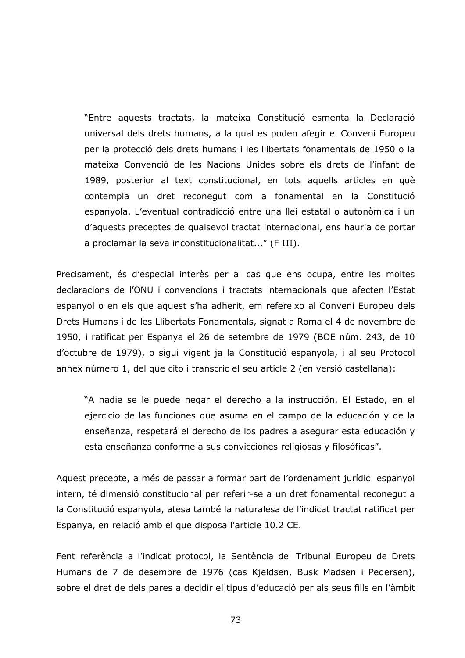"Entre aquests tractats, la mateixa Constitució esmenta la Declaració universal dels drets humans, a la qual es poden afegir el Conveni Europeu per la protecció dels drets humans i les llibertats fonamentals de 1950 o la mateixa Convenció de les Nacions Unides sobre els drets de l'infant de 1989, posterior al text constitucional, en tots aquells articles en què contempla un dret reconegut com a fonamental en la Constitució espanyola. L'eventual contradicció entre una llei estatal o autonòmica i un d'aquests preceptes de qualsevol tractat internacional, ens hauria de portar a proclamar la seva inconstitucionalitat..." (F III).

Precisament, és d'especial interès per al cas que ens ocupa, entre les moltes declaracions de l'ONU i convencions i tractats internacionals que afecten l'Estat espanyol o en els que aquest s'ha adherit, em refereixo al Conveni Europeu dels Drets Humans i de les Llibertats Fonamentals, signat a Roma el 4 de novembre de 1950, i ratificat per Espanya el 26 de setembre de 1979 (BOE núm. 243, de 10 d'octubre de 1979), o sigui vigent ja la Constitució espanyola, i al seu Protocol annex número 1, del que cito i transcric el seu article 2 (en versió castellana):

"A nadie se le puede negar el derecho a la instrucción. El Estado, en el ejercicio de las funciones que asuma en el campo de la educación y de la enseñanza, respetará el derecho de los padres a asegurar esta educación y esta enseñanza conforme a sus convicciones religiosas y filosóficas".

Aquest precepte, a més de passar a formar part de l'ordenament jurídic espanyol intern, té dimensió constitucional per referir-se a un dret fonamental reconegut a la Constitució espanyola, atesa també la naturalesa de l'indicat tractat ratificat per Espanya, en relació amb el que disposa l'article 10.2 CE.

Fent referència a l'indicat protocol, la Sentència del Tribunal Europeu de Drets Humans de 7 de desembre de 1976 (cas Kjeldsen, Busk Madsen i Pedersen), sobre el dret de dels pares a decidir el tipus d'educació per als seus fills en l'àmbit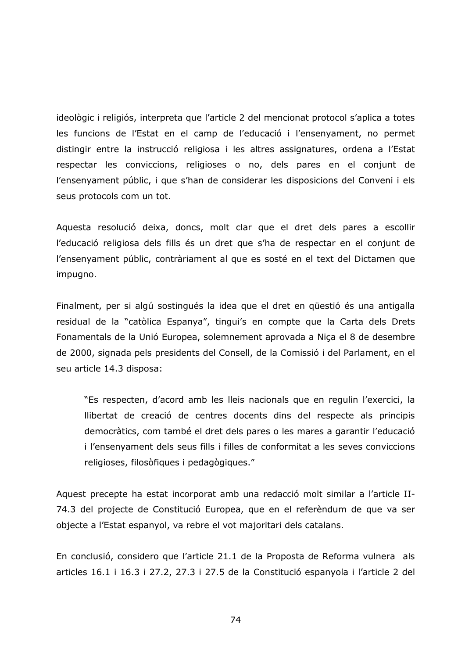ideològic i religiós, interpreta que l'article 2 del mencionat protocol s'aplica a totes les funcions de l'Estat en el camp de l'educació i l'ensenyament, no permet distingir entre la instrucció religiosa i les altres assignatures, ordena a l'Estat respectar les conviccions, religioses o no, dels pares en el conjunt de l'ensenyament públic, i que s'han de considerar les disposicions del Conveni i els seus protocols com un tot.

Aquesta resolució deixa, doncs, molt clar que el dret dels pares a escollir l'educació religiosa dels fills és un dret que s'ha de respectar en el conjunt de l'ensenyament públic, contràriament al que es sosté en el text del Dictamen que impugno.

Finalment, per si algú sostingués la idea que el dret en güestió és una antigalla residual de la "catòlica Espanya", tingui's en compte que la Carta dels Drets Fonamentals de la Unió Europea, solemnement aprovada a Niça el 8 de desembre de 2000, signada pels presidents del Consell, de la Comissió i del Parlament, en el seu article 14.3 disposa:

"Es respecten, d'acord amb les lleis nacionals que en regulin l'exercici, la Ilibertat de creació de centres docents dins del respecte als principis democràtics, com també el dret dels pares o les mares a garantir l'educació i l'ensenyament dels seus fills i filles de conformitat a les seves conviccions religioses, filosòfiques i pedagògiques."

Aquest precepte ha estat incorporat amb una redacció molt similar a l'article II-74.3 del projecte de Constitució Europea, que en el referèndum de que va ser objecte a l'Estat espanyol, va rebre el vot majoritari dels catalans.

En conclusió, considero que l'article 21.1 de la Proposta de Reforma vulnera als articles 16.1 i 16.3 i 27.2, 27.3 i 27.5 de la Constitució espanyola i l'article 2 del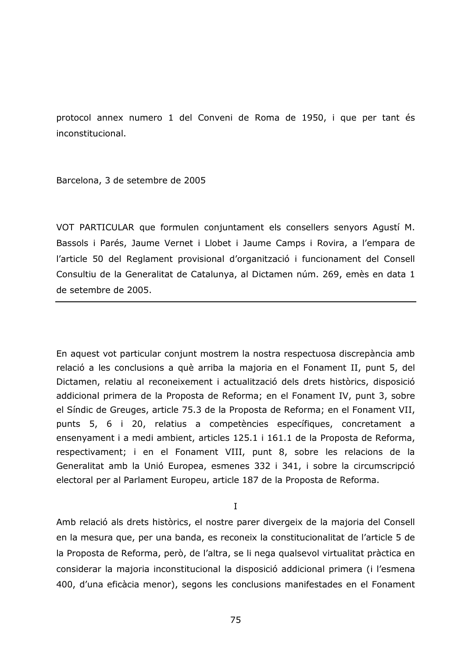protocol annex numero 1 del Conveni de Roma de 1950, i que per tant és inconstitucional.

Barcelona, 3 de setembre de 2005

VOT PARTICULAR que formulen conjuntament els consellers senyors Agustí M. Bassols i Parés, Jaume Vernet i Llobet i Jaume Camps i Rovira, a l'empara de l'article 50 del Reglament provisional d'organització i funcionament del Consell Consultiu de la Generalitat de Catalunya, al Dictamen núm. 269, emès en data 1 de setembre de 2005.

En aquest vot particular conjunt mostrem la nostra respectuosa discrepància amb relació a les conclusions a què arriba la majoria en el Fonament II, punt 5, del Dictamen, relatiu al reconeixement i actualització dels drets històrics, disposició addicional primera de la Proposta de Reforma; en el Fonament IV, punt 3, sobre el Síndic de Greuges, article 75.3 de la Proposta de Reforma; en el Fonament VII, punts 5, 6 i 20, relatius a competències específiques, concretament a ensenyament i a medi ambient, articles 125.1 i 161.1 de la Proposta de Reforma, respectivament; i en el Fonament VIII, punt 8, sobre les relacions de la Generalitat amb la Unió Europea, esmenes 332 i 341, i sobre la circumscripció electoral per al Parlament Europeu, article 187 de la Proposta de Reforma.

I

Amb relació als drets històrics, el nostre parer divergeix de la majoria del Consell en la mesura que, per una banda, es reconeix la constitucionalitat de l'article 5 de la Proposta de Reforma, però, de l'altra, se li nega qualsevol virtualitat pràctica en considerar la majoria inconstitucional la disposició addicional primera (i l'esmena 400, d'una eficàcia menor), segons les conclusions manifestades en el Fonament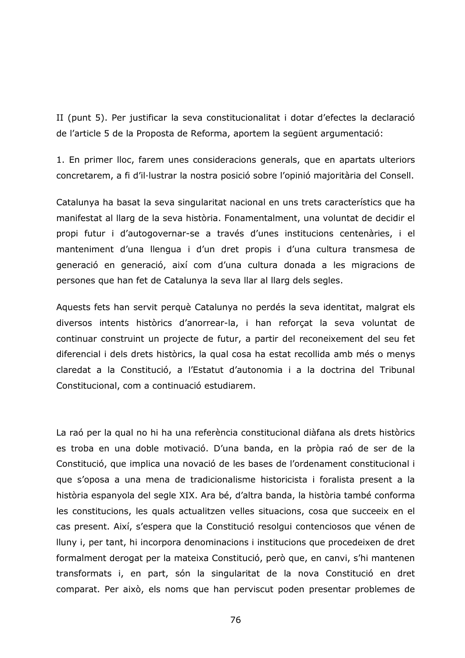II (punt 5). Per justificar la seva constitucionalitat i dotar d'efectes la declaració de l'article 5 de la Proposta de Reforma, aportem la següent argumentació:

1. En primer lloc, farem unes consideracions generals, que en apartats ulteriors concretarem, a fi d'il·lustrar la nostra posició sobre l'opinió majoritària del Consell.

Catalunya ha basat la seva singularitat nacional en uns trets característics que ha manifestat al llarg de la seva història. Fonamentalment, una voluntat de decidir el propi futur i d'autogovernar-se a través d'unes institucions centenàries, i el manteniment d'una llengua i d'un dret propis i d'una cultura transmesa de generació en generació, així com d'una cultura donada a les migracions de persones que han fet de Catalunya la seva llar al llarg dels segles.

Aquests fets han servit perquè Catalunya no perdés la seva identitat, malgrat els diversos intents històrics d'anorrear-la, i han reforçat la seva voluntat de continuar construint un projecte de futur, a partir del reconeixement del seu fet diferencial i dels drets històrics, la qual cosa ha estat recollida amb més o menys claredat a la Constitució, a l'Estatut d'autonomia i a la doctrina del Tribunal Constitucional, com a continuació estudiarem.

La raó per la qual no hi ha una referència constitucional diàfana als drets històrics es troba en una doble motivació. D'una banda, en la pròpia raó de ser de la Constitució, que implica una novació de les bases de l'ordenament constitucional i que s'oposa a una mena de tradicionalisme historicista i foralista present a la història espanyola del segle XIX. Ara bé, d'altra banda, la història també conforma les constitucions, les quals actualitzen velles situacions, cosa que succeeix en el cas present. Així, s'espera que la Constitució resolgui contenciosos que vénen de Iluny i, per tant, hi incorpora denominacions i institucions que procedeixen de dret formalment derogat per la mateixa Constitució, però que, en canvi, s'hi mantenen transformats i, en part, són la singularitat de la nova Constitució en dret comparat. Per això, els noms que han perviscut poden presentar problemes de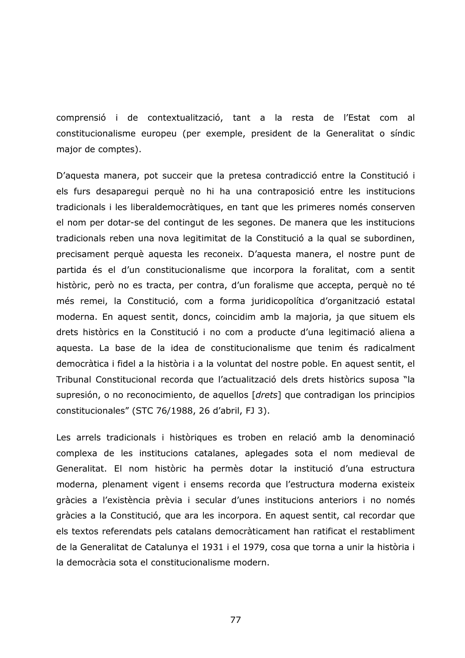comprensió i de contextualització, tant a la resta de l'Estat com al constitucionalisme europeu (per exemple, president de la Generalitat o síndic major de comptes).

D'aquesta manera, pot succeir que la pretesa contradicció entre la Constitució i els furs desaparegui perquè no hi ha una contraposició entre les institucions tradicionals i les liberaldemocràtiques, en tant que les primeres només conserven el nom per dotar-se del contingut de les segones. De manera que les institucions tradicionals reben una nova legitimitat de la Constitució a la qual se subordinen, precisament perquè aquesta les reconeix. D'aquesta manera, el nostre punt de partida és el d'un constitucionalisme que incorpora la foralitat, com a sentit històric, però no es tracta, per contra, d'un foralisme que accepta, perquè no té més remei, la Constitució, com a forma juridicopolítica d'organització estatal moderna. En aquest sentit, doncs, coincidim amb la majoria, ja que situem els drets històrics en la Constitució i no com a producte d'una legitimació aliena a aquesta. La base de la idea de constitucionalisme que tenim és radicalment democràtica i fidel a la història i a la voluntat del nostre poble. En aquest sentit, el Tribunal Constitucional recorda que l'actualització dels drets històrics suposa "la supresión, o no reconocimiento, de aquellos [drets] que contradigan los principios constitucionales" (STC 76/1988, 26 d'abril, FJ 3).

Les arrels tradicionals i històriques es troben en relació amb la denominació complexa de les institucions catalanes, aplegades sota el nom medieval de Generalitat. El nom històric ha permès dotar la institució d'una estructura moderna, plenament vigent i ensems recorda que l'estructura moderna existeix gràcies a l'existència prèvia i secular d'unes institucions anteriors i no només gràcies a la Constitució, que ara les incorpora. En aquest sentit, cal recordar que els textos referendats pels catalans democràticament han ratificat el restabliment de la Generalitat de Catalunya el 1931 i el 1979, cosa que torna a unir la història i la democràcia sota el constitucionalisme modern.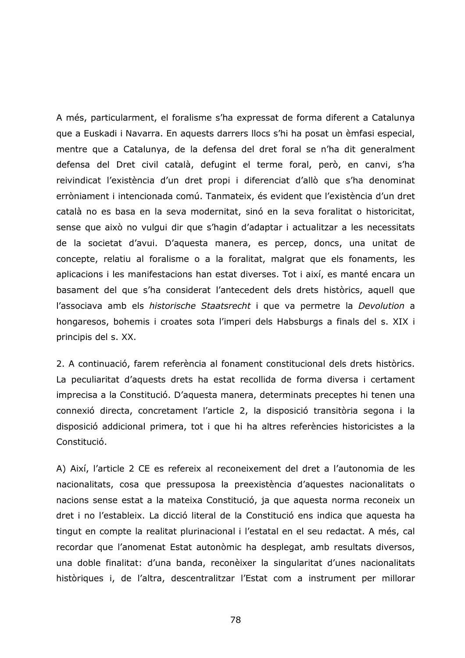A més, particularment, el foralisme s'ha expressat de forma diferent a Catalunya que a Euskadi i Navarra. En aquests darrers llocs s'hi ha posat un èmfasi especial, mentre que a Catalunya, de la defensa del dret foral se n'ha dit generalment defensa del Dret civil català, defugint el terme foral, però, en canvi, s'ha reivindicat l'existència d'un dret propi i diferenciat d'allò que s'ha denominat erròniament i intencionada comú. Tanmateix, és evident que l'existència d'un dret català no es basa en la seva modernitat, sinó en la seva foralitat o historicitat, sense que això no vulgui dir que s'hagin d'adaptar i actualitzar a les necessitats de la societat d'avui. D'aquesta manera, es percep, doncs, una unitat de concepte, relatiu al foralisme o a la foralitat, malgrat que els fonaments, les aplicacions i les manifestacions han estat diverses. Tot i així, es manté encara un basament del que s'ha considerat l'antecedent dels drets històrics, aquell que l'associava amb els historische Staatsrecht i que va permetre la Devolution a hongaresos, bohemis i croates sota l'imperi dels Habsburgs a finals del s. XIX i principis del s. XX.

2. A continuació, farem referència al fonament constitucional dels drets històrics. La peculiaritat d'aquests drets ha estat recollida de forma diversa i certament imprecisa a la Constitució. D'aquesta manera, determinats preceptes hi tenen una connexió directa, concretament l'article 2, la disposició transitòria segona i la disposició addicional primera, tot i que hi ha altres referències historicistes a la Constitució.

A) Així, l'article 2 CE es refereix al reconeixement del dret a l'autonomia de les nacionalitats, cosa que pressuposa la preexistència d'aquestes nacionalitats o nacions sense estat a la mateixa Constitució, ja que aquesta norma reconeix un dret i no l'estableix. La dicció literal de la Constitució ens indica que aquesta ha tingut en compte la realitat plurinacional i l'estatal en el seu redactat. A més, cal recordar que l'anomenat Estat autonòmic ha desplegat, amb resultats diversos, una doble finalitat: d'una banda, reconèixer la singularitat d'unes nacionalitats històriques i, de l'altra, descentralitzar l'Estat com a instrument per millorar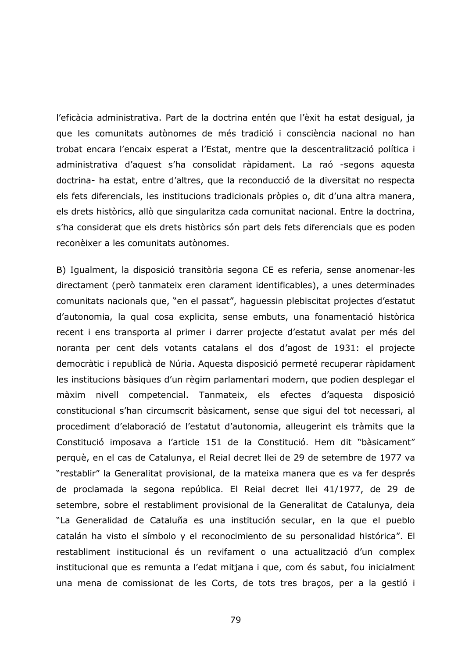l'eficàcia administrativa. Part de la doctrina entén que l'èxit ha estat desigual, ja que les comunitats autònomes de més tradició i consciència nacional no han trobat encara l'encaix esperat a l'Estat, mentre que la descentralització política i administrativa d'aquest s'ha consolidat ràpidament. La raó -segons aquesta doctrina- ha estat, entre d'altres, que la reconducció de la diversitat no respecta els fets diferencials, les institucions tradicionals pròpies o, dit d'una altra manera, els drets històrics, allò que singularitza cada comunitat nacional. Entre la doctrina, s'ha considerat que els drets històrics són part dels fets diferencials que es poden reconèixer a les comunitats autònomes.

B) Igualment, la disposició transitòria segona CE es referia, sense anomenar-les directament (però tanmateix eren clarament identificables), a unes determinades comunitats nacionals que, "en el passat", haguessin plebiscitat projectes d'estatut d'autonomia, la qual cosa explicita, sense embuts, una fonamentació històrica recent i ens transporta al primer i darrer projecte d'estatut avalat per més del noranta per cent dels votants catalans el dos d'agost de 1931: el projecte democràtic i republicà de Núria. Aquesta disposició permeté recuperar ràpidament les institucions bàsiques d'un règim parlamentari modern, que podien desplegar el màxim nivell competencial. Tanmateix, els efectes d'aquesta disposició constitucional s'han circumscrit bàsicament, sense que sigui del tot necessari, al procediment d'elaboració de l'estatut d'autonomia, alleugerint els tràmits que la Constitució imposava a l'article 151 de la Constitució. Hem dit "bàsicament" perquè, en el cas de Catalunya, el Reial decret llei de 29 de setembre de 1977 va "restablir" la Generalitat provisional, de la mateixa manera que es va fer després de proclamada la segona república. El Reial decret llei 41/1977, de 29 de setembre, sobre el restabliment provisional de la Generalitat de Catalunya, deia "La Generalidad de Cataluña es una institución secular, en la que el pueblo catalán ha visto el símbolo y el reconocimiento de su personalidad histórica". El restabliment institucional és un revifament o una actualització d'un complex institucional que es remunta a l'edat mitjana i que, com és sabut, fou inicialment una mena de comissionat de les Corts, de tots tres braços, per a la gestió i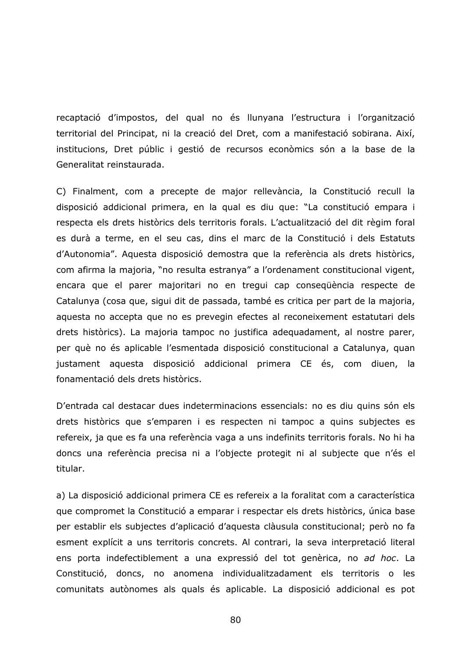recaptació d'impostos, del qual no és llunyana l'estructura i l'organització territorial del Principat, ni la creació del Dret, com a manifestació sobirana. Així, institucions, Dret públic i gestió de recursos econòmics són a la base de la Generalitat reinstaurada.

C) Finalment, com a precepte de major rellevància, la Constitució recull la disposició addicional primera, en la qual es diu que: "La constitució empara i respecta els drets històrics dels territoris forals. L'actualització del dit règim foral es durà a terme, en el seu cas, dins el marc de la Constitució i dels Estatuts d'Autonomia". Aquesta disposició demostra que la referència als drets històrics, com afirma la majoria, "no resulta estranya" a l'ordenament constitucional vigent, encara que el parer majoritari no en tregui cap consequència respecte de Catalunya (cosa que, sigui dit de passada, també es critica per part de la majoria, aquesta no accepta que no es prevegin efectes al reconeixement estatutari dels drets històrics). La majoria tampoc no justifica adequadament, al nostre parer, per què no és aplicable l'esmentada disposició constitucional a Catalunya, quan justament aquesta disposició addicional primera CE és, com diuen, la fonamentació dels drets històrics.

D'entrada cal destacar dues indeterminacions essencials: no es diu quins són els drets històrics que s'emparen i es respecten ni tampoc a quins subjectes es refereix, ja que es fa una referència vaga a uns indefinits territoris forals. No hi ha doncs una referència precisa ni a l'objecte protegit ni al subjecte que n'és el titular.

a) La disposició addicional primera CE es refereix a la foralitat com a característica que compromet la Constitució a emparar i respectar els drets històrics, única base per establir els subjectes d'aplicació d'aquesta clàusula constitucional; però no fa esment explícit a uns territoris concrets. Al contrari, la seva interpretació literal ens porta indefectiblement a una expressió del tot genèrica, no ad hoc. La Constitució, doncs, no anomena individualitzadament els territoris o les comunitats autònomes als quals és aplicable. La disposició addicional es pot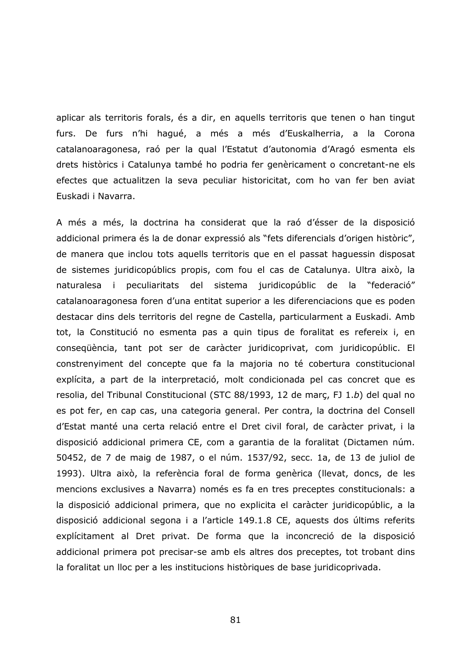aplicar als territoris forals, és a dir, en aquells territoris que tenen o han tingut furs. De furs n'hi haqué, a més a més d'Euskalherria, a la Corona catalanoaragonesa, raó per la qual l'Estatut d'autonomia d'Aragó esmenta els drets històrics i Catalunya també ho podria fer genèricament o concretant-ne els efectes que actualitzen la seva peculiar historicitat, com ho van fer ben aviat Euskadi i Navarra.

A més a més, la doctrina ha considerat que la raó d'ésser de la disposició addicional primera és la de donar expressió als "fets diferencials d'origen històric", de manera que inclou tots aquells territoris que en el passat haquessin disposat de sistemes juridicopúblics propis, com fou el cas de Catalunya. Ultra això, la naturalesa i peculiaritats del sistema juridicopúblic de la "federació" catalanoaragonesa foren d'una entitat superior a les diferenciacions que es poden destacar dins dels territoris del regne de Castella, particularment a Euskadi. Amb tot, la Constitució no esmenta pas a quin tipus de foralitat es refereix i, en consequència, tant pot ser de caràcter juridicoprivat, com juridicopúblic. El constrenviment del concepte que fa la majoria no té cobertura constitucional explícita, a part de la interpretació, molt condicionada pel cas concret que es resolia, del Tribunal Constitucional (STC 88/1993, 12 de març, FJ 1.b) del qual no es pot fer, en cap cas, una categoria general. Per contra, la doctrina del Consell d'Estat manté una certa relació entre el Dret civil foral, de caràcter privat, i la disposició addicional primera CE, com a garantia de la foralitat (Dictamen núm. 50452, de 7 de maig de 1987, o el núm. 1537/92, secc. 1a, de 13 de juliol de 1993). Ultra això, la referència foral de forma genèrica (llevat, doncs, de les mencions exclusives a Navarra) només es fa en tres preceptes constitucionals: a la disposició addicional primera, que no explicita el caràcter juridicopúblic, a la disposició addicional segona i a l'article 149.1.8 CE, aquests dos últims referits explícitament al Dret privat. De forma que la inconcreció de la disposició addicional primera pot precisar-se amb els altres dos preceptes, tot trobant dins la foralitat un lloc per a les institucions històriques de base juridicoprivada.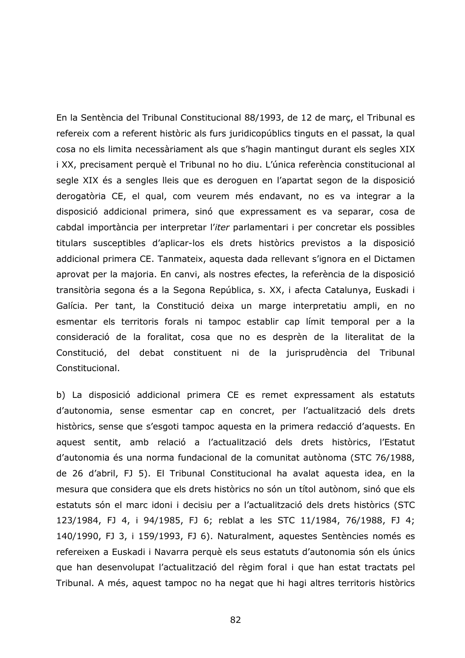En la Sentència del Tribunal Constitucional 88/1993, de 12 de marc, el Tribunal es refereix com a referent històric als furs juridicopúblics tinguts en el passat, la qual cosa no els limita necessàriament als que s'hagin mantingut durant els segles XIX i XX, precisament perquè el Tribunal no ho diu. L'única referència constitucional al segle XIX és a sengles lleis que es deroguen en l'apartat segon de la disposició derogatòria CE, el qual, com veurem més endavant, no es va integrar a la disposició addicional primera, sinó que expressament es va separar, cosa de cabdal importància per interpretar l'iter parlamentari i per concretar els possibles titulars susceptibles d'aplicar-los els drets històrics previstos a la disposició addicional primera CE. Tanmateix, aquesta dada rellevant s'ignora en el Dictamen aprovat per la majoria. En canvi, als nostres efectes, la referència de la disposició transitòria segona és a la Segona República, s. XX, i afecta Catalunya, Euskadi i Galícia. Per tant, la Constitució deixa un marge interpretatiu ampli, en no esmentar els territoris forals ni tampoc establir cap límit temporal per a la consideració de la foralitat, cosa que no es desprèn de la literalitat de la Constitució, del debat constituent ni de la jurisprudència del Tribunal Constitucional.

b) La disposició addicional primera CE es remet expressament als estatuts d'autonomia, sense esmentar cap en concret, per l'actualització dels drets històrics, sense que s'esgoti tampoc aquesta en la primera redacció d'aquests. En aquest sentit, amb relació a l'actualització dels drets històrics, l'Estatut d'autonomia és una norma fundacional de la comunitat autònoma (STC 76/1988, de 26 d'abril, FJ 5). El Tribunal Constitucional ha avalat aquesta idea, en la mesura que considera que els drets històrics no són un títol autònom, sinó que els estatuts són el marc idoni i decisiu per a l'actualització dels drets històrics (STC 123/1984, FJ 4, i 94/1985, FJ 6; reblat a les STC 11/1984, 76/1988, FJ 4; 140/1990, FJ 3, i 159/1993, FJ 6). Naturalment, aquestes Sentències només es refereixen a Euskadi i Navarra perquè els seus estatuts d'autonomia són els únics que han desenvolupat l'actualització del règim foral i que han estat tractats pel Tribunal. A més, aquest tampoc no ha negat que hi hagi altres territoris històrics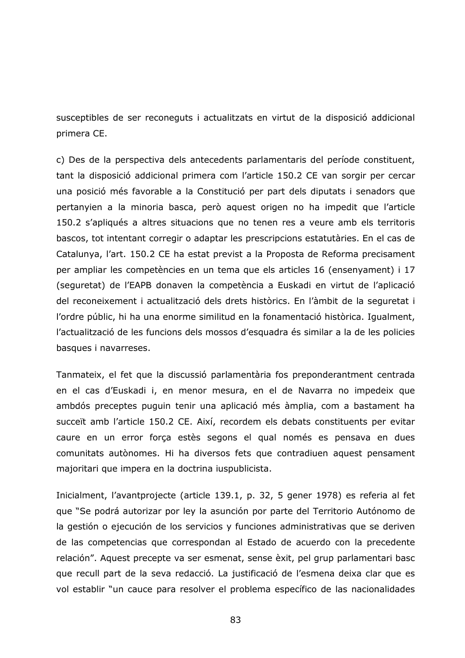susceptibles de ser reconeguts i actualitzats en virtut de la disposició addicional primera CE.

c) Des de la perspectiva dels antecedents parlamentaris del període constituent, tant la disposició addicional primera com l'article 150.2 CE van sorgir per cercar una posició més favorable a la Constitució per part dels diputats i senadors que pertanyien a la minoria basca, però aquest origen no ha impedit que l'article 150.2 s'apliqués a altres situacions que no tenen res a veure amb els territoris bascos, tot intentant corregir o adaptar les prescripcions estatutàries. En el cas de Catalunya, l'art. 150.2 CE ha estat previst a la Proposta de Reforma precisament per ampliar les competències en un tema que els articles 16 (ensenyament) i 17 (seguretat) de l'EAPB donaven la competència a Euskadi en virtut de l'aplicació del reconeixement i actualització dels drets històrics. En l'àmbit de la seguretat i l'ordre públic, hi ha una enorme similitud en la fonamentació històrica. Igualment, l'actualització de les funcions dels mossos d'esquadra és similar a la de les policies basques i navarreses.

Tanmateix, el fet que la discussió parlamentària fos preponderantment centrada en el cas d'Euskadi i, en menor mesura, en el de Navarra no impedeix que ambdós preceptes puguin tenir una aplicació més àmplia, com a bastament ha succeït amb l'article 150.2 CE. Així, recordem els debats constituents per evitar caure en un error força estès segons el qual només es pensava en dues comunitats autònomes. Hi ha diversos fets que contradiuen aquest pensament majoritari que impera en la doctrina iuspublicista.

Inicialment, l'avantprojecte (article 139.1, p. 32, 5 gener 1978) es referia al fet que "Se podrá autorizar por ley la asunción por parte del Territorio Autónomo de la gestión o ejecución de los servicios y funciones administrativas que se deriven de las competencias que correspondan al Estado de acuerdo con la precedente relación". Aquest precepte va ser esmenat, sense èxit, pel grup parlamentari basc que recull part de la seva redacció. La justificació de l'esmena deixa clar que es vol establir "un cauce para resolver el problema específico de las nacionalidades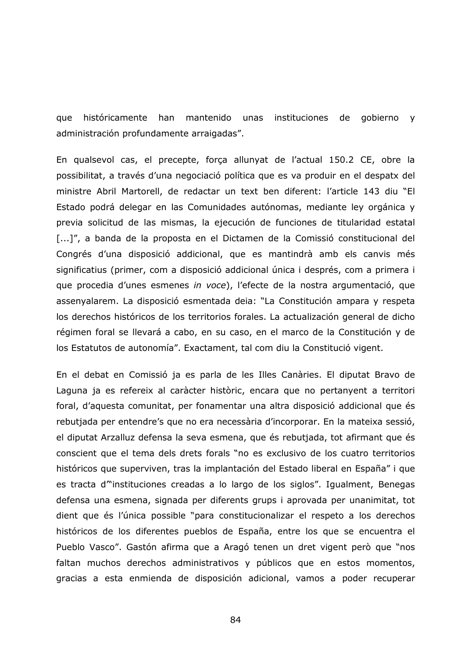que históricamente han mantenido unas instituciones de gobierno v administración profundamente arraigadas".

En qualsevol cas, el precepte, força allunyat de l'actual 150.2 CE, obre la possibilitat, a través d'una negociació política que es va produir en el despatx del ministre Abril Martorell, de redactar un text ben diferent: l'article 143 diu "El Estado podrá delegar en las Comunidades autónomas, mediante ley orgánica y previa solicitud de las mismas, la ejecución de funciones de titularidad estatal [...]", a banda de la proposta en el Dictamen de la Comissió constitucional del Congrés d'una disposició addicional, que es mantindrà amb els canvis més significatius (primer, com a disposició addicional única i després, com a primera i que procedia d'unes esmenes in voce), l'efecte de la nostra argumentació, que assenyalarem. La disposició esmentada deia: "La Constitución ampara y respeta los derechos históricos de los territorios forales. La actualización general de dicho régimen foral se llevará a cabo, en su caso, en el marco de la Constitución y de los Estatutos de autonomía". Exactament, tal com diu la Constitució vigent.

En el debat en Comissió ja es parla de les Illes Canàries. El diputat Bravo de Laguna ja es refereix al caràcter històric, encara que no pertanyent a territori foral, d'aquesta comunitat, per fonamentar una altra disposició addicional que és rebutjada per entendre's que no era necessària d'incorporar. En la mateixa sessió, el diputat Arzalluz defensa la seva esmena, que és rebutjada, tot afirmant que és conscient que el tema dels drets forals "no es exclusivo de los cuatro territorios históricos que superviven, tras la implantación del Estado liberal en España" i que es tracta d<sup>ov</sup>instituciones creadas a lo largo de los siglos". Igualment, Benegas defensa una esmena, signada per diferents grups i aprovada per unanimitat, tot dient que és l'única possible "para constitucionalizar el respeto a los derechos históricos de los diferentes pueblos de España, entre los que se encuentra el Pueblo Vasco". Gastón afirma que a Aragó tenen un dret vigent però que "nos faltan muchos derechos administrativos y públicos que en estos momentos, gracias a esta enmienda de disposición adicional, vamos a poder recuperar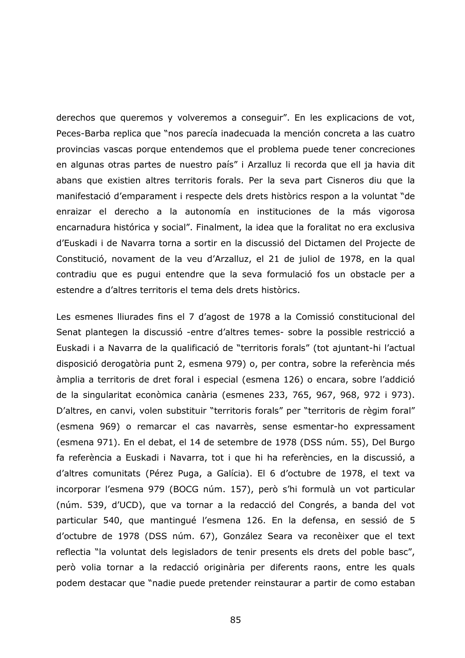derechos que queremos y volveremos a conseguir". En les explicacions de vot, Peces-Barba replica que "nos parecía inadecuada la mención concreta a las cuatro provincias vascas porque entendemos que el problema puede tener concreciones en algunas otras partes de nuestro país" i Arzalluz li recorda que ell ja havia dit abans que existien altres territoris forals. Per la seva part Cisneros diu que la manifestació d'emparament i respecte dels drets històrics respon a la voluntat "de enraizar el derecho a la autonomía en instituciones de la más vigorosa encarnadura histórica y social". Finalment, la idea que la foralitat no era exclusiva d'Euskadi i de Navarra torna a sortir en la discussió del Dictamen del Projecte de Constitució, novament de la veu d'Arzalluz, el 21 de juliol de 1978, en la qual contradiu que es pugui entendre que la seva formulació fos un obstacle per a estendre a d'altres territoris el tema dels drets històrics.

Les esmenes lliurades fins el 7 d'agost de 1978 a la Comissió constitucional del Senat plantegen la discussió -entre d'altres temes- sobre la possible restricció a Euskadi i a Navarra de la qualificació de "territoris forals" (tot ajuntant-hi l'actual disposició derogatòria punt 2, esmena 979) o, per contra, sobre la referència més àmplia a territoris de dret foral i especial (esmena 126) o encara, sobre l'addició de la singularitat econòmica canària (esmenes 233, 765, 967, 968, 972 i 973). D'altres, en canvi, volen substituir "territoris forals" per "territoris de règim foral" (esmena 969) o remarcar el cas navarrès, sense esmentar-ho expressament (esmena 971). En el debat, el 14 de setembre de 1978 (DSS núm. 55), Del Burgo fa referència a Euskadi i Navarra, tot i que hi ha referències, en la discussió, a d'altres comunitats (Pérez Puga, a Galícia). El 6 d'octubre de 1978, el text va incorporar l'esmena 979 (BOCG núm. 157), però s'hi formulà un vot particular (núm. 539, d'UCD), que va tornar a la redacció del Congrés, a banda del vot particular 540, que mantingué l'esmena 126. En la defensa, en sessió de 5 d'octubre de 1978 (DSS núm. 67), González Seara va reconèixer que el text reflectia "la voluntat dels legisladors de tenir presents els drets del poble basc", però volia tornar a la redacció originària per diferents raons, entre les quals podem destacar que "nadie puede pretender reinstaurar a partir de como estaban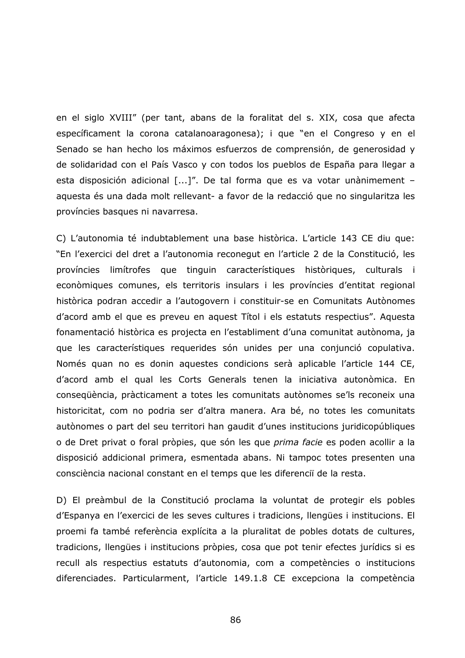en el siglo XVIII" (per tant, abans de la foralitat del s. XIX, cosa que afecta específicament la corona catalanoaragonesa); i que "en el Congreso y en el Senado se han hecho los máximos esfuerzos de comprensión, de generosidad y de solidaridad con el País Vasco y con todos los pueblos de España para llegar a esta disposición adicional [...]". De tal forma que es va votar unànimement aquesta és una dada molt rellevant- a favor de la redacció que no singularitza les províncies basques ni navarresa.

C) L'autonomia té indubtablement una base històrica. L'article 143 CE diu que: "En l'exercici del dret a l'autonomia reconegut en l'article 2 de la Constitució, les províncies limítrofes que tinguin característiques històriques, culturals i econòmiques comunes, els territoris insulars i les províncies d'entitat regional històrica podran accedir a l'autogovern i constituir-se en Comunitats Autònomes d'acord amb el que es preveu en aquest Títol i els estatuts respectius". Aquesta fonamentació històrica es projecta en l'establiment d'una comunitat autònoma, ja que les característiques requerides són unides per una conjunció copulativa. Només quan no es donin aquestes condicions serà aplicable l'article 144 CE, d'acord amb el qual les Corts Generals tenen la iniciativa autonòmica. En consequència, pràcticament a totes les comunitats autònomes se'ls reconeix una historicitat, com no podria ser d'altra manera. Ara bé, no totes les comunitats autònomes o part del seu territori han gaudit d'unes institucions juridicopúbliques o de Dret privat o foral pròpies, que són les que *prima facie* es poden acollir a la disposició addicional primera, esmentada abans. Ni tampoc totes presenten una consciència nacional constant en el temps que les diferenci de la resta.

D) El preàmbul de la Constitució proclama la voluntat de protegir els pobles d'Espanya en l'exercici de les seves cultures i tradicions, llengües i institucions. El proemi fa també referència explícita a la pluralitat de pobles dotats de cultures, tradicions, llengües i institucions pròpies, cosa que pot tenir efectes jurídics si es recull als respectius estatuts d'autonomia, com a competències o institucions diferenciades. Particularment, l'article 149.1.8 CE excepciona la competència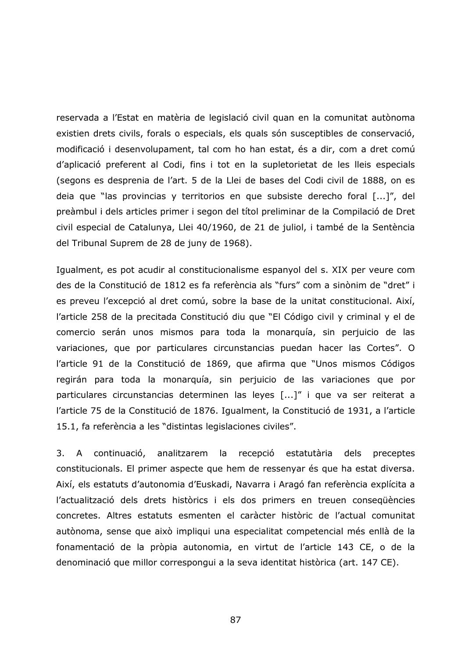reservada a l'Estat en matèria de legislació civil quan en la comunitat autònoma existien drets civils, forals o especials, els quals són susceptibles de conservació, modificació i desenvolupament, tal com ho han estat, és a dir, com a dret comú d'aplicació preferent al Codi, fins i tot en la supletorietat de les lleis especials (segons es desprenia de l'art. 5 de la Llei de bases del Codi civil de 1888, on es deia que "las provincias y territorios en que subsiste derecho foral [...]", del preàmbul i dels articles primer i segon del títol preliminar de la Compilació de Dret civil especial de Catalunya, Llei 40/1960, de 21 de juliol, i també de la Sentència del Tribunal Suprem de 28 de juny de 1968).

Igualment, es pot acudir al constitucionalisme espanyol del s. XIX per veure com des de la Constitució de 1812 es fa referència als "furs" com a sinònim de "dret" i es preveu l'excepció al dret comú, sobre la base de la unitat constitucional. Així, l'article 258 de la precitada Constitució diu que "El Código civil y criminal y el de comercio serán unos mismos para toda la monarquía, sin perjuicio de las variaciones, que por particulares circunstancias puedan hacer las Cortes". O l'article 91 de la Constitució de 1869, que afirma que "Unos mismos Códigos regirán para toda la monarquía, sin perjuicio de las variaciones que por particulares circunstancias determinen las leyes [...]" i que va ser reiterat a l'article 75 de la Constitució de 1876. Igualment, la Constitució de 1931, a l'article 15.1, fa referència a les "distintas legislaciones civiles".

continuació, analitzarem la recepció estatutària 3. A dels preceptes constitucionals. El primer aspecte que hem de ressenyar és que ha estat diversa. Així, els estatuts d'autonomia d'Euskadi, Navarra i Aragó fan referència explícita a l'actualització dels drets històrics i els dos primers en treuen consegüències concretes. Altres estatuts esmenten el caràcter històric de l'actual comunitat autònoma, sense que això impliqui una especialitat competencial més enllà de la fonamentació de la pròpia autonomia, en virtut de l'article 143 CE, o de la denominació que millor correspongui a la seva identitat històrica (art. 147 CE).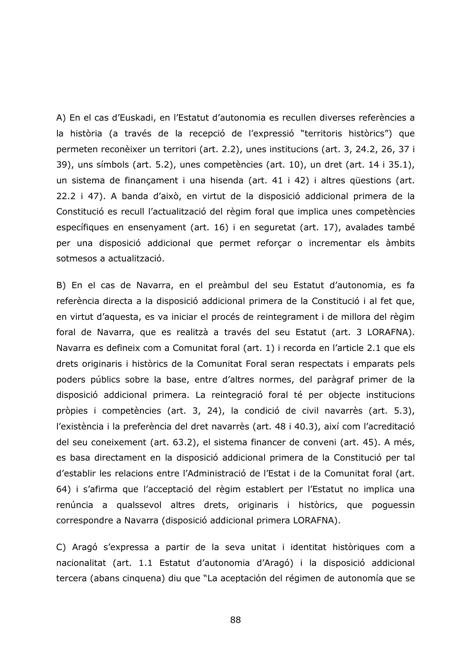A) En el cas d'Euskadi, en l'Estatut d'autonomia es recullen diverses referències a la història (a través de la recepció de l'expressió "territoris històrics") que permeten reconèixer un territori (art. 2.2), unes institucions (art. 3, 24.2, 26, 37 i 39), uns símbols (art. 5.2), unes competències (art. 10), un dret (art. 14 i 35.1), un sistema de finançament i una hisenda (art. 41 i 42) i altres questions (art. 22.2 i 47). A banda d'això, en virtut de la disposició addicional primera de la Constitució es recull l'actualització del règim foral que implica unes competències específiques en ensenyament (art. 16) i en sequretat (art. 17), avalades també per una disposició addicional que permet reforçar o incrementar els àmbits sotmesos a actualització.

B) En el cas de Navarra, en el preàmbul del seu Estatut d'autonomia, es fa referència directa a la disposició addicional primera de la Constitució i al fet que, en virtut d'aquesta, es va iniciar el procés de reintegrament i de millora del règim foral de Navarra, que es realitzà a través del seu Estatut (art. 3 LORAFNA). Navarra es defineix com a Comunitat foral (art. 1) i recorda en l'article 2.1 que els drets originaris i històrics de la Comunitat Foral seran respectats i emparats pels poders públics sobre la base, entre d'altres normes, del paràgraf primer de la disposició addicional primera. La reintegració foral té per objecte institucions pròpies i competències (art. 3, 24), la condició de civil navarrès (art. 5.3), l'existència i la preferència del dret navarrès (art. 48 i 40.3), així com l'acreditació del seu coneixement (art. 63.2), el sistema financer de conveni (art. 45). A més, es basa directament en la disposició addicional primera de la Constitució per tal d'establir les relacions entre l'Administració de l'Estat i de la Comunitat foral (art. 64) i s'afirma que l'acceptació del règim establert per l'Estatut no implica una renúncia a qualssevol altres drets, originaris i històrics, que poguessin correspondre a Navarra (disposició addicional primera LORAFNA).

C) Aragó s'expressa a partir de la seva unitat i identitat històriques com a nacionalitat (art. 1.1 Estatut d'autonomia d'Aragó) i la disposició addicional tercera (abans cinquena) diu que "La aceptación del régimen de autonomía que se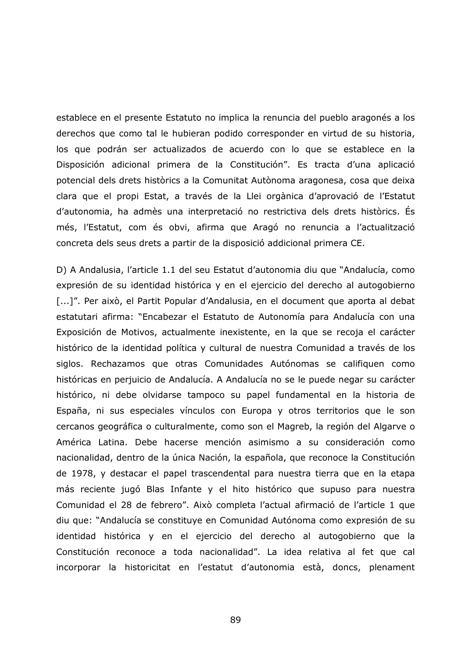establece en el presente Estatuto no implica la renuncia del pueblo aragonés a los derechos que como tal le hubieran podido corresponder en virtud de su historia, los que podrán ser actualizados de acuerdo con lo que se establece en la Disposición adicional primera de la Constitución". Es tracta d'una aplicació potencial dels drets històrics a la Comunitat Autònoma aragonesa, cosa que deixa clara que el propi Estat, a través de la Llei orgànica d'aprovació de l'Estatut d'autonomia, ha admès una interpretació no restrictiva dels drets històrics. És més, l'Estatut, com és obvi, afirma que Aragó no renuncia a l'actualització concreta dels seus drets a partir de la disposició addicional primera CE.

D) A Andalusia, l'article 1.1 del seu Estatut d'autonomia diu que "Andalucía, como expresión de su identidad histórica y en el ejercicio del derecho al autogobierno [...]". Per això, el Partit Popular d'Andalusia, en el document que aporta al debat estatutari afirma: "Encabezar el Estatuto de Autonomía para Andalucía con una Exposición de Motivos, actualmente inexistente, en la que se recoja el carácter histórico de la identidad política y cultural de nuestra Comunidad a través de los siglos. Rechazamos que otras Comunidades Autónomas se califiquen como históricas en perjuicio de Andalucía. A Andalucía no se le puede negar su carácter histórico, ni debe olvidarse tampoco su papel fundamental en la historia de España, ni sus especiales vínculos con Europa y otros territorios que le son cercanos geográfica o culturalmente, como son el Magreb, la región del Algarve o América Latina. Debe hacerse mención asimismo a su consideración como nacionalidad, dentro de la única Nación, la española, que reconoce la Constitución de 1978, y destacar el papel trascendental para nuestra tierra que en la etapa más reciente jugó Blas Infante y el hito histórico que supuso para nuestra Comunidad el 28 de febrero". Això completa l'actual afirmació de l'article 1 que diu que: "Andalucía se constituye en Comunidad Autónoma como expresión de su identidad histórica y en el ejercicio del derecho al autogobierno que la Constitución reconoce a toda nacionalidad". La idea relativa al fet que cal incorporar la historicitat en l'estatut d'autonomia està, doncs, plenament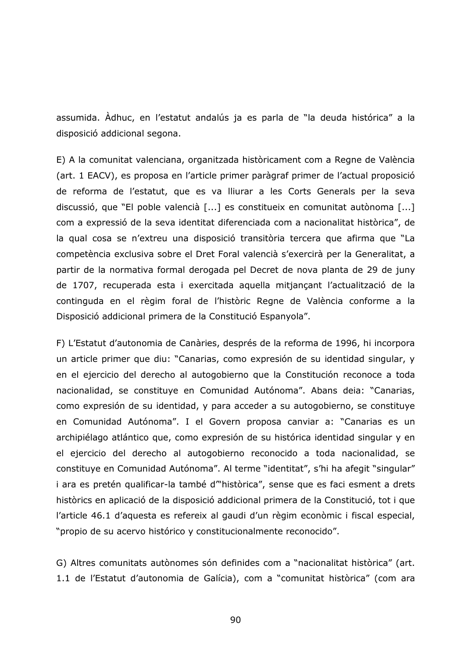assumida. Adhuc, en l'estatut andalús ja es parla de "la deuda histórica" a la disposició addicional segona.

E) A la comunitat valenciana, organitzada històricament com a Regne de València (art. 1 EACV), es proposa en l'article primer paràgraf primer de l'actual proposició de reforma de l'estatut, que es va lliurar a les Corts Generals per la seva discussió, que "El poble valencià [...] es constitueix en comunitat autònoma [...] com a expressió de la seva identitat diferenciada com a nacionalitat històrica", de la qual cosa se n'extreu una disposició transitòria tercera que afirma que "La competència exclusiva sobre el Dret Foral valencià s'exercirà per la Generalitat, a partir de la normativa formal derogada pel Decret de nova planta de 29 de juny de 1707, recuperada esta i exercitada aquella mitjançant l'actualització de la continguda en el règim foral de l'històric Regne de València conforme a la Disposició addicional primera de la Constitució Espanyola".

F) L'Estatut d'autonomia de Canàries, després de la reforma de 1996, hi incorpora un article primer que diu: "Canarias, como expresión de su identidad singular, y en el ejercicio del derecho al autogobierno que la Constitución reconoce a toda nacionalidad, se constituye en Comunidad Autónoma". Abans deia: "Canarias, como expresión de su identidad, y para acceder a su autogobierno, se constituye en Comunidad Autónoma". I el Govern proposa canviar a: "Canarias es un archipiélago atlántico que, como expresión de su histórica identidad singular y en el ejercicio del derecho al autogobierno reconocido a toda nacionalidad, se constituye en Comunidad Autónoma". Al terme "identitat", s'hi ha afegit "singular" i ara es pretén qualificar-la també d<sup>on</sup>històrica", sense que es faci esment a drets històrics en aplicació de la disposició addicional primera de la Constitució, tot i que l'article 46.1 d'aquesta es refereix al gaudi d'un règim econòmic i fiscal especial, "propio de su acervo histórico y constitucionalmente reconocido".

G) Altres comunitats autònomes són definides com a "nacionalitat històrica" (art. 1.1 de l'Estatut d'autonomia de Galícia), com a "comunitat històrica" (com ara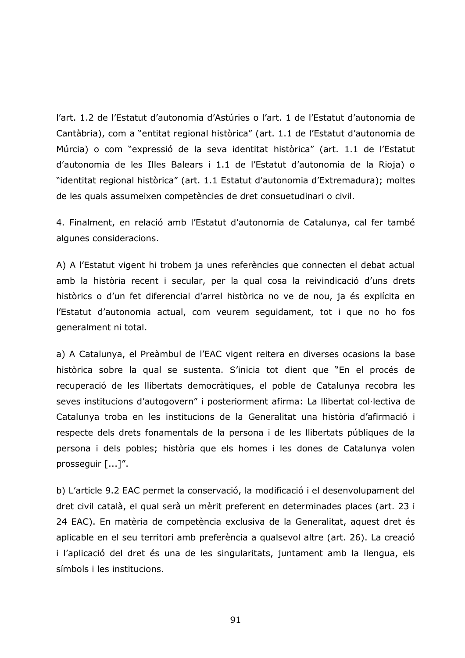l'art. 1.2 de l'Estatut d'autonomia d'Astúries o l'art. 1 de l'Estatut d'autonomia de Cantàbria), com a "entitat regional històrica" (art. 1.1 de l'Estatut d'autonomia de Múrcia) o com "expressió de la seva identitat històrica" (art. 1.1 de l'Estatut d'autonomia de les Illes Balears i 1.1 de l'Estatut d'autonomia de la Rioja) o "identitat regional històrica" (art. 1.1 Estatut d'autonomia d'Extremadura); moltes de les quals assumeixen competències de dret consuetudinari o civil.

4. Finalment, en relació amb l'Estatut d'autonomia de Catalunya, cal fer també algunes consideracions.

A) A l'Estatut vigent hi trobem ja unes referències que connecten el debat actual amb la història recent i secular, per la qual cosa la reivindicació d'uns drets històrics o d'un fet diferencial d'arrel històrica no ve de nou, ja és explícita en l'Estatut d'autonomia actual, com veurem sequidament, tot i que no ho fos generalment ni total.

a) A Catalunya, el Preàmbul de l'EAC vigent reitera en diverses ocasions la base històrica sobre la qual se sustenta. S'inicia tot dient que "En el procés de recuperació de les llibertats democràtiques, el poble de Catalunya recobra les seves institucions d'autogovern" i posteriorment afirma: La llibertat col·lectiva de Catalunya troba en les institucions de la Generalitat una història d'afirmació i respecte dels drets fonamentals de la persona i de les llibertats públiques de la persona i dels pobles; història que els homes i les dones de Catalunya volen prosseguir [...]".

b) L'article 9.2 EAC permet la conservació, la modificació i el desenvolupament del dret civil català, el qual serà un mèrit preferent en determinades places (art. 23 i 24 EAC). En matèria de competència exclusiva de la Generalitat, aquest dret és aplicable en el seu territori amb preferència a qualsevol altre (art. 26). La creació i l'aplicació del dret és una de les singularitats, juntament amb la llengua, els símbols i les institucions.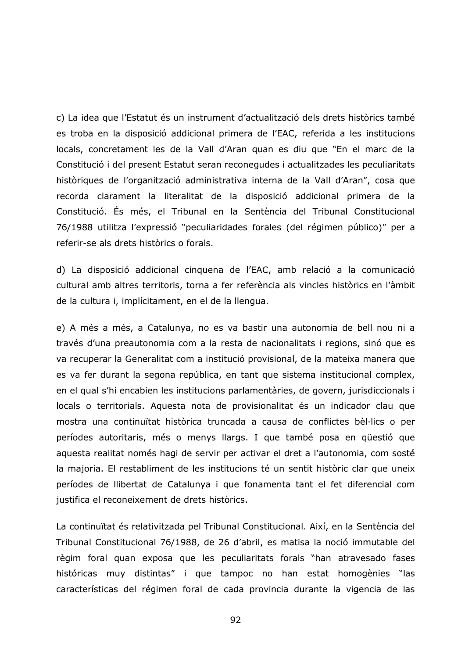c) La idea que l'Estatut és un instrument d'actualització dels drets històrics també es troba en la disposició addicional primera de l'EAC, referida a les institucions locals, concretament les de la Vall d'Aran quan es diu que "En el marc de la Constitució i del present Estatut seran reconegudes i actualitzades les peculiaritats històriques de l'organització administrativa interna de la Vall d'Aran", cosa que recorda clarament la literalitat de la disposició addicional primera de la Constitució. És més, el Tribunal en la Sentència del Tribunal Constitucional 76/1988 utilitza l'expressió "peculiaridades forales (del régimen público)" per a referir-se als drets històrics o forals.

d) La disposició addicional cinquena de l'EAC, amb relació a la comunicació cultural amb altres territoris, torna a fer referència als vincles històrics en l'àmbit de la cultura i, implícitament, en el de la llengua.

e) A més a més, a Catalunya, no es va bastir una autonomia de bell nou ni a través d'una preautonomia com a la resta de nacionalitats i regions, sinó que es va recuperar la Generalitat com a institució provisional, de la mateixa manera que es va fer durant la segona república, en tant que sistema institucional complex, en el qual s'hi encabien les institucions parlamentàries, de govern, jurisdiccionals i locals o territorials. Aquesta nota de provisionalitat és un indicador clau que mostra una continuïtat històrica truncada a causa de conflictes bèl·lics o per períodes autoritaris, més o menys llargs. I que també posa en questió que aquesta realitat només hagi de servir per activar el dret a l'autonomia, com sosté la majoria. El restabliment de les institucions té un sentit històric clar que uneix períodes de llibertat de Catalunya i que fonamenta tant el fet diferencial com justifica el reconeixement de drets històrics.

La continuïtat és relativitzada pel Tribunal Constitucional. Així, en la Sentència del Tribunal Constitucional 76/1988, de 26 d'abril, es matisa la noció immutable del règim foral quan exposa que les peculiaritats forals "han atravesado fases históricas muy distintas" i que tampoc no han estat homogènies "las características del régimen foral de cada provincia durante la vigencia de las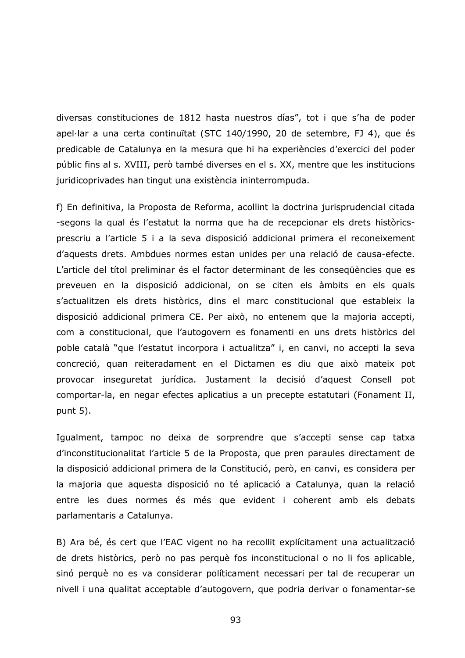diversas constituciones de 1812 hasta nuestros días", tot i que s'ha de poder apel·lar a una certa continuïtat (STC 140/1990, 20 de setembre, FJ 4), que és predicable de Catalunya en la mesura que hi ha experiències d'exercici del poder públic fins al s. XVIII, però també diverses en el s. XX, mentre que les institucions juridicoprivades han tingut una existència ininterrompuda.

f) En definitiva, la Proposta de Reforma, acollint la doctrina jurisprudencial citada -segons la qual és l'estatut la norma que ha de recepcionar els drets històricsprescriu a l'article 5 i a la seva disposició addicional primera el reconeixement d'aquests drets. Ambdues normes estan unides per una relació de causa-efecte. L'article del títol preliminar és el factor determinant de les consegüències que es preveuen en la disposició addicional, on se citen els àmbits en els quals s'actualitzen els drets històrics, dins el marc constitucional que estableix la disposició addicional primera CE. Per això, no entenem que la majoria accepti, com a constitucional, que l'autogovern es fonamenti en uns drets històrics del poble català "que l'estatut incorpora i actualitza" i, en canvi, no accepti la seva concreció, quan reiteradament en el Dictamen es diu que això mateix pot provocar inseguretat jurídica. Justament la decisió d'aquest Consell pot comportar-la, en negar efectes aplicatius a un precepte estatutari (Fonament II, punt  $5$ ).

Igualment, tampoc no deixa de sorprendre que s'accepti sense cap tatxa d'inconstitucionalitat l'article 5 de la Proposta, que pren paraules directament de la disposició addicional primera de la Constitució, però, en canvi, es considera per la majoria que aquesta disposició no té aplicació a Catalunya, quan la relació entre les dues normes és més que evident i coherent amb els debats parlamentaris a Catalunya.

B) Ara bé, és cert que l'EAC vigent no ha recollit explícitament una actualització de drets històrics, però no pas perquè fos inconstitucional o no li fos aplicable, sinó perquè no es va considerar políticament necessari per tal de recuperar un nivell i una qualitat acceptable d'autogovern, que podria derivar o fonamentar-se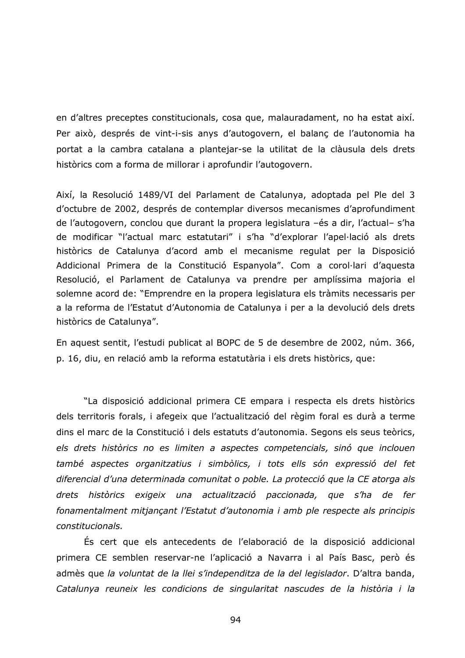en d'altres preceptes constitucionals, cosa que, malauradament, no ha estat així. Per això, després de vint-i-sis anys d'autogovern, el balanc de l'autonomia ha portat a la cambra catalana a plantejar-se la utilitat de la clàusula dels drets històrics com a forma de millorar i aprofundir l'autogovern.

Així, la Resolució 1489/VI del Parlament de Catalunya, adoptada pel Ple del 3 d'octubre de 2002, després de contemplar diversos mecanismes d'aprofundiment de l'autogovern, conclou que durant la propera legislatura -és a dir, l'actual-s'ha de modificar "l'actual marc estatutari" i s'ha "d'explorar l'apel·lació als drets històrics de Catalunya d'acord amb el mecanisme regulat per la Disposició Addicional Primera de la Constitució Espanyola". Com a corol·lari d'aquesta Resolució, el Parlament de Catalunya va prendre per amplíssima majoria el solemne acord de: "Emprendre en la propera legislatura els tràmits necessaris per a la reforma de l'Estatut d'Autonomia de Catalunya i per a la devolució dels drets històrics de Catalunya".

En aquest sentit, l'estudi publicat al BOPC de 5 de desembre de 2002, núm. 366, p. 16, diu, en relació amb la reforma estatutària i els drets històrics, que:

"La disposició addicional primera CE empara i respecta els drets històrics dels territoris forals, i afegeix que l'actualització del règim foral es durà a terme dins el marc de la Constitució i dels estatuts d'autonomia. Segons els seus teòrics, els drets històrics no es limiten a aspectes competencials, sinó que inclouen també aspectes organitzatius i simbòlics, i tots ells són expressió del fet diferencial d'una determinada comunitat o poble. La protecció que la CE atorga als drets històrics exigeix una actualització paccionada, que s'ha de fer fonamentalment mitjancant l'Estatut d'autonomia i amb ple respecte als principis constitucionals.

És cert que els antecedents de l'elaboració de la disposició addicional primera CE semblen reservar-ne l'aplicació a Navarra i al País Basc, però és admès que la voluntat de la llei s'independitza de la del legislador. D'altra banda, Catalunya reuneix les condicions de singularitat nascudes de la història i la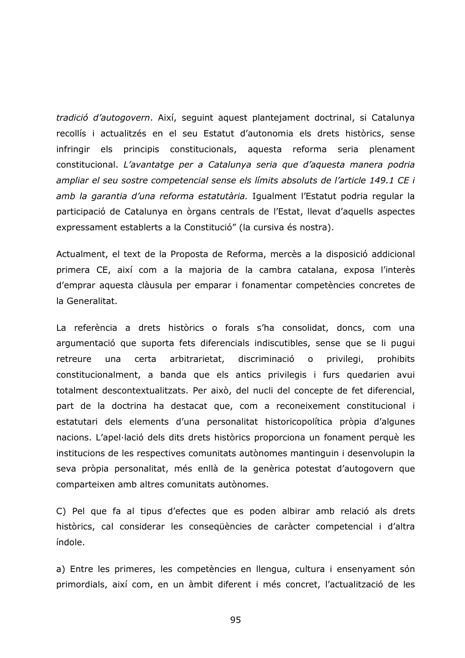tradició d'autogovern. Així, seguint aquest plantejament doctrinal, si Catalunya recollís i actualitzés en el seu Estatut d'autonomia els drets històrics, sense principis constitucionals, aquesta reforma seria plenament infringir els constitucional. L'avantatge per a Catalunya seria que d'aquesta manera podria ampliar el seu sostre competencial sense els límits absoluts de l'article 149.1 CE i amb la garantia d'una reforma estatutària. Igualment l'Estatut podria regular la participació de Catalunya en òrgans centrals de l'Estat, llevat d'aquells aspectes expressament establerts a la Constitució" (la cursiva és nostra).

Actualment, el text de la Proposta de Reforma, mercès a la disposició addicional primera CE, així com a la majoria de la cambra catalana, exposa l'interès d'emprar aquesta clàusula per emparar i fonamentar competències concretes de la Generalitat.

La referència a drets històrics o forals s'ha consolidat, doncs, com una argumentació que suporta fets diferencials indiscutibles, sense que se li pugui retreure certa arbitrarietat, discriminació  $\mathsf{o}$ privilegi, una prohibits constitucionalment, a banda que els antics privilegis i furs quedarien avui totalment descontextualitzats. Per això, del nucli del concepte de fet diferencial, part de la doctrina ha destacat que, com a reconeixement constitucional i estatutari dels elements d'una personalitat historicopolítica pròpia d'algunes nacions. L'apel·lació dels dits drets històrics proporciona un fonament perquè les institucions de les respectives comunitats autònomes mantinguin i desenvolupin la seva pròpia personalitat, més enllà de la genèrica potestat d'autogovern que comparteixen amb altres comunitats autònomes.

C) Pel que fa al tipus d'efectes que es poden albirar amb relació als drets històrics, cal considerar les consegüències de caràcter competencial i d'altra índole.

a) Entre les primeres, les competències en llengua, cultura i ensenyament són primordials, així com, en un àmbit diferent i més concret, l'actualització de les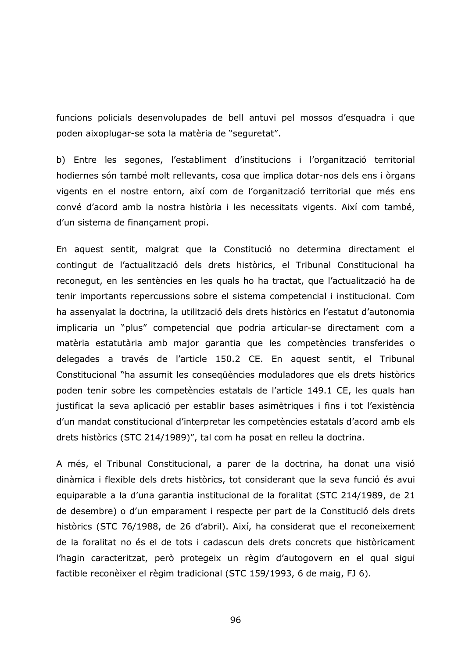funcions policials desenvolupades de bell antuvi pel mossos d'esquadra i que poden aixoplugar-se sota la matèria de "seguretat".

b) Entre les segones, l'establiment d'institucions i l'organització territorial hodiernes són també molt rellevants, cosa que implica dotar-nos dels ens i òrgans vigents en el nostre entorn, així com de l'organització territorial que més ens convé d'acord amb la nostra història i les necessitats vigents. Així com també, d'un sistema de finançament propi.

En aquest sentit, malgrat que la Constitució no determina directament el contingut de l'actualització dels drets històrics, el Tribunal Constitucional ha reconegut, en les sentències en les quals ho ha tractat, que l'actualització ha de tenir importants repercussions sobre el sistema competencial i institucional. Com ha assenyalat la doctrina, la utilització dels drets històrics en l'estatut d'autonomia implicaria un "plus" competencial que podria articular-se directament com a matèria estatutària amb major garantia que les competències transferides o delegades a través de l'article 150.2 CE. En aquest sentit, el Tribunal Constitucional "ha assumit les consegüències moduladores que els drets històrics poden tenir sobre les competències estatals de l'article 149.1 CE, les quals han justificat la seva aplicació per establir bases asimètriques i fins i tot l'existència d'un mandat constitucional d'interpretar les competències estatals d'acord amb els drets històrics (STC 214/1989)", tal com ha posat en relleu la doctrina.

A més, el Tribunal Constitucional, a parer de la doctrina, ha donat una visió dinàmica i flexible dels drets històrics, tot considerant que la seva funció és avui equiparable a la d'una garantia institucional de la foralitat (STC 214/1989, de 21 de desembre) o d'un emparament i respecte per part de la Constitució dels drets històrics (STC 76/1988, de 26 d'abril). Així, ha considerat que el reconeixement de la foralitat no és el de tots i cadascun dels drets concrets que històricament l'hagin caracteritzat, però protegeix un règim d'autogovern en el qual sigui factible reconèixer el règim tradicional (STC 159/1993, 6 de maig, FJ 6).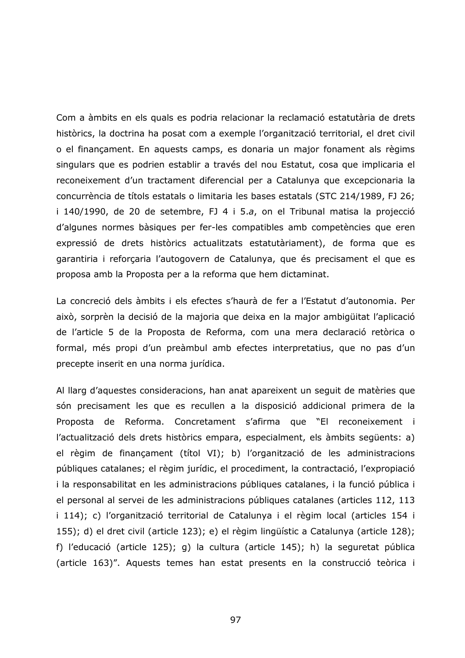Com a àmbits en els quals es podria relacionar la reclamació estatutària de drets històrics, la doctrina ha posat com a exemple l'organització territorial, el dret civil o el finançament. En aquests camps, es donaria un major fonament als règims singulars que es podrien establir a través del nou Estatut, cosa que implicaria el reconeixement d'un tractament diferencial per a Catalunya que excepcionaria la concurrència de títols estatals o limitaria les bases estatals (STC 214/1989, FJ 26; i 140/1990, de 20 de setembre, FJ 4 i 5.a, on el Tribunal matisa la projecció d'algunes normes bàsiques per fer-les compatibles amb competències que eren expressió de drets històrics actualitzats estatutàriament), de forma que es garantiria i reforçaria l'autogovern de Catalunya, que és precisament el que es proposa amb la Proposta per a la reforma que hem dictaminat.

La concreció dels àmbits i els efectes s'haurà de fer a l'Estatut d'autonomia. Per això, sorprèn la decisió de la majoria que deixa en la major ambigüitat l'aplicació de l'article 5 de la Proposta de Reforma, com una mera declaració retòrica o formal, més propi d'un preàmbul amb efectes interpretatius, que no pas d'un precepte inserit en una norma jurídica.

Al llarg d'aquestes consideracions, han anat apareixent un sequit de matèries que són precisament les que es recullen a la disposició addicional primera de la Proposta de Reforma. Concretament s'afirma que "El reconeixement i l'actualització dels drets històrics empara, especialment, els àmbits següents: a) el règim de finançament (títol VI); b) l'organització de les administracions públiques catalanes; el règim jurídic, el procediment, la contractació, l'expropiació i la responsabilitat en les administracions públiques catalanes, i la funció pública i el personal al servei de les administracions públiques catalanes (articles 112, 113 i 114); c) l'organització territorial de Catalunya i el règim local (articles 154 i 155); d) el dret civil (article 123); e) el règim lingüístic a Catalunya (article 128); f) l'educació (article 125); g) la cultura (article 145); h) la seguretat pública (article 163)". Aquests temes han estat presents en la construcció teòrica i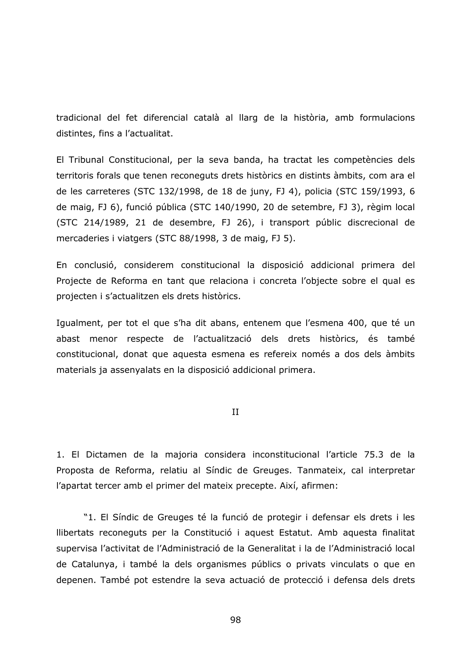tradicional del fet diferencial català al llarg de la història, amb formulacions distintes, fins a l'actualitat.

El Tribunal Constitucional, per la seva banda, ha tractat les competències dels territoris forals que tenen reconeguts drets històrics en distints àmbits, com ara el de les carreteres (STC 132/1998, de 18 de juny, FJ 4), policia (STC 159/1993, 6 de maig, FJ 6), funció pública (STC 140/1990, 20 de setembre, FJ 3), règim local (STC 214/1989, 21 de desembre, FJ 26), i transport públic discrecional de mercaderies i viatgers (STC 88/1998, 3 de maig, FJ 5).

En conclusió, considerem constitucional la disposició addicional primera del Projecte de Reforma en tant que relaciona i concreta l'objecte sobre el qual es projecten i s'actualitzen els drets històrics.

Igualment, per tot el que s'ha dit abans, entenem que l'esmena 400, que té un abast menor respecte de l'actualització dels drets històrics, és també constitucional, donat que aquesta esmena es refereix només a dos dels àmbits materials ja assenyalats en la disposició addicional primera.

 $II$ 

1. El Dictamen de la majoria considera inconstitucional l'article 75.3 de la Proposta de Reforma, relatiu al Síndic de Greuges. Tanmateix, cal interpretar l'apartat tercer amb el primer del mateix precepte. Així, afirmen:

"1. El Síndic de Greuges té la funció de protegir i defensar els drets i les Ilibertats reconeguts per la Constitució i aquest Estatut. Amb aquesta finalitat supervisa l'activitat de l'Administració de la Generalitat i la de l'Administració local de Catalunya, i també la dels organismes públics o privats vinculats o que en depenen. També pot estendre la seva actuació de protecció i defensa dels drets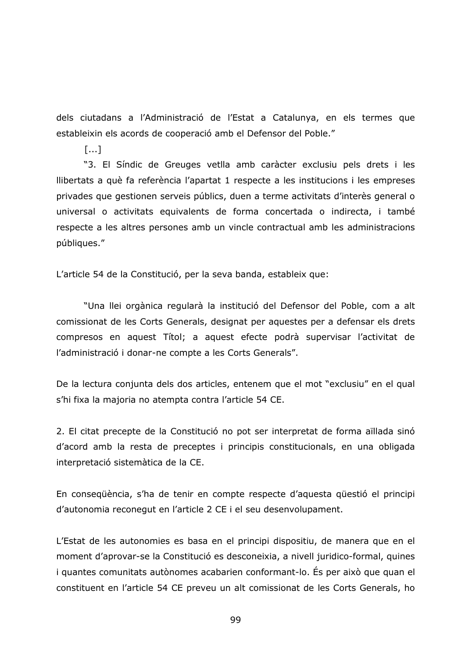dels ciutadans a l'Administració de l'Estat a Catalunya, en els termes que estableixin els acords de cooperació amb el Defensor del Poble."

 $[...]$ 

"3. El Síndic de Greuges vetlla amb caràcter exclusiu pels drets i les Ilibertats a què fa referència l'apartat 1 respecte a les institucions i les empreses privades que gestionen serveis públics, duen a terme activitats d'interès general o universal o activitats equivalents de forma concertada o indirecta, i també respecte a les altres persones amb un vincle contractual amb les administracions públiques."

L'article 54 de la Constitució, per la seva banda, estableix que:

"Una llei orgànica regularà la institució del Defensor del Poble, com a alt comissionat de les Corts Generals, designat per aquestes per a defensar els drets compresos en aquest Títol; a aquest efecte podrà supervisar l'activitat de l'administració i donar-ne compte a les Corts Generals".

De la lectura conjunta dels dos articles, entenem que el mot "exclusiu" en el qual s'hi fixa la majoria no atempta contra l'article 54 CE.

2. El citat precepte de la Constitució no pot ser interpretat de forma aïllada sinó d'acord amb la resta de preceptes i principis constitucionals, en una obligada interpretació sistemàtica de la CE.

En consequència, s'ha de tenir en compte respecte d'aquesta questió el principi d'autonomia reconegut en l'article 2 CE i el seu desenvolupament.

L'Estat de les autonomies es basa en el principi dispositiu, de manera que en el moment d'aprovar-se la Constitució es desconeixia, a nivell juridico-formal, quines i guantes comunitats autònomes acabarien conformant-lo. És per això que quan el constituent en l'article 54 CE preveu un alt comissionat de les Corts Generals, ho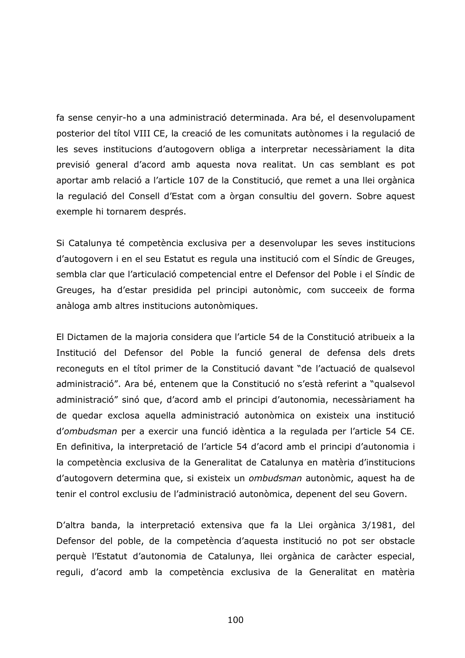fa sense cenyir-ho a una administració determinada. Ara bé, el desenvolupament posterior del títol VIII CE, la creació de les comunitats autònomes i la regulació de les seves institucions d'autogovern obliga a interpretar necessàriament la dita previsió general d'acord amb aquesta nova realitat. Un cas semblant es pot aportar amb relació a l'article 107 de la Constitució, que remet a una llei orgànica la regulació del Consell d'Estat com a òrgan consultiu del govern. Sobre aquest exemple hi tornarem després.

Si Catalunya té competència exclusiva per a desenvolupar les seves institucions d'autogovern i en el seu Estatut es regula una institució com el Síndic de Greuges, sembla clar que l'articulació competencial entre el Defensor del Poble i el Síndic de Greuges, ha d'estar presidida pel principi autonòmic, com succeeix de forma anàloga amb altres institucions autonòmiques.

El Dictamen de la majoria considera que l'article 54 de la Constitució atribueix a la Institució del Defensor del Poble la funció general de defensa dels drets reconeguts en el títol primer de la Constitució davant "de l'actuació de qualsevol administració". Ara bé, entenem que la Constitució no s'està referint a "qualsevol administració" sinó que, d'acord amb el principi d'autonomia, necessàriament ha de quedar exclosa aquella administració autonòmica on existeix una institució d'ombudsman per a exercir una funció idèntica a la regulada per l'article 54 CE. En definitiva, la interpretació de l'article 54 d'acord amb el principi d'autonomia i la competència exclusiva de la Generalitat de Catalunya en matèria d'institucions d'autogovern determina que, si existeix un ombudsman autonòmic, aquest ha de tenir el control exclusiu de l'administració autonòmica, depenent del seu Govern.

D'altra banda, la interpretació extensiva que fa la Llei orgànica 3/1981, del Defensor del poble, de la competència d'aquesta institució no pot ser obstacle perquè l'Estatut d'autonomia de Catalunya, llei orgànica de caràcter especial, reguli, d'acord amb la competència exclusiva de la Generalitat en matèria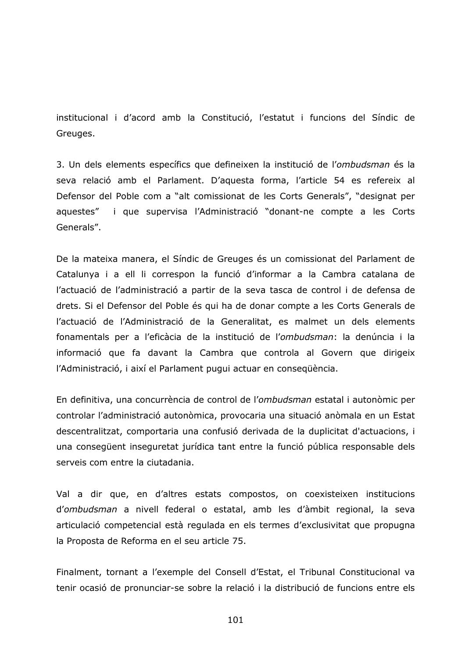institucional i d'acord amb la Constitució, l'estatut i funcions del Síndic de Greuges.

3. Un dels elements específics que defineixen la institució de l'ombudsman és la seva relació amb el Parlament. D'aquesta forma, l'article 54 es refereix al Defensor del Poble com a "alt comissionat de les Corts Generals", "designat per aquestes" i que supervisa l'Administració "donant-ne compte a les Corts Generals".

De la mateixa manera, el Síndic de Greuges és un comissionat del Parlament de Catalunya i a ell li correspon la funció d'informar a la Cambra catalana de l'actuació de l'administració a partir de la seva tasca de control i de defensa de drets. Si el Defensor del Poble és qui ha de donar compte a les Corts Generals de l'actuació de l'Administració de la Generalitat, es malmet un dels elements fonamentals per a l'eficàcia de la institució de l'ombudsman: la denúncia i la informació que fa davant la Cambra que controla al Govern que dirigeix l'Administració, i així el Parlament pugui actuar en consegüència.

En definitiva, una concurrència de control de l'ombudsman estatal i autonòmic per controlar l'administració autonòmica, provocaria una situació anòmala en un Estat descentralitzat, comportaria una confusió derivada de la duplicitat d'actuacions, i una consegüent inseguretat jurídica tant entre la funció pública responsable dels serveis com entre la ciutadania.

Val a dir que, en d'altres estats compostos, on coexisteixen institucions d'ombudsman a nivell federal o estatal, amb les d'àmbit regional, la seva articulació competencial està regulada en els termes d'exclusivitat que propugna la Proposta de Reforma en el seu article 75.

Finalment, tornant a l'exemple del Consell d'Estat, el Tribunal Constitucional va tenir ocasió de pronunciar-se sobre la relació i la distribució de funcions entre els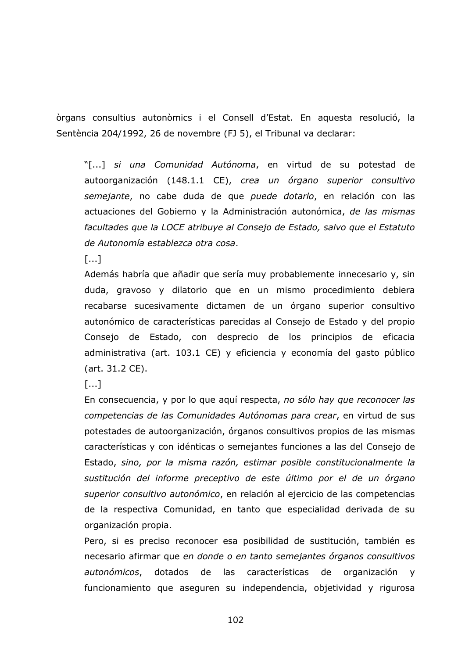òrgans consultius autonòmics i el Consell d'Estat. En aquesta resolució, la Sentència 204/1992, 26 de novembre (FJ 5), el Tribunal va declarar:

"[...] si una Comunidad Autónoma, en virtud de su potestad de autoorganización (148.1.1 CE), crea un órgano superior consultivo semejante, no cabe duda de que puede dotarlo, en relación con las actuaciones del Gobierno y la Administración autonómica, de las mismas facultades que la LOCE atribuye al Consejo de Estado, salvo que el Estatuto de Autonomía establezca otra cosa.

 $[...]$ 

Además habría que añadir que sería muy probablemente innecesario y, sin duda, gravoso y dilatorio que en un mismo procedimiento debiera recabarse sucesivamente dictamen de un órgano superior consultivo autonómico de características parecidas al Consejo de Estado y del propio Consejo de Estado, con desprecio de los principios de eficacia administrativa (art. 103.1 CE) y eficiencia y economía del gasto público (art. 31.2 CE).

 $[...]$ 

En consecuencia, y por lo que aquí respecta, no sólo hay que reconocer las competencias de las Comunidades Autónomas para crear, en virtud de sus potestades de autoorganización, órganos consultivos propios de las mismas características y con idénticas o semejantes funciones a las del Consejo de Estado, sino, por la misma razón, estimar posible constitucionalmente la sustitución del informe preceptivo de este último por el de un órgano superior consultivo autonómico, en relación al ejercicio de las competencias de la respectiva Comunidad, en tanto que especialidad derivada de su organización propia.

Pero, si es preciso reconocer esa posibilidad de sustitución, también es necesario afirmar que en donde o en tanto semejantes órganos consultivos autonómicos, dotados de las características de organización y funcionamiento que aseguren su independencia, objetividad y rigurosa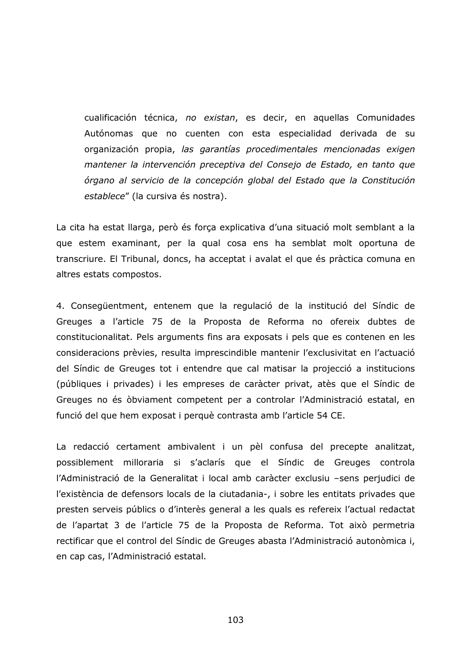cualificación técnica, no existan, es decir, en aquellas Comunidades Autónomas que no cuenten con esta especialidad derivada de su organización propia, las garantías procedimentales mencionadas exigen mantener la intervención preceptiva del Consejo de Estado, en tanto que órgano al servicio de la concepción global del Estado que la Constitución establece" (la cursiva és nostra).

La cita ha estat llarga, però és força explicativa d'una situació molt semblant a la que estem examinant, per la qual cosa ens ha semblat molt oportuna de transcriure. El Tribunal, doncs, ha acceptat i avalat el que és pràctica comuna en altres estats compostos.

4. Consequentment, entenem que la regulació de la institució del Síndic de Greuges a l'article 75 de la Proposta de Reforma no ofereix dubtes de constitucionalitat. Pels arguments fins ara exposats i pels que es contenen en les consideracions prèvies, resulta imprescindible mantenir l'exclusivitat en l'actuació del Síndic de Greuges tot i entendre que cal matisar la projecció a institucions (públiques i privades) i les empreses de caràcter privat, atès que el Síndic de Greuges no és òbviament competent per a controlar l'Administració estatal, en funció del que hem exposat i perquè contrasta amb l'article 54 CE.

La redacció certament ambivalent i un pèl confusa del precepte analitzat, possiblement milloraria si s'aclarís que el Síndic de Greuges controla l'Administració de la Generalitat i local amb caràcter exclusiu -sens perjudici de l'existència de defensors locals de la ciutadania-, i sobre les entitats privades que presten serveis públics o d'interès general a les quals es refereix l'actual redactat de l'apartat 3 de l'article 75 de la Proposta de Reforma. Tot això permetria rectificar que el control del Síndic de Greuges abasta l'Administració autonòmica i, en cap cas, l'Administració estatal.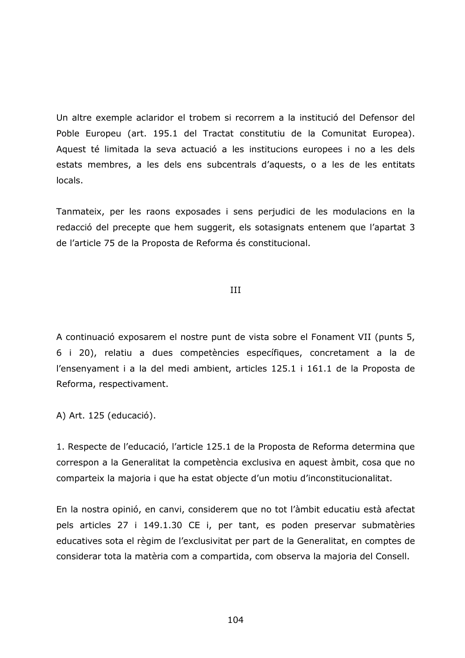Un altre exemple aclaridor el trobem si recorrem a la institució del Defensor del Poble Europeu (art. 195.1 del Tractat constitutiu de la Comunitat Europea). Aquest té limitada la seva actuació a les institucions europees i no a les dels estats membres, a les dels ens subcentrals d'aquests, o a les de les entitats locals.

Tanmateix, per les raons exposades i sens perjudici de les modulacions en la redacció del precepte que hem suggerit, els sotasignats entenem que l'apartat 3 de l'article 75 de la Proposta de Reforma és constitucional.

## $III$

A continuació exposarem el nostre punt de vista sobre el Fonament VII (punts 5, 6 i 20), relatiu a dues competències específiques, concretament a la de l'ensenyament i a la del medi ambient, articles 125.1 i 161.1 de la Proposta de Reforma, respectivament.

A) Art. 125 (educació).

1. Respecte de l'educació, l'article 125.1 de la Proposta de Reforma determina que correspon a la Generalitat la competència exclusiva en aquest àmbit, cosa que no comparteix la majoria i que ha estat objecte d'un motiu d'inconstitucionalitat.

En la nostra opinió, en canvi, considerem que no tot l'àmbit educatiu està afectat pels articles 27 i 149.1.30 CE i, per tant, es poden preservar submatèries educatives sota el règim de l'exclusivitat per part de la Generalitat, en comptes de considerar tota la matèria com a compartida, com observa la majoria del Consell.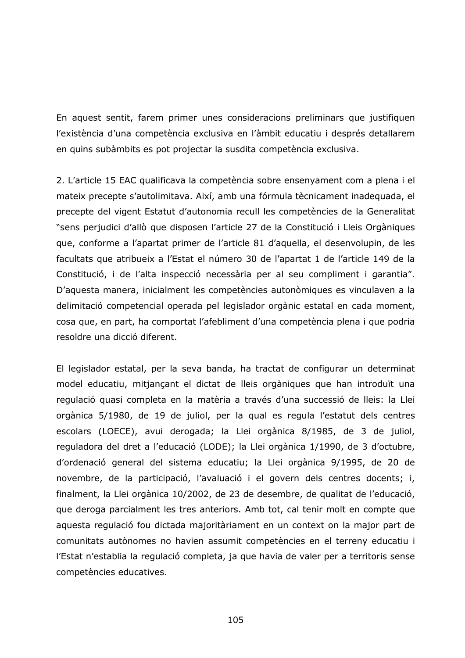En aquest sentit, farem primer unes consideracions preliminars que justifiquen l'existència d'una competència exclusiva en l'àmbit educatiu i després detallarem en quins subàmbits es pot projectar la susdita competència exclusiva.

2. L'article 15 EAC qualificava la competència sobre ensenyament com a plena i el mateix precepte s'autolimitava. Així, amb una fórmula tècnicament inadequada, el precepte del vigent Estatut d'autonomia recull les competències de la Generalitat "sens perjudici d'allò que disposen l'article 27 de la Constitució i Lleis Orgàniques que, conforme a l'apartat primer de l'article 81 d'aquella, el desenvolupin, de les facultats que atribueix a l'Estat el número 30 de l'apartat 1 de l'article 149 de la Constitució, i de l'alta inspecció necessària per al seu compliment i garantia". D'aquesta manera, inicialment les competències autonòmiques es vinculaven a la delimitació competencial operada pel legislador orgànic estatal en cada moment, cosa que, en part, ha comportat l'afebliment d'una competència plena i que podria resoldre una dicció diferent.

El legislador estatal, per la seva banda, ha tractat de configurar un determinat model educatiu, mitjançant el dictat de lleis orgàniques que han introduït una regulació quasi completa en la matèria a través d'una successió de lleis: la Llei orgànica 5/1980, de 19 de juliol, per la qual es regula l'estatut dels centres escolars (LOECE), avui derogada; la Llei orgànica 8/1985, de 3 de juliol, reguladora del dret a l'educació (LODE); la Llei orgànica 1/1990, de 3 d'octubre, d'ordenació general del sistema educatiu; la Llei orgànica 9/1995, de 20 de novembre, de la participació, l'avaluació i el govern dels centres docents; i, finalment, la Llei orgànica 10/2002, de 23 de desembre, de qualitat de l'educació, que deroga parcialment les tres anteriors. Amb tot, cal tenir molt en compte que aquesta regulació fou dictada majoritàriament en un context on la major part de comunitats autònomes no havien assumit competències en el terreny educatiu i l'Estat n'establia la regulació completa, ja que havia de valer per a territoris sense competències educatives.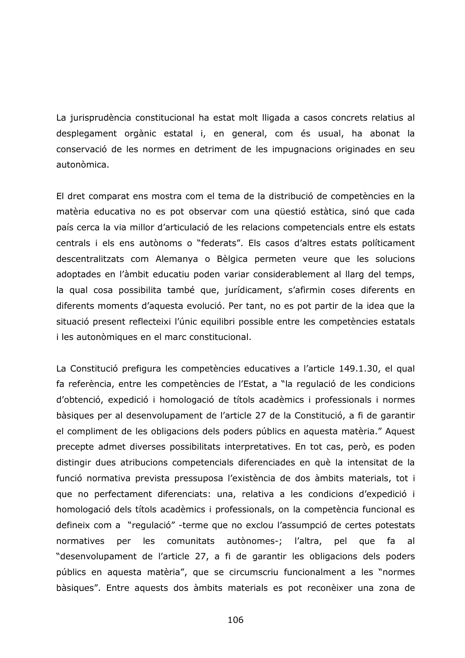La jurisprudència constitucional ha estat molt lligada a casos concrets relatius al desplegament orgànic estatal i, en general, com és usual, ha abonat la conservació de les normes en detriment de les impugnacions originades en seu autonòmica.

El dret comparat ens mostra com el tema de la distribució de competències en la matèria educativa no es pot observar com una qüestió estàtica, sinó que cada país cerca la via millor d'articulació de les relacions competencials entre els estats centrals i els ens autònoms o "federats". Els casos d'altres estats políticament descentralitzats com Alemanya o Bèlgica permeten veure que les solucions adoptades en l'àmbit educatiu poden variar considerablement al llarg del temps, la qual cosa possibilita també que, jurídicament, s'afirmin coses diferents en diferents moments d'aquesta evolució. Per tant, no es pot partir de la idea que la situació present reflecteixi l'únic equilibri possible entre les competències estatals i les autonòmiques en el marc constitucional.

La Constitució prefigura les competències educatives a l'article 149.1.30, el qual fa referència, entre les competències de l'Estat, a "la regulació de les condicions d'obtenció, expedició i homologació de títols acadèmics i professionals i normes bàsiques per al desenvolupament de l'article 27 de la Constitució, a fi de garantir el compliment de les obligacions dels poders públics en aquesta matèria." Aquest precepte admet diverses possibilitats interpretatives. En tot cas, però, es poden distingir dues atribucions competencials diferenciades en què la intensitat de la funció normativa prevista pressuposa l'existència de dos àmbits materials, tot i que no perfectament diferenciats: una, relativa a les condicions d'expedició i homologació dels títols acadèmics i professionals, on la competència funcional es defineix com a "regulació" -terme que no exclou l'assumpció de certes potestats comunitats autònomes-; normatives les l'altra, pel per que fa al "desenvolupament de l'article 27, a fi de garantir les obligacions dels poders públics en aquesta matèria", que se circumscriu funcionalment a les "normes bàsiques". Entre aquests dos àmbits materials es pot reconèixer una zona de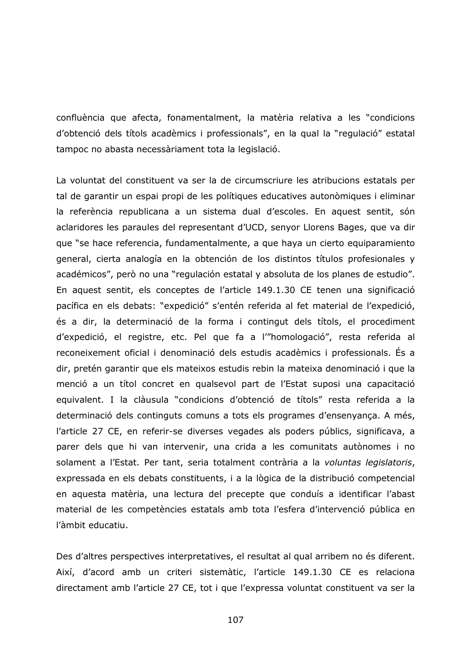confluència que afecta, fonamentalment, la matèria relativa a les "condicions d'obtenció dels títols acadèmics i professionals", en la qual la "regulació" estatal tampoc no abasta necessàriament tota la legislació.

La voluntat del constituent va ser la de circumscriure les atribucions estatals per tal de garantir un espai propi de les polítiques educatives autonòmiques i eliminar la referència republicana a un sistema dual d'escoles. En aquest sentit, són aclaridores les paraules del representant d'UCD, senyor Llorens Bages, que va dir que "se hace referencia, fundamentalmente, a que haya un cierto equiparamiento general, cierta analogía en la obtención de los distintos títulos profesionales y académicos", però no una "regulación estatal y absoluta de los planes de estudio". En aquest sentit, els conceptes de l'article 149.1.30 CE tenen una significació pacífica en els debats: "expedició" s'entén referida al fet material de l'expedició, és a dir, la determinació de la forma i contingut dels títols, el procediment d'expedició, el registre, etc. Pel que fa a l'"homologació", resta referida al reconeixement oficial i denominació dels estudis acadèmics i professionals. És a dir, pretén garantir que els mateixos estudis rebin la mateixa denominació i que la menció a un títol concret en qualsevol part de l'Estat suposi una capacitació equivalent. I la clàusula "condicions d'obtenció de títols" resta referida a la determinació dels continguts comuns a tots els programes d'ensenyança. A més, l'article 27 CE, en referir-se diverses vegades als poders públics, significava, a parer dels que hi van intervenir, una crida a les comunitats autònomes i no solament a l'Estat. Per tant, seria totalment contrària a la voluntas legislatoris, expressada en els debats constituents, i a la lògica de la distribució competencial en aquesta matèria, una lectura del precepte que conduís a identificar l'abast material de les competències estatals amb tota l'esfera d'intervenció pública en l'àmbit educatiu.

Des d'altres perspectives interpretatives, el resultat al qual arribem no és diferent. Així, d'acord amb un criteri sistemàtic, l'article 149.1.30 CE es relaciona directament amb l'article 27 CE, tot i que l'expressa voluntat constituent va ser la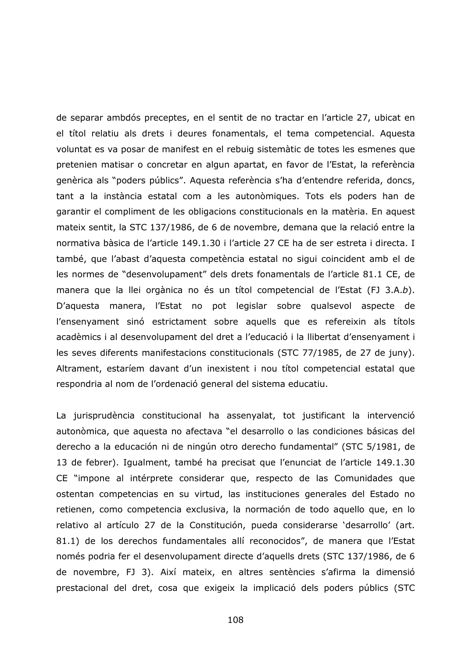de separar ambdós preceptes, en el sentit de no tractar en l'article 27, ubicat en el títol relatiu als drets i deures fonamentals, el tema competencial. Aquesta voluntat es va posar de manifest en el rebuig sistemàtic de totes les esmenes que pretenien matisar o concretar en algun apartat, en favor de l'Estat, la referència genèrica als "poders públics". Aquesta referència s'ha d'entendre referida, doncs, tant a la instància estatal com a les autonòmiques. Tots els poders han de garantir el compliment de les obligacions constitucionals en la matèria. En aquest mateix sentit, la STC 137/1986, de 6 de novembre, demana que la relació entre la normativa bàsica de l'article 149.1.30 i l'article 27 CE ha de ser estreta i directa. I també, que l'abast d'aquesta competència estatal no sigui coincident amb el de les normes de "desenvolupament" dels drets fonamentals de l'article 81.1 CE, de manera que la llei orgànica no és un títol competencial de l'Estat (FJ 3.A.b). D'aquesta manera, l'Estat no pot legislar sobre qualsevol aspecte de l'ensenyament sinó estrictament sobre aquells que es refereixin als títols acadèmics i al desenvolupament del dret a l'educació i la llibertat d'ensenyament i les seves diferents manifestacions constitucionals (STC 77/1985, de 27 de juny). Altrament, estaríem davant d'un inexistent i nou títol competencial estatal que respondria al nom de l'ordenació general del sistema educatiu.

La jurisprudència constitucional ha assenyalat, tot justificant la intervenció autonòmica, que aquesta no afectava "el desarrollo o las condiciones básicas del derecho a la educación ni de ningún otro derecho fundamental" (STC 5/1981, de 13 de febrer). Igualment, també ha precisat que l'enunciat de l'article 149.1.30 CE "impone al intérprete considerar que, respecto de las Comunidades que ostentan competencias en su virtud, las instituciones generales del Estado no retienen, como competencia exclusiva, la normación de todo aquello que, en lo relativo al artículo 27 de la Constitución, pueda considerarse 'desarrollo' (art. 81.1) de los derechos fundamentales allí reconocidos", de manera que l'Estat només podria fer el desenvolupament directe d'aquells drets (STC 137/1986, de 6 de novembre, FJ 3). Així mateix, en altres sentències s'afirma la dimensió prestacional del dret, cosa que exigeix la implicació dels poders públics (STC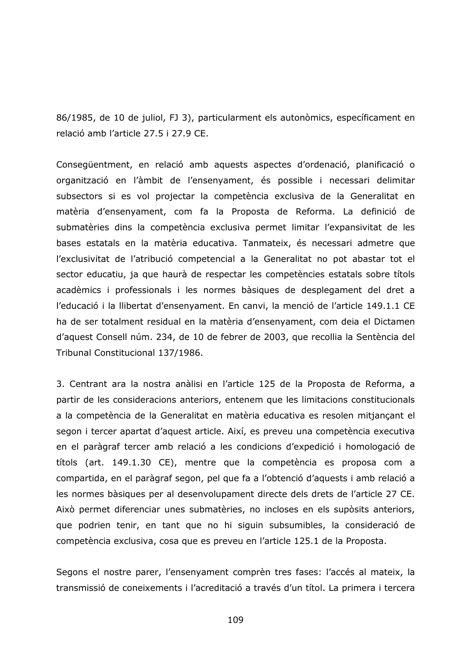86/1985, de 10 de juliol, FJ 3), particularment els autonòmics, específicament en relació amb l'article 27.5 i 27.9 CE.

Consegüentment, en relació amb aquests aspectes d'ordenació, planificació o organització en l'àmbit de l'ensenyament, és possible i necessari delimitar subsectors si es vol projectar la competència exclusiva de la Generalitat en matèria d'ensenyament, com fa la Proposta de Reforma. La definició de submatèries dins la competència exclusiva permet limitar l'expansivitat de les bases estatals en la matèria educativa. Tanmateix, és necessari admetre que l'exclusivitat de l'atribució competencial a la Generalitat no pot abastar tot el sector educatiu, ja que haurà de respectar les competències estatals sobre títols acadèmics i professionals i les normes bàsiques de desplegament del dret a l'educació i la llibertat d'ensenyament. En canvi, la menció de l'article 149.1.1 CE ha de ser totalment residual en la matèria d'ensenyament, com deia el Dictamen d'aquest Consell núm. 234, de 10 de febrer de 2003, que recollia la Sentència del Tribunal Constitucional 137/1986.

3. Centrant ara la nostra anàlisi en l'article 125 de la Proposta de Reforma, a partir de les consideracions anteriors, entenem que les limitacions constitucionals a la competència de la Generalitat en matèria educativa es resolen mitjançant el segon i tercer apartat d'aquest article. Així, es preveu una competència executiva en el paràgraf tercer amb relació a les condicions d'expedició i homologació de títols (art. 149.1.30 CE), mentre que la competència es proposa com a compartida, en el paràgraf segon, pel que fa a l'obtenció d'aquests i amb relació a les normes bàsiques per al desenvolupament directe dels drets de l'article 27 CE. Això permet diferenciar unes submatèries, no incloses en els supòsits anteriors, que podrien tenir, en tant que no hi siguin subsumibles, la consideració de competència exclusiva, cosa que es preveu en l'article 125.1 de la Proposta.

Segons el nostre parer, l'ensenyament comprèn tres fases: l'accés al mateix, la transmissió de coneixements i l'acreditació a través d'un títol. La primera i tercera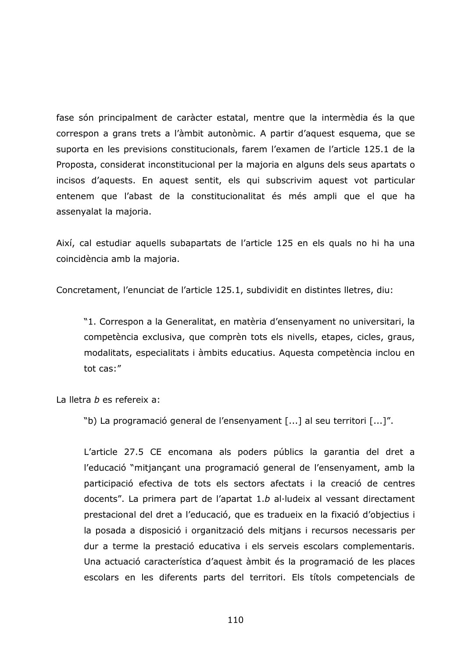fase són principalment de caràcter estatal, mentre que la intermèdia és la que correspon a grans trets a l'àmbit autonòmic. A partir d'aquest esquema, que se suporta en les previsions constitucionals, farem l'examen de l'article 125.1 de la Proposta, considerat inconstitucional per la majoria en alguns dels seus apartats o incisos d'aquests. En aquest sentit, els qui subscrivim aquest vot particular entenem que l'abast de la constitucionalitat és més ampli que el que ha assenyalat la majoria.

Així, cal estudiar aquells subapartats de l'article 125 en els quals no hi ha una coincidència amb la majoria.

Concretament, l'enunciat de l'article 125.1, subdividit en distintes lletres, diu:

"1. Correspon a la Generalitat, en matèria d'ensenyament no universitari, la competència exclusiva, que comprèn tots els nivells, etapes, cicles, graus, modalitats, especialitats i àmbits educatius. Aquesta competència inclou en tot cas:"

La lletra b es refereix a:

"b) La programació general de l'ensenyament [...] al seu territori [...]".

L'article 27.5 CE encomana als poders públics la garantia del dret a l'educació "mitjançant una programació general de l'ensenyament, amb la participació efectiva de tots els sectors afectats i la creació de centres docents". La primera part de l'apartat 1.b al·ludeix al vessant directament prestacional del dret a l'educació, que es tradueix en la fixació d'objectius i la posada a disposició i organització dels mitjans i recursos necessaris per dur a terme la prestació educativa i els serveis escolars complementaris. Una actuació característica d'aquest àmbit és la programació de les places escolars en les diferents parts del territori. Els títols competencials de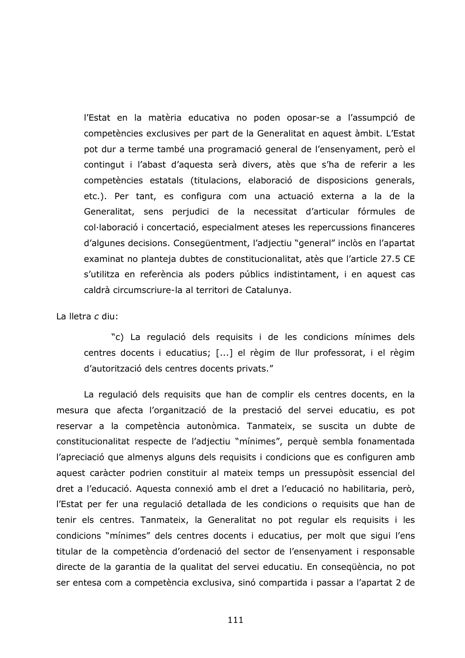l'Estat en la matèria educativa no poden oposar-se a l'assumpció de competències exclusives per part de la Generalitat en aquest àmbit. L'Estat pot dur a terme també una programació general de l'ensenyament, però el contingut i l'abast d'aquesta serà divers, atès que s'ha de referir a les competències estatals (titulacions, elaboració de disposicions generals, etc.). Per tant, es configura com una actuació externa a la de la Generalitat, sens perjudici de la necessitat d'articular fórmules de col·laboració i concertació, especialment ateses les repercussions financeres d'algunes decisions. Consegüentment, l'adjectiu "general" inclòs en l'apartat examinat no planteja dubtes de constitucionalitat, atès que l'article 27.5 CE s'utilitza en referència als poders públics indistintament, i en aquest cas caldrà circumscriure-la al territori de Catalunya.

## La lletra c diu:

"c) La regulació dels requisits i de les condicions mínimes dels centres docents i educatius; [...] el règim de llur professorat, i el règim d'autorització dels centres docents privats."

La regulació dels requisits que han de complir els centres docents, en la mesura que afecta l'organització de la prestació del servei educatiu, es pot reservar a la competència autonòmica. Tanmateix, se suscita un dubte de constitucionalitat respecte de l'adjectiu "mínimes", perquè sembla fonamentada l'apreciació que almenys alguns dels reguisits i condicions que es configuren amb aquest caràcter podrien constituir al mateix temps un pressupòsit essencial del dret a l'educació. Aquesta connexió amb el dret a l'educació no habilitaria, però, l'Estat per fer una regulació detallada de les condicions o requisits que han de tenir els centres. Tanmateix, la Generalitat no pot regular els requisits i les condicions "mínimes" dels centres docents i educatius, per molt que sigui l'ens titular de la competència d'ordenació del sector de l'ensenyament i responsable directe de la garantia de la qualitat del servei educatiu. En consequència, no pot ser entesa com a competència exclusiva, sinó compartida i passar a l'apartat 2 de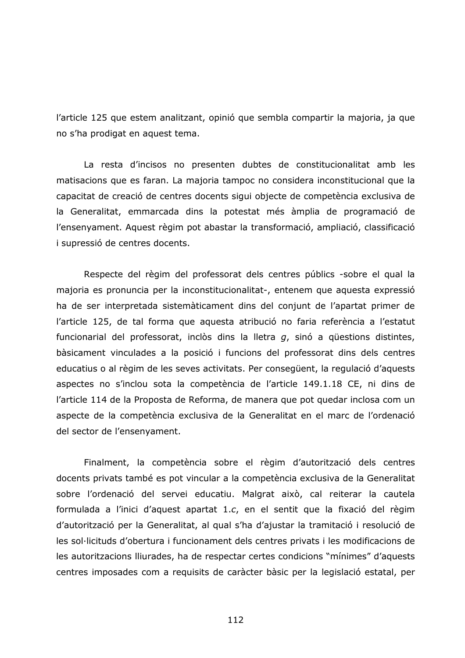l'article 125 que estem analitzant, opinió que sembla compartir la majoria, ja que no s'ha prodigat en aquest tema.

La resta d'incisos no presenten dubtes de constitucionalitat amb les matisacions que es faran. La majoria tampoc no considera inconstitucional que la capacitat de creació de centres docents sigui objecte de competència exclusiva de la Generalitat, emmarcada dins la potestat més àmplia de programació de l'ensenyament. Aquest règim pot abastar la transformació, ampliació, classificació i supressió de centres docents.

Respecte del règim del professorat dels centres públics -sobre el qual la majoria es pronuncia per la inconstitucionalitat-, entenem que aquesta expressió ha de ser interpretada sistemàticament dins del conjunt de l'apartat primer de l'article 125, de tal forma que aquesta atribució no faria referència a l'estatut funcionarial del professorat, inclòs dins la lletra  $q$ , sinó a qüestions distintes, bàsicament vinculades a la posició i funcions del professorat dins dels centres educatius o al règim de les seves activitats. Per consegüent, la regulació d'aguests aspectes no s'inclou sota la competència de l'article 149.1.18 CE, ni dins de l'article 114 de la Proposta de Reforma, de manera que pot quedar inclosa com un aspecte de la competència exclusiva de la Generalitat en el marc de l'ordenació del sector de l'ensenyament.

Finalment, la competència sobre el règim d'autorització dels centres docents privats també es pot vincular a la competència exclusiva de la Generalitat sobre l'ordenació del servei educatiu. Malgrat això, cal reiterar la cautela formulada a l'inici d'aquest apartat 1.c, en el sentit que la fixació del règim d'autorització per la Generalitat, al qual s'ha d'ajustar la tramitació i resolució de les sol·licituds d'obertura i funcionament dels centres privats i les modificacions de les autoritzacions lliurades, ha de respectar certes condicions "mínimes" d'aquests centres imposades com a requisits de caràcter bàsic per la legislació estatal, per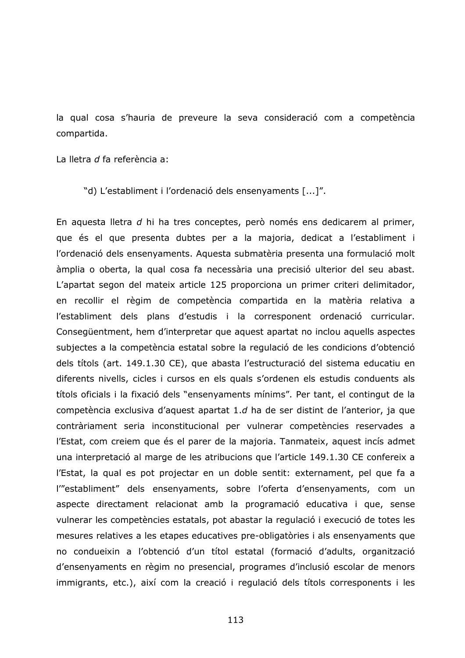la qual cosa s'hauria de preveure la seva consideració com a competència compartida.

La lletra d fa referència a:

"d) L'establiment i l'ordenació dels ensenyaments [...]".

En aquesta lletra d hi ha tres conceptes, però només ens dedicarem al primer, que és el que presenta dubtes per a la majoria, dedicat a l'establiment i l'ordenació dels ensenyaments. Aquesta submatèria presenta una formulació molt àmplia o oberta, la qual cosa fa necessària una precisió ulterior del seu abast. L'apartat segon del mateix article 125 proporciona un primer criteri delimitador, en recollir el règim de competència compartida en la matèria relativa a l'establiment dels plans d'estudis i la corresponent ordenació curricular. Consegüentment, hem d'interpretar que aquest apartat no inclou aquells aspectes subjectes a la competència estatal sobre la regulació de les condicions d'obtenció dels títols (art. 149.1.30 CE), que abasta l'estructuració del sistema educatiu en diferents nivells, cicles i cursos en els quals s'ordenen els estudis conduents als títols oficials i la fixació dels "ensenyaments mínims". Per tant, el contingut de la competència exclusiva d'aquest apartat 1.d ha de ser distint de l'anterior, ja que contràriament seria inconstitucional per vulnerar competències reservades a l'Estat, com creiem que és el parer de la majoria. Tanmateix, aquest incís admet una interpretació al marge de les atribucions que l'article 149.1.30 CE confereix a l'Estat, la qual es pot projectar en un doble sentit: externament, pel que fa a l'"establiment" dels ensenyaments, sobre l'oferta d'ensenyaments, com un aspecte directament relacionat amb la programació educativa i que, sense vulnerar les competències estatals, pot abastar la regulació i execució de totes les mesures relatives a les etapes educatives pre-obligatòries i als ensenyaments que no condueixin a l'obtenció d'un títol estatal (formació d'adults, organització d'ensenyaments en règim no presencial, programes d'inclusió escolar de menors immigrants, etc.), així com la creació i regulació dels títols corresponents i les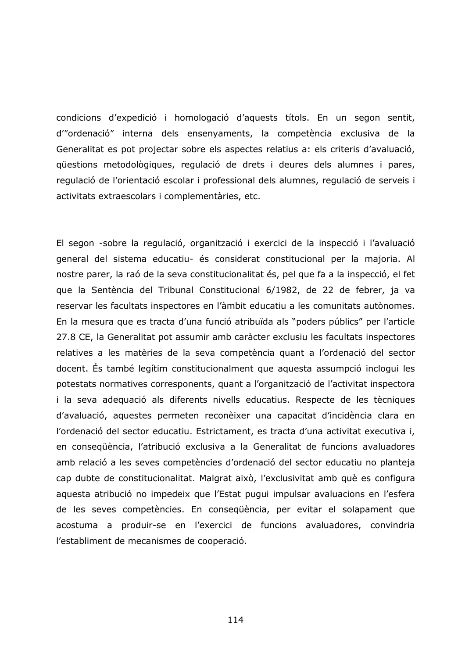condicions d'expedició i homologació d'aquests títols. En un segon sentit, d'"ordenació" interna dels ensenyaments, la competència exclusiva de la Generalitat es pot projectar sobre els aspectes relatius a: els criteris d'avaluació, questions metodològiques, regulació de drets i deures dels alumnes i pares, regulació de l'orientació escolar i professional dels alumnes, regulació de serveis i activitats extraescolars i complementàries, etc.

El segon -sobre la regulació, organització i exercici de la inspecció i l'avaluació general del sistema educatiu- és considerat constitucional per la majoria. Al nostre parer, la raó de la seva constitucionalitat és, pel que fa a la inspecció, el fet que la Sentència del Tribunal Constitucional 6/1982, de 22 de febrer, ja va reservar les facultats inspectores en l'àmbit educatiu a les comunitats autònomes. En la mesura que es tracta d'una funció atribuïda als "poders públics" per l'article 27.8 CE, la Generalitat pot assumir amb caràcter exclusiu les facultats inspectores relatives a les matèries de la seva competència quant a l'ordenació del sector docent. És també legítim constitucionalment que aquesta assumpció inclogui les potestats normatives corresponents, quant a l'organització de l'activitat inspectora i la seva adequació als diferents nivells educatius. Respecte de les tècniques d'avaluació, aquestes permeten reconèixer una capacitat d'incidència clara en l'ordenació del sector educatiu. Estrictament, es tracta d'una activitat executiva i, en consequència, l'atribució exclusiva a la Generalitat de funcions avaluadores amb relació a les seves competències d'ordenació del sector educatiu no planteja cap dubte de constitucionalitat. Malgrat això, l'exclusivitat amb què es configura aquesta atribució no impedeix que l'Estat pugui impulsar avaluacions en l'esfera de les seves competències. En consequència, per evitar el solapament que acostuma a produir-se en l'exercici de funcions avaluadores, convindria l'establiment de mecanismes de cooperació.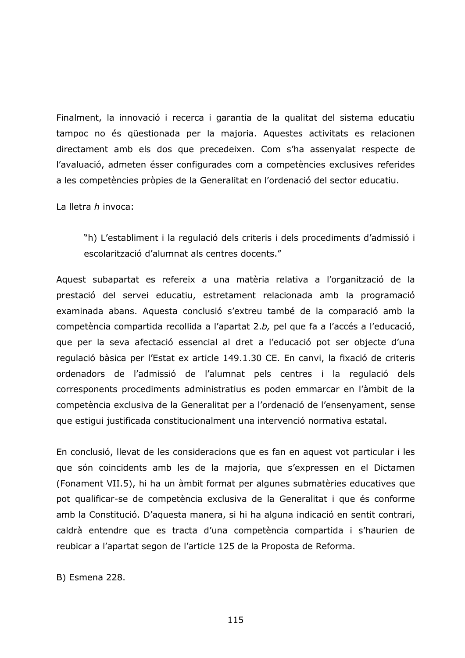Finalment, la innovació i recerca i garantia de la qualitat del sistema educatiu tampoc no és questionada per la majoria. Aquestes activitats es relacionen directament amb els dos que precedeixen. Com s'ha assenyalat respecte de l'avaluació, admeten ésser configurades com a competències exclusives referides a les competències pròpies de la Generalitat en l'ordenació del sector educatiu.

La lletra  $h$  invoca:

"h) L'establiment i la regulació dels criteris i dels procediments d'admissió i escolarització d'alumnat als centres docents."

Aquest subapartat es refereix a una matèria relativa a l'organització de la prestació del servei educatiu, estretament relacionada amb la programació examinada abans. Aquesta conclusió s'extreu també de la comparació amb la competència compartida recollida a l'apartat 2.b, pel que fa a l'accés a l'educació, que per la seva afectació essencial al dret a l'educació pot ser objecte d'una regulació bàsica per l'Estat ex article 149.1.30 CE. En canvi, la fixació de criteris ordenadors de l'admissió de l'alumnat pels centres i la regulació dels corresponents procediments administratius es poden emmarcar en l'àmbit de la competència exclusiva de la Generalitat per a l'ordenació de l'ensenyament, sense que estigui justificada constitucionalment una intervenció normativa estatal.

En conclusió, llevat de les consideracions que es fan en aquest vot particular i les que són coincidents amb les de la majoria, que s'expressen en el Dictamen (Fonament VII.5), hi ha un àmbit format per algunes submatèries educatives que pot qualificar-se de competència exclusiva de la Generalitat i que és conforme amb la Constitució. D'aquesta manera, si hi ha alguna indicació en sentit contrari, caldrà entendre que es tracta d'una competència compartida i s'haurien de reubicar a l'apartat segon de l'article 125 de la Proposta de Reforma.

B) Esmena 228.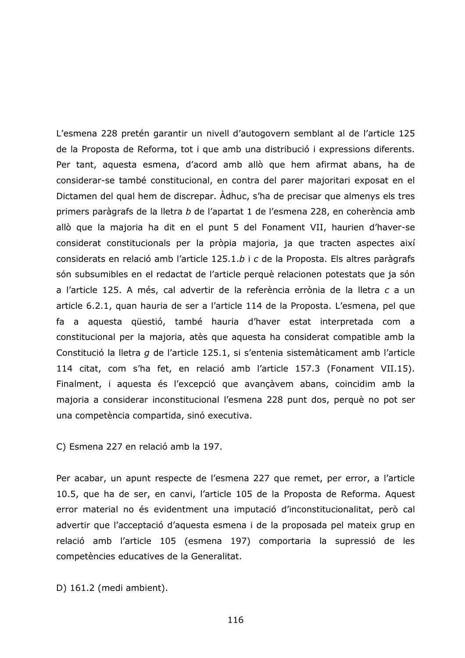L'esmena 228 pretén garantir un nivell d'autogovern semblant al de l'article 125 de la Proposta de Reforma, tot i que amb una distribució i expressions diferents. Per tant, aquesta esmena, d'acord amb allò que hem afirmat abans, ha de considerar-se també constitucional, en contra del parer majoritari exposat en el Dictamen del qual hem de discrepar. Adhuc, s'ha de precisar que almenys els tres primers paràgrafs de la lletra b de l'apartat 1 de l'esmena 228, en coherència amb allò que la majoria ha dit en el punt 5 del Fonament VII, haurien d'haver-se considerat constitucionals per la pròpia majoria, ja que tracten aspectes així considerats en relació amb l'article 125.1.b i c de la Proposta. Els altres paràgrafs són subsumibles en el redactat de l'article perquè relacionen potestats que ja són a l'article 125. A més, cal advertir de la referència errònia de la lletra c a un article 6.2.1, quan hauria de ser a l'article 114 de la Proposta. L'esmena, pel que fa a aquesta qüestió, també hauria d'haver estat interpretada com a constitucional per la majoria, atès que aquesta ha considerat compatible amb la Constitució la lletra g de l'article 125.1, si s'entenia sistemàticament amb l'article 114 citat, com s'ha fet, en relació amb l'article 157.3 (Fonament VII.15). Finalment, i aquesta és l'excepció que avançàvem abans, coincidim amb la majoria a considerar inconstitucional l'esmena 228 punt dos, perquè no pot ser una competència compartida, sinó executiva.

C) Esmena 227 en relació amb la 197.

Per acabar, un apunt respecte de l'esmena 227 que remet, per error, a l'article 10.5, que ha de ser, en canvi, l'article 105 de la Proposta de Reforma. Aquest error material no és evidentment una imputació d'inconstitucionalitat, però cal advertir que l'acceptació d'aquesta esmena i de la proposada pel mateix grup en relació amb l'article 105 (esmena 197) comportaria la supressió de les competències educatives de la Generalitat.

D) 161.2 (medi ambient).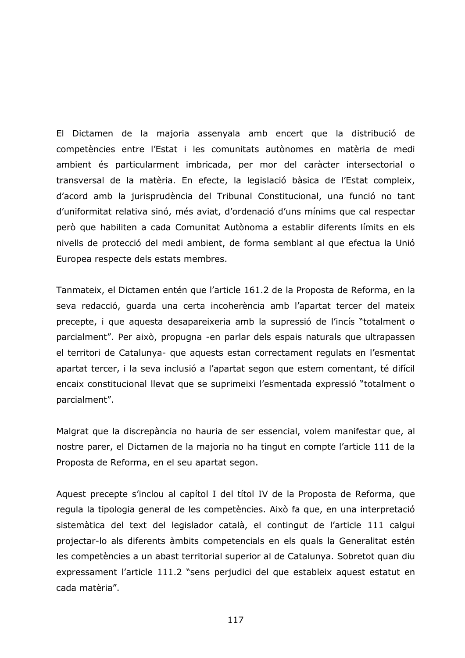El Dictamen de la majoria assenyala amb encert que la distribució de competències entre l'Estat i les comunitats autònomes en matèria de medi ambient és particularment imbricada, per mor del caràcter intersectorial o transversal de la matèria. En efecte, la legislació bàsica de l'Estat compleix, d'acord amb la jurisprudència del Tribunal Constitucional, una funció no tant d'uniformitat relativa sinó, més aviat, d'ordenació d'uns mínims que cal respectar però que habiliten a cada Comunitat Autònoma a establir diferents límits en els nivells de protecció del medi ambient, de forma semblant al que efectua la Unió Europea respecte dels estats membres.

Tanmateix, el Dictamen entén que l'article 161.2 de la Proposta de Reforma, en la seva redacció, quarda una certa incoherència amb l'apartat tercer del mateix precepte, i que aquesta desapareixeria amb la supressió de l'incís "totalment o parcialment". Per això, propugna -en parlar dels espais naturals que ultrapassen el territori de Catalunya- que aquests estan correctament regulats en l'esmentat apartat tercer, i la seva inclusió a l'apartat segon que estem comentant, té difícil encaix constitucional llevat que se suprimeixi l'esmentada expressió "totalment o parcialment".

Malgrat que la discrepància no hauria de ser essencial, volem manifestar que, al nostre parer, el Dictamen de la majoria no ha tingut en compte l'article 111 de la Proposta de Reforma, en el seu apartat segon.

Aquest precepte s'inclou al capítol I del títol IV de la Proposta de Reforma, que regula la tipologia general de les competències. Això fa que, en una interpretació sistemàtica del text del legislador català, el contingut de l'article 111 calgui projectar-lo als diferents àmbits competencials en els quals la Generalitat estén les competències a un abast territorial superior al de Catalunya. Sobretot quan diu expressament l'article 111.2 "sens perjudici del que estableix aquest estatut en cada matèria".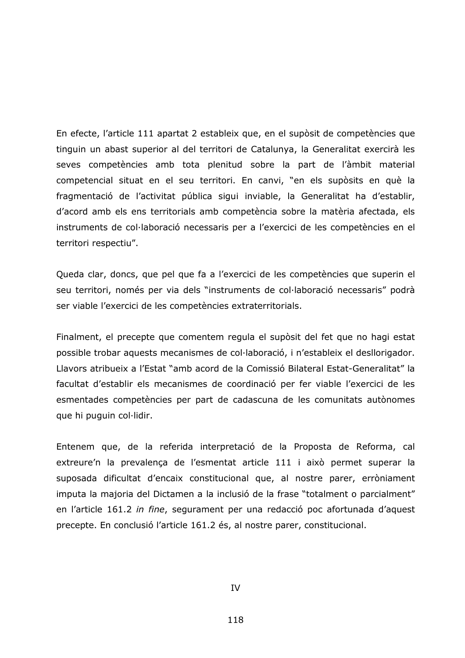En efecte, l'article 111 apartat 2 estableix que, en el supòsit de competències que tinguin un abast superior al del territori de Catalunya, la Generalitat exercirà les seves competències amb tota plenitud sobre la part de l'àmbit material competencial situat en el seu territori. En canvi, "en els supòsits en què la fragmentació de l'activitat pública sigui inviable, la Generalitat ha d'establir, d'acord amb els ens territorials amb competència sobre la matèria afectada, els instruments de col·laboració necessaris per a l'exercici de les competències en el territori respectiu".

Queda clar, doncs, que pel que fa a l'exercici de les competències que superin el seu territori, només per via dels "instruments de col·laboració necessaris" podrà ser viable l'exercici de les competències extraterritorials.

Finalment, el precepte que comentem regula el supòsit del fet que no hagi estat possible trobar aquests mecanismes de col·laboració, i n'estableix el desllorigador. Llavors atribueix a l'Estat "amb acord de la Comissió Bilateral Estat-Generalitat" la facultat d'establir els mecanismes de coordinació per fer viable l'exercici de les esmentades competències per part de cadascuna de les comunitats autònomes que hi puguin col·lidir.

Entenem que, de la referida interpretació de la Proposta de Reforma, cal extreure'n la prevalença de l'esmentat article 111 i això permet superar la suposada dificultat d'encaix constitucional que, al nostre parer, erròniament imputa la majoria del Dictamen a la inclusió de la frase "totalment o parcialment" en l'article 161.2 in fine, segurament per una redacció poc afortunada d'aquest precepte. En conclusió l'article 161.2 és, al nostre parer, constitucional.

**TV**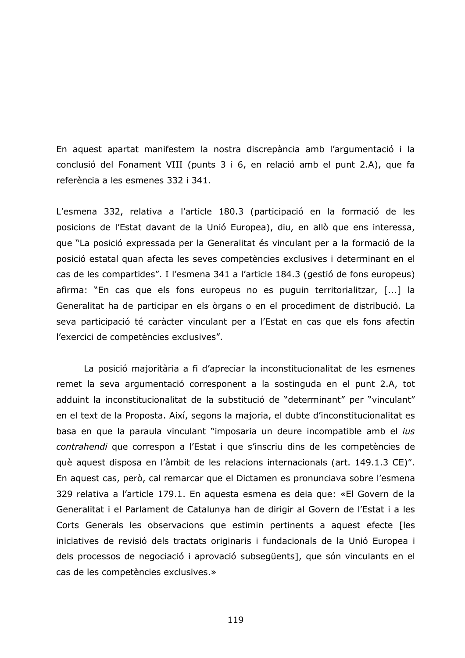En aquest apartat manifestem la nostra discrepància amb l'argumentació i la conclusió del Fonament VIII (punts 3 i 6, en relació amb el punt 2.A), que fa referència a les esmenes 332 i 341.

L'esmena 332, relativa a l'article 180.3 (participació en la formació de les posicions de l'Estat davant de la Unió Europea), diu, en allò que ens interessa, que "La posició expressada per la Generalitat és vinculant per a la formació de la posició estatal quan afecta les seves competències exclusives i determinant en el cas de les compartides". I l'esmena 341 a l'article 184.3 (gestió de fons europeus) afirma: "En cas que els fons europeus no es puguin territorialitzar, [...] la Generalitat ha de participar en els òrgans o en el procediment de distribució. La seva participació té caràcter vinculant per a l'Estat en cas que els fons afectin l'exercici de competències exclusives".

La posició majoritària a fi d'apreciar la inconstitucionalitat de les esmenes remet la seva argumentació corresponent a la sostinguda en el punt 2.A, tot adduint la inconstitucionalitat de la substitució de "determinant" per "vinculant" en el text de la Proposta. Així, segons la majoria, el dubte d'inconstitucionalitat es basa en que la paraula vinculant "imposaria un deure incompatible amb el ius contrahendi que correspon a l'Estat i que s'inscriu dins de les competències de què aquest disposa en l'àmbit de les relacions internacionals (art. 149.1.3 CE)". En aquest cas, però, cal remarcar que el Dictamen es pronunciava sobre l'esmena 329 relativa a l'article 179.1. En aquesta esmena es deia que: «El Govern de la Generalitat i el Parlament de Catalunya han de dirigir al Govern de l'Estat i a les Corts Generals les observacions que estimin pertinents a aquest efecte [les iniciatives de revisió dels tractats originaris i fundacionals de la Unió Europea i dels processos de negociació i aprovació subsegüents], que són vinculants en el cas de les competències exclusives.»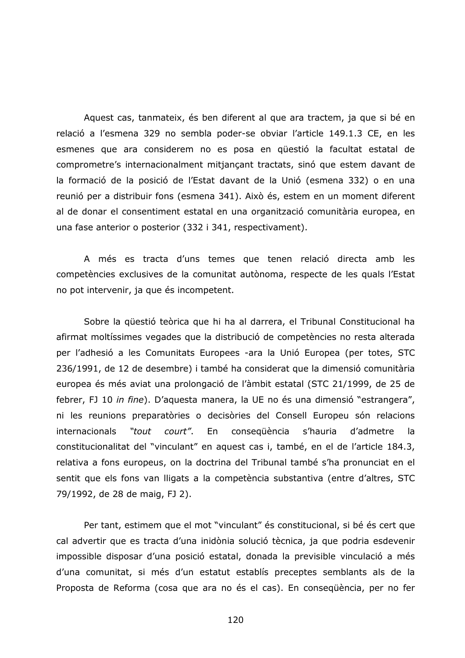Aquest cas, tanmateix, és ben diferent al que ara tractem, ja que si bé en relació a l'esmena 329 no sembla poder-se obviar l'article 149.1.3 CE, en les esmenes que ara considerem no es posa en qüestió la facultat estatal de comprometre's internacionalment mitjançant tractats, sinó que estem davant de la formació de la posició de l'Estat davant de la Unió (esmena 332) o en una reunió per a distribuir fons (esmena 341). Això és, estem en un moment diferent al de donar el consentiment estatal en una organització comunitària europea, en una fase anterior o posterior (332 i 341, respectivament).

A més es tracta d'uns temes que tenen relació directa amb les competències exclusives de la comunitat autònoma, respecte de les quals l'Estat no pot intervenir, ja que és incompetent.

Sobre la güestió teòrica que hi ha al darrera, el Tribunal Constitucional ha afirmat moltíssimes vegades que la distribució de competències no resta alterada per l'adhesió a les Comunitats Europees -ara la Unió Europea (per totes, STC 236/1991, de 12 de desembre) i també ha considerat que la dimensió comunitària europea és més aviat una prolongació de l'àmbit estatal (STC 21/1999, de 25 de febrer, FJ 10 in fine). D'aquesta manera, la UE no és una dimensió "estrangera", ni les reunions preparatòries o decisòries del Consell Europeu són relacions internacionals "tout court". En conseqüència s'hauria d'admetre la constitucionalitat del "vinculant" en aquest cas i, també, en el de l'article 184.3, relativa a fons europeus, on la doctrina del Tribunal també s'ha pronunciat en el sentit que els fons van lligats a la competència substantiva (entre d'altres, STC 79/1992, de 28 de maig, FJ 2).

Per tant, estimem que el mot "vinculant" és constitucional, si bé és cert que cal advertir que es tracta d'una inidònia solució tècnica, ja que podria esdevenir impossible disposar d'una posició estatal, donada la previsible vinculació a més d'una comunitat, si més d'un estatut establís preceptes semblants als de la Proposta de Reforma (cosa que ara no és el cas). En consequència, per no fer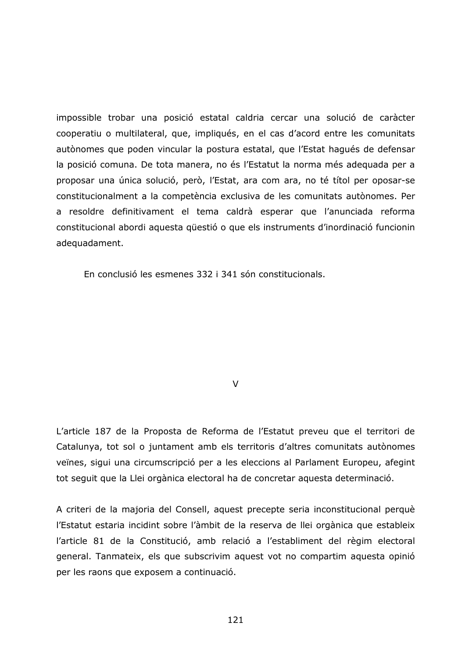impossible trobar una posició estatal caldria cercar una solució de caràcter cooperatiu o multilateral, que, impliqués, en el cas d'acord entre les comunitats autònomes que poden vincular la postura estatal, que l'Estat hagués de defensar la posició comuna. De tota manera, no és l'Estatut la norma més adequada per a proposar una única solució, però, l'Estat, ara com ara, no té títol per oposar-se constitucionalment a la competència exclusiva de les comunitats autònomes. Per a resoldre definitivament el tema caldrà esperar que l'anunciada reforma constitucional abordi aquesta questió o que els instruments d'inordinació funcionin adequadament.

En conclusió les esmenes 332 i 341 són constitucionals.

 $\mathcal{U}$ 

L'article 187 de la Proposta de Reforma de l'Estatut preveu que el territori de Catalunya, tot sol o juntament amb els territoris d'altres comunitats autònomes veïnes, sigui una circumscripció per a les eleccions al Parlament Europeu, afegint tot seguit que la Llei orgànica electoral ha de concretar aquesta determinació.

A criteri de la majoria del Consell, aquest precepte seria inconstitucional perquè l'Estatut estaria incidint sobre l'àmbit de la reserva de llei orgànica que estableix l'article 81 de la Constitució, amb relació a l'establiment del règim electoral general. Tanmateix, els que subscrivim aquest vot no compartim aquesta opinió per les raons que exposem a continuació.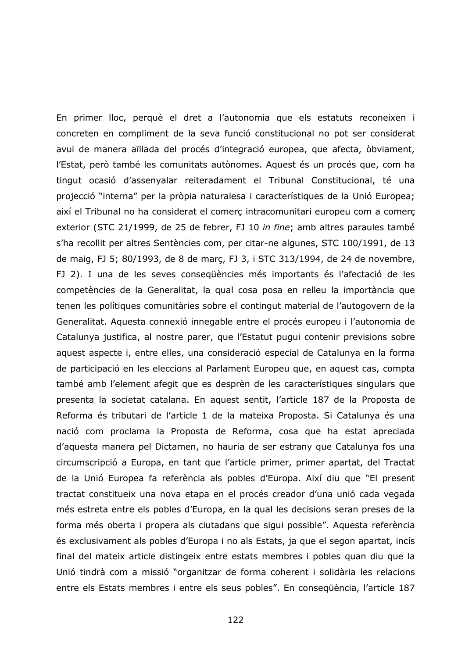En primer lloc, perquè el dret a l'autonomia que els estatuts reconeixen i concreten en compliment de la seva funció constitucional no pot ser considerat avui de manera aïllada del procés d'integració europea, que afecta, òbviament, l'Estat, però també les comunitats autònomes. Aquest és un procés que, com ha tingut ocasió d'assenyalar reiteradament el Tribunal Constitucional, té una projecció "interna" per la pròpia naturalesa i característiques de la Unió Europea; així el Tribunal no ha considerat el comerc intracomunitari europeu com a comerc exterior (STC 21/1999, de 25 de febrer, FJ 10 in fine; amb altres paraules també s'ha recollit per altres Sentències com, per citar-ne algunes, STC 100/1991, de 13 de maig, FJ 5; 80/1993, de 8 de març, FJ 3, i STC 313/1994, de 24 de novembre, FJ 2). I una de les seves consequències més importants és l'afectació de les competències de la Generalitat, la qual cosa posa en relleu la importància que tenen les polítiques comunitàries sobre el contingut material de l'autogovern de la Generalitat. Aquesta connexió innegable entre el procés europeu i l'autonomia de Catalunya justifica, al nostre parer, que l'Estatut pugui contenir previsions sobre aquest aspecte i, entre elles, una consideració especial de Catalunya en la forma de participació en les eleccions al Parlament Europeu que, en aquest cas, compta també amb l'element afegit que es desprèn de les característiques singulars que presenta la societat catalana. En aquest sentit, l'article 187 de la Proposta de Reforma és tributari de l'article 1 de la mateixa Proposta. Si Catalunya és una nació com proclama la Proposta de Reforma, cosa que ha estat apreciada d'aquesta manera pel Dictamen, no hauria de ser estrany que Catalunya fos una circumscripció a Europa, en tant que l'article primer, primer apartat, del Tractat de la Unió Europea fa referència als pobles d'Europa. Així diu que "El present tractat constitueix una nova etapa en el procés creador d'una unió cada vegada més estreta entre els pobles d'Europa, en la qual les decisions seran preses de la forma més oberta i propera als ciutadans que sigui possible". Aquesta referència és exclusivament als pobles d'Europa i no als Estats, ja que el segon apartat, incís final del mateix article distingeix entre estats membres i pobles quan diu que la Unió tindrà com a missió "organitzar de forma coherent i solidària les relacions entre els Estats membres i entre els seus pobles". En consequència, l'article 187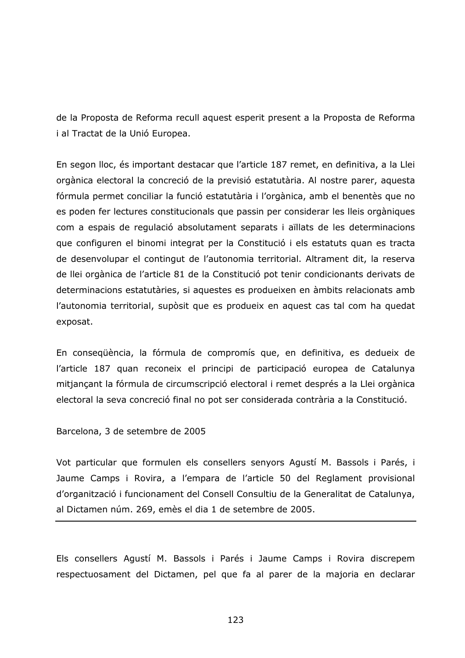de la Proposta de Reforma recull aquest esperit present a la Proposta de Reforma i al Tractat de la Unió Europea.

En segon lloc, és important destacar que l'article 187 remet, en definitiva, a la Llei orgànica electoral la concreció de la previsió estatutària. Al nostre parer, aquesta fórmula permet conciliar la funció estatutària i l'orgànica, amb el benentès que no es poden fer lectures constitucionals que passin per considerar les lleis orgàniques com a espais de regulació absolutament separats i aïllats de les determinacions que configuren el binomi integrat per la Constitució i els estatuts quan es tracta de desenvolupar el contingut de l'autonomia territorial. Altrament dit, la reserva de llei orgànica de l'article 81 de la Constitució pot tenir condicionants derivats de determinacions estatutàries, si aquestes es produeixen en àmbits relacionats amb l'autonomia territorial, supòsit que es produeix en aquest cas tal com ha quedat exposat.

En consequència, la fórmula de compromís que, en definitiva, es dedueix de l'article 187 quan reconeix el principi de participació europea de Catalunya mitjançant la fórmula de circumscripció electoral i remet després a la Llei orgànica electoral la seva concreció final no pot ser considerada contrària a la Constitució.

Barcelona, 3 de setembre de 2005

Vot particular que formulen els consellers senyors Agustí M. Bassols i Parés, i Jaume Camps i Rovira, a l'empara de l'article 50 del Reglament provisional d'organització i funcionament del Consell Consultiu de la Generalitat de Catalunya, al Dictamen núm. 269, emès el dia 1 de setembre de 2005.

Els consellers Agustí M. Bassols i Parés i Jaume Camps i Rovira discrepem respectuosament del Dictamen, pel que fa al parer de la majoria en declarar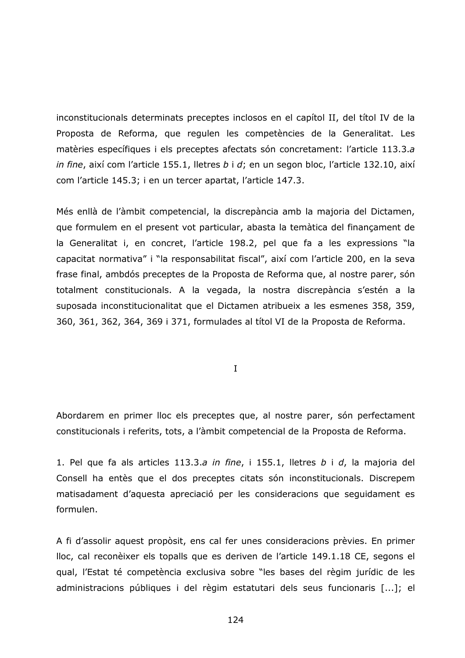inconstitucionals determinats preceptes inclosos en el capítol II, del títol IV de la Proposta de Reforma, que regulen les competències de la Generalitat. Les matèries específiques i els preceptes afectats són concretament: l'article 113.3.a in fine, així com l'article 155.1, lletres b i d; en un segon bloc, l'article 132.10, així com l'article 145.3; i en un tercer apartat, l'article 147.3.

Més enllà de l'àmbit competencial, la discrepància amb la majoria del Dictamen, que formulem en el present vot particular, abasta la temàtica del finançament de la Generalitat i, en concret, l'article 198.2, pel que fa a les expressions "la capacitat normativa" i "la responsabilitat fiscal", així com l'article 200, en la seva frase final, ambdós preceptes de la Proposta de Reforma que, al nostre parer, són totalment constitucionals. A la vegada, la nostra discrepància s'estén a la suposada inconstitucionalitat que el Dictamen atribueix a les esmenes 358, 359, 360, 361, 362, 364, 369 i 371, formulades al títol VI de la Proposta de Reforma.

 $\mathbf{I}$ 

Abordarem en primer lloc els preceptes que, al nostre parer, són perfectament constitucionals i referits, tots, a l'àmbit competencial de la Proposta de Reforma.

1. Pel que fa als articles 113.3.a in fine, i 155.1, lletres  $b$  i  $d$ , la majoria del Consell ha entès que el dos preceptes citats són inconstitucionals. Discrepem matisadament d'aquesta apreciació per les consideracions que sequidament es formulen.

A fi d'assolir aquest propòsit, ens cal fer unes consideracions prèvies. En primer lloc, cal reconèixer els topalls que es deriven de l'article 149.1.18 CE, segons el gual, l'Estat té competència exclusiva sobre "les bases del règim jurídic de les administracions públiques i del règim estatutari dels seus funcionaris [...]; el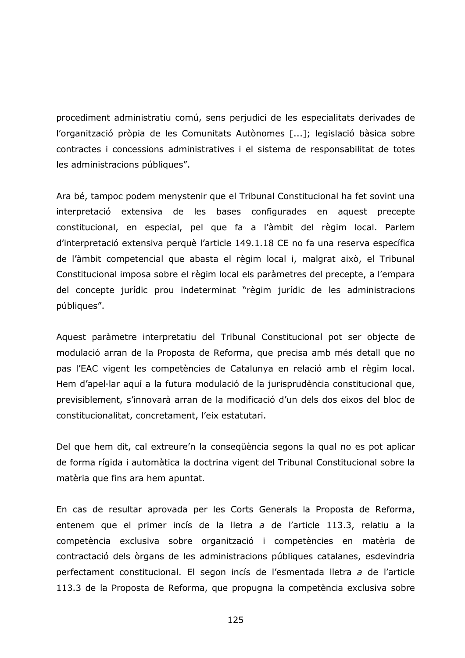procediment administratiu comú, sens perjudici de les especialitats derivades de l'organització pròpia de les Comunitats Autònomes [...]; legislació bàsica sobre contractes i concessions administratives i el sistema de responsabilitat de totes les administracions públiques".

Ara bé, tampoc podem menystenir que el Tribunal Constitucional ha fet sovint una interpretació extensiva de les bases configurades en aquest precepte constitucional, en especial, pel que fa a l'àmbit del règim local. Parlem d'interpretació extensiva perquè l'article 149.1.18 CE no fa una reserva específica de l'àmbit competencial que abasta el règim local i, malgrat això, el Tribunal Constitucional imposa sobre el règim local els paràmetres del precepte, a l'empara del concepte jurídic prou indeterminat "règim jurídic de les administracions públiques".

Aquest paràmetre interpretatiu del Tribunal Constitucional pot ser objecte de modulació arran de la Proposta de Reforma, que precisa amb més detall que no pas l'EAC vigent les competències de Catalunya en relació amb el règim local. Hem d'apel·lar aquí a la futura modulació de la jurisprudència constitucional que, previsiblement, s'innovarà arran de la modificació d'un dels dos eixos del bloc de constitucionalitat, concretament, l'eix estatutari.

Del que hem dit, cal extreure'n la consequència segons la qual no es pot aplicar de forma rígida i automàtica la doctrina vigent del Tribunal Constitucional sobre la matèria que fins ara hem apuntat.

En cas de resultar aprovada per les Corts Generals la Proposta de Reforma, entenem que el primer incís de la lletra a de l'article 113.3, relatiu a la competència exclusiva sobre organització i competències en matèria de contractació dels òrgans de les administracions públiques catalanes, esdevindria perfectament constitucional. El segon incís de l'esmentada lletra a de l'article 113.3 de la Proposta de Reforma, que propugna la competència exclusiva sobre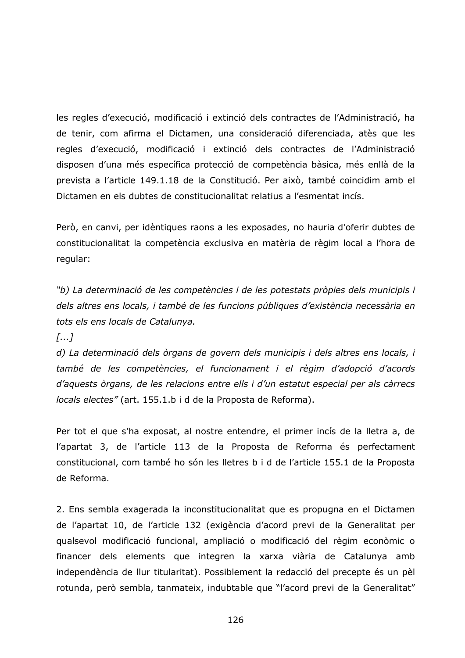les regles d'execució, modificació i extinció dels contractes de l'Administració, ha de tenir, com afirma el Dictamen, una consideració diferenciada, atès que les regles d'execució, modificació i extinció dels contractes de l'Administració disposen d'una més específica protecció de competència bàsica, més enllà de la prevista a l'article 149.1.18 de la Constitució. Per això, també coincidim amb el Dictamen en els dubtes de constitucionalitat relatius a l'esmentat incís.

Però, en canvi, per idèntiques raons a les exposades, no hauria d'oferir dubtes de constitucionalitat la competència exclusiva en matèria de règim local a l'hora de regular:

"b) La determinació de les competències i de les potestats pròpies dels municipis i dels altres ens locals, i també de les funcions públiques d'existència necessària en tots els ens locals de Catalunya.

 $\left[\ldots\right]$ 

d) La determinació dels òrgans de govern dels municipis i dels altres ens locals, i també de les competències, el funcionament i el règim d'adopció d'acords d'aquests òrgans, de les relacions entre ells i d'un estatut especial per als càrrecs locals electes" (art. 155.1.b i d de la Proposta de Reforma).

Per tot el que s'ha exposat, al nostre entendre, el primer incís de la lletra a, de l'apartat 3, de l'article 113 de la Proposta de Reforma és perfectament constitucional, com també ho són les lletres b i d de l'article 155.1 de la Proposta de Reforma.

2. Ens sembla exagerada la inconstitucionalitat que es propugna en el Dictamen de l'apartat 10, de l'article 132 (exigència d'acord previ de la Generalitat per qualsevol modificació funcional, ampliació o modificació del règim econòmic o financer dels elements que integren la xarxa viària de Catalunya amb independència de llur titularitat). Possiblement la redacció del precepte és un pèl rotunda, però sembla, tanmateix, indubtable que "l'acord previ de la Generalitat"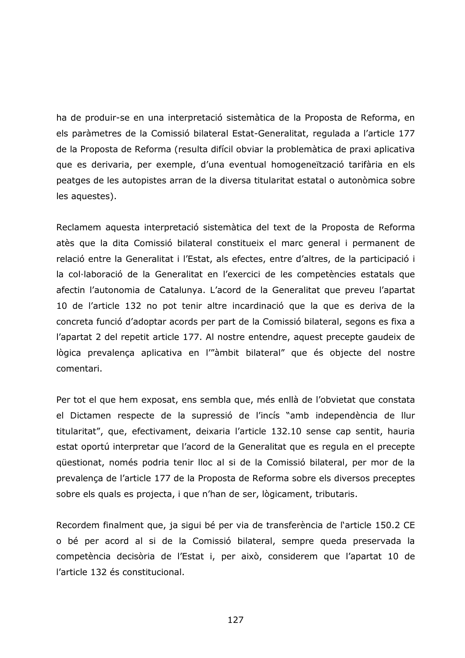ha de produir-se en una interpretació sistemàtica de la Proposta de Reforma, en els paràmetres de la Comissió bilateral Estat-Generalitat, regulada a l'article 177 de la Proposta de Reforma (resulta difícil obviar la problemàtica de praxi aplicativa que es derivaria, per exemple, d'una eventual homogeneïtzació tarifària en els peatges de les autopistes arran de la diversa titularitat estatal o autonòmica sobre les aquestes).

Reclamem aquesta interpretació sistemàtica del text de la Proposta de Reforma atès que la dita Comissió bilateral constitueix el marc general i permanent de relació entre la Generalitat i l'Estat, als efectes, entre d'altres, de la participació i la col·laboració de la Generalitat en l'exercici de les competències estatals que afectin l'autonomia de Catalunya. L'acord de la Generalitat que preveu l'apartat 10 de l'article 132 no pot tenir altre incardinació que la que es deriva de la concreta funció d'adoptar acords per part de la Comissió bilateral, segons es fixa a l'apartat 2 del repetit article 177. Al nostre entendre, aquest precepte gaudeix de lògica prevalença aplicativa en l'"àmbit bilateral" que és objecte del nostre comentari.

Per tot el que hem exposat, ens sembla que, més enllà de l'obvietat que constata el Dictamen respecte de la supressió de l'incís "amb independència de llur titularitat", que, efectivament, deixaria l'article 132.10 sense cap sentit, hauria estat oportú interpretar que l'acord de la Generalitat que es regula en el precepte güestionat, només podria tenir lloc al si de la Comissió bilateral, per mor de la prevalença de l'article 177 de la Proposta de Reforma sobre els diversos preceptes sobre els quals es projecta, i que n'han de ser, lògicament, tributaris.

Recordem finalment que, ja sigui bé per via de transferència de l'article 150.2 CE o bé per acord al si de la Comissió bilateral, sempre queda preservada la competència decisòria de l'Estat i, per això, considerem que l'apartat 10 de l'article 132 és constitucional.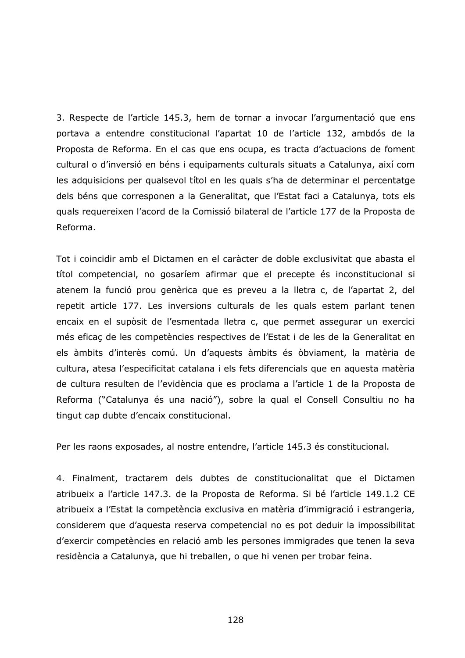3. Respecte de l'article 145.3, hem de tornar a invocar l'argumentació que ens portava a entendre constitucional l'apartat 10 de l'article 132, ambdós de la Proposta de Reforma. En el cas que ens ocupa, es tracta d'actuacions de foment cultural o d'inversió en béns i equipaments culturals situats a Catalunya, així com les adquisicions per qualsevol títol en les quals s'ha de determinar el percentatge dels béns que corresponen a la Generalitat, que l'Estat faci a Catalunya, tots els quals requereixen l'acord de la Comissió bilateral de l'article 177 de la Proposta de Reforma.

Tot i coincidir amb el Dictamen en el caràcter de doble exclusivitat que abasta el títol competencial, no gosaríem afirmar que el precepte és inconstitucional si atenem la funció prou genèrica que es preveu a la lletra c, de l'apartat 2, del repetit article 177. Les inversions culturals de les quals estem parlant tenen encaix en el supòsit de l'esmentada lletra c, que permet assegurar un exercici més eficaç de les competències respectives de l'Estat i de les de la Generalitat en els àmbits d'interès comú. Un d'aquests àmbits és òbviament, la matèria de cultura, atesa l'especificitat catalana i els fets diferencials que en aquesta matèria de cultura resulten de l'evidència que es proclama a l'article 1 de la Proposta de Reforma ("Catalunya és una nació"), sobre la qual el Consell Consultiu no ha tingut cap dubte d'encaix constitucional.

Per les raons exposades, al nostre entendre, l'article 145.3 és constitucional.

4. Finalment, tractarem dels dubtes de constitucionalitat que el Dictamen atribueix a l'article 147.3. de la Proposta de Reforma. Si bé l'article 149.1.2 CE atribueix a l'Estat la competència exclusiva en matèria d'immigració i estrangeria, considerem que d'aquesta reserva competencial no es pot deduir la impossibilitat d'exercir competències en relació amb les persones immigrades que tenen la seva residència a Catalunya, que hi treballen, o que hi venen per trobar feina.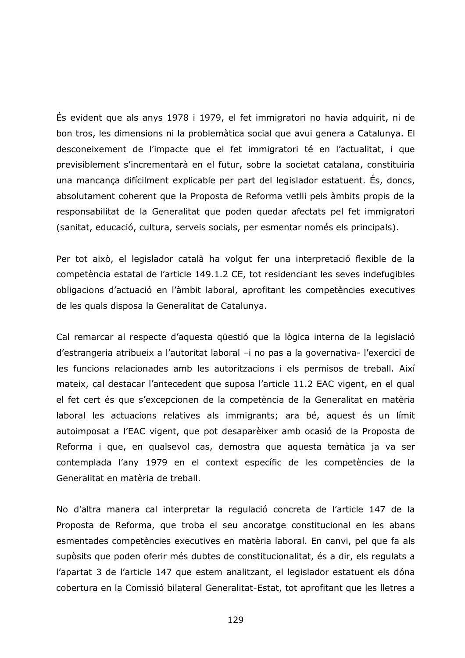És evident que als anys 1978 i 1979, el fet immigratori no havia adquirit, ni de bon tros, les dimensions ni la problemàtica social que avui genera a Catalunya. El desconeixement de l'impacte que el fet immigratori té en l'actualitat, i que previsiblement s'incrementarà en el futur, sobre la societat catalana, constituiria una mancança difícilment explicable per part del legislador estatuent. És, doncs, absolutament coherent que la Proposta de Reforma vetili pels àmbits propis de la responsabilitat de la Generalitat que poden quedar afectats pel fet immigratori (sanitat, educació, cultura, serveis socials, per esmentar només els principals).

Per tot això, el legislador català ha volgut fer una interpretació flexible de la competència estatal de l'article 149.1.2 CE, tot residenciant les seves indefugibles obligacions d'actuació en l'àmbit laboral, aprofitant les competències executives de les quals disposa la Generalitat de Catalunya.

Cal remarcar al respecte d'aquesta questió que la lògica interna de la legislació d'estrangeria atribueix a l'autoritat laboral -i no pas a la governativa-l'exercici de les funcions relacionades amb les autoritzacions i els permisos de treball. Així mateix, cal destacar l'antecedent que suposa l'article 11.2 EAC vigent, en el qual el fet cert és que s'excepcionen de la competència de la Generalitat en matèria laboral les actuacions relatives als immigrants; ara bé, aquest és un límit autoimposat a l'EAC vigent, que pot desaparèixer amb ocasió de la Proposta de Reforma i que, en qualsevol cas, demostra que aquesta temàtica ja va ser contemplada l'any 1979 en el context específic de les competències de la Generalitat en matèria de treball.

No d'altra manera cal interpretar la regulació concreta de l'article 147 de la Proposta de Reforma, que troba el seu ancoratge constitucional en les abans esmentades competències executives en matèria laboral. En canvi, pel que fa als supòsits que poden oferir més dubtes de constitucionalitat, és a dir, els regulats a l'apartat 3 de l'article 147 que estem analitzant, el legislador estatuent els dóna cobertura en la Comissió bilateral Generalitat-Estat, tot aprofitant que les lletres a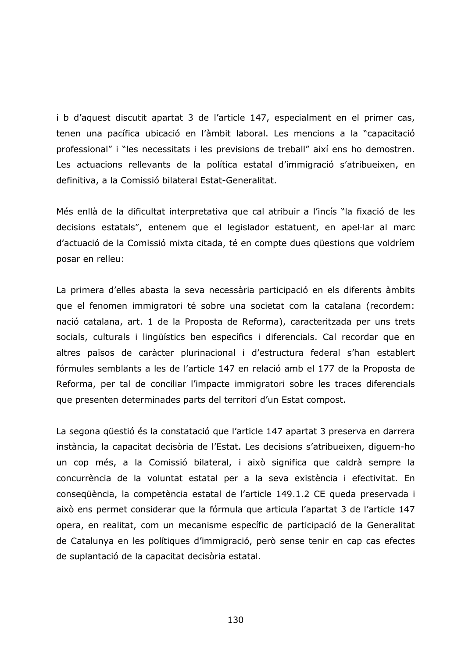i b d'aquest discutit apartat 3 de l'article 147, especialment en el primer cas, tenen una pacífica ubicació en l'àmbit laboral. Les mencions a la "capacitació professional" i "les necessitats i les previsions de treball" així ens ho demostren. Les actuacions rellevants de la política estatal d'immigració s'atribueixen, en definitiva, a la Comissió bilateral Estat-Generalitat.

Més enllà de la dificultat interpretativa que cal atribuir a l'incís "la fixació de les decisions estatals", entenem que el legislador estatuent, en apel·lar al marc d'actuació de la Comissió mixta citada, té en compte dues questions que voldríem posar en relleu:

La primera d'elles abasta la seva necessària participació en els diferents àmbits que el fenomen immigratori té sobre una societat com la catalana (recordem: nació catalana, art. 1 de la Proposta de Reforma), caracteritzada per uns trets socials, culturals i lingüístics ben específics i diferencials. Cal recordar que en altres països de caràcter plurinacional i d'estructura federal s'han establert fórmules semblants a les de l'article 147 en relació amb el 177 de la Proposta de Reforma, per tal de conciliar l'impacte immigratori sobre les traces diferencials que presenten determinades parts del territori d'un Estat compost.

La segona questió és la constatació que l'article 147 apartat 3 preserva en darrera instància, la capacitat decisòria de l'Estat. Les decisions s'atribueixen, diquem-ho un cop més, a la Comissió bilateral, i això significa que caldrà sempre la concurrència de la voluntat estatal per a la seva existència i efectivitat. En consegüència, la competència estatal de l'article 149.1.2 CE queda preservada i això ens permet considerar que la fórmula que articula l'apartat 3 de l'article 147 opera, en realitat, com un mecanisme específic de participació de la Generalitat de Catalunya en les polítiques d'immigració, però sense tenir en cap cas efectes de suplantació de la capacitat decisòria estatal.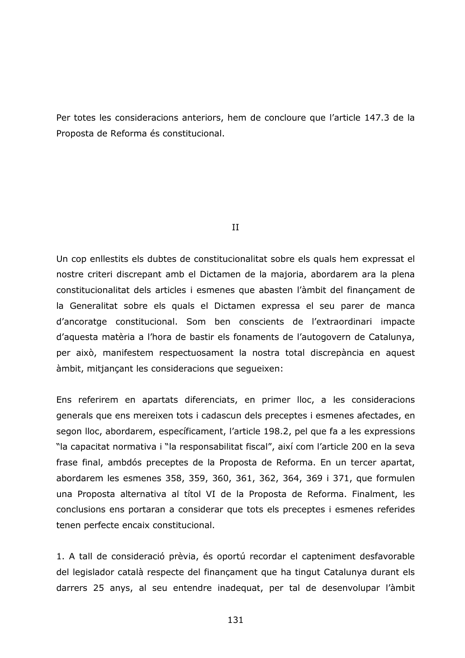Per totes les consideracions anteriors, hem de concloure que l'article 147.3 de la Proposta de Reforma és constitucional.

 $II$ 

Un cop enllestits els dubtes de constitucionalitat sobre els quals hem expressat el nostre criteri discrepant amb el Dictamen de la majoria, abordarem ara la plena constitucionalitat dels articles i esmenes que abasten l'àmbit del finançament de la Generalitat sobre els quals el Dictamen expressa el seu parer de manca d'ancoratge constitucional. Som ben conscients de l'extraordinari impacte d'aquesta matèria a l'hora de bastir els fonaments de l'autogovern de Catalunya, per això, manifestem respectuosament la nostra total discrepància en aquest àmbit, mitjançant les consideracions que sequeixen:

Ens referirem en apartats diferenciats, en primer lloc, a les consideracions generals que ens mereixen tots i cadascun dels preceptes i esmenes afectades, en segon lloc, abordarem, específicament, l'article 198.2, pel que fa a les expressions "la capacitat normativa i "la responsabilitat fiscal", així com l'article 200 en la seva frase final, ambdós preceptes de la Proposta de Reforma. En un tercer apartat, abordarem les esmenes 358, 359, 360, 361, 362, 364, 369 i 371, que formulen una Proposta alternativa al títol VI de la Proposta de Reforma. Finalment, les conclusions ens portaran a considerar que tots els preceptes i esmenes referides tenen perfecte encaix constitucional.

1. A tall de consideració prèvia, és oportú recordar el capteniment desfavorable del legislador català respecte del finançament que ha tingut Catalunya durant els darrers 25 anys, al seu entendre inadequat, per tal de desenvolupar l'àmbit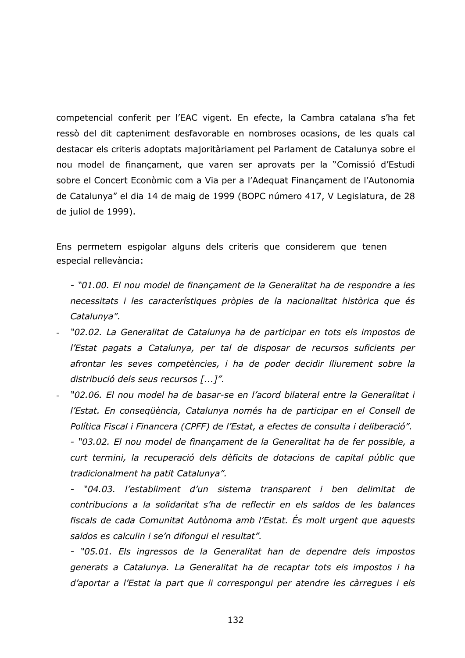competencial conferit per l'EAC vigent. En efecte, la Cambra catalana s'ha fet ressò del dit capteniment desfavorable en nombroses ocasions, de les quals cal destacar els criteris adoptats majoritàriament pel Parlament de Catalunya sobre el nou model de finançament, que varen ser aprovats per la "Comissió d'Estudi sobre el Concert Econòmic com a Via per a l'Adequat Finançament de l'Autonomia de Catalunya" el dia 14 de maig de 1999 (BOPC número 417, V Legislatura, de 28 de juliol de 1999).

Ens permetem espigolar alguns dels criteris que considerem que tenen especial rellevància:

- "01.00. El nou model de finançament de la Generalitat ha de respondre a les necessitats i les característiques pròpies de la nacionalitat històrica que és Catalunya".

- "02.02. La Generalitat de Catalunya ha de participar en tots els impostos de l'Estat pagats a Catalunya, per tal de disposar de recursos suficients per afrontar les seves competències, i ha de poder decidir lliurement sobre la distribució dels seus recursos [...]".
- "02.06. El nou model ha de basar-se en l'acord bilateral entre la Generalitat i l'Estat. En consegüència, Catalunya només ha de participar en el Consell de Política Fiscal i Financera (CPFF) de l'Estat, a efectes de consulta i deliberació". - "03.02. El nou model de finançament de la Generalitat ha de fer possible, a curt termini, la recuperació dels dèficits de dotacions de capital públic que tradicionalment ha patit Catalunya".

- "04.03. l'establiment d'un sistema transparent i ben delimitat de contribucions a la solidaritat s'ha de reflectir en els saldos de les balances fiscals de cada Comunitat Autònoma amb l'Estat. És molt urgent que aquests saldos es calculin i se'n difonqui el resultat".

- "05.01. Els ingressos de la Generalitat han de dependre dels impostos generats a Catalunya. La Generalitat ha de recaptar tots els impostos i ha d'aportar a l'Estat la part que li correspongui per atendre les càrregues i els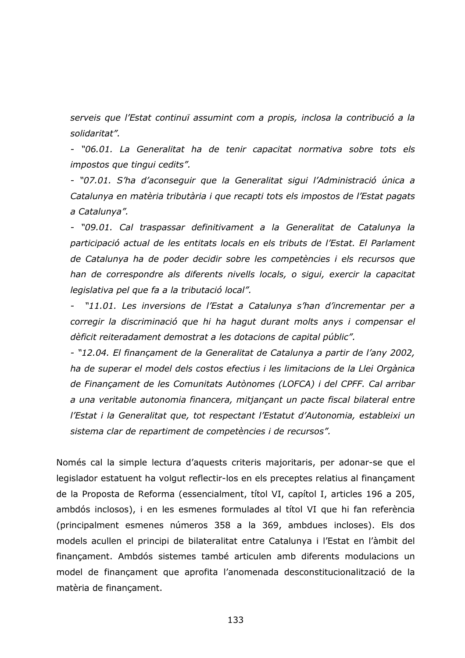serveis que l'Estat continuï assumint com a propis, inclosa la contribució a la solidaritat".

- "06.01. La Generalitat ha de tenir capacitat normativa sobre tots els impostos que tingui cedits".

- "07.01. S'ha d'aconseguir que la Generalitat sigui l'Administració única a Catalunya en matèria tributària i que recapti tots els impostos de l'Estat pagats a Catalunya".

- "09.01. Cal traspassar definitivament a la Generalitat de Catalunya la participació actual de les entitats locals en els tributs de l'Estat. El Parlament de Catalunya ha de poder decidir sobre les competències i els recursos que han de correspondre als diferents nivells locals, o sigui, exercir la capacitat legislativa pel que fa a la tributació local".

- "11.01. Les inversions de l'Estat a Catalunya s'han d'incrementar per a corregir la discriminació que hi ha hagut durant molts anys i compensar el dèficit reiteradament demostrat a les dotacions de capital públic".

- "12.04. El finançament de la Generalitat de Catalunya a partir de l'any 2002, ha de superar el model dels costos efectius i les limitacions de la Llei Orgànica de Finançament de les Comunitats Autònomes (LOFCA) i del CPFF. Cal arribar a una veritable autonomia financera, mitjançant un pacte fiscal bilateral entre l'Estat i la Generalitat que, tot respectant l'Estatut d'Autonomia, estableixi un sistema clar de repartiment de competències i de recursos".

Només cal la simple lectura d'aquests criteris majoritaris, per adonar-se que el legislador estatuent ha volgut reflectir-los en els preceptes relatius al finançament de la Proposta de Reforma (essencialment, títol VI, capítol I, articles 196 a 205, ambdós inclosos), i en les esmenes formulades al títol VI que hi fan referència (principalment esmenes números 358 a la 369, ambdues incloses). Els dos models acullen el principi de bilateralitat entre Catalunya i l'Estat en l'àmbit del financament. Ambdós sistemes també articulen amb diferents modulacions un model de finançament que aprofita l'anomenada desconstitucionalització de la matèria de financament.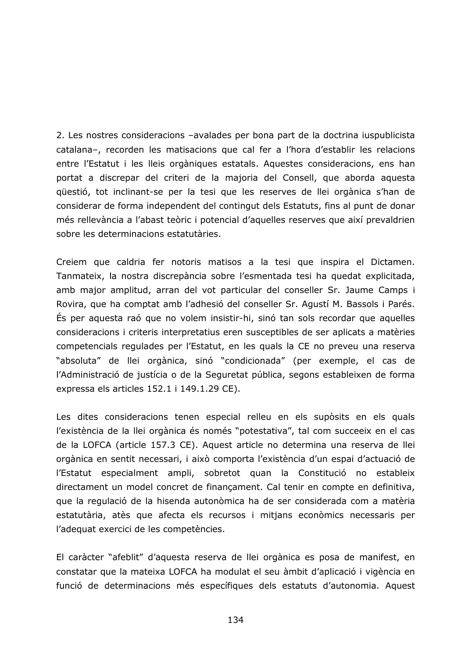2. Les nostres consideracions -avalades per bona part de la doctrina iuspublicista catalana-, recorden les matisacions que cal fer a l'hora d'establir les relacions entre l'Estatut i les lleis orgàniques estatals. Aquestes consideracions, ens han portat a discrepar del criteri de la majoria del Consell, que aborda aquesta qüestió, tot inclinant-se per la tesi que les reserves de llei orgànica s'han de considerar de forma independent del contingut dels Estatuts, fins al punt de donar més rellevància a l'abast teòric i potencial d'aquelles reserves que així prevaldrien sobre les determinacions estatutàries.

Creiem que caldria fer notoris matisos a la tesi que inspira el Dictamen. Tanmateix, la nostra discrepància sobre l'esmentada tesi ha quedat explicitada, amb major amplitud, arran del vot particular del conseller Sr. Jaume Camps i Rovira, que ha comptat amb l'adhesió del conseller Sr. Agustí M. Bassols i Parés. Es per aquesta raó que no volem insistir-hi, sinó tan sols recordar que aquelles consideracions i criteris interpretatius eren susceptibles de ser aplicats a matèries competencials regulades per l'Estatut, en les quals la CE no preveu una reserva "absoluta" de llei orgànica, sinó "condicionada" (per exemple, el cas de l'Administració de justícia o de la Seguretat pública, segons estableixen de forma expressa els articles 152.1 i 149.1.29 CE).

Les dites consideracions tenen especial relleu en els supòsits en els quals l'existència de la llei orgànica és només "potestativa", tal com succeeix en el cas de la LOFCA (article 157.3 CE). Aquest article no determina una reserva de llei orgànica en sentit necessari, i això comporta l'existència d'un espai d'actuació de l'Estatut especialment ampli, sobretot quan la Constitució no estableix directament un model concret de finançament. Cal tenir en compte en definitiva, que la regulació de la hisenda autonòmica ha de ser considerada com a matèria estatutària, atès que afecta els recursos i mitjans econòmics necessaris per l'adequat exercici de les competències.

El caràcter "afeblit" d'aquesta reserva de llei orgànica es posa de manifest, en constatar que la mateixa LOFCA ha modulat el seu àmbit d'aplicació i vigència en funció de determinacions més específiques dels estatuts d'autonomia. Aquest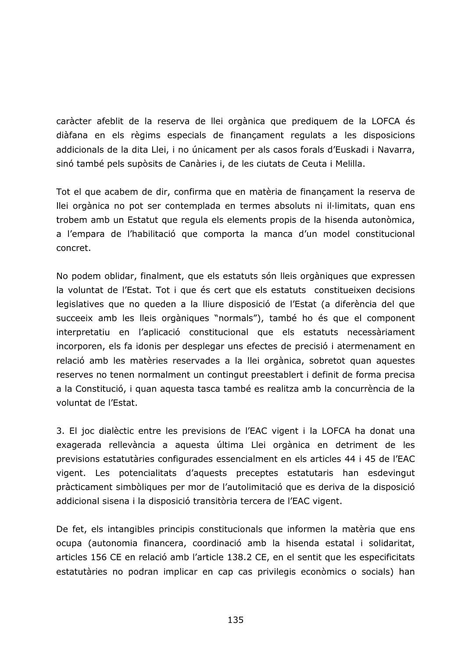caràcter afeblit de la reserva de llei orgànica que prediquem de la LOFCA és diàfana en els règims especials de finançament regulats a les disposicions addicionals de la dita Llei, i no únicament per als casos forals d'Euskadi i Navarra, sinó també pels supòsits de Canàries i, de les ciutats de Ceuta i Melilla.

Tot el que acabem de dir, confirma que en matèria de finançament la reserva de llei orgànica no pot ser contemplada en termes absoluts ni il·limitats, quan ens trobem amb un Estatut que regula els elements propis de la hisenda autonòmica, a l'empara de l'habilitació que comporta la manca d'un model constitucional concret.

No podem oblidar, finalment, que els estatuts són lleis orgàniques que expressen la voluntat de l'Estat. Tot i que és cert que els estatuts constitueixen decisions legislatives que no queden a la lliure disposició de l'Estat (a diferència del que succeeix amb les lleis orgàniques "normals"), també ho és que el component interpretatiu en l'aplicació constitucional que els estatuts necessàriament incorporen, els fa idonis per desplegar uns efectes de precisió i atermenament en relació amb les matèries reservades a la llei orgànica, sobretot quan aquestes reserves no tenen normalment un contingut preestablert i definit de forma precisa a la Constitució, i quan aquesta tasca també es realitza amb la concurrència de la voluntat de l'Estat.

3. El joc dialèctic entre les previsions de l'EAC vigent i la LOFCA ha donat una exagerada rellevància a aquesta última Llei orgànica en detriment de les previsions estatutàries configurades essencialment en els articles 44 i 45 de l'EAC vigent. Les potencialitats d'aquests preceptes estatutaris han esdevingut pràcticament simbòliques per mor de l'autolimitació que es deriva de la disposició addicional sisena i la disposició transitòria tercera de l'EAC vigent.

De fet, els intangibles principis constitucionals que informen la matèria que ens ocupa (autonomia financera, coordinació amb la hisenda estatal i solidaritat, articles 156 CE en relació amb l'article 138.2 CE, en el sentit que les especificitats estatutàries no podran implicar en cap cas privilegis econòmics o socials) han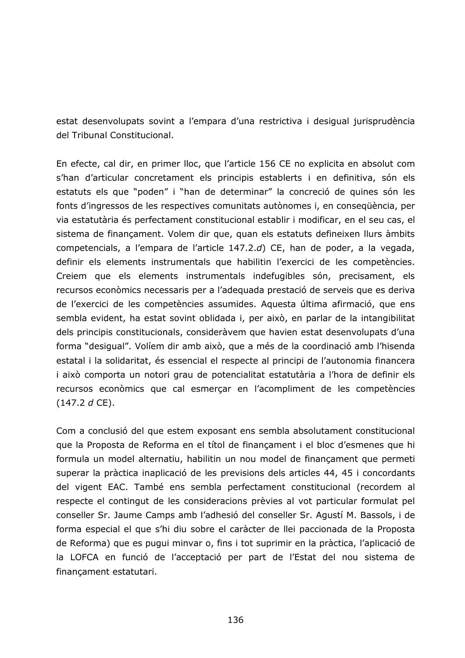estat desenvolupats sovint a l'empara d'una restrictiva i desigual jurisprudència del Tribunal Constitucional.

En efecte, cal dir, en primer lloc, que l'article 156 CE no explicita en absolut com s'han d'articular concretament els principis establerts i en definitiva, són els estatuts els que "poden" i "han de determinar" la concreció de quines són les fonts d'ingressos de les respectives comunitats autònomes i, en consequència, per via estatutària és perfectament constitucional establir i modificar, en el seu cas, el sistema de finançament. Volem dir que, quan els estatuts defineixen llurs àmbits competencials, a l'empara de l'article 147.2.d) CE, han de poder, a la vegada, definir els elements instrumentals que habilitin l'exercici de les competències. Creiem que els elements instrumentals indefugibles són, precisament, els recursos econòmics necessaris per a l'adequada prestació de serveis que es deriva de l'exercici de les competències assumides. Aquesta última afirmació, que ens sembla evident, ha estat sovint oblidada i, per això, en parlar de la intangibilitat dels principis constitucionals, consideràvem que havien estat desenvolupats d'una forma "desigual". Volíem dir amb això, que a més de la coordinació amb l'hisenda estatal i la solidaritat, és essencial el respecte al principi de l'autonomia financera i això comporta un notori grau de potencialitat estatutària a l'hora de definir els recursos econòmics que cal esmerçar en l'acompliment de les competències  $(147.2 d CE).$ 

Com a conclusió del que estem exposant ens sembla absolutament constitucional que la Proposta de Reforma en el títol de finançament i el bloc d'esmenes que hi formula un model alternatiu, habilitin un nou model de finançament que permeti superar la pràctica inaplicació de les previsions dels articles 44, 45 i concordants del vigent EAC. També ens sembla perfectament constitucional (recordem al respecte el contingut de les consideracions prèvies al vot particular formulat pel conseller Sr. Jaume Camps amb l'adhesió del conseller Sr. Agustí M. Bassols, i de forma especial el que s'hi diu sobre el caràcter de llei paccionada de la Proposta de Reforma) que es pugui minvar o, fins i tot suprimir en la pràctica, l'aplicació de la LOFCA en funció de l'acceptació per part de l'Estat del nou sistema de finançament estatutari.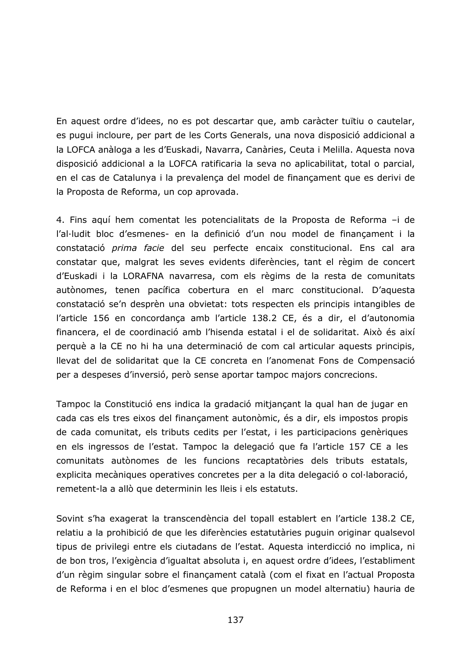En aquest ordre d'idees, no es pot descartar que, amb caràcter tuïtiu o cautelar, es pugui incloure, per part de les Corts Generals, una nova disposició addicional a la LOFCA anàloga a les d'Euskadi, Navarra, Canàries, Ceuta i Melilla. Aquesta nova disposició addicional a la LOFCA ratificaria la seva no aplicabilitat, total o parcial, en el cas de Catalunya i la prevalença del model de finançament que es derivi de la Proposta de Reforma, un cop aprovada.

4. Fins aquí hem comentat les potencialitats de la Proposta de Reforma -i de l'al·ludit bloc d'esmenes- en la definició d'un nou model de finançament i la constatació prima facie del seu perfecte encaix constitucional. Ens cal ara constatar que, malgrat les seves evidents diferències, tant el règim de concert d'Euskadi i la LORAFNA navarresa, com els règims de la resta de comunitats autònomes, tenen pacífica cobertura en el marc constitucional. D'aquesta constatació se'n desprèn una obvietat: tots respecten els principis intangibles de l'article 156 en concordança amb l'article 138.2 CE, és a dir, el d'autonomia financera, el de coordinació amb l'hisenda estatal i el de solidaritat. Això és així perquè a la CE no hi ha una determinació de com cal articular aquests principis, Ilevat del de solidaritat que la CE concreta en l'anomenat Fons de Compensació per a despeses d'inversió, però sense aportar tampoc majors concrecions.

Tampoc la Constitució ens indica la gradació mitjançant la qual han de jugar en cada cas els tres eixos del finançament autonòmic, és a dir, els impostos propis de cada comunitat, els tributs cedits per l'estat, i les participacions genèriques en els ingressos de l'estat. Tampoc la delegació que fa l'article 157 CE a les comunitats autònomes de les funcions recaptatòries dels tributs estatals, explicita mecàniques operatives concretes per a la dita delegació o col·laboració, remetent-la a allò que determinin les lleis i els estatuts.

Sovint s'ha exagerat la transcendència del topall establert en l'article 138.2 CE, relatiu a la prohibició de que les diferències estatutàries puguin originar qualsevol tipus de privilegi entre els ciutadans de l'estat. Aquesta interdicció no implica, ni de bon tros, l'exigència d'igualtat absoluta i, en aquest ordre d'idees, l'establiment d'un règim singular sobre el finançament català (com el fixat en l'actual Proposta de Reforma i en el bloc d'esmenes que propugnen un model alternatiu) hauria de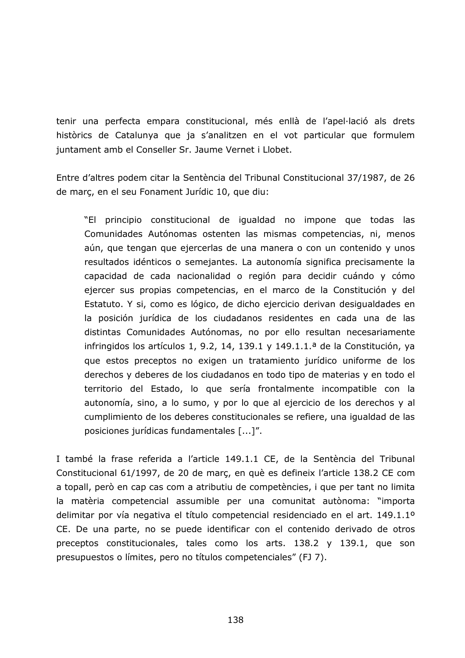tenir una perfecta empara constitucional, més enllà de l'apel·lació als drets històrics de Catalunya que ja s'analitzen en el vot particular que formulem juntament amb el Conseller Sr. Jaume Vernet i Llobet.

Entre d'altres podem citar la Sentència del Tribunal Constitucional 37/1987, de 26 de març, en el seu Fonament Jurídic 10, que diu:

"El principio constitucional de igualdad no impone que todas las Comunidades Autónomas ostenten las mismas competencias, ni, menos aún, que tengan que ejercerlas de una manera o con un contenido y unos resultados idénticos o semejantes. La autonomía significa precisamente la capacidad de cada nacionalidad o región para decidir cuándo y cómo ejercer sus propias competencias, en el marco de la Constitución y del Estatuto. Y si, como es lógico, de dicho ejercicio derivan desigualdades en la posición jurídica de los ciudadanos residentes en cada una de las distintas Comunidades Autónomas, no por ello resultan necesariamente infringidos los artículos 1, 9.2, 14, 139.1 y 149.1.1.ª de la Constitución, ya que estos preceptos no exigen un tratamiento jurídico uniforme de los derechos y deberes de los ciudadanos en todo tipo de materias y en todo el territorio del Estado, lo que sería frontalmente incompatible con la autonomía, sino, a lo sumo, y por lo que al ejercicio de los derechos y al cumplimiento de los deberes constitucionales se refiere, una igualdad de las posiciones jurídicas fundamentales [...]".

I també la frase referida a l'article 149.1.1 CE, de la Sentència del Tribunal Constitucional 61/1997, de 20 de març, en què es defineix l'article 138.2 CE com a topall, però en cap cas com a atributiu de competències, i que per tant no limita la matèria competencial assumible per una comunitat autònoma: "importa delimitar por vía negativa el título competencial residenciado en el art. 149.1.1º CE. De una parte, no se puede identificar con el contenido derivado de otros preceptos constitucionales, tales como los arts. 138.2 y 139.1, que son presupuestos o límites, pero no títulos competenciales" (FJ 7).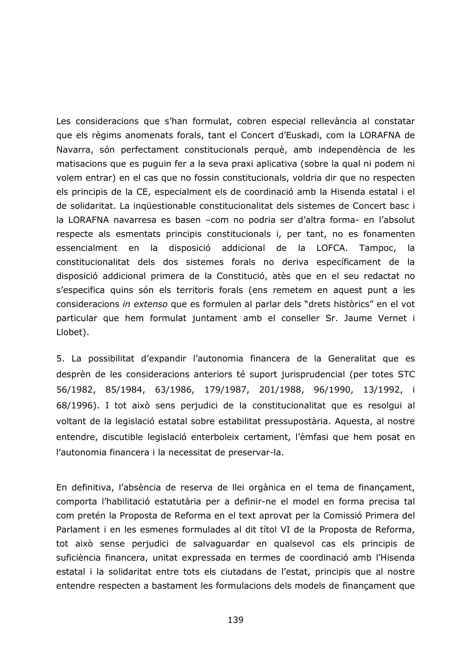Les consideracions que s'han formulat, cobren especial rellevància al constatar que els règims anomenats forals, tant el Concert d'Euskadi, com la LORAFNA de Navarra, són perfectament constitucionals perquè, amb independència de les matisacions que es puguin fer a la seva praxi aplicativa (sobre la qual ni podem ni volem entrar) en el cas que no fossin constitucionals, voldria dir que no respecten els principis de la CE, especialment els de coordinació amb la Hisenda estatal i el de solidaritat. La inquestionable constitucionalitat dels sistemes de Concert basc i la LORAFNA navarresa es basen -com no podria ser d'altra forma- en l'absolut respecte als esmentats principis constitucionals i, per tant, no es fonamenten la disposició addicional de la LOFCA. essencialment en Tampoc, la. constitucionalitat dels dos sistemes forals no deriva específicament de la disposició addicional primera de la Constitució, atès que en el seu redactat no s'especifica quins són els territoris forals (ens remetem en aquest punt a les consideracions in extenso que es formulen al parlar dels "drets històrics" en el vot particular que hem formulat juntament amb el conseller Sr. Jaume Vernet i Llobet).

5. La possibilitat d'expandir l'autonomia financera de la Generalitat que es desprèn de les consideracions anteriors té suport jurisprudencial (per totes STC 56/1982, 85/1984, 63/1986, 179/1987, 201/1988, 96/1990, 13/1992, i 68/1996). I tot això sens perjudici de la constitucionalitat que es resolgui al voltant de la legislació estatal sobre estabilitat pressupostària. Aquesta, al nostre entendre, discutible legislació enterboleix certament, l'èmfasi que hem posat en l'autonomia financera i la necessitat de preservar-la.

En definitiva, l'absència de reserva de llei orgànica en el tema de finançament, comporta l'habilitació estatutària per a definir-ne el model en forma precisa tal com pretén la Proposta de Reforma en el text aprovat per la Comissió Primera del Parlament i en les esmenes formulades al dit títol VI de la Proposta de Reforma, tot això sense perjudici de salvaguardar en qualsevol cas els principis de suficiència financera, unitat expressada en termes de coordinació amb l'Hisenda estatal i la solidaritat entre tots els ciutadans de l'estat, principis que al nostre entendre respecten a bastament les formulacions dels models de financament que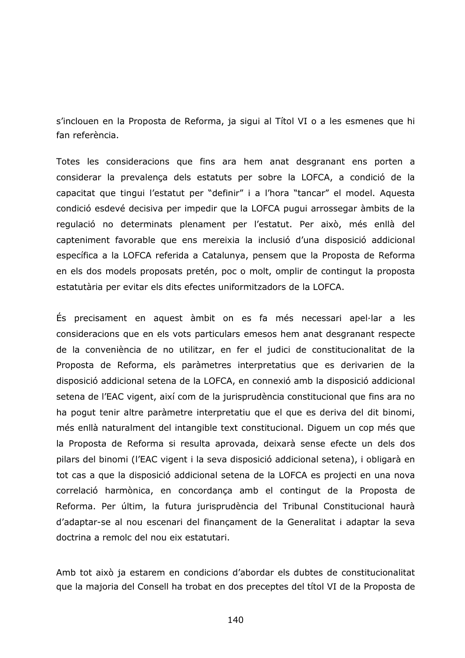s'inclouen en la Proposta de Reforma, ja sigui al Títol VI o a les esmenes que hi fan referència.

Totes les consideracions que fins ara hem anat desgranant ens porten a considerar la prevalença dels estatuts per sobre la LOFCA, a condició de la capacitat que tingui l'estatut per "definir" i a l'hora "tancar" el model. Aquesta condició esdevé decisiva per impedir que la LOFCA pugui arrossegar àmbits de la regulació no determinats plenament per l'estatut. Per això, més enllà del capteniment favorable que ens mereixia la inclusió d'una disposició addicional específica a la LOFCA referida a Catalunya, pensem que la Proposta de Reforma en els dos models proposats pretén, poc o molt, omplir de contingut la proposta estatutària per evitar els dits efectes uniformitzadors de la LOFCA.

Es precisament en aquest àmbit on es fa més necessari apel·lar a les consideracions que en els vots particulars emesos hem anat desgranant respecte de la conveniència de no utilitzar, en fer el judici de constitucionalitat de la Proposta de Reforma, els paràmetres interpretatius que es derivarien de la disposició addicional setena de la LOFCA, en connexió amb la disposició addicional setena de l'EAC vigent, així com de la jurisprudència constitucional que fins ara no ha pogut tenir altre paràmetre interpretatiu que el que es deriva del dit binomi, més enllà naturalment del intangible text constitucional. Diguem un cop més que la Proposta de Reforma si resulta aprovada, deixarà sense efecte un dels dos pilars del binomi (l'EAC vigent i la seva disposició addicional setena), i obligarà en tot cas a que la disposició addicional setena de la LOFCA es projecti en una nova correlació harmònica, en concordança amb el contingut de la Proposta de Reforma. Per últim, la futura jurisprudència del Tribunal Constitucional haurà d'adaptar-se al nou escenari del finançament de la Generalitat i adaptar la seva doctrina a remolc del nou eix estatutari.

Amb tot això ja estarem en condicions d'abordar els dubtes de constitucionalitat que la majoria del Consell ha trobat en dos preceptes del títol VI de la Proposta de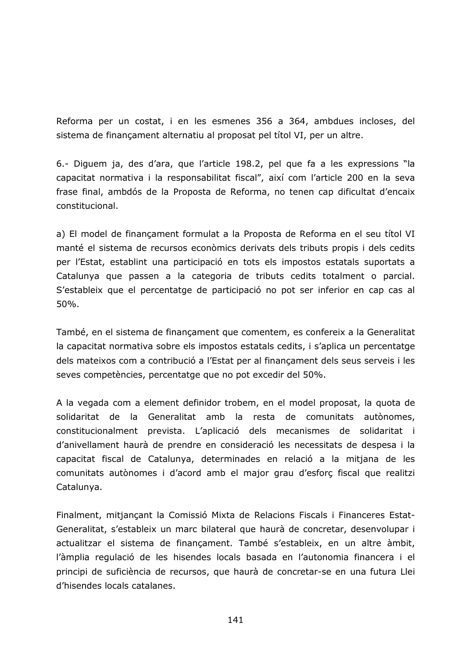Reforma per un costat, i en les esmenes 356 a 364, ambdues incloses, del sistema de finançament alternatiu al proposat pel títol VI, per un altre.

6.- Diguem ja, des d'ara, que l'article 198.2, pel que fa a les expressions "la capacitat normativa i la responsabilitat fiscal", així com l'article 200 en la seva frase final, ambdós de la Proposta de Reforma, no tenen cap dificultat d'encaix constitucional.

a) El model de finançament formulat a la Proposta de Reforma en el seu títol VI manté el sistema de recursos econòmics derivats dels tributs propis i dels cedits per l'Estat, establint una participació en tots els impostos estatals suportats a Catalunya que passen a la categoria de tributs cedits totalment o parcial. S'estableix que el percentatge de participació no pot ser inferior en cap cas al 50%.

També, en el sistema de finançament que comentem, es confereix a la Generalitat la capacitat normativa sobre els impostos estatals cedits, i s'aplica un percentatge dels mateixos com a contribució a l'Estat per al finançament dels seus serveis i les seves competències, percentatge que no pot excedir del 50%.

A la vegada com a element definidor trobem, en el model proposat, la quota de solidaritat de la Generalitat amb la resta de comunitats autònomes, constitucionalment prevista. L'aplicació dels mecanismes de solidaritat i d'anivellament haurà de prendre en consideració les necessitats de despesa i la capacitat fiscal de Catalunya, determinades en relació a la mitjana de les comunitats autònomes i d'acord amb el major grau d'esforç fiscal que realitzi Catalunya.

Finalment, mitjançant la Comissió Mixta de Relacions Fiscals i Financeres Estat-Generalitat, s'estableix un marc bilateral que haurà de concretar, desenvolupar i actualitzar el sistema de finançament. També s'estableix, en un altre àmbit, l'àmplia regulació de les hisendes locals basada en l'autonomia financera i el principi de suficiència de recursos, que haurà de concretar-se en una futura Llei d'hisendes locals catalanes.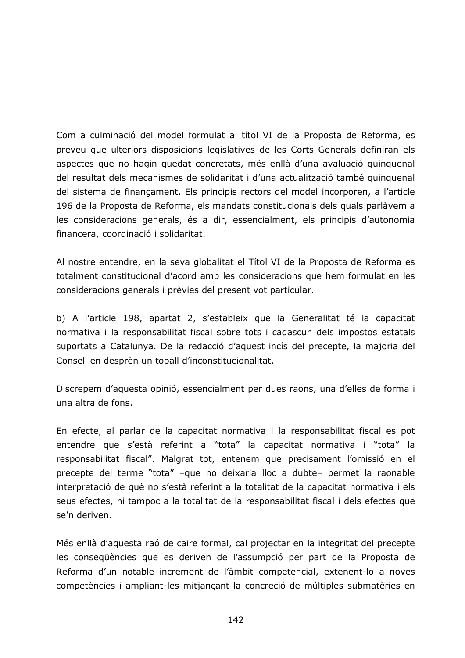Com a culminació del model formulat al títol VI de la Proposta de Reforma, es preveu que ulteriors disposicions legislatives de les Corts Generals definiran els aspectes que no hagin quedat concretats, més enllà d'una avaluació quinquenal del resultat dels mecanismes de solidaritat i d'una actualització també quinquenal del sistema de finançament. Els principis rectors del model incorporen, a l'article 196 de la Proposta de Reforma, els mandats constitucionals dels quals parlàvem a les consideracions generals, és a dir, essencialment, els principis d'autonomia financera, coordinació i solidaritat.

Al nostre entendre, en la seva globalitat el Títol VI de la Proposta de Reforma es totalment constitucional d'acord amb les consideracions que hem formulat en les consideracions generals i prèvies del present vot particular.

b) A l'article 198, apartat 2, s'estableix que la Generalitat té la capacitat normativa i la responsabilitat fiscal sobre tots i cadascun dels impostos estatals suportats a Catalunya. De la redacció d'aquest incís del precepte, la majoria del Consell en desprèn un topall d'inconstitucionalitat.

Discrepem d'aquesta opinió, essencialment per dues raons, una d'elles de forma i una altra de fons.

En efecte, al parlar de la capacitat normativa i la responsabilitat fiscal es pot entendre que s'està referint a "tota" la capacitat normativa i "tota" la responsabilitat fiscal". Malgrat tot, entenem que precisament l'omissió en el precepte del terme "tota" -que no deixaria lloc a dubte- permet la raonable interpretació de què no s'està referint a la totalitat de la capacitat normativa i els seus efectes, ni tampoc a la totalitat de la responsabilitat fiscal i dels efectes que se'n deriven.

Més enllà d'aquesta raó de caire formal, cal projectar en la integritat del precepte les consequències que es deriven de l'assumpció per part de la Proposta de Reforma d'un notable increment de l'àmbit competencial, extenent-lo a noves competències i ampliant-les mitjançant la concreció de múltiples submatèries en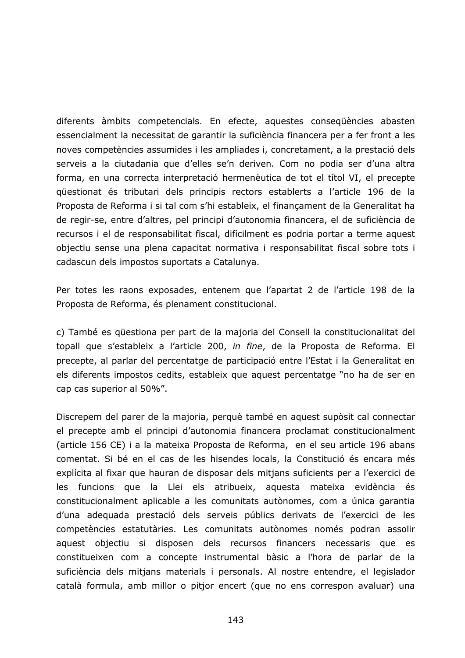diferents àmbits competencials. En efecte, aquestes consequències abasten essencialment la necessitat de garantir la suficiència financera per a fer front a les noves competències assumides i les ampliades i, concretament, a la prestació dels serveis a la ciutadania que d'elles se'n deriven. Com no podia ser d'una altra forma, en una correcta interpretació hermenèutica de tot el títol VI, el precepte questionat és tributari dels principis rectors establerts a l'article 196 de la Proposta de Reforma i si tal com s'hi estableix, el finançament de la Generalitat ha de regir-se, entre d'altres, pel principi d'autonomia financera, el de suficiència de recursos i el de responsabilitat fiscal, difícilment es podria portar a terme aquest objectiu sense una plena capacitat normativa i responsabilitat fiscal sobre tots i cadascun dels impostos suportats a Catalunya.

Per totes les raons exposades, entenem que l'apartat 2 de l'article 198 de la Proposta de Reforma, és plenament constitucional.

c) També es questiona per part de la majoria del Consell la constitucionalitat del topall que s'estableix a l'article 200, in fine, de la Proposta de Reforma. El precepte, al parlar del percentatge de participació entre l'Estat i la Generalitat en els diferents impostos cedits, estableix que aquest percentatge "no ha de ser en cap cas superior al 50%".

Discrepem del parer de la majoria, perquè també en aquest supòsit cal connectar el precepte amb el principi d'autonomia financera proclamat constitucionalment (article 156 CE) i a la mateixa Proposta de Reforma, en el seu article 196 abans comentat. Si bé en el cas de les hisendes locals, la Constitució és encara més explícita al fixar que hauran de disposar dels mitjans suficients per a l'exercici de les funcions que la Llei els atribueix, aquesta mateixa evidència és constitucionalment aplicable a les comunitats autònomes, com a única garantia d'una adequada prestació dels serveis públics derivats de l'exercici de les competències estatutàries. Les comunitats autònomes només podran assolir aquest objectiu si disposen dels recursos financers necessaris que es constitueixen com a concepte instrumental bàsic a l'hora de parlar de la suficiència dels mitjans materials i personals. Al nostre entendre, el legislador català formula, amb millor o pitjor encert (que no ens correspon avaluar) una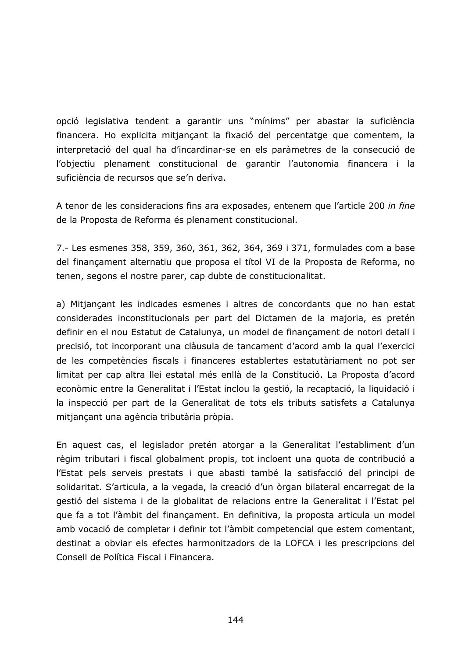opció legislativa tendent a garantir uns "mínims" per abastar la suficiència financera. Ho explicita mitjançant la fixació del percentatge que comentem, la interpretació del qual ha d'incardinar-se en els paràmetres de la consecució de l'objectiu plenament constitucional de garantir l'autonomia financera i la suficiència de recursos que se'n deriva.

A tenor de les consideracions fins ara exposades, entenem que l'article 200 in fine de la Proposta de Reforma és plenament constitucional.

7.- Les esmenes 358, 359, 360, 361, 362, 364, 369 i 371, formulades com a base del finançament alternatiu que proposa el títol VI de la Proposta de Reforma, no tenen, segons el nostre parer, cap dubte de constitucionalitat.

a) Mitjançant les indicades esmenes i altres de concordants que no han estat considerades inconstitucionals per part del Dictamen de la majoria, es pretén definir en el nou Estatut de Catalunya, un model de finançament de notori detall i precisió, tot incorporant una clàusula de tancament d'acord amb la qual l'exercici de les competències fiscals i financeres establertes estatutàriament no pot ser limitat per cap altra llei estatal més enllà de la Constitució. La Proposta d'acord econòmic entre la Generalitat i l'Estat inclou la gestió, la recaptació, la liquidació i la inspecció per part de la Generalitat de tots els tributs satisfets a Catalunya mitjançant una agència tributària pròpia.

En aquest cas, el legislador pretén atorgar a la Generalitat l'establiment d'un règim tributari i fiscal globalment propis, tot incloent una quota de contribució a l'Estat pels serveis prestats i que abasti també la satisfacció del principi de solidaritat. S'articula, a la vegada, la creació d'un òrgan bilateral encarregat de la gestió del sistema i de la globalitat de relacions entre la Generalitat i l'Estat pel que fa a tot l'àmbit del finançament. En definitiva, la proposta articula un model amb vocació de completar i definir tot l'àmbit competencial que estem comentant, destinat a obviar els efectes harmonitzadors de la LOFCA i les prescripcions del Consell de Política Fiscal i Financera.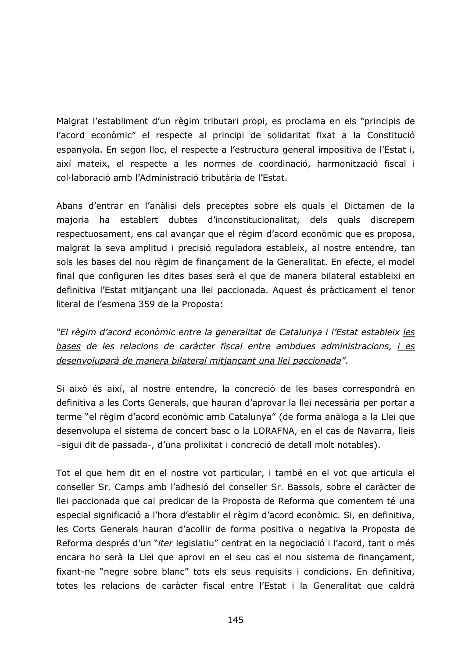Malgrat l'establiment d'un règim tributari propi, es proclama en els "principis de l'acord econòmic" el respecte al principi de solidaritat fixat a la Constitució espanyola. En segon lloc, el respecte a l'estructura general impositiva de l'Estat i, així mateix, el respecte a les normes de coordinació, harmonització fiscal i col·laboració amb l'Administració tributària de l'Estat.

Abans d'entrar en l'anàlisi dels preceptes sobre els quals el Dictamen de la majoria ha establert dubtes d'inconstitucionalitat, dels quals discrepem respectuosament, ens cal avançar que el règim d'acord econòmic que es proposa, malgrat la seva amplitud i precisió reguladora estableix, al nostre entendre, tan sols les bases del nou règim de finançament de la Generalitat. En efecte, el model final que configuren les dites bases serà el que de manera bilateral estableixi en definitiva l'Estat mitjançant una llei paccionada. Aquest és pràcticament el tenor literal de l'esmena 359 de la Proposta:

"El règim d'acord econòmic entre la generalitat de Catalunya i l'Estat estableix les bases de les relacions de caràcter fiscal entre ambdues administracions, i es desenvoluparà de manera bilateral mitjançant una llei paccionada".

Si això és així, al nostre entendre, la concreció de les bases correspondrà en definitiva a les Corts Generals, que hauran d'aprovar la llei necessària per portar a terme "el règim d'acord econòmic amb Catalunya" (de forma anàloga a la Llei que desenvolupa el sistema de concert basc o la LORAFNA, en el cas de Navarra, lleis -sigui dit de passada-, d'una prolixitat i concreció de detall molt notables).

Tot el que hem dit en el nostre vot particular, i també en el vot que articula el conseller Sr. Camps amb l'adhesió del conseller Sr. Bassols, sobre el caràcter de llei paccionada que cal predicar de la Proposta de Reforma que comentem té una especial significació a l'hora d'establir el règim d'acord econòmic. Si, en definitiva, les Corts Generals hauran d'acollir de forma positiva o negativa la Proposta de Reforma després d'un "iter legislatiu" centrat en la negociació i l'acord, tant o més encara ho serà la Llei que aprovi en el seu cas el nou sistema de finançament, fixant-ne "negre sobre blanc" tots els seus requisits i condicions. En definitiva, totes les relacions de caràcter fiscal entre l'Estat i la Generalitat que caldrà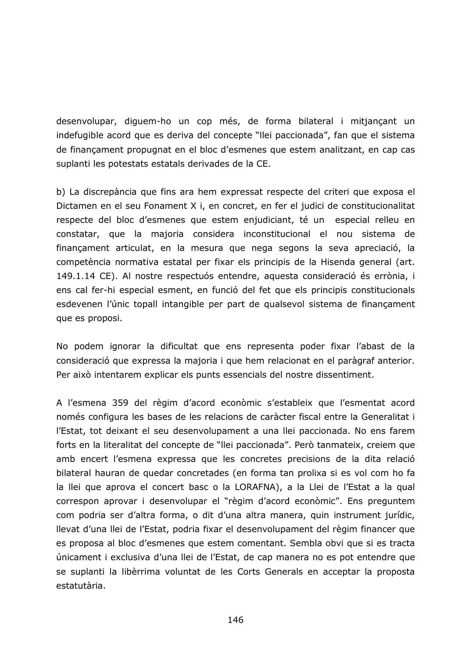desenvolupar, diguem-ho un cop més, de forma bilateral i mitjançant un indefugible acord que es deriva del concepte "llei paccionada", fan que el sistema de finançament propugnat en el bloc d'esmenes que estem analitzant, en cap cas suplanti les potestats estatals derivades de la CE.

b) La discrepància que fins ara hem expressat respecte del criteri que exposa el Dictamen en el seu Fonament X i, en concret, en fer el judici de constitucionalitat respecte del bloc d'esmenes que estem enjudiciant, té un especial relleu en constatar, que la majoria considera inconstitucional el nou sistema de finançament articulat, en la mesura que nega segons la seva apreciació, la competència normativa estatal per fixar els principis de la Hisenda general (art. 149.1.14 CE). Al nostre respectuós entendre, aquesta consideració és errònia, i ens cal fer-hi especial esment, en funció del fet que els principis constitucionals esdevenen l'únic topall intangible per part de qualsevol sistema de finançament que es proposi.

No podem ignorar la dificultat que ens representa poder fixar l'abast de la consideració que expressa la majoria i que hem relacionat en el paràgraf anterior. Per això intentarem explicar els punts essencials del nostre dissentiment.

A l'esmena 359 del règim d'acord econòmic s'estableix que l'esmentat acord només configura les bases de les relacions de caràcter fiscal entre la Generalitat i l'Estat, tot deixant el seu desenvolupament a una llei paccionada. No ens farem forts en la literalitat del concepte de "llei paccionada". Però tanmateix, creiem que amb encert l'esmena expressa que les concretes precisions de la dita relació bilateral hauran de quedar concretades (en forma tan prolixa si es vol com ho fa la llei que aprova el concert basc o la LORAFNA), a la Llei de l'Estat a la qual correspon aprovar i desenvolupar el "règim d'acord econòmic". Ens preguntem com podria ser d'altra forma, o dit d'una altra manera, quin instrument jurídic, Ilevat d'una llei de l'Estat, podria fixar el desenvolupament del règim financer que es proposa al bloc d'esmenes que estem comentant. Sembla obvi que si es tracta únicament i exclusiva d'una llei de l'Estat, de cap manera no es pot entendre que se suplanti la libèrrima voluntat de les Corts Generals en acceptar la proposta estatutària.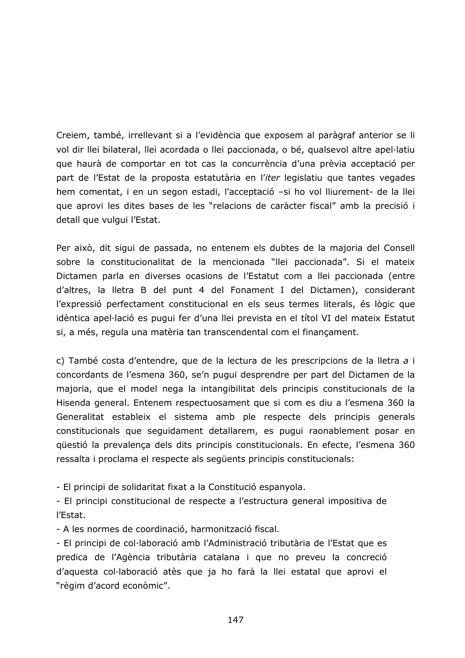Creiem, també, irrellevant si a l'evidència que exposem al paràgraf anterior se li vol dir llei bilateral, llei acordada o llei paccionada, o bé, qualsevol altre apel·latiu que haurà de comportar en tot cas la concurrència d'una prèvia acceptació per part de l'Estat de la proposta estatutària en l'iter legislatiu que tantes vegades hem comentat, i en un segon estadi, l'acceptació - si ho vol lliurement- de la llei que aprovi les dites bases de les "relacions de caràcter fiscal" amb la precisió i detall que vulgui l'Estat.

Per això, dit sigui de passada, no entenem els dubtes de la majoria del Consell sobre la constitucionalitat de la mencionada "llei paccionada". Si el mateix Dictamen parla en diverses ocasions de l'Estatut com a llei paccionada (entre d'altres, la lletra B del punt 4 del Fonament I del Dictamen), considerant l'expressió perfectament constitucional en els seus termes literals, és lògic que idèntica apel·lació es pugui fer d'una llei prevista en el títol VI del mateix Estatut si, a més, regula una matèria tan transcendental com el finançament.

c) També costa d'entendre, que de la lectura de les prescripcions de la lletra a i concordants de l'esmena 360, se'n pugui desprendre per part del Dictamen de la majoria, que el model nega la intangibilitat dels principis constitucionals de la Hisenda general. Entenem respectuosament que si com es diu a l'esmena 360 la Generalitat estableix el sistema amb ple respecte dels principis generals constitucionals que seguidament detallarem, es pugui raonablement posar en qüestió la prevalença dels dits principis constitucionals. En efecte, l'esmena 360 ressalta i proclama el respecte als següents principis constitucionals:

- El principi de solidaritat fixat a la Constitució espanyola.

- El principi constitucional de respecte a l'estructura general impositiva de l'Estat.

- A les normes de coordinació, harmonització fiscal.

- El principi de col·laboració amb l'Administració tributària de l'Estat que es predica de l'Agència tributària catalana i que no preveu la concreció d'aquesta col·laboració atès que ja ho farà la llei estatal que aprovi el "règim d'acord econòmic".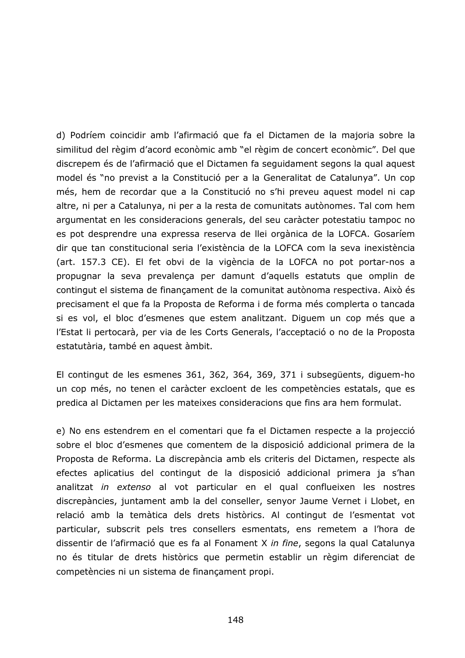d) Podríem coincidir amb l'afirmació que fa el Dictamen de la majoria sobre la similitud del règim d'acord econòmic amb "el règim de concert econòmic". Del que discrepem és de l'afirmació que el Dictamen fa seguidament segons la qual aquest model és "no previst a la Constitució per a la Generalitat de Catalunya". Un cop més, hem de recordar que a la Constitució no s'hi preveu aquest model ni cap altre, ni per a Catalunya, ni per a la resta de comunitats autònomes. Tal com hem argumentat en les consideracions generals, del seu caràcter potestatiu tampoc no es pot desprendre una expressa reserva de llei orgànica de la LOFCA. Gosaríem dir que tan constitucional seria l'existència de la LOFCA com la seva inexistència (art. 157.3 CE). El fet obvi de la vigència de la LOFCA no pot portar-nos a propugnar la seva prevalença per damunt d'aquells estatuts que omplin de contingut el sistema de finançament de la comunitat autònoma respectiva. Això és precisament el que fa la Proposta de Reforma i de forma més complerta o tancada si es vol, el bloc d'esmenes que estem analitzant. Diguem un cop més que a l'Estat li pertocarà, per via de les Corts Generals, l'acceptació o no de la Proposta estatutària, també en aquest àmbit.

El contingut de les esmenes 361, 362, 364, 369, 371 i subsegüents, diguem-ho un cop més, no tenen el caràcter excloent de les competències estatals, que es predica al Dictamen per les mateixes consideracions que fins ara hem formulat.

e) No ens estendrem en el comentari que fa el Dictamen respecte a la projecció sobre el bloc d'esmenes que comentem de la disposició addicional primera de la Proposta de Reforma. La discrepància amb els criteris del Dictamen, respecte als efectes aplicatius del contingut de la disposició addicional primera ja s'han analitzat in extenso al vot particular en el qual conflueixen les nostres discrepàncies, juntament amb la del conseller, senyor Jaume Vernet i Llobet, en relació amb la temàtica dels drets històrics. Al contingut de l'esmentat vot particular, subscrit pels tres consellers esmentats, ens remetem a l'hora de dissentir de l'afirmació que es fa al Fonament X in fine, segons la qual Catalunya no és titular de drets històrics que permetin establir un règim diferenciat de competències ni un sistema de finançament propi.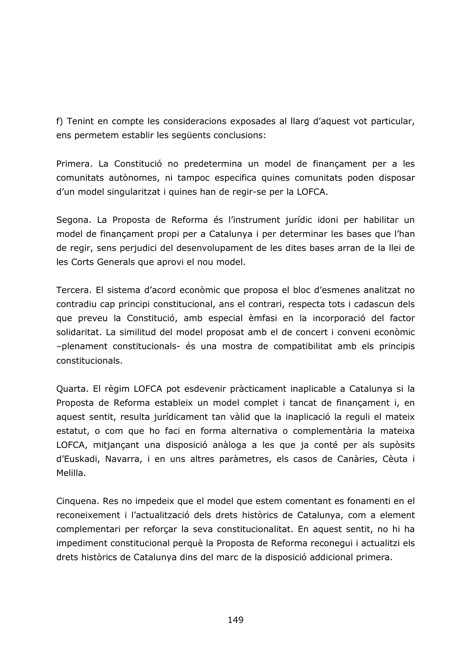f) Tenint en compte les consideracions exposades al llarg d'aquest vot particular, ens permetem establir les següents conclusions:

Primera. La Constitució no predetermina un model de finançament per a les comunitats autònomes, ni tampoc especifica quines comunitats poden disposar d'un model singularitzat i quines han de regir-se per la LOFCA.

Segona. La Proposta de Reforma és l'instrument jurídic idoni per habilitar un model de finançament propi per a Catalunya i per determinar les bases que l'han de regir, sens perjudici del desenvolupament de les dites bases arran de la llei de les Corts Generals que aprovi el nou model.

Tercera. El sistema d'acord econòmic que proposa el bloc d'esmenes analitzat no contradiu cap principi constitucional, ans el contrari, respecta tots i cadascun dels que preveu la Constitució, amb especial èmfasi en la incorporació del factor solidaritat. La similitud del model proposat amb el de concert i conveni econòmic -plenament constitucionals- és una mostra de compatibilitat amb els principis constitucionals.

Quarta. El règim LOFCA pot esdevenir pràcticament inaplicable a Catalunya si la Proposta de Reforma estableix un model complet i tancat de finançament i, en aquest sentit, resulta jurídicament tan vàlid que la inaplicació la reguli el mateix estatut, o com que ho faci en forma alternativa o complementària la mateixa LOFCA, mitjançant una disposició anàloga a les que ja conté per als supòsits d'Euskadi, Navarra, i en uns altres paràmetres, els casos de Canàries, Cèuta i Melilla.

Cinquena. Res no impedeix que el model que estem comentant es fonamenti en el reconeixement i l'actualització dels drets històrics de Catalunya, com a element complementari per reforçar la seva constitucionalitat. En aquest sentit, no hi ha impediment constitucional perquè la Proposta de Reforma reconegui i actualitzi els drets històrics de Catalunya dins del marc de la disposició addicional primera.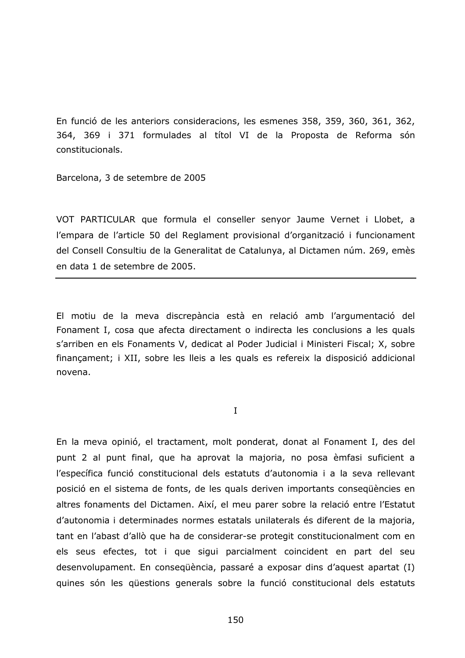En funció de les anteriors consideracions, les esmenes 358, 359, 360, 361, 362, 364, 369 i 371 formulades al títol VI de la Proposta de Reforma són constitucionals.

Barcelona, 3 de setembre de 2005

VOT PARTICULAR que formula el conseller senyor Jaume Vernet i Llobet, a l'empara de l'article 50 del Reglament provisional d'organització i funcionament del Consell Consultiu de la Generalitat de Catalunya, al Dictamen núm. 269, emès en data 1 de setembre de 2005.

El motiu de la meva discrepància està en relació amb l'argumentació del Fonament I, cosa que afecta directament o indirecta les conclusions a les quals s'arriben en els Fonaments V, dedicat al Poder Judicial i Ministeri Fiscal; X, sobre finançament; i XII, sobre les lleis a les quals es refereix la disposició addicional novena.

 $\mathbf{I}$ 

En la meva opinió, el tractament, molt ponderat, donat al Fonament I, des del punt 2 al punt final, que ha aprovat la majoria, no posa èmfasi suficient a l'específica funció constitucional dels estatuts d'autonomia i a la seva rellevant posició en el sistema de fonts, de les quals deriven importants consequències en altres fonaments del Dictamen. Així, el meu parer sobre la relació entre l'Estatut d'autonomia i determinades normes estatals unilaterals és diferent de la majoria, tant en l'abast d'allò que ha de considerar-se protegit constitucionalment com en els seus efectes, tot i que sigui parcialment coincident en part del seu desenvolupament. En consequència, passaré a exposar dins d'aquest apartat (I) quines són les questions generals sobre la funció constitucional dels estatuts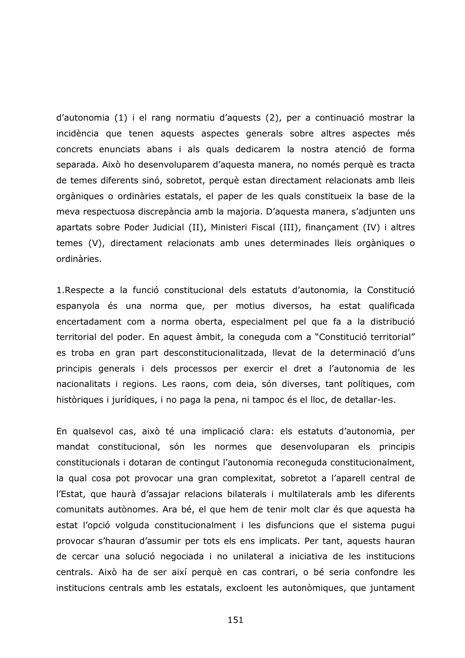d'autonomia (1) i el rang normatiu d'aquests (2), per a continuació mostrar la incidència que tenen aquests aspectes generals sobre altres aspectes més concrets enunciats abans i als quals dedicarem la nostra atenció de forma separada. Això ho desenvoluparem d'aquesta manera, no només perquè es tracta de temes diferents sinó, sobretot, perquè estan directament relacionats amb lleis orgàniques o ordinàries estatals, el paper de les quals constitueix la base de la meva respectuosa discrepància amb la majoria. D'aquesta manera, s'adjunten uns apartats sobre Poder Judicial (II), Ministeri Fiscal (III), finançament (IV) i altres temes (V), directament relacionats amb unes determinades lleis orgàniques o ordinàries.

1. Respecte a la funció constitucional dels estatuts d'autonomia, la Constitució espanyola és una norma que, per motius diversos, ha estat qualificada encertadament com a norma oberta, especialment pel que fa a la distribució territorial del poder. En aquest àmbit, la coneguda com a "Constitució territorial" es troba en gran part desconstitucionalitzada, llevat de la determinació d'uns principis generals i dels processos per exercir el dret a l'autonomia de les nacionalitats i regions. Les raons, com deia, són diverses, tant polítiques, com històriques i jurídiques, i no paga la pena, ni tampoc és el lloc, de detallar-les.

En qualsevol cas, això té una implicació clara: els estatuts d'autonomia, per mandat constitucional, són les normes que desenvoluparan els principis constitucionals i dotaran de contingut l'autonomia reconeguda constitucionalment, la qual cosa pot provocar una gran complexitat, sobretot a l'aparell central de l'Estat, que haurà d'assajar relacions bilaterals i multilaterals amb les diferents comunitats autònomes. Ara bé, el que hem de tenir molt clar és que aquesta ha estat l'opció volguda constitucionalment i les disfuncions que el sistema pugui provocar s'hauran d'assumir per tots els ens implicats. Per tant, aquests hauran de cercar una solució negociada i no unilateral a iniciativa de les institucions centrals. Això ha de ser així perquè en cas contrari, o bé seria confondre les institucions centrals amb les estatals, excloent les autonòmiques, que juntament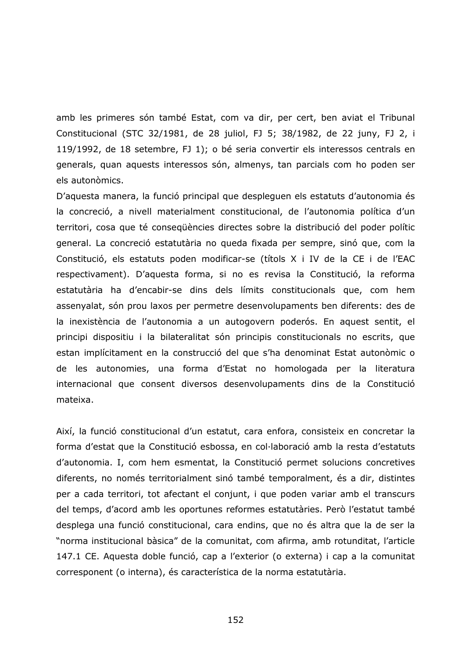amb les primeres són també Estat, com va dir, per cert, ben aviat el Tribunal Constitucional (STC 32/1981, de 28 juliol, FJ 5; 38/1982, de 22 juny, FJ 2, i 119/1992, de 18 setembre, FJ 1); o bé seria convertir els interessos centrals en generals, quan aquests interessos són, almenys, tan parcials com ho poden ser els autonòmics.

D'aquesta manera, la funció principal que despleguen els estatuts d'autonomia és la concreció, a nivell materialment constitucional, de l'autonomia política d'un territori, cosa que té consegüències directes sobre la distribució del poder polític general. La concreció estatutària no queda fixada per sempre, sinó que, com la Constitució, els estatuts poden modificar-se (títols X i IV de la CE i de l'EAC respectivament). D'aquesta forma, si no es revisa la Constitució, la reforma estatutària ha d'encabir-se dins dels límits constitucionals que, com hem assenyalat, són prou laxos per permetre desenvolupaments ben diferents: des de la inexistència de l'autonomia a un autogovern poderós. En aquest sentit, el principi dispositiu i la bilateralitat són principis constitucionals no escrits, que estan implícitament en la construcció del que s'ha denominat Estat autonòmic o de les autonomies, una forma d'Estat no homologada per la literatura internacional que consent diversos desenvolupaments dins de la Constitució mateixa.

Així, la funció constitucional d'un estatut, cara enfora, consisteix en concretar la forma d'estat que la Constitució esbossa, en col·laboració amb la resta d'estatuts d'autonomia. I, com hem esmentat, la Constitució permet solucions concretives diferents, no només territorialment sinó també temporalment, és a dir, distintes per a cada territori, tot afectant el conjunt, i que poden variar amb el transcurs del temps, d'acord amb les oportunes reformes estatutàries. Però l'estatut també desplega una funció constitucional, cara endins, que no és altra que la de ser la "norma institucional bàsica" de la comunitat, com afirma, amb rotunditat, l'article 147.1 CE. Aquesta doble funció, cap a l'exterior (o externa) i cap a la comunitat corresponent (o interna), és característica de la norma estatutària.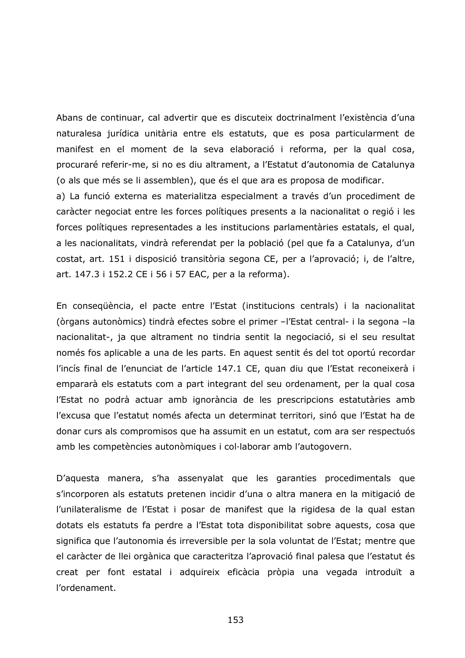Abans de continuar, cal advertir que es discuteix doctrinalment l'existència d'una naturalesa jurídica unitària entre els estatuts, que es posa particularment de manifest en el moment de la seva elaboració i reforma, per la qual cosa, procuraré referir-me, si no es diu altrament, a l'Estatut d'autonomia de Catalunya (o als que més se li assemblen), que és el que ara es proposa de modificar.

a) La funció externa es materialitza especialment a través d'un procediment de caràcter negociat entre les forces polítiques presents a la nacionalitat o regió i les forces polítiques representades a les institucions parlamentàries estatals, el qual, a les nacionalitats, vindrà referendat per la població (pel que fa a Catalunya, d'un costat, art. 151 i disposició transitòria segona CE, per a l'aprovació; i, de l'altre, art. 147.3 i 152.2 CE i 56 i 57 EAC, per a la reforma).

En consequència, el pacte entre l'Estat (institucions centrals) i la nacionalitat (òrgans autonòmics) tindrà efectes sobre el primer -l'Estat central- i la segona -la nacionalitat-, ja que altrament no tindria sentit la negociació, si el seu resultat només fos aplicable a una de les parts. En aquest sentit és del tot oportú recordar l'incís final de l'enunciat de l'article 147.1 CE, quan diu que l'Estat reconeixerà i empararà els estatuts com a part integrant del seu ordenament, per la qual cosa l'Estat no podrà actuar amb ignorància de les prescripcions estatutàries amb l'excusa que l'estatut només afecta un determinat territori, sinó que l'Estat ha de donar curs als compromisos que ha assumit en un estatut, com ara ser respectuós amb les competències autonòmiques i col·laborar amb l'autogovern.

D'aquesta manera, s'ha assenyalat que les garanties procedimentals que s'incorporen als estatuts pretenen incidir d'una o altra manera en la mitigació de l'unilateralisme de l'Estat i posar de manifest que la rigidesa de la qual estan dotats els estatuts fa perdre a l'Estat tota disponibilitat sobre aquests, cosa que significa que l'autonomia és irreversible per la sola voluntat de l'Estat; mentre que el caràcter de llei orgànica que caracteritza l'aprovació final palesa que l'estatut és creat per font estatal i adquireix eficàcia pròpia una vegada introduït a l'ordenament.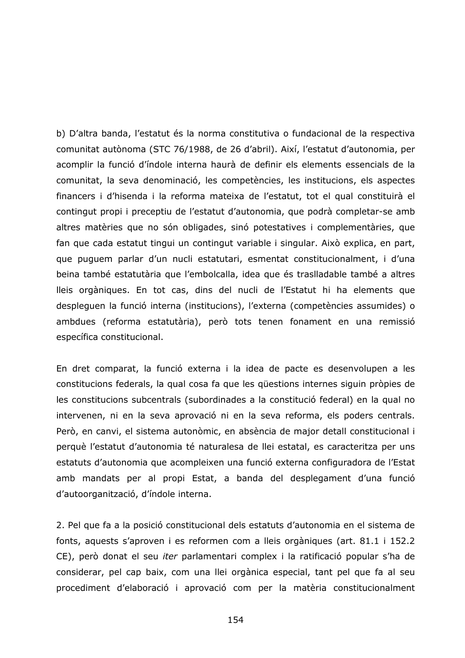b) D'altra banda, l'estatut és la norma constitutiva o fundacional de la respectiva comunitat autònoma (STC 76/1988, de 26 d'abril). Així, l'estatut d'autonomia, per acomplir la funció d'índole interna haurà de definir els elements essencials de la comunitat, la seva denominació, les competències, les institucions, els aspectes financers i d'hisenda i la reforma mateixa de l'estatut, tot el qual constituirà el contingut propi i preceptiu de l'estatut d'autonomia, que podrà completar-se amb altres matèries que no són obligades, sinó potestatives i complementàries, que fan que cada estatut tingui un contingut variable i singular. Això explica, en part, que puguem parlar d'un nucli estatutari, esmentat constitucionalment, i d'una beina també estatutària que l'embolcalla, idea que és traslladable també a altres lleis orgàniques. En tot cas, dins del nucli de l'Estatut hi ha elements que desplequen la funció interna (institucions), l'externa (competències assumides) o ambdues (reforma estatutària), però tots tenen fonament en una remissió específica constitucional.

En dret comparat, la funció externa i la idea de pacte es desenvolupen a les constitucions federals, la qual cosa fa que les güestions internes siguin pròpies de les constitucions subcentrals (subordinades a la constitució federal) en la qual no intervenen, ni en la seva aprovació ni en la seva reforma, els poders centrals. Però, en canvi, el sistema autonòmic, en absència de major detall constitucional i perquè l'estatut d'autonomia té naturalesa de llei estatal, es caracteritza per uns estatuts d'autonomia que acompleixen una funció externa configuradora de l'Estat amb mandats per al propi Estat, a banda del desplegament d'una funció d'autoorganització, d'índole interna.

2. Pel que fa a la posició constitucional dels estatuts d'autonomia en el sistema de fonts, aquests s'aproven i es reformen com a lleis orgàniques (art. 81.1 i 152.2 CE), però donat el seu *iter* parlamentari complex i la ratificació popular s'ha de considerar, pel cap baix, com una llei orgànica especial, tant pel que fa al seu procediment d'elaboració i aprovació com per la matèria constitucionalment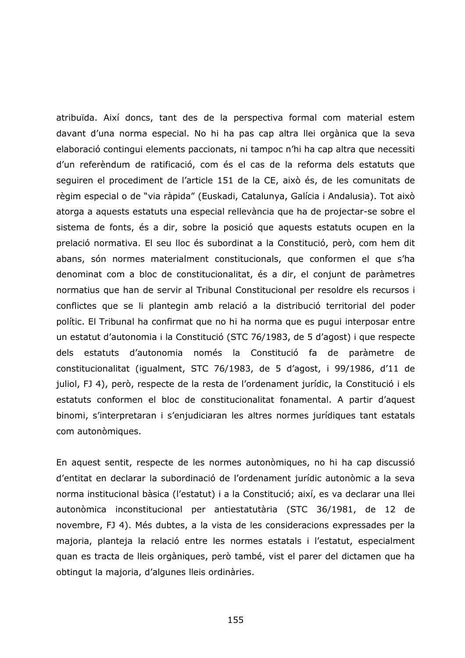atribuïda. Així doncs, tant des de la perspectiva formal com material estem davant d'una norma especial. No hi ha pas cap altra llei orgànica que la seva elaboració contingui elements paccionats, ni tampoc n'hi ha cap altra que necessiti d'un referèndum de ratificació, com és el cas de la reforma dels estatuts que sequiren el procediment de l'article 151 de la CE, això és, de les comunitats de règim especial o de "via ràpida" (Euskadi, Catalunya, Galícia i Andalusia). Tot això atorga a aquests estatuts una especial rellevància que ha de projectar-se sobre el sistema de fonts, és a dir, sobre la posició que aquests estatuts ocupen en la prelació normativa. El seu lloc és subordinat a la Constitució, però, com hem dit abans, són normes materialment constitucionals, que conformen el que s'ha denominat com a bloc de constitucionalitat, és a dir, el conjunt de paràmetres normatius que han de servir al Tribunal Constitucional per resoldre els recursos i conflictes que se li plantegin amb relació a la distribució territorial del poder polític. El Tribunal ha confirmat que no hi ha norma que es pugui interposar entre un estatut d'autonomia i la Constitució (STC 76/1983, de 5 d'agost) i que respecte dels estatuts d'autonomia només la Constitució fa de paràmetre de constitucionalitat (igualment, STC 76/1983, de 5 d'agost, i 99/1986, d'11 de juliol, FJ 4), però, respecte de la resta de l'ordenament jurídic, la Constitució i els estatuts conformen el bloc de constitucionalitat fonamental. A partir d'aquest binomi, s'interpretaran i s'enjudiciaran les altres normes jurídiques tant estatals com autonòmiques.

En aquest sentit, respecte de les normes autonòmiques, no hi ha cap discussió d'entitat en declarar la subordinació de l'ordenament jurídic autonòmic a la seva norma institucional bàsica (l'estatut) i a la Constitució; així, es va declarar una llei autonòmica inconstitucional per antiestatutària (STC 36/1981, de 12 de novembre, FJ 4). Més dubtes, a la vista de les consideracions expressades per la majoria, planteja la relació entre les normes estatals i l'estatut, especialment quan es tracta de lleis orgàniques, però també, vist el parer del dictamen que ha obtingut la majoria, d'algunes lleis ordinàries.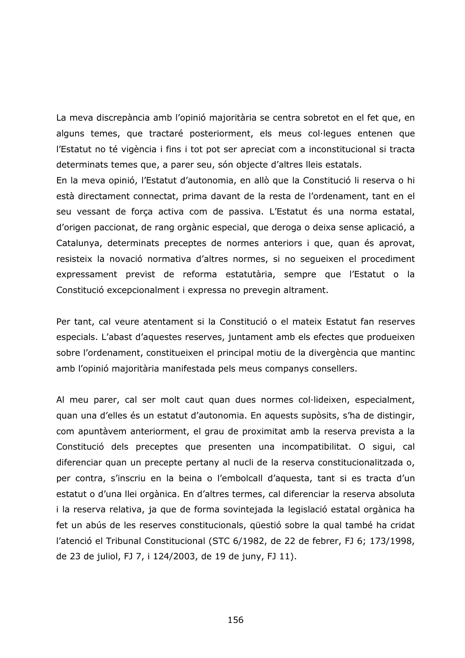La meva discrepància amb l'opinió majoritària se centra sobretot en el fet que, en alguns temes, que tractaré posteriorment, els meus col·legues entenen que l'Estatut no té vigència i fins i tot pot ser apreciat com a inconstitucional si tracta determinats temes que, a parer seu, són objecte d'altres lleis estatals.

En la meva opinió, l'Estatut d'autonomia, en allò que la Constitució li reserva o hi està directament connectat, prima davant de la resta de l'ordenament, tant en el seu vessant de forca activa com de passiva. L'Estatut és una norma estatal, d'origen paccionat, de rang orgànic especial, que deroga o deixa sense aplicació, a Catalunya, determinats preceptes de normes anteriors i que, quan és aprovat, resisteix la novació normativa d'altres normes, si no segueixen el procediment expressament previst de reforma estatutària, sempre que l'Estatut o la Constitució excepcionalment i expressa no prevegin altrament.

Per tant, cal veure atentament si la Constitució o el mateix Estatut fan reserves especials. L'abast d'aquestes reserves, juntament amb els efectes que produeixen sobre l'ordenament, constitueixen el principal motiu de la divergència que mantinc amb l'opinió majoritària manifestada pels meus companys consellers.

Al meu parer, cal ser molt caut quan dues normes col·lideixen, especialment, guan una d'elles és un estatut d'autonomia. En aquests supòsits, s'ha de distingir, com apuntàvem anteriorment, el grau de proximitat amb la reserva prevista a la Constitució dels preceptes que presenten una incompatibilitat. O sigui, cal diferenciar quan un precepte pertany al nucli de la reserva constitucionalitzada o, per contra, s'inscriu en la beina o l'embolcall d'aquesta, tant si es tracta d'un estatut o d'una llei orgànica. En d'altres termes, cal diferenciar la reserva absoluta i la reserva relativa, ja que de forma sovintejada la legislació estatal orgànica ha fet un abús de les reserves constitucionals, qüestió sobre la qual també ha cridat l'atenció el Tribunal Constitucional (STC 6/1982, de 22 de febrer, FJ 6; 173/1998, de 23 de juliol, FJ 7, i 124/2003, de 19 de juny, FJ 11).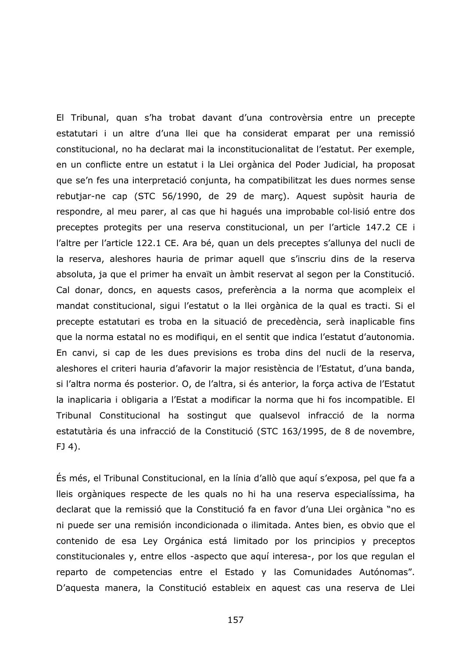El Tribunal, quan s'ha trobat davant d'una controvèrsia entre un precepte estatutari i un altre d'una llei que ha considerat emparat per una remissió constitucional, no ha declarat mai la inconstitucionalitat de l'estatut. Per exemple, en un conflicte entre un estatut i la Llei orgànica del Poder Judicial, ha proposat que se'n fes una interpretació conjunta, ha compatibilitzat les dues normes sense rebutjar-ne cap (STC 56/1990, de 29 de març). Aquest supòsit hauria de respondre, al meu parer, al cas que hi haqués una improbable col·lisió entre dos preceptes protegits per una reserva constitucional, un per l'article 147.2 CE i l'altre per l'article 122.1 CE. Ara bé, quan un dels preceptes s'allunya del nucli de la reserva, aleshores hauria de primar aquell que s'inscriu dins de la reserva absoluta, ja que el primer ha envaït un àmbit reservat al segon per la Constitució. Cal donar, doncs, en aquests casos, preferència a la norma que acompleix el mandat constitucional, sigui l'estatut o la llei orgànica de la qual es tracti. Si el precepte estatutari es troba en la situació de precedència, serà inaplicable fins que la norma estatal no es modifiqui, en el sentit que indica l'estatut d'autonomia. En canvi, si cap de les dues previsions es troba dins del nucli de la reserva, aleshores el criteri hauria d'afavorir la major resistència de l'Estatut, d'una banda, si l'altra norma és posterior. O, de l'altra, si és anterior, la força activa de l'Estatut la inaplicaria i obligaria a l'Estat a modificar la norma que hi fos incompatible. El Tribunal Constitucional ha sostingut que qualsevol infracció de la norma estatutària és una infracció de la Constitució (STC 163/1995, de 8 de novembre,  $FJ$  4).

És més, el Tribunal Constitucional, en la línia d'allò que aquí s'exposa, pel que fa a lleis orgàniques respecte de les quals no hi ha una reserva especialíssima, ha declarat que la remissió que la Constitució fa en favor d'una Llei orgànica "no es ni puede ser una remisión incondicionada o ilimitada. Antes bien, es obvio que el contenido de esa Ley Orgánica está limitado por los principios y preceptos constitucionales y, entre ellos -aspecto que aquí interesa-, por los que regulan el reparto de competencias entre el Estado y las Comunidades Autónomas". D'aquesta manera, la Constitució estableix en aquest cas una reserva de Llei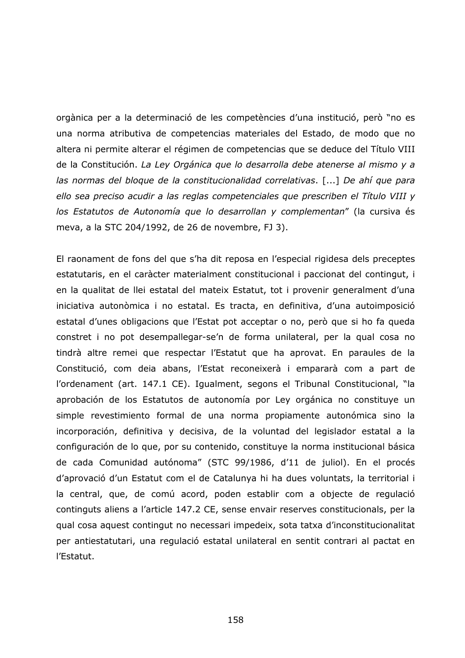orgànica per a la determinació de les competències d'una institució, però "no es una norma atributiva de competencias materiales del Estado, de modo que no altera ni permite alterar el régimen de competencias que se deduce del Título VIII de la Constitución. La Ley Orgánica que lo desarrolla debe atenerse al mismo y a las normas del bloque de la constitucionalidad correlativas. [...] De ahí que para ello sea preciso acudir a las reglas competenciales que prescriben el Título VIII y los Estatutos de Autonomía que lo desarrollan y complementan" (la cursiva és meva, a la STC 204/1992, de 26 de novembre, FJ 3).

El raonament de fons del que s'ha dit reposa en l'especial rigidesa dels preceptes estatutaris, en el caràcter materialment constitucional i paccionat del contingut, i en la qualitat de llei estatal del mateix Estatut, tot i provenir generalment d'una iniciativa autonòmica i no estatal. Es tracta, en definitiva, d'una autoimposició estatal d'unes obligacions que l'Estat pot acceptar o no, però que si ho fa queda constret i no pot desempallegar-se'n de forma unilateral, per la qual cosa no tindrà altre remei que respectar l'Estatut que ha aprovat. En paraules de la Constitució, com deia abans, l'Estat reconeixerà i empararà com a part de l'ordenament (art. 147.1 CE). Igualment, segons el Tribunal Constitucional, "la aprobación de los Estatutos de autonomía por Ley orgánica no constituye un simple revestimiento formal de una norma propiamente autonómica sino la incorporación, definitiva y decisiva, de la voluntad del legislador estatal a la configuración de lo que, por su contenido, constituye la norma institucional básica de cada Comunidad autónoma" (STC 99/1986, d'11 de juliol). En el procés d'aprovació d'un Estatut com el de Catalunya hi ha dues voluntats, la territorial i la central, que, de comú acord, poden establir com a objecte de regulació continguts aliens a l'article 147.2 CE, sense envair reserves constitucionals, per la qual cosa aquest contingut no necessari impedeix, sota tatxa d'inconstitucionalitat per antiestatutari, una regulació estatal unilateral en sentit contrari al pactat en l'Estatut.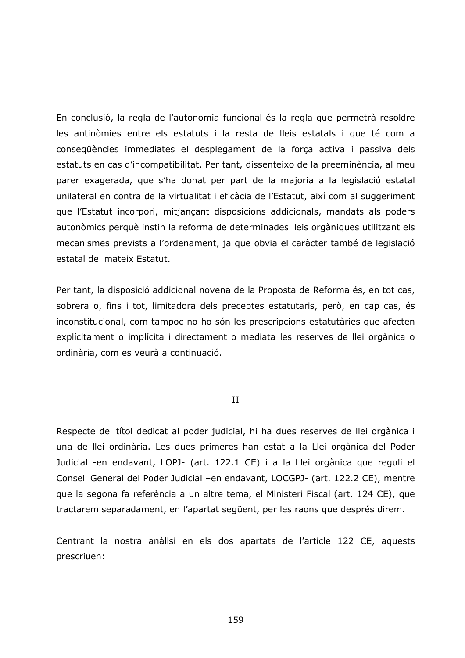En conclusió, la regla de l'autonomia funcional és la regla que permetrà resoldre les antinòmies entre els estatuts i la resta de lleis estatals i que té com a consequències immediates el desplegament de la força activa i passiva dels estatuts en cas d'incompatibilitat. Per tant, dissenteixo de la preeminència, al meu parer exagerada, que s'ha donat per part de la majoria a la legislació estatal unilateral en contra de la virtualitat i eficàcia de l'Estatut, així com al suggeriment que l'Estatut incorpori, mitiancant disposicions addicionals, mandats als poders autonòmics perquè instin la reforma de determinades lleis orgàniques utilitzant els mecanismes prevists a l'ordenament, ja que obvia el caràcter també de legislació estatal del mateix Estatut.

Per tant, la disposició addicional novena de la Proposta de Reforma és, en tot cas, sobrera o, fins i tot, limitadora dels preceptes estatutaris, però, en cap cas, és inconstitucional, com tampoc no ho són les prescripcions estatutàries que afecten explícitament o implícita i directament o mediata les reserves de llei orgànica o ordinària, com es veurà a continuació.

## $II$

Respecte del títol dedicat al poder judicial, hi ha dues reserves de llei orgànica i una de llei ordinària. Les dues primeres han estat a la Llei orgànica del Poder Judicial -en endavant, LOPJ- (art. 122.1 CE) i a la Llei orgànica que reguli el Consell General del Poder Judicial - en endavant, LOCGPJ- (art. 122.2 CE), mentre que la segona fa referència a un altre tema, el Ministeri Fiscal (art. 124 CE), que tractarem separadament, en l'apartat següent, per les raons que després direm.

Centrant la nostra anàlisi en els dos apartats de l'article 122 CE, aquests prescriuen: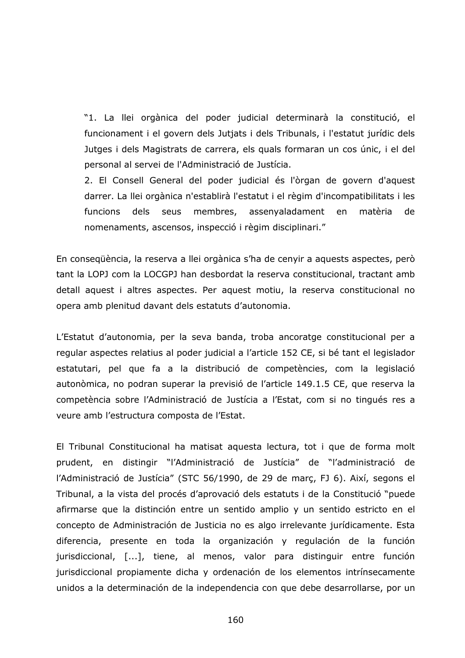"1. La llei orgànica del poder judicial determinarà la constitució, el funcionament i el govern dels Jutjats i dels Tribunals, i l'estatut jurídic dels Jutges i dels Magistrats de carrera, els quals formaran un cos únic, i el del personal al servei de l'Administració de Justícia.

2. El Consell General del poder judicial és l'òrgan de govern d'aquest darrer. La llei orgànica n'establirà l'estatut i el règim d'incompatibilitats i les dels seus membres, assenyaladament matèria funcions en de nomenaments, ascensos, inspecció i règim disciplinari."

En consegüència, la reserva a llei orgànica s'ha de cenyir a aquests aspectes, però tant la LOPJ com la LOCGPJ han desbordat la reserva constitucional, tractant amb detall aquest i altres aspectes. Per aquest motiu, la reserva constitucional no opera amb plenitud davant dels estatuts d'autonomia.

L'Estatut d'autonomia, per la seva banda, troba ancoratge constitucional per a regular aspectes relatius al poder judicial a l'article 152 CE, si bé tant el legislador estatutari, pel que fa a la distribució de competències, com la legislació autonòmica, no podran superar la previsió de l'article 149.1.5 CE, que reserva la competència sobre l'Administració de Justícia a l'Estat, com si no tingués res a veure amb l'estructura composta de l'Estat.

El Tribunal Constitucional ha matisat aquesta lectura, tot i que de forma molt prudent, en distingir "l'Administració de Justícia" de "l'administració de l'Administració de Justícia" (STC 56/1990, de 29 de març, FJ 6). Així, segons el Tribunal, a la vista del procés d'aprovació dels estatuts i de la Constitució "puede afirmarse que la distinción entre un sentido amplio y un sentido estricto en el concepto de Administración de Justicia no es algo irrelevante jurídicamente. Esta diferencia, presente en toda la organización y regulación de la función jurisdiccional, [...], tiene, al menos, valor para distinguir entre función jurisdiccional propiamente dicha y ordenación de los elementos intrínsecamente unidos a la determinación de la independencia con que debe desarrollarse, por un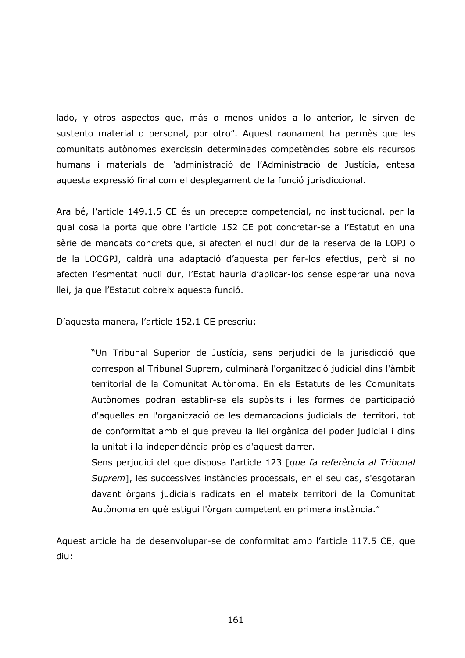lado, y otros aspectos que, más o menos unidos a lo anterior, le sirven de sustento material o personal, por otro". Aquest raonament ha permès que les comunitats autònomes exercissin determinades competències sobre els recursos humans i materials de l'administració de l'Administració de Justícia, entesa aquesta expressió final com el desplegament de la funció jurisdiccional.

Ara bé, l'article 149.1.5 CE és un precepte competencial, no institucional, per la qual cosa la porta que obre l'article 152 CE pot concretar-se a l'Estatut en una sèrie de mandats concrets que, si afecten el nucli dur de la reserva de la LOPJ o de la LOCGPJ, caldrà una adaptació d'aquesta per fer-los efectius, però si no afecten l'esmentat nucli dur, l'Estat hauria d'aplicar-los sense esperar una nova Ilei, ja que l'Estatut cobreix aquesta funció.

D'aquesta manera, l'article 152.1 CE prescriu:

"Un Tribunal Superior de Justícia, sens perjudici de la jurisdicció que correspon al Tribunal Suprem, culminarà l'organització judicial dins l'àmbit territorial de la Comunitat Autònoma. En els Estatuts de les Comunitats Autònomes podran establir-se els supòsits i les formes de participació d'aquelles en l'organització de les demarcacions judicials del territori, tot de conformitat amb el que preveu la llei orgànica del poder judicial i dins la unitat i la independència pròpies d'aquest darrer.

Sens perjudici del que disposa l'article 123 [que fa referència al Tribunal Suprem], les successives instàncies processals, en el seu cas, s'esgotaran davant òrgans judicials radicats en el mateix territori de la Comunitat Autònoma en què estigui l'òrgan competent en primera instància."

Aquest article ha de desenvolupar-se de conformitat amb l'article 117.5 CE, que diu: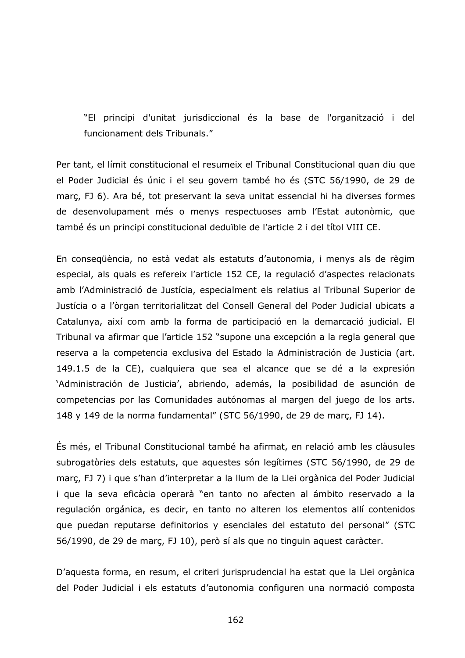"El principi d'unitat jurisdiccional és la base de l'organització i del funcionament dels Tribunals."

Per tant, el límit constitucional el resumeix el Tribunal Constitucional quan diu que el Poder Judicial és únic i el seu govern també ho és (STC 56/1990, de 29 de març, FJ 6). Ara bé, tot preservant la seva unitat essencial hi ha diverses formes de desenvolupament més o menys respectuoses amb l'Estat autonòmic, que també és un principi constitucional deduïble de l'article 2 i del títol VIII CE.

En consegüència, no està vedat als estatuts d'autonomia, i menys als de règim especial, als quals es refereix l'article 152 CE, la regulació d'aspectes relacionats amb l'Administració de Justícia, especialment els relatius al Tribunal Superior de Justícia o a l'òrgan territorialitzat del Consell General del Poder Judicial ubicats a Catalunya, així com amb la forma de participació en la demarcació judicial. El Tribunal va afirmar que l'article 152 "supone una excepción a la regla general que reserva a la competencia exclusiva del Estado la Administración de Justicia (art. 149.1.5 de la CE), cualquiera que sea el alcance que se dé a la expresión 'Administración de Justicia', abriendo, además, la posibilidad de asunción de competencias por las Comunidades autónomas al margen del juego de los arts. 148 y 149 de la norma fundamental" (STC 56/1990, de 29 de marc, FJ 14).

Es més, el Tribunal Constitucional també ha afirmat, en relació amb les clàusules subrogatòries dels estatuts, que aquestes són legítimes (STC 56/1990, de 29 de marc, FJ 7) i que s'han d'interpretar a la llum de la Llei orgànica del Poder Judicial i que la seva eficàcia operarà "en tanto no afecten al ámbito reservado a la regulación orgánica, es decir, en tanto no alteren los elementos allí contenidos que puedan reputarse definitorios y esenciales del estatuto del personal" (STC 56/1990, de 29 de març, FJ 10), però sí als que no tinguin aquest caràcter.

D'aquesta forma, en resum, el criteri jurisprudencial ha estat que la Llei orgànica del Poder Judicial i els estatuts d'autonomia configuren una normació composta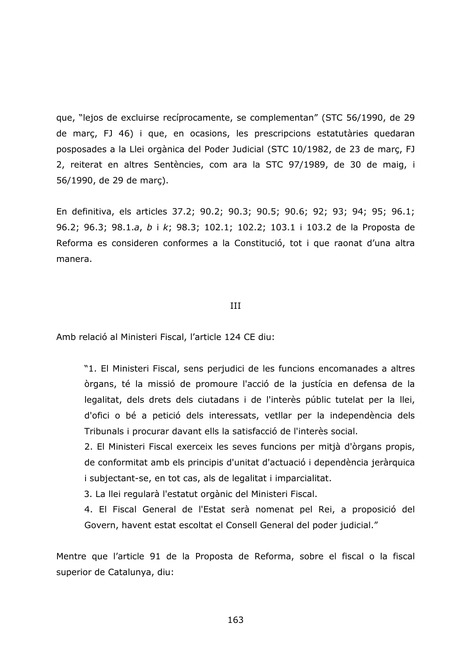que, "lejos de excluirse recíprocamente, se complementan" (STC 56/1990, de 29 de marc, FJ 46) i que, en ocasions, les prescripcions estatutàries quedaran posposades a la Llei orgànica del Poder Judicial (STC 10/1982, de 23 de març, FJ 2, reiterat en altres Sentències, com ara la STC 97/1989, de 30 de maig, i 56/1990, de 29 de marc).

En definitiva, els articles 37.2; 90.2; 90.3; 90.5; 90.6; 92; 93; 94; 95; 96.1; 96.2; 96.3; 98.1.a, b i k; 98.3; 102.1; 102.2; 103.1 i 103.2 de la Proposta de Reforma es consideren conformes a la Constitució, tot i que raonat d'una altra manera.

## **TTT**

Amb relació al Ministeri Fiscal, l'article 124 CE diu:

"1. El Ministeri Fiscal, sens perjudici de les funcions encomanades a altres òrgans, té la missió de promoure l'acció de la justícia en defensa de la legalitat, dels drets dels ciutadans i de l'interès públic tutelat per la llei, d'ofici o bé a petició dels interessats, vetllar per la independència dels Tribunals i procurar davant ells la satisfacció de l'interès social.

2. El Ministeri Fiscal exerceix les seves funcions per mitjà d'òrgans propis, de conformitat amb els principis d'unitat d'actuació i dependència jeràrquica i subjectant-se, en tot cas, als de legalitat i imparcialitat.

3. La llei regularà l'estatut orgànic del Ministeri Fiscal.

4. El Fiscal General de l'Estat serà nomenat pel Rei, a proposició del Govern, havent estat escoltat el Consell General del poder judicial."

Mentre que l'article 91 de la Proposta de Reforma, sobre el fiscal o la fiscal superior de Catalunya, diu: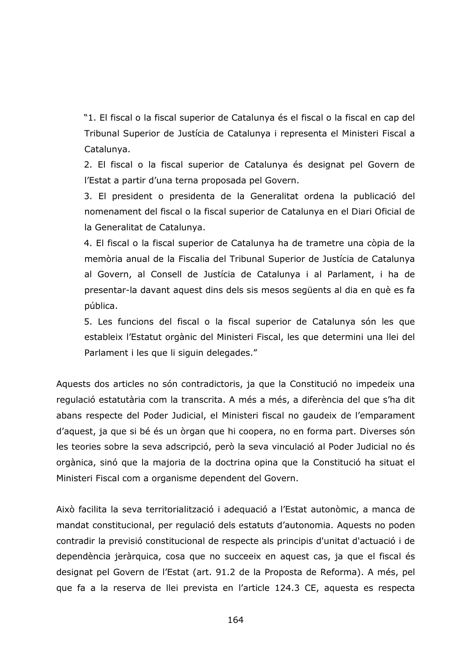"1. El fiscal o la fiscal superior de Catalunya és el fiscal o la fiscal en cap del Tribunal Superior de Justícia de Catalunya i representa el Ministeri Fiscal a Catalunya.

2. El fiscal o la fiscal superior de Catalunya és designat pel Govern de l'Estat a partir d'una terna proposada pel Govern.

3. El president o presidenta de la Generalitat ordena la publicació del nomenament del fiscal o la fiscal superior de Catalunya en el Diari Oficial de la Generalitat de Catalunya.

4. El fiscal o la fiscal superior de Catalunya ha de trametre una còpia de la memòria anual de la Fiscalia del Tribunal Superior de Justícia de Catalunya al Govern, al Consell de Justícia de Catalunya i al Parlament, i ha de presentar-la davant aquest dins dels sis mesos següents al dia en què es fa pública.

5. Les funcions del fiscal o la fiscal superior de Catalunya són les que estableix l'Estatut orgànic del Ministeri Fiscal, les que determini una llei del Parlament i les que li siguin delegades."

Aquests dos articles no són contradictoris, ja que la Constitució no impedeix una regulació estatutària com la transcrita. A més a més, a diferència del que s'ha dit abans respecte del Poder Judicial, el Ministeri fiscal no gaudeix de l'emparament d'aquest, ja que si bé és un òrgan que hi coopera, no en forma part. Diverses són les teories sobre la seva adscripció, però la seva vinculació al Poder Judicial no és orgànica, sinó que la majoria de la doctrina opina que la Constitució ha situat el Ministeri Fiscal com a organisme dependent del Govern.

Això facilita la seva territorialització i adequació a l'Estat autonòmic, a manca de mandat constitucional, per regulació dels estatuts d'autonomia. Aquests no poden contradir la previsió constitucional de respecte als principis d'unitat d'actuació i de dependència jeràrquica, cosa que no succeeix en aquest cas, ja que el fiscal és designat pel Govern de l'Estat (art. 91.2 de la Proposta de Reforma). A més, pel que fa a la reserva de llei prevista en l'article 124.3 CE, aquesta es respecta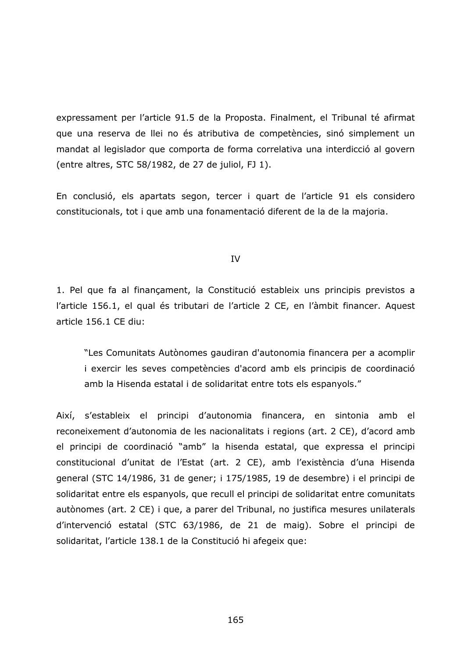expressament per l'article 91.5 de la Proposta. Finalment, el Tribunal té afirmat que una reserva de llei no és atributiva de competències, sinó simplement un mandat al legislador que comporta de forma correlativa una interdicció al govern (entre altres, STC 58/1982, de 27 de juliol, FJ 1).

En conclusió, els apartats segon, tercer i quart de l'article 91 els considero constitucionals, tot i que amb una fonamentació diferent de la de la majoria.

IV

1. Pel que fa al finançament, la Constitució estableix uns principis previstos a l'article 156.1, el qual és tributari de l'article 2 CE, en l'àmbit financer. Aquest article 156.1 CE diu:

"Les Comunitats Autònomes gaudiran d'autonomia financera per a acomplir i exercir les seves competències d'acord amb els principis de coordinació amb la Hisenda estatal i de solidaritat entre tots els espanyols."

Així, s'estableix el principi d'autonomia financera, en sintonia amb el reconeixement d'autonomia de les nacionalitats i regions (art. 2 CE), d'acord amb el principi de coordinació "amb" la hisenda estatal, que expressa el principi constitucional d'unitat de l'Estat (art. 2 CE), amb l'existència d'una Hisenda general (STC 14/1986, 31 de gener; i 175/1985, 19 de desembre) i el principi de solidaritat entre els espanyols, que recull el principi de solidaritat entre comunitats autònomes (art. 2 CE) i que, a parer del Tribunal, no justifica mesures unilaterals d'intervenció estatal (STC 63/1986, de 21 de maig). Sobre el principi de solidaritat, l'article 138.1 de la Constitució hi afegeix que: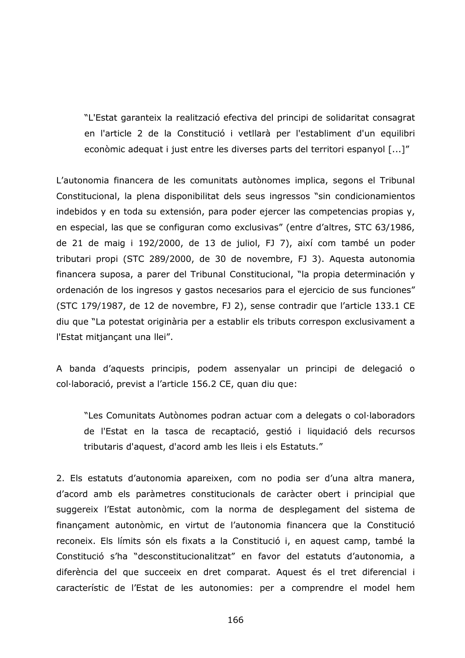"L'Estat garanteix la realització efectiva del principi de solidaritat consagrat en l'article 2 de la Constitució i vetllarà per l'establiment d'un equilibri econòmic adequat i just entre les diverses parts del territori espanyol [...]"

L'autonomia financera de les comunitats autònomes implica, segons el Tribunal Constitucional, la plena disponibilitat dels seus ingressos "sin condicionamientos indebidos y en toda su extensión, para poder ejercer las competencias propias y, en especial, las que se configuran como exclusivas" (entre d'altres, STC 63/1986, de 21 de maig i 192/2000, de 13 de juliol, FJ 7), així com també un poder tributari propi (STC 289/2000, de 30 de novembre, FJ 3). Aquesta autonomia financera suposa, a parer del Tribunal Constitucional, "la propia determinación y ordenación de los ingresos y gastos necesarios para el ejercicio de sus funciones" (STC 179/1987, de 12 de novembre, FJ 2), sense contradir que l'article 133.1 CE diu que "La potestat originària per a establir els tributs correspon exclusivament a l'Estat mitjançant una llei".

A banda d'aquests principis, podem assenyalar un principi de delegació o col·laboració, previst a l'article 156.2 CE, quan diu que:

"Les Comunitats Autònomes podran actuar com a delegats o col·laboradors de l'Estat en la tasca de recaptació, gestió i liquidació dels recursos tributaris d'aquest, d'acord amb les lleis i els Estatuts."

2. Els estatuts d'autonomia apareixen, com no podia ser d'una altra manera, d'acord amb els paràmetres constitucionals de caràcter obert i principial que suggereix l'Estat autonòmic, com la norma de desplegament del sistema de finançament autonòmic, en virtut de l'autonomia financera que la Constitució reconeix. Els límits són els fixats a la Constitució i, en aquest camp, també la Constitució s'ha "desconstitucionalitzat" en favor del estatuts d'autonomia, a diferència del que succeeix en dret comparat. Aquest és el tret diferencial i característic de l'Estat de les autonomies: per a comprendre el model hem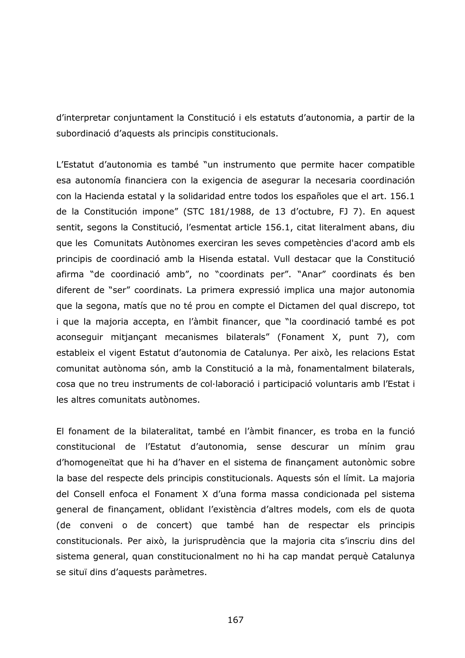d'interpretar conjuntament la Constitució i els estatuts d'autonomia, a partir de la subordinació d'aquests als principis constitucionals.

L'Estatut d'autonomia es també "un instrumento que permite hacer compatible esa autonomía financiera con la exigencia de asegurar la necesaria coordinación con la Hacienda estatal y la solidaridad entre todos los españoles que el art. 156.1 de la Constitución impone" (STC 181/1988, de 13 d'octubre, FJ 7). En aquest sentit, segons la Constitució, l'esmentat article 156.1, citat literalment abans, diu que les Comunitats Autònomes exerciran les seves competències d'acord amb els principis de coordinació amb la Hisenda estatal. Vull destacar que la Constitució afirma "de coordinació amb", no "coordinats per". "Anar" coordinats és ben diferent de "ser" coordinats. La primera expressió implica una major autonomia que la segona, matís que no té prou en compte el Dictamen del qual discrepo, tot i que la majoria accepta, en l'àmbit financer, que "la coordinació també es pot aconseguir mitjançant mecanismes bilaterals" (Fonament X, punt 7), com estableix el vigent Estatut d'autonomia de Catalunya. Per això, les relacions Estat comunitat autònoma són, amb la Constitució a la mà, fonamentalment bilaterals, cosa que no treu instruments de col·laboració i participació voluntaris amb l'Estat i les altres comunitats autònomes.

El fonament de la bilateralitat, també en l'àmbit financer, es troba en la funció constitucional de l'Estatut d'autonomia, sense descurar un mínim grau d'homogeneïtat que hi ha d'haver en el sistema de finançament autonòmic sobre la base del respecte dels principis constitucionals. Aquests són el límit. La majoria del Consell enfoca el Fonament X d'una forma massa condicionada pel sistema general de finançament, oblidant l'existència d'altres models, com els de quota (de conveni o de concert) que també han de respectar els principis constitucionals. Per això, la jurisprudència que la majoria cita s'inscriu dins del sistema general, quan constitucionalment no hi ha cap mandat perquè Catalunya se situï dins d'aquests paràmetres.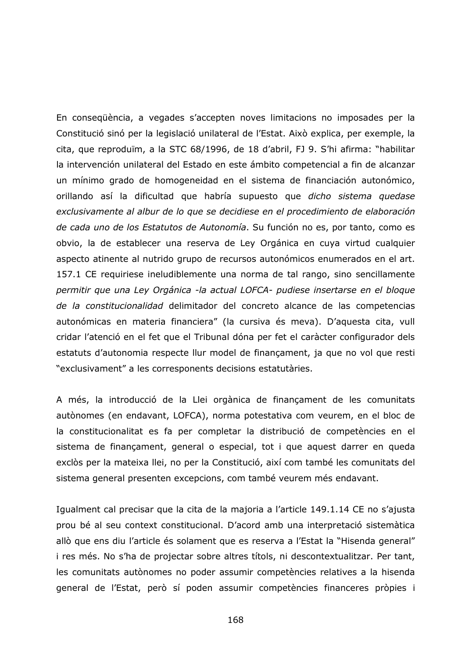En consequència, a vegades s'accepten noves limitacions no imposades per la Constitució sinó per la legislació unilateral de l'Estat. Això explica, per exemple, la cita, que reproduïm, a la STC 68/1996, de 18 d'abril, FJ 9. S'hi afirma: "habilitar la intervención unilateral del Estado en este ámbito competencial a fin de alcanzar un mínimo grado de homogeneidad en el sistema de financiación autonómico, orillando así la dificultad que habría supuesto que dicho sistema quedase exclusivamente al albur de lo que se decidiese en el procedimiento de elaboración de cada uno de los Estatutos de Autonomía. Su función no es, por tanto, como es obvio, la de establecer una reserva de Ley Orgánica en cuya virtud cualquier aspecto atinente al nutrido grupo de recursos autonómicos enumerados en el art. 157.1 CE requiriese ineludiblemente una norma de tal rango, sino sencillamente permitir que una Ley Orgánica -la actual LOFCA- pudiese insertarse en el bloque de la constitucionalidad delimitador del concreto alcance de las competencias autonómicas en materia financiera" (la cursiva és meva). D'aquesta cita, vull cridar l'atenció en el fet que el Tribunal dóna per fet el caràcter configurador dels estatuts d'autonomia respecte llur model de finançament, ja que no vol que resti "exclusivament" a les corresponents decisions estatutàries.

A més, la introducció de la Llei orgànica de finançament de les comunitats autònomes (en endavant, LOFCA), norma potestativa com veurem, en el bloc de la constitucionalitat es fa per completar la distribució de competències en el sistema de finançament, general o especial, tot i que aquest darrer en queda exclòs per la mateixa llei, no per la Constitució, així com també les comunitats del sistema general presenten excepcions, com també veurem més endavant.

Igualment cal precisar que la cita de la majoria a l'article 149.1.14 CE no s'ajusta prou bé al seu context constitucional. D'acord amb una interpretació sistemàtica allò que ens diu l'article és solament que es reserva a l'Estat la "Hisenda general" i res més. No s'ha de projectar sobre altres títols, ni descontextualitzar. Per tant, les comunitats autònomes no poder assumir competències relatives a la hisenda general de l'Estat, però sí poden assumir competències financeres pròpies i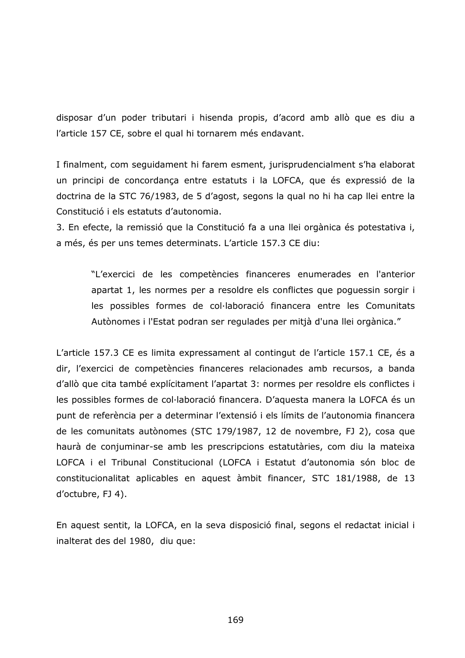disposar d'un poder tributari i hisenda propis, d'acord amb allò que es diu a l'article 157 CE, sobre el qual hi tornarem més endavant.

I finalment, com seguidament hi farem esment, jurisprudencialment s'ha elaborat un principi de concordança entre estatuts i la LOFCA, que és expressió de la doctrina de la STC 76/1983, de 5 d'agost, segons la qual no hi ha cap llei entre la Constitució i els estatuts d'autonomia.

3. En efecte, la remissió que la Constitució fa a una llei orgànica és potestativa i, a més, és per uns temes determinats. L'article 157.3 CE diu:

"L'exercici de les competències financeres enumerades en l'anterior apartat 1, les normes per a resoldre els conflictes que poquessin sorgir i les possibles formes de col·laboració financera entre les Comunitats Autònomes i l'Estat podran ser regulades per mitjà d'una llei orgànica."

L'article 157.3 CE es limita expressament al contingut de l'article 157.1 CE, és a dir, l'exercici de competències financeres relacionades amb recursos, a banda d'allò que cita també explícitament l'apartat 3: normes per resoldre els conflictes i les possibles formes de col·laboració financera. D'aquesta manera la LOFCA és un punt de referència per a determinar l'extensió i els límits de l'autonomia financera de les comunitats autònomes (STC 179/1987, 12 de novembre, FJ 2), cosa que haurà de conjuminar-se amb les prescripcions estatutàries, com diu la mateixa LOFCA i el Tribunal Constitucional (LOFCA i Estatut d'autonomia són bloc de constitucionalitat aplicables en aquest àmbit financer, STC 181/1988, de 13 d'octubre, FJ 4).

En aquest sentit, la LOFCA, en la seva disposició final, segons el redactat inicial i inalterat des del 1980, diu que: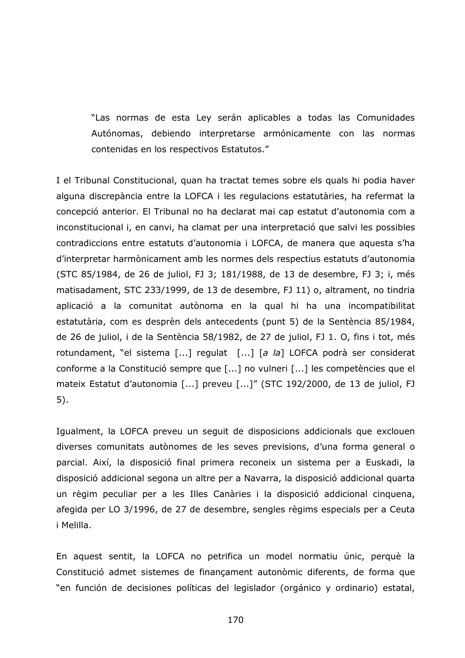"Las normas de esta Lev serán aplicables a todas las Comunidades Autónomas, debiendo interpretarse armónicamente con las normas contenidas en los respectivos Estatutos."

I el Tribunal Constitucional, quan ha tractat temes sobre els quals hi podia haver alguna discrepància entre la LOFCA i les regulacions estatutàries, ha refermat la concepció anterior. El Tribunal no ha declarat mai cap estatut d'autonomia com a inconstitucional i, en canvi, ha clamat per una interpretació que salvi les possibles contradiccions entre estatuts d'autonomia i LOFCA, de manera que aquesta s'ha d'interpretar harmònicament amb les normes dels respectius estatuts d'autonomia (STC 85/1984, de 26 de juliol, FJ 3; 181/1988, de 13 de desembre, FJ 3; i, més matisadament, STC 233/1999, de 13 de desembre, FJ 11) o, altrament, no tindria aplicació a la comunitat autònoma en la qual hi ha una incompatibilitat estatutària, com es desprèn dels antecedents (punt 5) de la Sentència 85/1984, de 26 de juliol, i de la Sentència 58/1982, de 27 de juliol, FJ 1. O, fins i tot, més rotundament, "el sistema [...] regulat [...] [a la] LOFCA podrà ser considerat conforme a la Constitució sempre que [...] no vulneri [...] les competències que el mateix Estatut d'autonomia [...] preveu [...]" (STC 192/2000, de 13 de juliol, FJ  $5).$ 

Igualment, la LOFCA preveu un seguit de disposicions addicionals que exclouen diverses comunitats autònomes de les seves previsions, d'una forma general o parcial. Així, la disposició final primera reconeix un sistema per a Euskadi, la disposició addicional segona un altre per a Navarra, la disposició addicional quarta un règim peculiar per a les Illes Canàries i la disposició addicional cinquena, afegida per LO 3/1996, de 27 de desembre, sengles règims especials per a Ceuta i Melilla.

En aquest sentit, la LOFCA no petrifica un model normatiu únic, perquè la Constitució admet sistemes de finançament autonòmic diferents, de forma que "en función de decisiones políticas del legislador (orgánico y ordinario) estatal,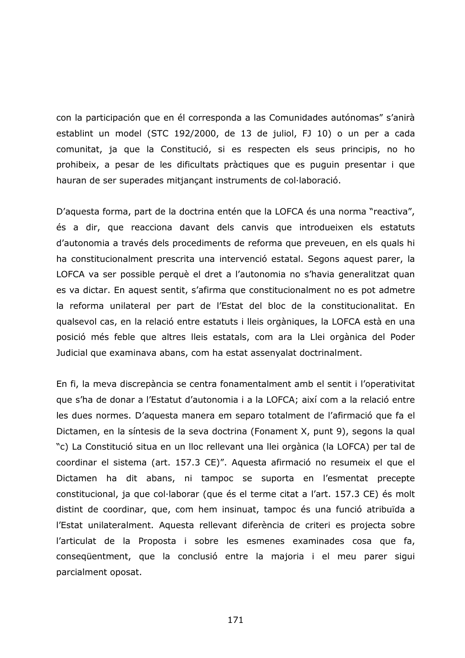con la participación que en él corresponda a las Comunidades autónomas" s'anirà establint un model (STC 192/2000, de 13 de juliol, FJ 10) o un per a cada comunitat, ja que la Constitució, si es respecten els seus principis, no ho prohibeix, a pesar de les dificultats pràctiques que es puguin presentar i que hauran de ser superades mitjançant instruments de col·laboració.

D'aquesta forma, part de la doctrina entén que la LOFCA és una norma "reactiva", és a dir, que reacciona davant dels canvis que introdueixen els estatuts d'autonomia a través dels procediments de reforma que preveuen, en els quals hi ha constitucionalment prescrita una intervenció estatal. Segons aquest parer, la LOFCA va ser possible perquè el dret a l'autonomia no s'havia generalitzat quan es va dictar. En aquest sentit, s'afirma que constitucionalment no es pot admetre la reforma unilateral per part de l'Estat del bloc de la constitucionalitat. En qualsevol cas, en la relació entre estatuts i lleis orgàniques, la LOFCA està en una posició més feble que altres lleis estatals, com ara la Llei orgànica del Poder Judicial que examinava abans, com ha estat assenyalat doctrinalment.

En fi, la meva discrepància se centra fonamentalment amb el sentit i l'operativitat que s'ha de donar a l'Estatut d'autonomia i a la LOFCA; així com a la relació entre les dues normes. D'aquesta manera em separo totalment de l'afirmació que fa el Dictamen, en la síntesis de la seva doctrina (Fonament X, punt 9), segons la qual "c) La Constitució situa en un lloc rellevant una llei orgànica (la LOFCA) per tal de coordinar el sistema (art. 157.3 CE)". Aquesta afirmació no resumeix el que el Dictamen ha dit abans, ni tampoc se suporta en l'esmentat precepte constitucional, ja que col·laborar (que és el terme citat a l'art. 157.3 CE) és molt distint de coordinar, que, com hem insinuat, tampoc és una funció atribuïda a l'Estat unilateralment. Aquesta rellevant diferència de criteri es projecta sobre l'articulat de la Proposta i sobre les esmenes examinades cosa que fa, consequentment, que la conclusió entre la majoria i el meu parer sigui parcialment oposat.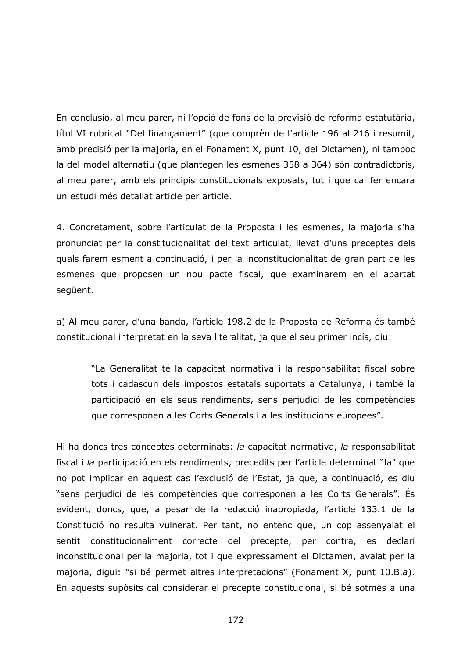En conclusió, al meu parer, ni l'opció de fons de la previsió de reforma estatutària, títol VI rubricat "Del financament" (que comprèn de l'article 196 al 216 i resumit, amb precisió per la majoria, en el Fonament X, punt 10, del Dictamen), ni tampoc la del model alternatiu (que plantegen les esmenes 358 a 364) són contradictoris, al meu parer, amb els principis constitucionals exposats, tot i que cal fer encara un estudi més detallat article per article.

4. Concretament, sobre l'articulat de la Proposta i les esmenes, la majoria s'ha pronunciat per la constitucionalitat del text articulat, llevat d'uns preceptes dels quals farem esment a continuació, i per la inconstitucionalitat de gran part de les esmenes que proposen un nou pacte fiscal, que examinarem en el apartat següent.

a) Al meu parer, d'una banda, l'article 198.2 de la Proposta de Reforma és també constitucional interpretat en la seva literalitat, ja que el seu primer incís, diu:

"La Generalitat té la capacitat normativa i la responsabilitat fiscal sobre tots i cadascun dels impostos estatals suportats a Catalunya, i també la participació en els seus rendiments, sens perjudici de les competències que corresponen a les Corts Generals i a les institucions europees".

Hi ha doncs tres conceptes determinats: la capacitat normativa, la responsabilitat fiscal i la participació en els rendiments, precedits per l'article determinat "la" que no pot implicar en aquest cas l'exclusió de l'Estat, ja que, a continuació, es diu "sens perjudici de les competències que corresponen a les Corts Generals". És evident, doncs, que, a pesar de la redacció inapropiada, l'article 133.1 de la Constitució no resulta vulnerat. Per tant, no entenc que, un cop assenyalat el sentit constitucionalment correcte del precepte, per contra, es declari inconstitucional per la majoria, tot i que expressament el Dictamen, avalat per la majoria, diqui: "si bé permet altres interpretacions" (Fonament X, punt 10.B.a). En aquests supòsits cal considerar el precepte constitucional, si bé sotmès a una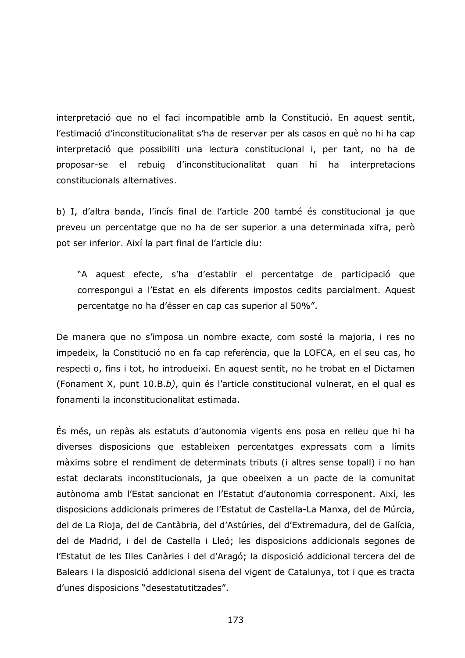interpretació que no el faci incompatible amb la Constitució. En aquest sentit, l'estimació d'inconstitucionalitat s'ha de reservar per als casos en què no hi ha cap interpretació que possibiliti una lectura constitucional i, per tant, no ha de proposar-se el rebuig d'inconstitucionalitat quan hi ha interpretacions constitucionals alternatives.

b) I, d'altra banda, l'incís final de l'article 200 també és constitucional ja que preveu un percentatge que no ha de ser superior a una determinada xifra, però pot ser inferior. Així la part final de l'article diu:

"A aquest efecte, s'ha d'establir el percentatge de participació que correspongui a l'Estat en els diferents impostos cedits parcialment. Aquest percentatge no ha d'ésser en cap cas superior al 50%".

De manera que no s'imposa un nombre exacte, com sosté la majoria, i res no impedeix, la Constitució no en fa cap referència, que la LOFCA, en el seu cas, ho respecti o, fins i tot, ho introdueixi. En aquest sentit, no he trobat en el Dictamen (Fonament X, punt 10.B.b), quin és l'article constitucional vulnerat, en el qual es fonamenti la inconstitucionalitat estimada.

És més, un repàs als estatuts d'autonomia vigents ens posa en relleu que hi ha diverses disposicions que estableixen percentatges expressats com a límits màxims sobre el rendiment de determinats tributs (i altres sense topall) i no han estat declarats inconstitucionals, ja que obeeixen a un pacte de la comunitat autònoma amb l'Estat sancionat en l'Estatut d'autonomia corresponent. Així, les disposicions addicionals primeres de l'Estatut de Castella-La Manxa, del de Múrcia, del de La Rioja, del de Cantàbria, del d'Astúries, del d'Extremadura, del de Galícia, del de Madrid, i del de Castella i Lleó; les disposicions addicionals segones de l'Estatut de les Illes Canàries i del d'Aragó; la disposició addicional tercera del de Balears i la disposició addicional sisena del vigent de Catalunya, tot i que es tracta d'unes disposicions "desestatutitzades".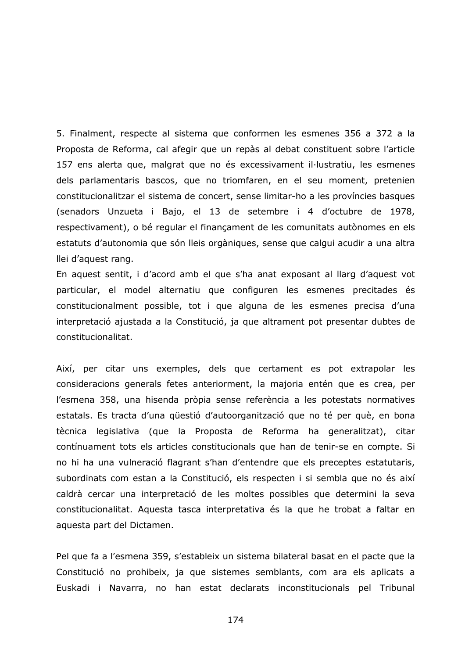5. Finalment, respecte al sistema que conformen les esmenes 356 a 372 a la Proposta de Reforma, cal afegir que un repàs al debat constituent sobre l'article 157 ens alerta que, malgrat que no és excessivament il·lustratiu, les esmenes dels parlamentaris bascos, que no triomfaren, en el seu moment, pretenien constitucionalitzar el sistema de concert, sense limitar-ho a les províncies basques (senadors Unzueta i Bajo, el 13 de setembre i 4 d'octubre de 1978, respectivament), o bé regular el finançament de les comunitats autònomes en els estatuts d'autonomia que són lleis orgàniques, sense que calqui acudir a una altra llei d'aquest rang.

En aquest sentit, i d'acord amb el que s'ha anat exposant al llarg d'aquest vot particular, el model alternatiu que configuren les esmenes precitades és constitucionalment possible, tot i que alguna de les esmenes precisa d'una interpretació ajustada a la Constitució, ja que altrament pot presentar dubtes de constitucionalitat.

Així, per citar uns exemples, dels que certament es pot extrapolar les consideracions generals fetes anteriorment, la majoria entén que es crea, per l'esmena 358, una hisenda pròpia sense referència a les potestats normatives estatals. Es tracta d'una questió d'autoorganització que no té per què, en bona tècnica legislativa (que la Proposta de Reforma ha generalitzat), citar contínuament tots els articles constitucionals que han de tenir-se en compte. Si no hi ha una vulneració flagrant s'han d'entendre que els preceptes estatutaris, subordinats com estan a la Constitució, els respecten i si sembla que no és així caldrà cercar una interpretació de les moltes possibles que determini la seva constitucionalitat. Aquesta tasca interpretativa és la que he trobat a faltar en aquesta part del Dictamen.

Pel que fa a l'esmena 359, s'estableix un sistema bilateral basat en el pacte que la Constitució no prohibeix, ja que sistemes semblants, com ara els aplicats a Euskadi i Navarra, no han estat declarats inconstitucionals pel Tribunal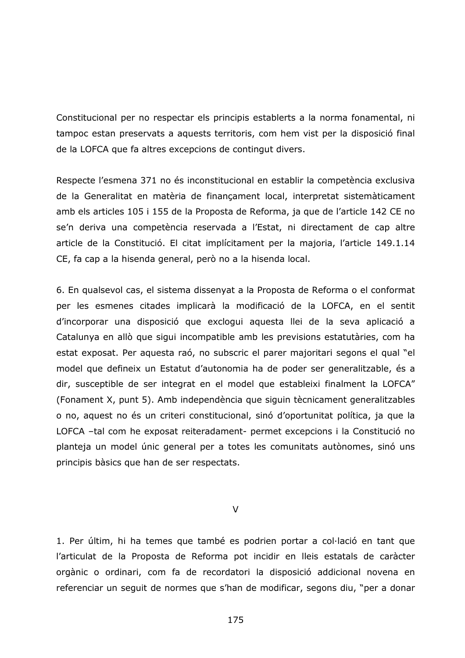Constitucional per no respectar els principis establerts a la norma fonamental, ni tampoc estan preservats a aquests territoris, com hem vist per la disposició final de la LOFCA que fa altres excepcions de contingut divers.

Respecte l'esmena 371 no és inconstitucional en establir la competència exclusiva de la Generalitat en matèria de finançament local, interpretat sistemàticament amb els articles 105 i 155 de la Proposta de Reforma, ja que de l'article 142 CE no se'n deriva una competència reservada a l'Estat, ni directament de cap altre article de la Constitució. El citat implícitament per la majoria, l'article 149.1.14 CE, fa cap a la hisenda general, però no a la hisenda local.

6. En qualsevol cas, el sistema dissenyat a la Proposta de Reforma o el conformat per les esmenes citades implicarà la modificació de la LOFCA, en el sentit d'incorporar una disposició que exclogui aquesta llei de la seva aplicació a Catalunya en allò que sigui incompatible amb les previsions estatutàries, com ha estat exposat. Per aquesta raó, no subscric el parer majoritari segons el qual "el model que defineix un Estatut d'autonomia ha de poder ser generalitzable, és a dir, susceptible de ser integrat en el model que estableixi finalment la LOFCA" (Fonament X, punt 5). Amb independència que siguin tècnicament generalitzables o no, aquest no és un criteri constitucional, sinó d'oportunitat política, ja que la LOFCA -tal com he exposat reiteradament- permet excepcions i la Constitució no planteja un model únic general per a totes les comunitats autònomes, sinó uns principis bàsics que han de ser respectats.

 $\vee$ 

1. Per últim, hi ha temes que també es podrien portar a col·lació en tant que l'articulat de la Proposta de Reforma pot incidir en lleis estatals de caràcter orgànic o ordinari, com fa de recordatori la disposició addicional novena en referenciar un seguit de normes que s'han de modificar, segons diu, "per a donar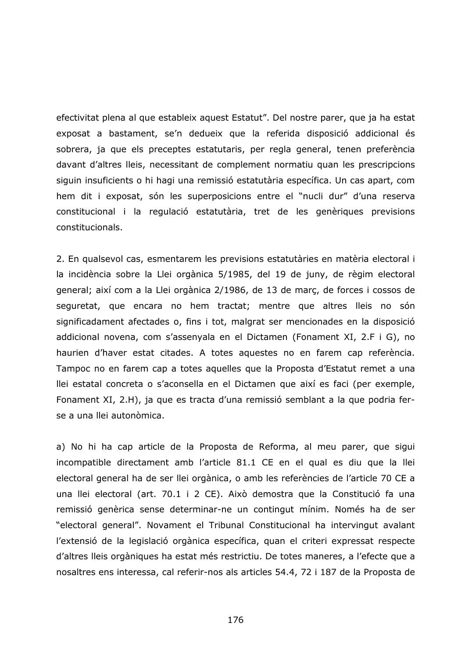efectivitat plena al que estableix aquest Estatut". Del nostre parer, que ja ha estat exposat a bastament, se'n dedueix que la referida disposició addicional és sobrera, ja que els preceptes estatutaris, per regla general, tenen preferència davant d'altres lleis, necessitant de complement normatiu quan les prescripcions siguin insuficients o hi hagi una remissió estatutària específica. Un cas apart, com hem dit i exposat, són les superposicions entre el "nucli dur" d'una reserva constitucional i la regulació estatutària, tret de les genèriques previsions constitucionals.

2. En qualsevol cas, esmentarem les previsions estatutàries en matèria electoral i la incidència sobre la Llei orgànica 5/1985, del 19 de juny, de règim electoral general; així com a la Llei orgànica 2/1986, de 13 de març, de forces i cossos de sequretat, que encara no hem tractat; mentre que altres lleis no són significadament afectades o, fins i tot, malgrat ser mencionades en la disposició addicional novena, com s'assenyala en el Dictamen (Fonament XI, 2.F i G), no haurien d'haver estat citades. A totes aquestes no en farem cap referència. Tampoc no en farem cap a totes aquelles que la Proposta d'Estatut remet a una llei estatal concreta o s'aconsella en el Dictamen que així es faci (per exemple, Fonament XI, 2.H), ja que es tracta d'una remissió semblant a la que podria ferse a una llei autonòmica.

a) No hi ha cap article de la Proposta de Reforma, al meu parer, que sigui incompatible directament amb l'article 81.1 CE en el qual es diu que la llei electoral general ha de ser llei orgànica, o amb les referències de l'article 70 CE a una llei electoral (art. 70.1 i 2 CE). Això demostra que la Constitució fa una remissió genèrica sense determinar-ne un contingut mínim. Només ha de ser "electoral general". Novament el Tribunal Constitucional ha intervingut avalant l'extensió de la legislació orgànica específica, quan el criteri expressat respecte d'altres lleis orgàniques ha estat més restrictiu. De totes maneres, a l'efecte que a nosaltres ens interessa, cal referir-nos als articles 54.4, 72 i 187 de la Proposta de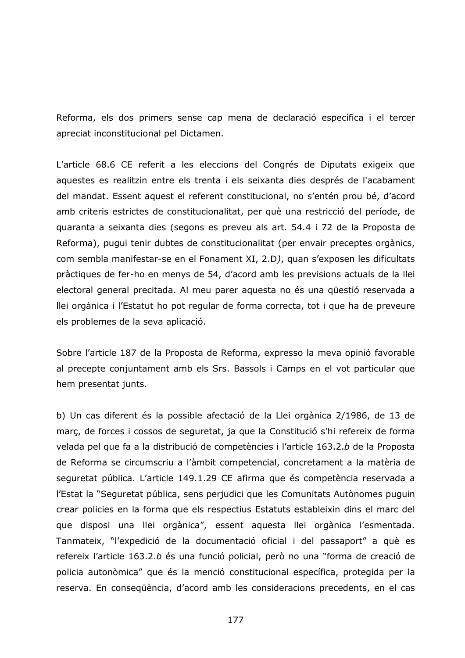Reforma, els dos primers sense cap mena de declaració específica i el tercer apreciat inconstitucional pel Dictamen.

L'article 68.6 CE referit a les eleccions del Congrés de Diputats exigeix que aquestes es realitzin entre els trenta i els seixanta dies després de l'acabament del mandat. Essent aquest el referent constitucional, no s'entén prou bé, d'acord amb criteris estrictes de constitucionalitat, per què una restricció del període, de quaranta a seixanta dies (segons es preveu als art. 54.4 i 72 de la Proposta de Reforma), pugui tenir dubtes de constitucionalitat (per envair preceptes orgànics, com sembla manifestar-se en el Fonament XI, 2.D), quan s'exposen les dificultats pràctiques de fer-ho en menys de 54, d'acord amb les previsions actuals de la llei electoral general precitada. Al meu parer aquesta no és una qüestió reservada a llei orgànica i l'Estatut ho pot regular de forma correcta, tot i que ha de preveure els problemes de la seva aplicació.

Sobre l'article 187 de la Proposta de Reforma, expresso la meva opinió favorable al precepte conjuntament amb els Srs. Bassols i Camps en el vot particular que hem presentat junts.

b) Un cas diferent és la possible afectació de la Llei orgànica 2/1986, de 13 de març, de forces i cossos de seguretat, ja que la Constitució s'hi refereix de forma velada pel que fa a la distribució de competències i l'article 163.2.b de la Proposta de Reforma se circumscriu a l'àmbit competencial, concretament a la matèria de seguretat pública. L'article 149.1.29 CE afirma que és competència reservada a l'Estat la "Seguretat pública, sens perjudici que les Comunitats Autònomes puguin crear policies en la forma que els respectius Estatuts estableixin dins el marc del que disposi una llei orgànica", essent aquesta llei orgànica l'esmentada. Tanmateix, "l'expedició de la documentació oficial i del passaport" a què es refereix l'article 163.2.b és una funció policial, però no una "forma de creació de policia autonòmica" que és la menció constitucional específica, protegida per la reserva. En consequència, d'acord amb les consideracions precedents, en el cas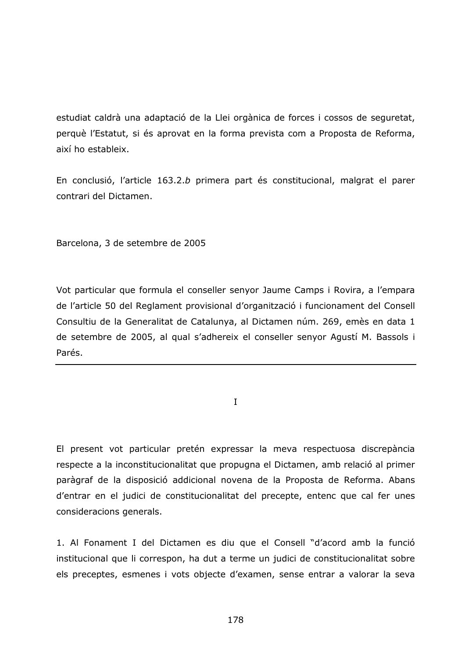estudiat caldrà una adaptació de la Llei orgànica de forces i cossos de seguretat, perquè l'Estatut, si és aprovat en la forma prevista com a Proposta de Reforma, així ho estableix.

En conclusió, l'article 163.2.b primera part és constitucional, malgrat el parer contrari del Dictamen.

Barcelona, 3 de setembre de 2005

Vot particular que formula el conseller senyor Jaume Camps i Rovira, a l'empara de l'article 50 del Reglament provisional d'organització i funcionament del Consell Consultiu de la Generalitat de Catalunya, al Dictamen núm. 269, emès en data 1 de setembre de 2005, al qual s'adhereix el conseller senyor Agustí M. Bassols i Parés.

 $\mathbf{I}$ 

El present vot particular pretén expressar la meva respectuosa discrepància respecte a la inconstitucionalitat que propugna el Dictamen, amb relació al primer paràgraf de la disposició addicional novena de la Proposta de Reforma. Abans d'entrar en el judici de constitucionalitat del precepte, entenc que cal fer unes consideracions generals.

1. Al Fonament I del Dictamen es diu que el Consell "d'acord amb la funció institucional que li correspon, ha dut a terme un judici de constitucionalitat sobre els preceptes, esmenes i vots objecte d'examen, sense entrar a valorar la seva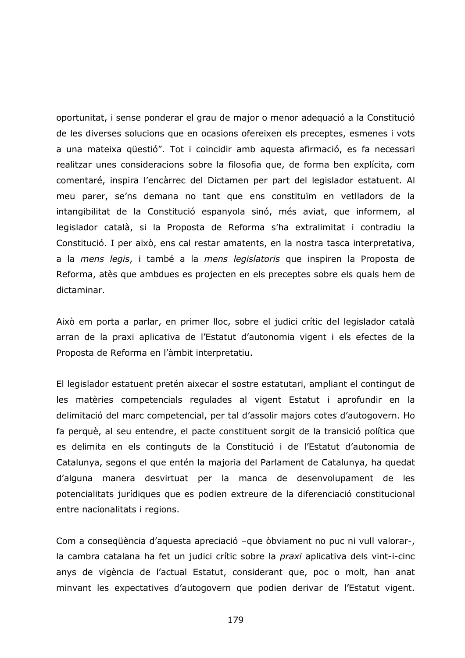oportunitat, i sense ponderar el grau de major o menor adequació a la Constitució de les diverses solucions que en ocasions ofereixen els preceptes, esmenes i vots a una mateixa qüestió". Tot i coincidir amb aquesta afirmació, es fa necessari realitzar unes consideracions sobre la filosofia que, de forma ben explícita, com comentaré, inspira l'encàrrec del Dictamen per part del legislador estatuent. Al meu parer, se'ns demana no tant que ens constituïm en vetlladors de la intangibilitat de la Constitució espanyola sinó, més aviat, que informem, al legislador català, si la Proposta de Reforma s'ha extralimitat i contradiu la Constitució. I per això, ens cal restar amatents, en la nostra tasca interpretativa, a la mens legis, i també a la mens legislatoris que inspiren la Proposta de Reforma, atès que ambdues es projecten en els preceptes sobre els quals hem de dictaminar.

Això em porta a parlar, en primer lloc, sobre el judici crític del legislador català arran de la praxi aplicativa de l'Estatut d'autonomia vigent i els efectes de la Proposta de Reforma en l'àmbit interpretatiu.

El legislador estatuent pretén aixecar el sostre estatutari, ampliant el contingut de les matèries competencials regulades al vigent Estatut i aprofundir en la delimitació del marc competencial, per tal d'assolir majors cotes d'autogovern. Ho fa perquè, al seu entendre, el pacte constituent sorgit de la transició política que es delimita en els continguts de la Constitució i de l'Estatut d'autonomia de Catalunya, segons el que entén la majoria del Parlament de Catalunya, ha quedat d'alguna manera desvirtuat per la manca de desenvolupament de les potencialitats jurídiques que es podien extreure de la diferenciació constitucional entre nacionalitats i regions.

Com a consequència d'aquesta apreciació -que òbviament no puc ni vull valorar-, la cambra catalana ha fet un judici crític sobre la praxi aplicativa dels vint-i-cinc anys de vigència de l'actual Estatut, considerant que, poc o molt, han anat minvant les expectatives d'autogovern que podien derivar de l'Estatut vigent.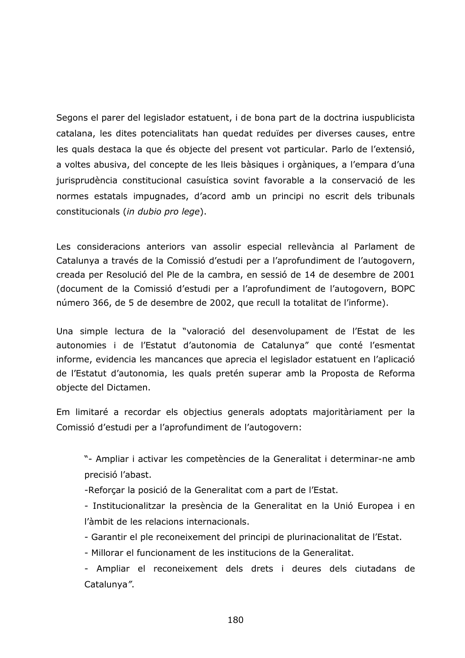Segons el parer del legislador estatuent, i de bona part de la doctrina iuspublicista catalana, les dites potencialitats han quedat reduïdes per diverses causes, entre les quals destaca la que és objecte del present vot particular. Parlo de l'extensió, a voltes abusiva, del concepte de les lleis bàsiques i orgàniques, a l'empara d'una jurisprudència constitucional casuística sovint favorable a la conservació de les normes estatals impugnades, d'acord amb un principi no escrit dels tribunals constitucionals (in dubio pro lege).

Les consideracions anteriors van assolir especial rellevància al Parlament de Catalunya a través de la Comissió d'estudi per a l'aprofundiment de l'autogovern, creada per Resolució del Ple de la cambra, en sessió de 14 de desembre de 2001 (document de la Comissió d'estudi per a l'aprofundiment de l'autogovern, BOPC número 366, de 5 de desembre de 2002, que recull la totalitat de l'informe).

Una simple lectura de la "valoració del desenvolupament de l'Estat de les autonomies i de l'Estatut d'autonomia de Catalunya" que conté l'esmentat informe, evidencia les mancances que aprecia el legislador estatuent en l'aplicació de l'Estatut d'autonomia, les quals pretén superar amb la Proposta de Reforma objecte del Dictamen.

Em limitaré a recordar els objectius generals adoptats majoritàriament per la Comissió d'estudi per a l'aprofundiment de l'autogovern:

"- Ampliar i activar les competències de la Generalitat i determinar-ne amb precisió l'abast.

-Reforçar la posició de la Generalitat com a part de l'Estat.

- Institucionalitzar la presència de la Generalitat en la Unió Europea i en l'àmbit de les relacions internacionals.

- Garantir el ple reconeixement del principi de plurinacionalitat de l'Estat.

- Millorar el funcionament de les institucions de la Generalitat.

- Ampliar el reconeixement dels drets i deures dels ciutadans de Catalunya".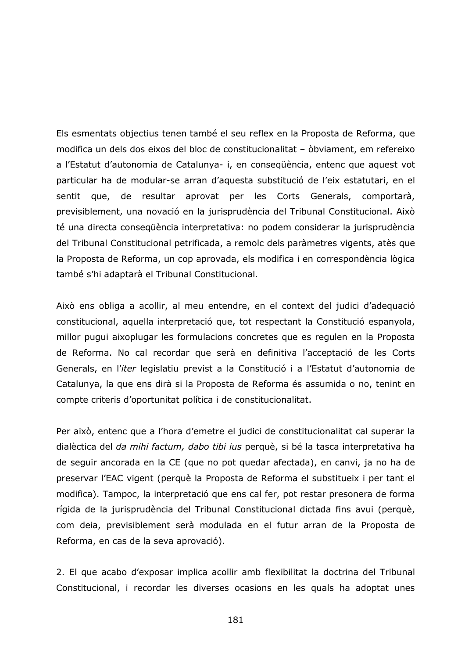Els esmentats objectius tenen també el seu reflex en la Proposta de Reforma, que modifica un dels dos eixos del bloc de constitucionalitat - òbviament, em refereixo a l'Estatut d'autonomia de Catalunya- i, en consequència, entenc que aquest vot particular ha de modular-se arran d'aquesta substitució de l'eix estatutari, en el sentit que, de resultar aprovat per les Corts Generals, comportarà, previsiblement, una novació en la jurisprudència del Tribunal Constitucional. Això té una directa consegüència interpretativa: no podem considerar la jurisprudència del Tribunal Constitucional petrificada, a remolc dels paràmetres vigents, atès que la Proposta de Reforma, un cop aprovada, els modifica i en correspondència lògica també s'hi adaptarà el Tribunal Constitucional.

Això ens obliga a acollir, al meu entendre, en el context del judici d'adequació constitucional, aquella interpretació que, tot respectant la Constitució espanyola, millor pugui aixoplugar les formulacions concretes que es regulen en la Proposta de Reforma. No cal recordar que serà en definitiva l'acceptació de les Corts Generals, en l'iter legislatiu previst a la Constitució i a l'Estatut d'autonomia de Catalunya, la que ens dirà si la Proposta de Reforma és assumida o no, tenint en compte criteris d'oportunitat política i de constitucionalitat.

Per això, entenc que a l'hora d'emetre el judici de constitucionalitat cal superar la dialèctica del *da mihi factum, dabo tibi ius* perquè, si bé la tasca interpretativa ha de seguir ancorada en la CE (que no pot quedar afectada), en canvi, ja no ha de preservar l'EAC vigent (perquè la Proposta de Reforma el substitueix i per tant el modifica). Tampoc, la interpretació que ens cal fer, pot restar presonera de forma rígida de la jurisprudència del Tribunal Constitucional dictada fins avui (perquè, com deia, previsiblement serà modulada en el futur arran de la Proposta de Reforma, en cas de la seva aprovació).

2. El que acabo d'exposar implica acollir amb flexibilitat la doctrina del Tribunal Constitucional, i recordar les diverses ocasions en les quals ha adoptat unes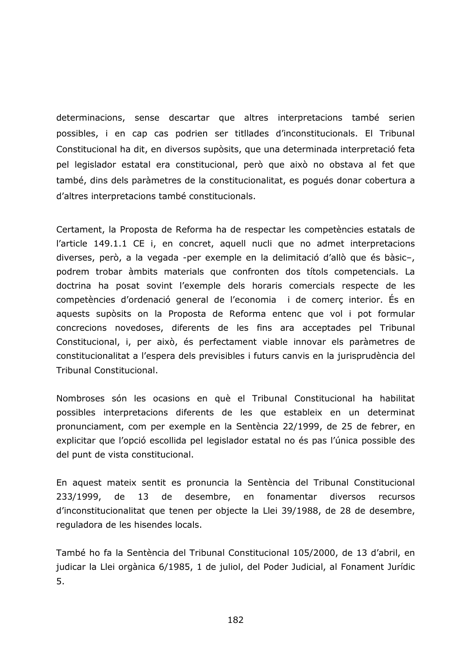determinacions, sense descartar que altres interpretacions també serien possibles, i en cap cas podrien ser titllades d'inconstitucionals. El Tribunal Constitucional ha dit, en diversos supòsits, que una determinada interpretació feta pel legislador estatal era constitucional, però que això no obstava al fet que també, dins dels paràmetres de la constitucionalitat, es poqués donar cobertura a d'altres interpretacions també constitucionals.

Certament, la Proposta de Reforma ha de respectar les competències estatals de l'article 149.1.1 CE i, en concret, aquell nucli que no admet interpretacions diverses, però, a la vegada -per exemple en la delimitació d'allò que és bàsic-, podrem trobar àmbits materials que confronten dos títols competencials. La doctrina ha posat sovint l'exemple dels horaris comercials respecte de les competències d'ordenació general de l'economia i de comerç interior. És en aquests supòsits on la Proposta de Reforma entenc que vol i pot formular concrecions novedoses, diferents de les fins ara acceptades pel Tribunal Constitucional, i, per això, és perfectament viable innovar els paràmetres de constitucionalitat a l'espera dels previsibles i futurs canvis en la jurisprudència del Tribunal Constitucional.

Nombroses són les ocasions en què el Tribunal Constitucional ha habilitat possibles interpretacions diferents de les que estableix en un determinat pronunciament, com per exemple en la Sentència 22/1999, de 25 de febrer, en explicitar que l'opció escollida pel legislador estatal no és pas l'única possible des del punt de vista constitucional.

En aquest mateix sentit es pronuncia la Sentència del Tribunal Constitucional 233/1999, desembre, fonamentar diversos de 13 de en recursos d'inconstitucionalitat que tenen per objecte la Llei 39/1988, de 28 de desembre, reguladora de les hisendes locals.

També ho fa la Sentència del Tribunal Constitucional 105/2000, de 13 d'abril, en judicar la Llei orgànica 6/1985, 1 de juliol, del Poder Judicial, al Fonament Jurídic 5.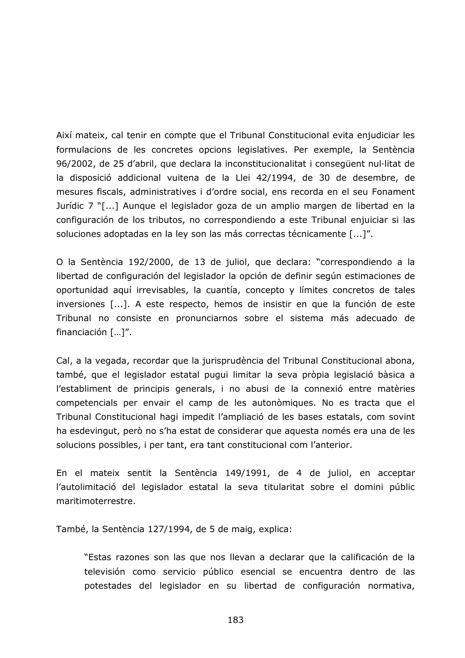Així mateix, cal tenir en compte que el Tribunal Constitucional evita enjudiciar les formulacions de les concretes opcions legislatives. Per exemple, la Sentència 96/2002, de 25 d'abril, que declara la inconstitucionalitat i consegüent nul·litat de la disposició addicional vuitena de la Llei 42/1994, de 30 de desembre, de mesures fiscals, administratives i d'ordre social, ens recorda en el seu Fonament Jurídic 7 "[...] Aunque el legislador goza de un amplio margen de libertad en la configuración de los tributos, no correspondiendo a este Tribunal enjuiciar si las soluciones adoptadas en la ley son las más correctas técnicamente [...]".

O la Sentència 192/2000, de 13 de juliol, que declara: "correspondiendo a la libertad de configuración del legislador la opción de definir según estimaciones de oportunidad aquí irrevisables, la cuantía, concepto y límites concretos de tales inversiones [...]. A este respecto, hemos de insistir en que la función de este Tribunal no consiste en pronunciarnos sobre el sistema más adecuado de financiación  $[...]$ ".

Cal, a la vegada, recordar que la jurisprudència del Tribunal Constitucional abona, també, que el legislador estatal pugui limitar la seva pròpia legislació bàsica a l'establiment de principis generals, i no abusi de la connexió entre matèries competencials per envair el camp de les autonòmiques. No es tracta que el Tribunal Constitucional hagi impedit l'ampliació de les bases estatals, com sovint ha esdevingut, però no s'ha estat de considerar que aquesta només era una de les solucions possibles, i per tant, era tant constitucional com l'anterior.

En el mateix sentit la Sentència 149/1991, de 4 de juliol, en acceptar l'autolimitació del legislador estatal la seva titularitat sobre el domini públic maritimoterrestre.

També, la Sentència 127/1994, de 5 de maig, explica:

"Estas razones son las que nos llevan a declarar que la calificación de la televisión como servicio público esencial se encuentra dentro de las potestades del legislador en su libertad de configuración normativa,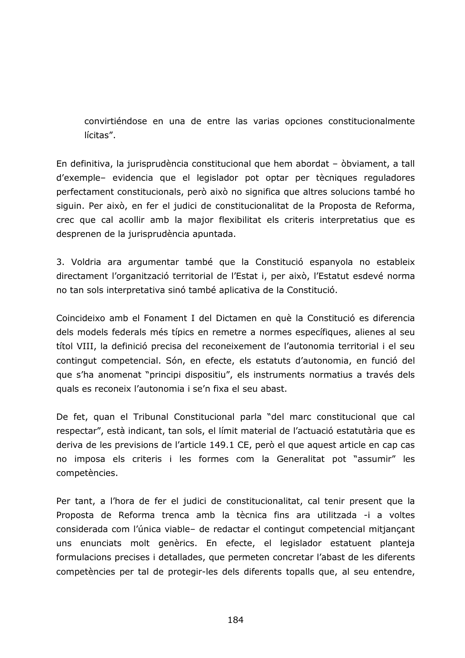convirtiéndose en una de entre las varias opciones constitucionalmente lícitas".

En definitiva, la jurisprudència constitucional que hem abordat - òbviament, a tall d'exemple- evidencia que el legislador pot optar per tècniques reguladores perfectament constitucionals, però això no significa que altres solucions també ho siguin. Per això, en fer el judici de constitucionalitat de la Proposta de Reforma, crec que cal acollir amb la major flexibilitat els criteris interpretatius que es desprenen de la jurisprudència apuntada.

3. Voldria ara argumentar també que la Constitució espanyola no estableix directament l'organització territorial de l'Estat i, per això, l'Estatut esdevé norma no tan sols interpretativa sinó també aplicativa de la Constitució.

Coincideixo amb el Fonament I del Dictamen en què la Constitució es diferencia dels models federals més típics en remetre a normes específiques, alienes al seu títol VIII, la definició precisa del reconeixement de l'autonomia territorial i el seu contingut competencial. Són, en efecte, els estatuts d'autonomia, en funció del que s'ha anomenat "principi dispositiu", els instruments normatius a través dels quals es reconeix l'autonomia i se'n fixa el seu abast.

De fet, quan el Tribunal Constitucional parla "del marc constitucional que cal respectar", està indicant, tan sols, el límit material de l'actuació estatutària que es deriva de les previsions de l'article 149.1 CE, però el que aquest article en cap cas no imposa els criteris i les formes com la Generalitat pot "assumir" les competències.

Per tant, a l'hora de fer el judici de constitucionalitat, cal tenir present que la Proposta de Reforma trenca amb la tècnica fins ara utilitzada -i a voltes considerada com l'única viable- de redactar el contingut competencial mitjançant uns enunciats molt genèrics. En efecte, el legislador estatuent planteja formulacions precises i detallades, que permeten concretar l'abast de les diferents competències per tal de protegir-les dels diferents topalls que, al seu entendre,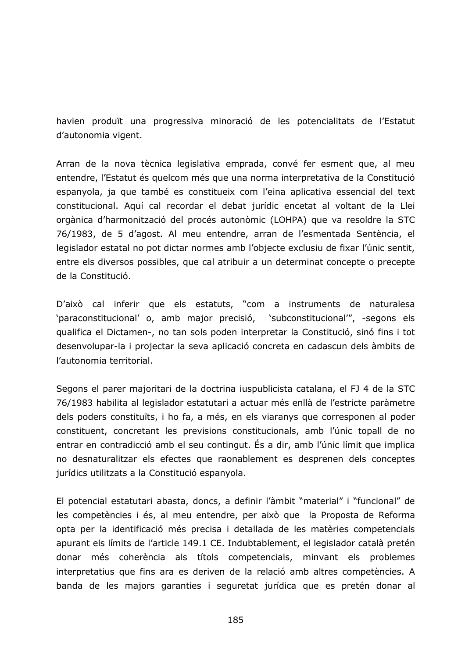havien produït una progressiva minoració de les potencialitats de l'Estatut d'autonomia vigent.

Arran de la nova tècnica legislativa emprada, convé fer esment que, al meu entendre, l'Estatut és quelcom més que una norma interpretativa de la Constitució espanyola, ja que també es constitueix com l'eina aplicativa essencial del text constitucional. Aquí cal recordar el debat jurídic encetat al voltant de la Llei orgànica d'harmonització del procés autonòmic (LOHPA) que va resoldre la STC 76/1983, de 5 d'agost. Al meu entendre, arran de l'esmentada Sentència, el legislador estatal no pot dictar normes amb l'objecte exclusiu de fixar l'únic sentit, entre els diversos possibles, que cal atribuir a un determinat concepte o precepte de la Constitució.

D'això cal inferir que els estatuts, "com a instruments de naturalesa 'paraconstitucional' o, amb major precisió, 'subconstitucional'", -segons els qualifica el Dictamen-, no tan sols poden interpretar la Constitució, sinó fins i tot desenvolupar-la i projectar la seva aplicació concreta en cadascun dels àmbits de l'autonomia territorial.

Segons el parer majoritari de la doctrina iuspublicista catalana, el FJ 4 de la STC 76/1983 habilita al legislador estatutari a actuar més enllà de l'estricte paràmetre dels poders constituïts, i ho fa, a més, en els viaranys que corresponen al poder constituent, concretant les previsions constitucionals, amb l'únic topall de no entrar en contradicció amb el seu contingut. És a dir, amb l'únic límit que implica no desnaturalitzar els efectes que raonablement es desprenen dels conceptes jurídics utilitzats a la Constitució espanyola.

El potencial estatutari abasta, doncs, a definir l'àmbit "material" i "funcional" de les competències i és, al meu entendre, per això que la Proposta de Reforma opta per la identificació més precisa i detallada de les matèries competencials apurant els límits de l'article 149.1 CE. Indubtablement, el legislador català pretén donar més coherència als títols competencials, minvant els problemes interpretatius que fins ara es deriven de la relació amb altres competències. A banda de les majors garanties i seguretat jurídica que es pretén donar al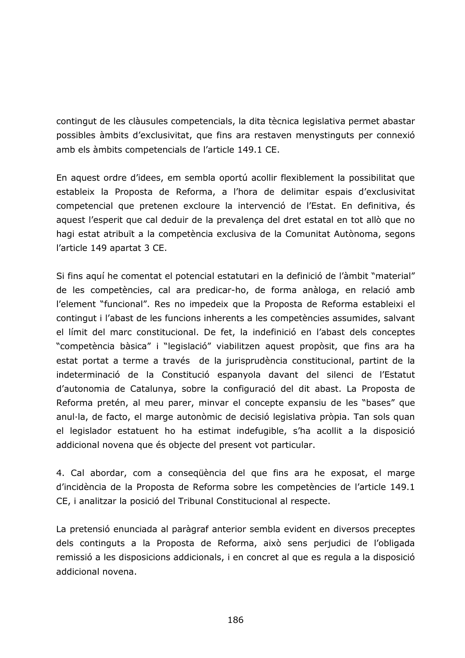contingut de les clàusules competencials, la dita tècnica legislativa permet abastar possibles àmbits d'exclusivitat, que fins ara restaven menystinguts per connexió amb els àmbits competencials de l'article 149.1 CE.

En aquest ordre d'idees, em sembla oportú acollir flexiblement la possibilitat que estableix la Proposta de Reforma, a l'hora de delimitar espais d'exclusivitat competencial que pretenen excloure la intervenció de l'Estat. En definitiva, és aquest l'esperit que cal deduir de la prevalença del dret estatal en tot allò que no hagi estat atribuït a la competència exclusiva de la Comunitat Autònoma, segons l'article 149 apartat 3 CE.

Si fins aquí he comentat el potencial estatutari en la definició de l'àmbit "material" de les competències, cal ara predicar-ho, de forma anàloga, en relació amb l'element "funcional". Res no impedeix que la Proposta de Reforma estableixi el contingut i l'abast de les funcions inherents a les competències assumides, salvant el límit del marc constitucional. De fet, la indefinició en l'abast dels conceptes "competència bàsica" i "legislació" viabilitzen aquest propòsit, que fins ara ha estat portat a terme a través de la jurisprudència constitucional, partint de la indeterminació de la Constitució espanyola davant del silenci de l'Estatut d'autonomia de Catalunya, sobre la configuració del dit abast. La Proposta de Reforma pretén, al meu parer, minvar el concepte expansiu de les "bases" que anul·la, de facto, el marge autonòmic de decisió legislativa pròpia. Tan sols quan el legislador estatuent ho ha estimat indefugible, s'ha acollit a la disposició addicional novena que és objecte del present vot particular.

4. Cal abordar, com a consequència del que fins ara he exposat, el marge d'incidència de la Proposta de Reforma sobre les competències de l'article 149.1 CE, i analitzar la posició del Tribunal Constitucional al respecte.

La pretensió enunciada al paràgraf anterior sembla evident en diversos preceptes dels continguts a la Proposta de Reforma, això sens perjudici de l'obligada remissió a les disposicions addicionals, i en concret al que es regula a la disposició addicional novena.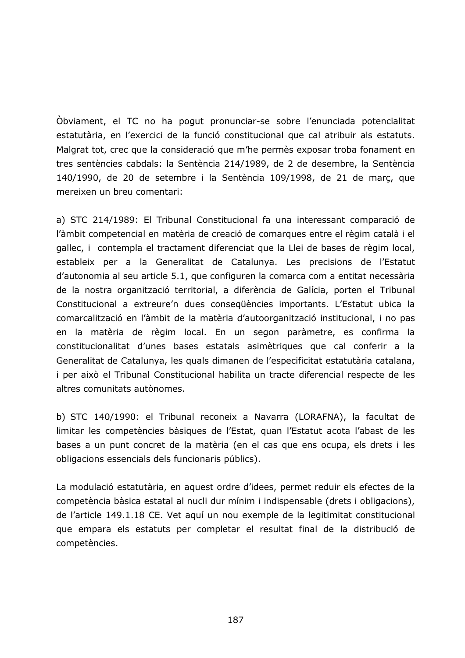Obviament, el TC no ha pogut pronunciar-se sobre l'enunciada potencialitat estatutària, en l'exercici de la funció constitucional que cal atribuir als estatuts. Malgrat tot, crec que la consideració que m'he permès exposar troba fonament en tres sentències cabdals: la Sentència 214/1989, de 2 de desembre, la Sentència 140/1990, de 20 de setembre i la Sentència 109/1998, de 21 de març, que mereixen un breu comentari:

a) STC 214/1989: El Tribunal Constitucional fa una interessant comparació de l'àmbit competencial en matèria de creació de comarques entre el règim català i el gallec, i contempla el tractament diferenciat que la Llei de bases de règim local, estableix per a la Generalitat de Catalunya. Les precisions de l'Estatut d'autonomia al seu article 5.1, que configuren la comarca com a entitat necessària de la nostra organització territorial, a diferència de Galícia, porten el Tribunal Constitucional a extreure'n dues consequències importants. L'Estatut ubica la comarcalització en l'àmbit de la matèria d'autoorganització institucional, i no pas en la matèria de règim local. En un segon paràmetre, es confirma la constitucionalitat d'unes bases estatals asimètriques que cal conferir a la Generalitat de Catalunya, les quals dimanen de l'especificitat estatutària catalana, i per això el Tribunal Constitucional habilita un tracte diferencial respecte de les altres comunitats autònomes.

b) STC 140/1990: el Tribunal reconeix a Navarra (LORAFNA), la facultat de limitar les competències bàsiques de l'Estat, quan l'Estatut acota l'abast de les bases a un punt concret de la matèria (en el cas que ens ocupa, els drets i les obligacions essencials dels funcionaris públics).

La modulació estatutària, en aquest ordre d'idees, permet reduir els efectes de la competència bàsica estatal al nucli dur mínim i indispensable (drets i obligacions), de l'article 149.1.18 CE. Vet aquí un nou exemple de la legitimitat constitucional que empara els estatuts per completar el resultat final de la distribució de competències.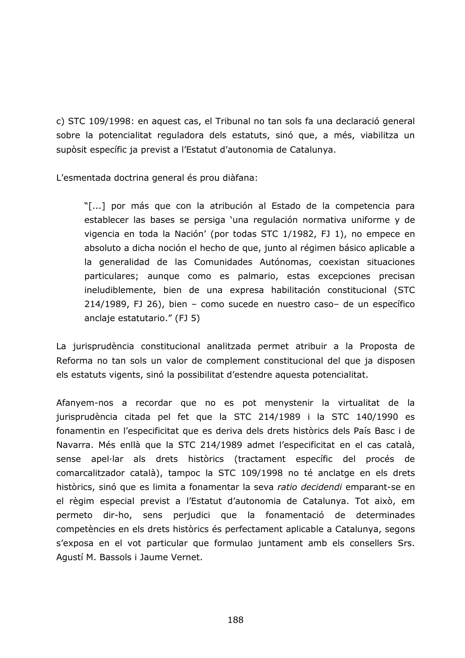c) STC 109/1998: en aquest cas, el Tribunal no tan sols fa una declaració general sobre la potencialitat reguladora dels estatuts, sinó que, a més, viabilitza un supòsit específic ja previst a l'Estatut d'autonomia de Catalunya.

L'esmentada doctrina general és prou diàfana:

"[...] por más que con la atribución al Estado de la competencia para establecer las bases se persiga 'una regulación normativa uniforme y de vigencia en toda la Nación' (por todas STC 1/1982, FJ 1), no empece en absoluto a dicha noción el hecho de que, junto al régimen básico aplicable a la generalidad de las Comunidades Autónomas, coexistan situaciones particulares; aunque como es palmario, estas excepciones precisan ineludiblemente, bien de una expresa habilitación constitucional (STC 214/1989, FJ 26), bien - como sucede en nuestro caso- de un específico anclaje estatutario." (FJ 5)

La jurisprudència constitucional analitzada permet atribuir a la Proposta de Reforma no tan sols un valor de complement constitucional del que ja disposen els estatuts vigents, sinó la possibilitat d'estendre aquesta potencialitat.

Afanyem-nos a recordar que no es pot menystenir la virtualitat de la jurisprudència citada pel fet que la STC 214/1989 i la STC 140/1990 es fonamentin en l'especificitat que es deriva dels drets històrics dels País Basc i de Navarra. Més enllà que la STC 214/1989 admet l'especificitat en el cas català, sense apel·lar als drets històrics (tractament específic del procés de comarcalitzador català), tampoc la STC 109/1998 no té anclatge en els drets històrics, sinó que es limita a fonamentar la seva ratio decidendi emparant-se en el règim especial previst a l'Estatut d'autonomia de Catalunya. Tot això, em permeto dir-ho, sens perjudici que la fonamentació de determinades competències en els drets històrics és perfectament aplicable a Catalunya, segons s'exposa en el vot particular que formulao juntament amb els consellers Srs. Agustí M. Bassols i Jaume Vernet.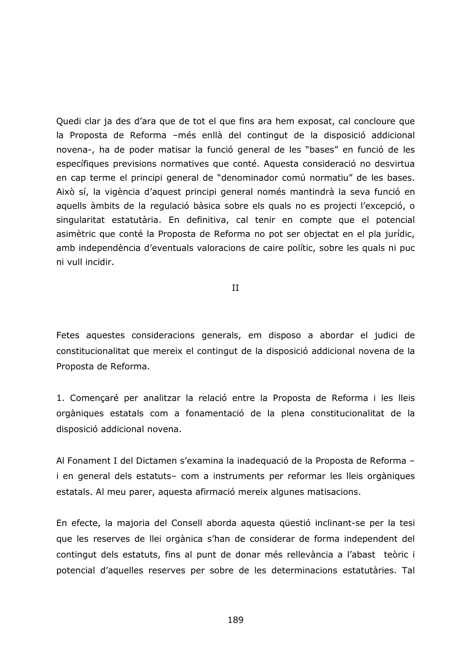Quedi clar ja des d'ara que de tot el que fins ara hem exposat, cal concloure que la Proposta de Reforma -més enllà del contingut de la disposició addicional novena-, ha de poder matisar la funció general de les "bases" en funció de les específiques previsions normatives que conté. Aquesta consideració no desvirtua en cap terme el principi general de "denominador comú normatiu" de les bases. Això sí, la vigència d'aquest principi general només mantindrà la seva funció en aquells àmbits de la regulació bàsica sobre els quals no es projecti l'excepció, o singularitat estatutària. En definitiva, cal tenir en compte que el potencial asimètric que conté la Proposta de Reforma no pot ser objectat en el pla jurídic, amb independència d'eventuals valoracions de caire polític, sobre les quals ni puc ni vull incidir.

 $II$ 

Fetes aquestes consideracions generals, em disposo a abordar el judici de constitucionalitat que mereix el contingut de la disposició addicional novena de la Proposta de Reforma.

1. Comencaré per analitzar la relació entre la Proposta de Reforma i les lleis orgàniques estatals com a fonamentació de la plena constitucionalitat de la disposició addicional novena.

Al Fonament I del Dictamen s'examina la inadequació de la Proposta de Reforma i en general dels estatuts- com a instruments per reformar les lleis orgàniques estatals. Al meu parer, aquesta afirmació mereix algunes matisacions.

En efecte, la majoria del Consell aborda aquesta güestió inclinant-se per la tesi que les reserves de llei orgànica s'han de considerar de forma independent del contingut dels estatuts, fins al punt de donar més rellevància a l'abast teòric i potencial d'aquelles reserves per sobre de les determinacions estatutàries. Tal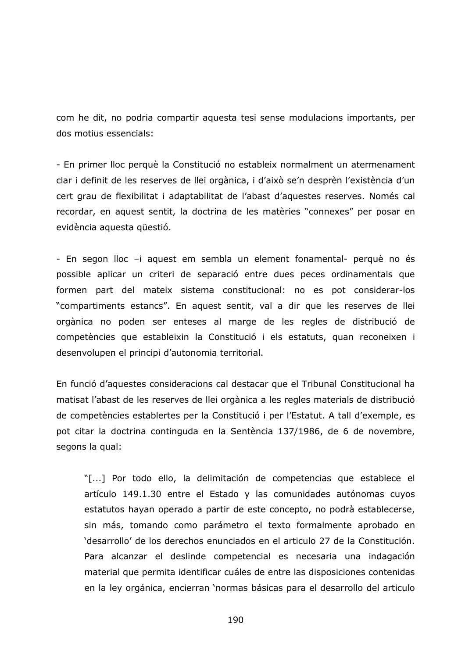com he dit, no podria compartir aquesta tesi sense modulacions importants, per dos motius essencials:

- En primer lloc perquè la Constitució no estableix normalment un atermenament clar i definit de les reserves de llei orgànica, i d'això se'n desprèn l'existència d'un cert grau de flexibilitat i adaptabilitat de l'abast d'aquestes reserves. Només cal recordar, en aquest sentit, la doctrina de les matèries "connexes" per posar en evidència aquesta questió.

- En segon lloc -i aquest em sembla un element fonamental- perquè no és possible aplicar un criteri de separació entre dues peces ordinamentals que formen part del mateix sistema constitucional: no es pot considerar-los "compartiments estancs". En aquest sentit, val a dir que les reserves de llei orgànica no poden ser enteses al marge de les regles de distribució de competències que estableixin la Constitució i els estatuts, quan reconeixen i desenvolupen el principi d'autonomia territorial.

En funció d'aquestes consideracions cal destacar que el Tribunal Constitucional ha matisat l'abast de les reserves de llei orgànica a les regles materials de distribució de competències establertes per la Constitució i per l'Estatut. A tall d'exemple, es pot citar la doctrina continguda en la Sentència 137/1986, de 6 de novembre, segons la qual:

"[...] Por todo ello, la delimitación de competencias que establece el artículo 149.1.30 entre el Estado y las comunidades autónomas cuyos estatutos hayan operado a partir de este concepto, no podrà establecerse, sin más, tomando como parámetro el texto formalmente aprobado en 'desarrollo' de los derechos enunciados en el articulo 27 de la Constitución. Para alcanzar el deslinde competencial es necesaria una indagación material que permita identificar cuáles de entre las disposiciones contenidas en la ley orgánica, encierran 'normas básicas para el desarrollo del articulo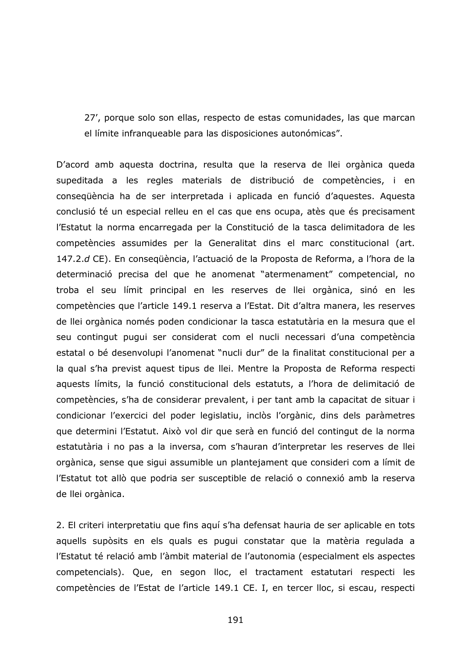27', porque solo son ellas, respecto de estas comunidades, las que marcan el límite infranqueable para las disposiciones autonómicas".

D'acord amb aquesta doctrina, resulta que la reserva de llei orgànica queda supeditada a les regles materials de distribució de competències, i en consequència ha de ser interpretada i aplicada en funció d'aquestes. Aquesta conclusió té un especial relleu en el cas que ens ocupa, atès que és precisament l'Estatut la norma encarregada per la Constitució de la tasca delimitadora de les competències assumides per la Generalitat dins el marc constitucional (art. 147.2.d CE). En consegüència, l'actuació de la Proposta de Reforma, a l'hora de la determinació precisa del que he anomenat "atermenament" competencial, no troba el seu límit principal en les reserves de llei orgànica, sinó en les competències que l'article 149.1 reserva a l'Estat. Dit d'altra manera, les reserves de llei orgànica només poden condicionar la tasca estatutària en la mesura que el seu contingut pugui ser considerat com el nucli necessari d'una competència estatal o bé desenvolupi l'anomenat "nucli dur" de la finalitat constitucional per a la qual s'ha previst aquest tipus de llei. Mentre la Proposta de Reforma respecti aquests límits, la funció constitucional dels estatuts, a l'hora de delimitació de competències, s'ha de considerar prevalent, i per tant amb la capacitat de situar i condicionar l'exercici del poder legislatiu, inclòs l'orgànic, dins dels paràmetres que determini l'Estatut. Això vol dir que serà en funció del contingut de la norma estatutària i no pas a la inversa, com s'hauran d'interpretar les reserves de llei orgànica, sense que sigui assumible un plantejament que consideri com a límit de l'Estatut tot allò que podria ser susceptible de relació o connexió amb la reserva de llei orgànica.

2. El criteri interpretatiu que fins aquí s'ha defensat hauria de ser aplicable en tots aquells supòsits en els quals es pugui constatar que la matèria regulada a l'Estatut té relació amb l'àmbit material de l'autonomia (especialment els aspectes competencials). Que, en segon lloc, el tractament estatutari respecti les competències de l'Estat de l'article 149.1 CE. I, en tercer lloc, si escau, respecti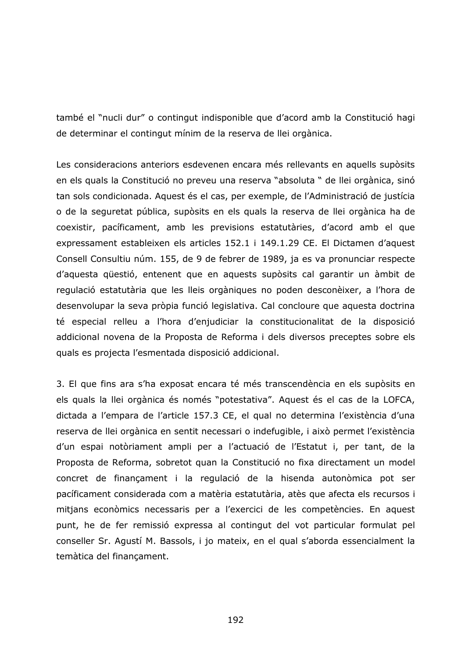també el "nucli dur" o contingut indisponible que d'acord amb la Constitució hagi de determinar el contingut mínim de la reserva de llei orgànica.

Les consideracions anteriors esdevenen encara més rellevants en aquells supòsits en els quals la Constitució no preveu una reserva "absoluta " de llei orgànica, sinó tan sols condicionada. Aquest és el cas, per exemple, de l'Administració de justícia o de la seguretat pública, supòsits en els quals la reserva de llei orgànica ha de coexistir, pacíficament, amb les previsions estatutàries, d'acord amb el que expressament estableixen els articles 152.1 i 149.1.29 CE. El Dictamen d'aquest Consell Consultiu núm. 155, de 9 de febrer de 1989, ja es va pronunciar respecte d'aquesta questió, entenent que en aquests supòsits cal garantir un àmbit de regulació estatutària que les lleis orgàniques no poden desconèixer, a l'hora de desenvolupar la seva pròpia funció legislativa. Cal concloure que aquesta doctrina té especial relleu a l'hora d'enjudiciar la constitucionalitat de la disposició addicional novena de la Proposta de Reforma i dels diversos preceptes sobre els quals es projecta l'esmentada disposició addicional.

3. El que fins ara s'ha exposat encara té més transcendència en els supòsits en els quals la llei orgànica és només "potestativa". Aquest és el cas de la LOFCA, dictada a l'empara de l'article 157.3 CE, el qual no determina l'existència d'una reserva de llei orgànica en sentit necessari o indefugible, i això permet l'existència d'un espai notòriament ampli per a l'actuació de l'Estatut i, per tant, de la Proposta de Reforma, sobretot quan la Constitució no fixa directament un model concret de finançament i la regulació de la hisenda autonòmica pot ser pacíficament considerada com a matèria estatutària, atès que afecta els recursos i mitjans econòmics necessaris per a l'exercici de les competències. En aquest punt, he de fer remissió expressa al contingut del vot particular formulat pel conseller Sr. Agustí M. Bassols, i jo mateix, en el qual s'aborda essencialment la temàtica del financament.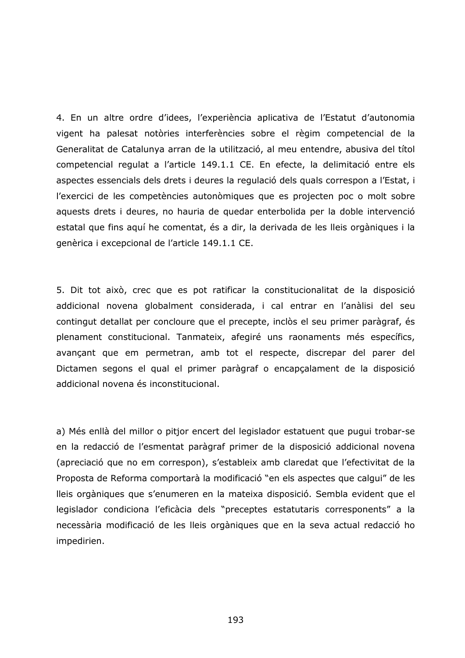4. En un altre ordre d'idees, l'experiència aplicativa de l'Estatut d'autonomia vigent ha palesat notòries interferències sobre el règim competencial de la Generalitat de Catalunya arran de la utilització, al meu entendre, abusiva del títol competencial regulat a l'article 149.1.1 CE. En efecte, la delimitació entre els aspectes essencials dels drets i deures la regulació dels quals correspon a l'Estat, i l'exercici de les competències autonòmiques que es projecten poc o molt sobre aquests drets i deures, no hauria de quedar enterbolida per la doble intervenció estatal que fins aquí he comentat, és a dir, la derivada de les lleis orgàniques i la genèrica i excepcional de l'article 149.1.1 CE.

5. Dit tot això, crec que es pot ratificar la constitucionalitat de la disposició addicional novena globalment considerada, i cal entrar en l'anàlisi del seu contingut detallat per concloure que el precepte, inclòs el seu primer paràgraf, és plenament constitucional. Tanmateix, afegiré uns raonaments més específics, avançant que em permetran, amb tot el respecte, discrepar del parer del Dictamen segons el qual el primer paràgraf o encapçalament de la disposició addicional novena és inconstitucional.

a) Més enllà del millor o pitjor encert del legislador estatuent que pugui trobar-se en la redacció de l'esmentat paràgraf primer de la disposició addicional novena (apreciació que no em correspon), s'estableix amb claredat que l'efectivitat de la Proposta de Reforma comportarà la modificació "en els aspectes que calgui" de les lleis orgàniques que s'enumeren en la mateixa disposició. Sembla evident que el legislador condiciona l'eficàcia dels "preceptes estatutaris corresponents" a la necessària modificació de les lleis orgàniques que en la seva actual redacció ho impedirien.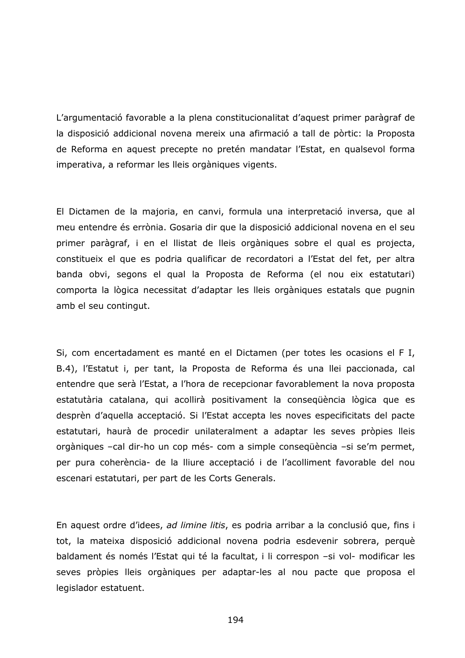L'argumentació favorable a la plena constitucionalitat d'aquest primer paràgraf de la disposició addicional novena mereix una afirmació a tall de pòrtic: la Proposta de Reforma en aquest precepte no pretén mandatar l'Estat, en qualsevol forma imperativa, a reformar les lleis orgàniques vigents.

El Dictamen de la majoria, en canvi, formula una interpretació inversa, que al meu entendre és errònia. Gosaria dir que la disposició addicional novena en el seu primer paràgraf, i en el llistat de lleis orgàniques sobre el qual es projecta, constitueix el que es podria qualificar de recordatori a l'Estat del fet, per altra banda obvi, segons el qual la Proposta de Reforma (el nou eix estatutari) comporta la lògica necessitat d'adaptar les lleis orgàniques estatals que pugnin amb el seu contingut.

Si, com encertadament es manté en el Dictamen (per totes les ocasions el FI, B.4), l'Estatut i, per tant, la Proposta de Reforma és una llei paccionada, cal entendre que serà l'Estat, a l'hora de recepcionar favorablement la nova proposta estatutària catalana, qui acollirà positivament la consegüència lògica que es desprèn d'aquella acceptació. Si l'Estat accepta les noves especificitats del pacte estatutari, haurà de procedir unilateralment a adaptar les seves pròpies lleis orgàniques -cal dir-ho un cop més- com a simple consequència -si se'm permet, per pura coherència- de la lliure acceptació i de l'acolliment favorable del nou escenari estatutari, per part de les Corts Generals.

En aquest ordre d'idees, ad limine litis, es podria arribar a la conclusió que, fins i tot, la mateixa disposició addicional novena podria esdevenir sobrera, perquè baldament és només l'Estat qui té la facultat, i li correspon -si vol- modificar les seves pròpies lleis orgàniques per adaptar-les al nou pacte que proposa el legislador estatuent.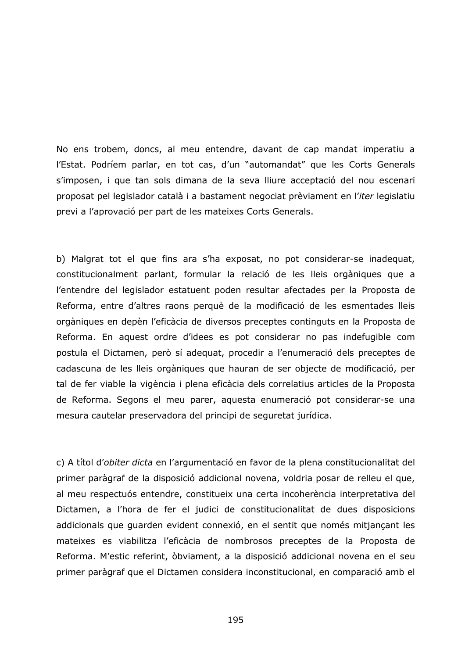No ens trobem, doncs, al meu entendre, davant de cap mandat imperatiu a l'Estat. Podríem parlar, en tot cas, d'un "automandat" que les Corts Generals s'imposen, i que tan sols dimana de la seva lliure acceptació del nou escenari proposat pel legislador català i a bastament negociat prèviament en l'iter legislatiu previ a l'aprovació per part de les mateixes Corts Generals.

b) Malgrat tot el que fins ara s'ha exposat, no pot considerar-se inadequat, constitucionalment parlant, formular la relació de les lleis orgàniques que a l'entendre del legislador estatuent poden resultar afectades per la Proposta de Reforma, entre d'altres raons perquè de la modificació de les esmentades lleis orgàniques en depèn l'eficàcia de diversos preceptes continguts en la Proposta de Reforma. En aquest ordre d'idees es pot considerar no pas indefugible com postula el Dictamen, però sí adequat, procedir a l'enumeració dels preceptes de cadascuna de les lleis orgàniques que hauran de ser objecte de modificació, per tal de fer viable la vigència i plena eficàcia dels correlatius articles de la Proposta de Reforma. Segons el meu parer, aquesta enumeració pot considerar-se una mesura cautelar preservadora del principi de seguretat jurídica.

c) A títol d'obiter dicta en l'argumentació en favor de la plena constitucionalitat del primer paràgraf de la disposició addicional novena, voldria posar de relleu el que, al meu respectuós entendre, constitueix una certa incoherència interpretativa del Dictamen, a l'hora de fer el judici de constitucionalitat de dues disposicions addicionals que guarden evident connexió, en el sentit que només mitjançant les mateixes es viabilitza l'eficàcia de nombrosos preceptes de la Proposta de Reforma. M'estic referint, òbviament, a la disposició addicional novena en el seu primer paràgraf que el Dictamen considera inconstitucional, en comparació amb el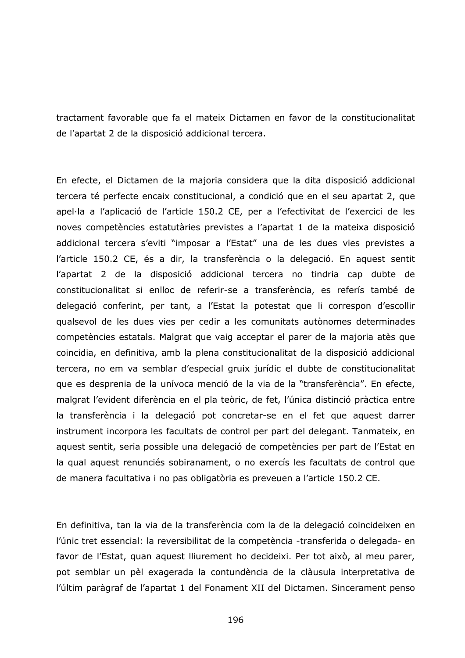tractament favorable que fa el mateix Dictamen en favor de la constitucionalitat de l'apartat 2 de la disposició addicional tercera.

En efecte, el Dictamen de la majoria considera que la dita disposició addicional tercera té perfecte encaix constitucional, a condició que en el seu apartat 2, que apel·la a l'aplicació de l'article 150.2 CE, per a l'efectivitat de l'exercici de les noves competències estatutàries previstes a l'apartat 1 de la mateixa disposició addicional tercera s'eviti "imposar a l'Estat" una de les dues vies previstes a l'article 150.2 CE, és a dir, la transferència o la delegació. En aquest sentit l'apartat 2 de la disposició addicional tercera no tindria cap dubte de constitucionalitat si enlloc de referir-se a transferència, es referís també de delegació conferint, per tant, a l'Estat la potestat que li correspon d'escollir qualsevol de les dues vies per cedir a les comunitats autònomes determinades competències estatals. Malgrat que vaig acceptar el parer de la majoria atès que coincidia, en definitiva, amb la plena constitucionalitat de la disposició addicional tercera, no em va semblar d'especial gruix jurídic el dubte de constitucionalitat que es desprenia de la unívoca menció de la via de la "transferència". En efecte, malgrat l'evident diferència en el pla teòric, de fet, l'única distinció pràctica entre la transferència i la delegació pot concretar-se en el fet que aquest darrer instrument incorpora les facultats de control per part del delegant. Tanmateix, en aquest sentit, seria possible una delegació de competències per part de l'Estat en la qual aquest renunciés sobiranament, o no exercís les facultats de control que de manera facultativa i no pas obligatòria es preveuen a l'article 150.2 CE.

En definitiva, tan la via de la transferència com la de la delegació coincideixen en l'únic tret essencial: la reversibilitat de la competència -transferida o delegada- en favor de l'Estat, quan aquest lliurement ho decideixi. Per tot això, al meu parer, pot semblar un pèl exagerada la contundència de la clàusula interpretativa de l'últim paràgraf de l'apartat 1 del Fonament XII del Dictamen. Sincerament penso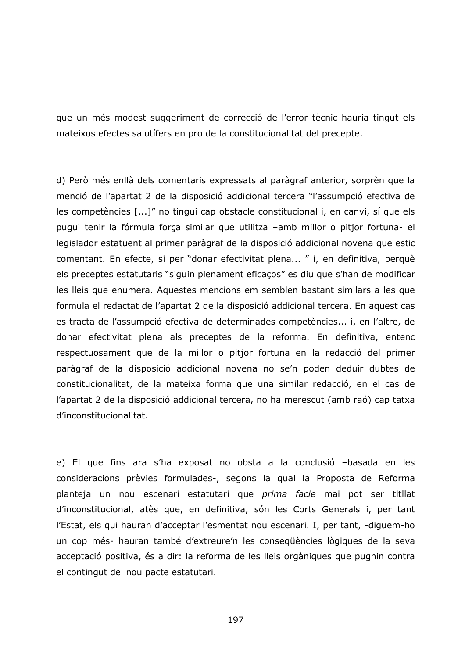que un més modest suggeriment de correcció de l'error tècnic hauria tingut els mateixos efectes salutífers en pro de la constitucionalitat del precepte.

d) Però més enllà dels comentaris expressats al paràgraf anterior, sorprèn que la menció de l'apartat 2 de la disposició addicional tercera "l'assumpció efectiva de les competències [...]" no tingui cap obstacle constitucional i, en canvi, sí que els pugui tenir la fórmula força similar que utilitza -amb millor o pitjor fortuna- el legislador estatuent al primer paràgraf de la disposició addicional novena que estic comentant. En efecte, si per "donar efectivitat plena..." i, en definitiva, perquè els preceptes estatutaris "siguin plenament eficaços" es diu que s'han de modificar les lleis que enumera. Aquestes mencions em semblen bastant similars a les que formula el redactat de l'apartat 2 de la disposició addicional tercera. En aquest cas es tracta de l'assumpció efectiva de determinades competències... i, en l'altre, de donar efectivitat plena als preceptes de la reforma. En definitiva, entenc respectuosament que de la millor o pitjor fortuna en la redacció del primer paràgraf de la disposició addicional novena no se'n poden deduir dubtes de constitucionalitat, de la mateixa forma que una similar redacció, en el cas de l'apartat 2 de la disposició addicional tercera, no ha merescut (amb raó) cap tatxa d'inconstitucionalitat.

e) El que fins ara s'ha exposat no obsta a la conclusió -basada en les consideracions prèvies formulades-, segons la qual la Proposta de Reforma planteja un nou escenari estatutari que *prima facie* mai pot ser titllat d'inconstitucional, atès que, en definitiva, són les Corts Generals i, per tant l'Estat, els qui hauran d'acceptar l'esmentat nou escenari. I, per tant, -diguem-ho un cop més- hauran també d'extreure'n les consequències lògiques de la seva acceptació positiva, és a dir: la reforma de les lleis orgàniques que pugnin contra el contingut del nou pacte estatutari.